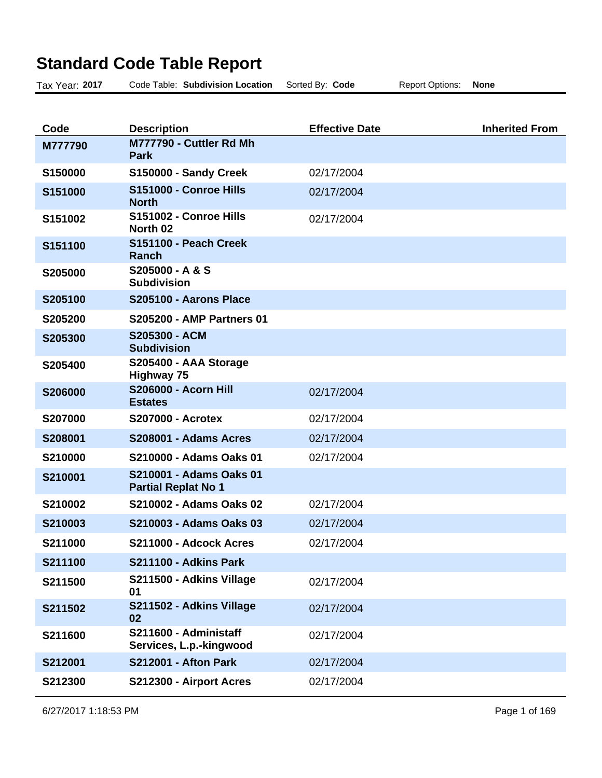## **Standard Code Table Report**

| Tax Year: 2017 | Code Table: Subdivision Location                      | Sorted By: Code       | <b>Report Options:</b> | <b>None</b>           |
|----------------|-------------------------------------------------------|-----------------------|------------------------|-----------------------|
|                |                                                       |                       |                        |                       |
| Code           | <b>Description</b>                                    | <b>Effective Date</b> |                        | <b>Inherited From</b> |
| M777790        | M777790 - Cuttler Rd Mh<br><b>Park</b>                |                       |                        |                       |
| S150000        | S150000 - Sandy Creek                                 | 02/17/2004            |                        |                       |
| S151000        | S151000 - Conroe Hills<br><b>North</b>                | 02/17/2004            |                        |                       |
| S151002        | S151002 - Conroe Hills<br>North 02                    | 02/17/2004            |                        |                       |
| S151100        | S151100 - Peach Creek<br><b>Ranch</b>                 |                       |                        |                       |
| S205000        | S205000 - A & S<br><b>Subdivision</b>                 |                       |                        |                       |
| S205100        | S205100 - Aarons Place                                |                       |                        |                       |
| S205200        | <b>S205200 - AMP Partners 01</b>                      |                       |                        |                       |
| S205300        | S205300 - ACM<br><b>Subdivision</b>                   |                       |                        |                       |
| S205400        | S205400 - AAA Storage<br><b>Highway 75</b>            |                       |                        |                       |
| S206000        | <b>S206000 - Acorn Hill</b><br><b>Estates</b>         | 02/17/2004            |                        |                       |
| S207000        | <b>S207000 - Acrotex</b>                              | 02/17/2004            |                        |                       |
| S208001        | S208001 - Adams Acres                                 | 02/17/2004            |                        |                       |
| S210000        | S210000 - Adams Oaks 01                               | 02/17/2004            |                        |                       |
| S210001        | S210001 - Adams Oaks 01<br><b>Partial Replat No 1</b> |                       |                        |                       |
| S210002        | S210002 - Adams Oaks 02                               | 02/17/2004            |                        |                       |
| S210003        | S210003 - Adams Oaks 03                               | 02/17/2004            |                        |                       |
| S211000        | S211000 - Adcock Acres                                | 02/17/2004            |                        |                       |
| S211100        | S211100 - Adkins Park                                 |                       |                        |                       |
| S211500        | S211500 - Adkins Village<br>01                        | 02/17/2004            |                        |                       |
| S211502        | S211502 - Adkins Village<br>02                        | 02/17/2004            |                        |                       |
| S211600        | S211600 - Administaff<br>Services, L.p.-kingwood      | 02/17/2004            |                        |                       |
| S212001        | <b>S212001 - Afton Park</b>                           | 02/17/2004            |                        |                       |
| S212300        | S212300 - Airport Acres                               | 02/17/2004            |                        |                       |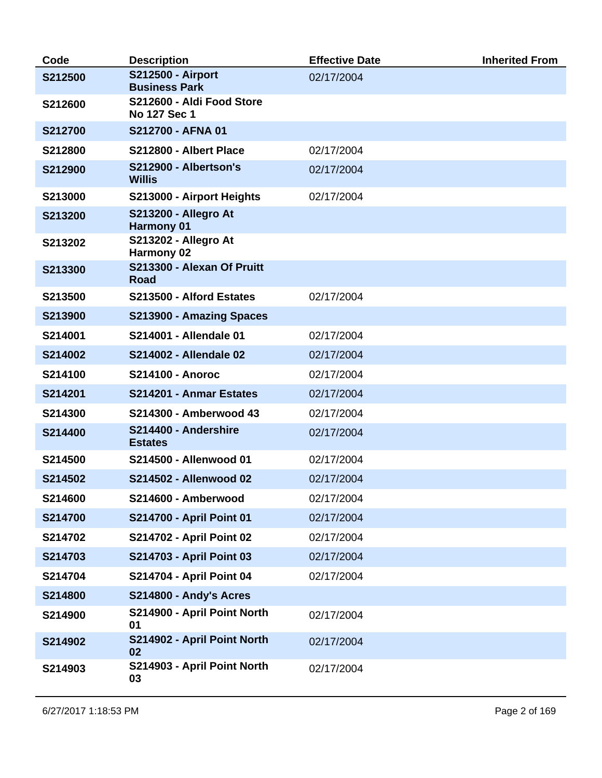| Code    | <b>Description</b>                               | <b>Effective Date</b> | <b>Inherited From</b> |
|---------|--------------------------------------------------|-----------------------|-----------------------|
| S212500 | <b>S212500 - Airport</b><br><b>Business Park</b> | 02/17/2004            |                       |
| S212600 | S212600 - Aldi Food Store<br>No 127 Sec 1        |                       |                       |
| S212700 | S212700 - AFNA 01                                |                       |                       |
| S212800 | S212800 - Albert Place                           | 02/17/2004            |                       |
| S212900 | S212900 - Albertson's<br><b>Willis</b>           | 02/17/2004            |                       |
| S213000 | S213000 - Airport Heights                        | 02/17/2004            |                       |
| S213200 | <b>S213200 - Allegro At</b><br><b>Harmony 01</b> |                       |                       |
| S213202 | <b>S213202 - Allegro At</b><br>Harmony 02        |                       |                       |
| S213300 | S213300 - Alexan Of Pruitt<br><b>Road</b>        |                       |                       |
| S213500 | S213500 - Alford Estates                         | 02/17/2004            |                       |
| S213900 | S213900 - Amazing Spaces                         |                       |                       |
| S214001 | S214001 - Allendale 01                           | 02/17/2004            |                       |
| S214002 | S214002 - Allendale 02                           | 02/17/2004            |                       |
| S214100 | <b>S214100 - Anoroc</b>                          | 02/17/2004            |                       |
| S214201 | S214201 - Anmar Estates                          | 02/17/2004            |                       |
| S214300 | S214300 - Amberwood 43                           | 02/17/2004            |                       |
| S214400 | S214400 - Andershire<br><b>Estates</b>           | 02/17/2004            |                       |
| S214500 | S214500 - Allenwood 01                           | 02/17/2004            |                       |
| S214502 | S214502 - Allenwood 02                           | 02/17/2004            |                       |
| S214600 | S214600 - Amberwood                              | 02/17/2004            |                       |
| S214700 | S214700 - April Point 01                         | 02/17/2004            |                       |
| S214702 | S214702 - April Point 02                         | 02/17/2004            |                       |
| S214703 | S214703 - April Point 03                         | 02/17/2004            |                       |
| S214704 | S214704 - April Point 04                         | 02/17/2004            |                       |
| S214800 | S214800 - Andy's Acres                           |                       |                       |
| S214900 | S214900 - April Point North<br>01                | 02/17/2004            |                       |
| S214902 | S214902 - April Point North<br>02                | 02/17/2004            |                       |
| S214903 | S214903 - April Point North<br>03                | 02/17/2004            |                       |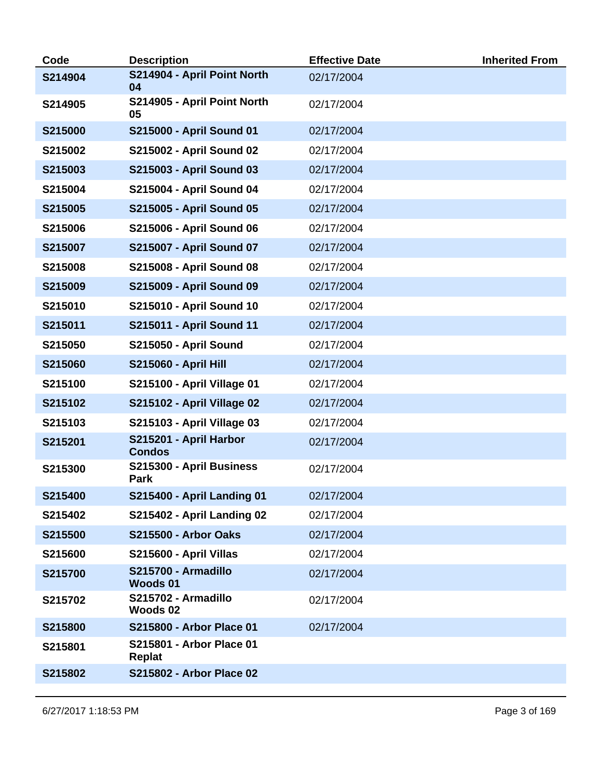| Code    | <b>Description</b>                      | <b>Effective Date</b> | <b>Inherited From</b> |
|---------|-----------------------------------------|-----------------------|-----------------------|
| S214904 | S214904 - April Point North<br>04       | 02/17/2004            |                       |
| S214905 | S214905 - April Point North<br>05       | 02/17/2004            |                       |
| S215000 | S215000 - April Sound 01                | 02/17/2004            |                       |
| S215002 | S215002 - April Sound 02                | 02/17/2004            |                       |
| S215003 | S215003 - April Sound 03                | 02/17/2004            |                       |
| S215004 | S215004 - April Sound 04                | 02/17/2004            |                       |
| S215005 | S215005 - April Sound 05                | 02/17/2004            |                       |
| S215006 | S215006 - April Sound 06                | 02/17/2004            |                       |
| S215007 | <b>S215007 - April Sound 07</b>         | 02/17/2004            |                       |
| S215008 | S215008 - April Sound 08                | 02/17/2004            |                       |
| S215009 | S215009 - April Sound 09                | 02/17/2004            |                       |
| S215010 | S215010 - April Sound 10                | 02/17/2004            |                       |
| S215011 | S215011 - April Sound 11                | 02/17/2004            |                       |
| S215050 | S215050 - April Sound                   | 02/17/2004            |                       |
| S215060 | <b>S215060 - April Hill</b>             | 02/17/2004            |                       |
| S215100 | <b>S215100 - April Village 01</b>       | 02/17/2004            |                       |
| S215102 | S215102 - April Village 02              | 02/17/2004            |                       |
| S215103 | <b>S215103 - April Village 03</b>       | 02/17/2004            |                       |
| S215201 | S215201 - April Harbor<br><b>Condos</b> | 02/17/2004            |                       |
| S215300 | S215300 - April Business<br>Park        | 02/17/2004            |                       |
| S215400 | <b>S215400 - April Landing 01</b>       | 02/17/2004            |                       |
| S215402 | <b>S215402 - April Landing 02</b>       | 02/17/2004            |                       |
| S215500 | <b>S215500 - Arbor Oaks</b>             | 02/17/2004            |                       |
| S215600 | S215600 - April Villas                  | 02/17/2004            |                       |
| S215700 | S215700 - Armadillo<br><b>Woods 01</b>  | 02/17/2004            |                       |
| S215702 | S215702 - Armadillo<br>Woods 02         | 02/17/2004            |                       |
| S215800 | S215800 - Arbor Place 01                | 02/17/2004            |                       |
| S215801 | S215801 - Arbor Place 01<br>Replat      |                       |                       |
| S215802 | S215802 - Arbor Place 02                |                       |                       |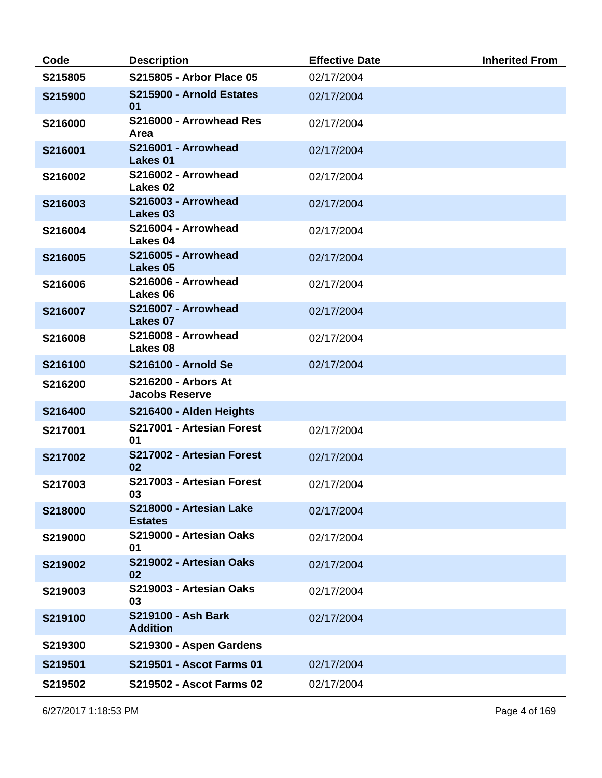| Code    | <b>Description</b>                                  | <b>Effective Date</b> | <b>Inherited From</b> |
|---------|-----------------------------------------------------|-----------------------|-----------------------|
| S215805 | S215805 - Arbor Place 05                            | 02/17/2004            |                       |
| S215900 | S215900 - Arnold Estates<br>01                      | 02/17/2004            |                       |
| S216000 | S216000 - Arrowhead Res<br>Area                     | 02/17/2004            |                       |
| S216001 | S216001 - Arrowhead<br>Lakes 01                     | 02/17/2004            |                       |
| S216002 | S216002 - Arrowhead<br>Lakes 02                     | 02/17/2004            |                       |
| S216003 | S216003 - Arrowhead<br>Lakes 03                     | 02/17/2004            |                       |
| S216004 | S216004 - Arrowhead<br>Lakes 04                     | 02/17/2004            |                       |
| S216005 | S216005 - Arrowhead<br>Lakes 05                     | 02/17/2004            |                       |
| S216006 | S216006 - Arrowhead<br>Lakes 06                     | 02/17/2004            |                       |
| S216007 | S216007 - Arrowhead<br>Lakes 07                     | 02/17/2004            |                       |
| S216008 | S216008 - Arrowhead<br>Lakes 08                     | 02/17/2004            |                       |
| S216100 | <b>S216100 - Arnold Se</b>                          | 02/17/2004            |                       |
| S216200 | <b>S216200 - Arbors At</b><br><b>Jacobs Reserve</b> |                       |                       |
| S216400 | S216400 - Alden Heights                             |                       |                       |
| S217001 | S217001 - Artesian Forest<br>01                     | 02/17/2004            |                       |
| S217002 | S217002 - Artesian Forest<br>02                     | 02/17/2004            |                       |
| S217003 | S217003 - Artesian Forest<br>03                     | 02/17/2004            |                       |
| S218000 | S218000 - Artesian Lake<br><b>Estates</b>           | 02/17/2004            |                       |
| S219000 | S219000 - Artesian Oaks<br>01                       | 02/17/2004            |                       |
| S219002 | S219002 - Artesian Oaks<br>02                       | 02/17/2004            |                       |
| S219003 | S219003 - Artesian Oaks<br>03                       | 02/17/2004            |                       |
| S219100 | S219100 - Ash Bark<br><b>Addition</b>               | 02/17/2004            |                       |
| S219300 | S219300 - Aspen Gardens                             |                       |                       |
| S219501 | S219501 - Ascot Farms 01                            | 02/17/2004            |                       |
| S219502 | S219502 - Ascot Farms 02                            | 02/17/2004            |                       |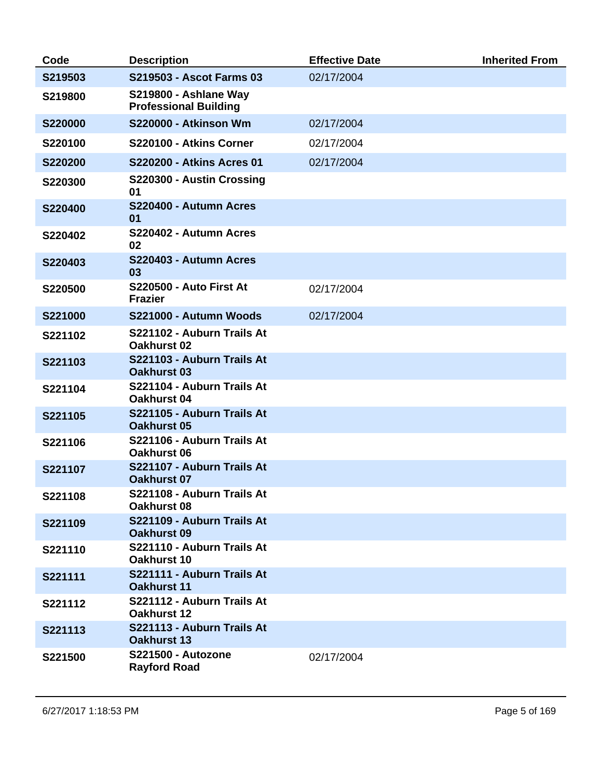| Code           | <b>Description</b>                                    | <b>Effective Date</b> | <b>Inherited From</b> |
|----------------|-------------------------------------------------------|-----------------------|-----------------------|
| S219503        | S219503 - Ascot Farms 03                              | 02/17/2004            |                       |
| S219800        | S219800 - Ashlane Way<br><b>Professional Building</b> |                       |                       |
| <b>S220000</b> | S220000 - Atkinson Wm                                 | 02/17/2004            |                       |
| S220100        | S220100 - Atkins Corner                               | 02/17/2004            |                       |
| S220200        | <b>S220200 - Atkins Acres 01</b>                      | 02/17/2004            |                       |
| S220300        | S220300 - Austin Crossing<br>01                       |                       |                       |
| S220400        | S220400 - Autumn Acres<br>01                          |                       |                       |
| S220402        | S220402 - Autumn Acres<br>02                          |                       |                       |
| S220403        | S220403 - Autumn Acres<br>03                          |                       |                       |
| S220500        | <b>S220500 - Auto First At</b><br><b>Frazier</b>      | 02/17/2004            |                       |
| S221000        | S221000 - Autumn Woods                                | 02/17/2004            |                       |
| S221102        | S221102 - Auburn Trails At<br><b>Oakhurst 02</b>      |                       |                       |
| S221103        | S221103 - Auburn Trails At<br><b>Oakhurst 03</b>      |                       |                       |
| S221104        | S221104 - Auburn Trails At<br>Oakhurst 04             |                       |                       |
| S221105        | S221105 - Auburn Trails At<br><b>Oakhurst 05</b>      |                       |                       |
| S221106        | S221106 - Auburn Trails At<br>Oakhurst 06             |                       |                       |
| S221107        | S221107 - Auburn Trails At<br><b>Oakhurst 07</b>      |                       |                       |
| S221108        | S221108 - Auburn Trails At<br>Oakhurst 08             |                       |                       |
| S221109        | S221109 - Auburn Trails At<br><b>Oakhurst 09</b>      |                       |                       |
| S221110        | S221110 - Auburn Trails At<br>Oakhurst 10             |                       |                       |
| S221111        | S221111 - Auburn Trails At<br><b>Oakhurst 11</b>      |                       |                       |
| S221112        | S221112 - Auburn Trails At<br><b>Oakhurst 12</b>      |                       |                       |
| S221113        | S221113 - Auburn Trails At<br><b>Oakhurst 13</b>      |                       |                       |
| S221500        | S221500 - Autozone<br><b>Rayford Road</b>             | 02/17/2004            |                       |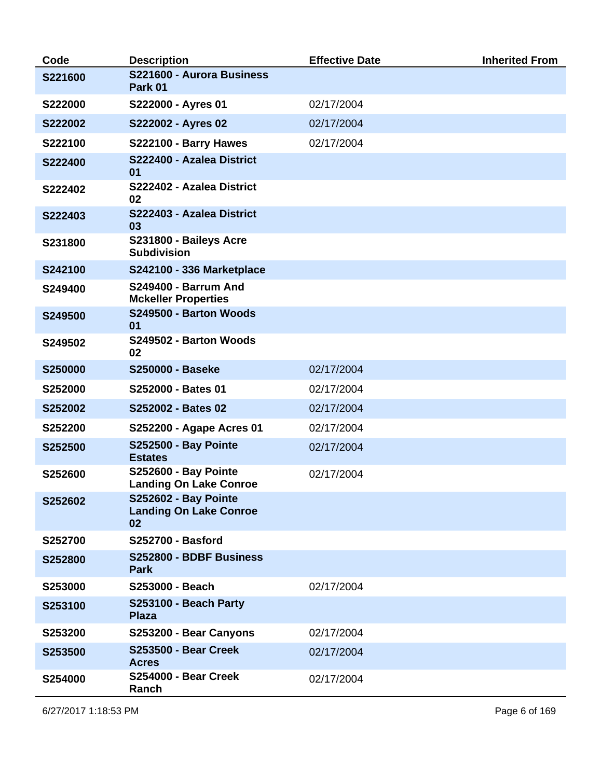| Code    | <b>Description</b>                                                 | <b>Effective Date</b> | <b>Inherited From</b> |
|---------|--------------------------------------------------------------------|-----------------------|-----------------------|
| S221600 | S221600 - Aurora Business<br>Park 01                               |                       |                       |
| S222000 | S222000 - Ayres 01                                                 | 02/17/2004            |                       |
| S222002 | S222002 - Ayres 02                                                 | 02/17/2004            |                       |
| S222100 | S222100 - Barry Hawes                                              | 02/17/2004            |                       |
| S222400 | S222400 - Azalea District<br>01                                    |                       |                       |
| S222402 | S222402 - Azalea District<br>02                                    |                       |                       |
| S222403 | S222403 - Azalea District<br>03                                    |                       |                       |
| S231800 | S231800 - Baileys Acre<br><b>Subdivision</b>                       |                       |                       |
| S242100 | <b>S242100 - 336 Marketplace</b>                                   |                       |                       |
| S249400 | <b>S249400 - Barrum And</b><br><b>Mckeller Properties</b>          |                       |                       |
| S249500 | S249500 - Barton Woods<br>01                                       |                       |                       |
| S249502 | S249502 - Barton Woods<br>02                                       |                       |                       |
| S250000 | <b>S250000 - Baseke</b>                                            | 02/17/2004            |                       |
| S252000 | S252000 - Bates 01                                                 | 02/17/2004            |                       |
| S252002 | S252002 - Bates 02                                                 | 02/17/2004            |                       |
| S252200 | S252200 - Agape Acres 01                                           | 02/17/2004            |                       |
| S252500 | <b>S252500 - Bay Pointe</b><br><b>Estates</b>                      | 02/17/2004            |                       |
| S252600 | <b>S252600 - Bay Pointe</b><br><b>Landing On Lake Conroe</b>       | 02/17/2004            |                       |
| S252602 | <b>S252602 - Bay Pointe</b><br><b>Landing On Lake Conroe</b><br>02 |                       |                       |
| S252700 | <b>S252700 - Basford</b>                                           |                       |                       |
| S252800 | S252800 - BDBF Business<br><b>Park</b>                             |                       |                       |
| S253000 | S253000 - Beach                                                    | 02/17/2004            |                       |
| S253100 | <b>S253100 - Beach Party</b><br><b>Plaza</b>                       |                       |                       |
| S253200 | S253200 - Bear Canyons                                             | 02/17/2004            |                       |
| S253500 | <b>S253500 - Bear Creek</b><br><b>Acres</b>                        | 02/17/2004            |                       |
| S254000 | <b>S254000 - Bear Creek</b><br>Ranch                               | 02/17/2004            |                       |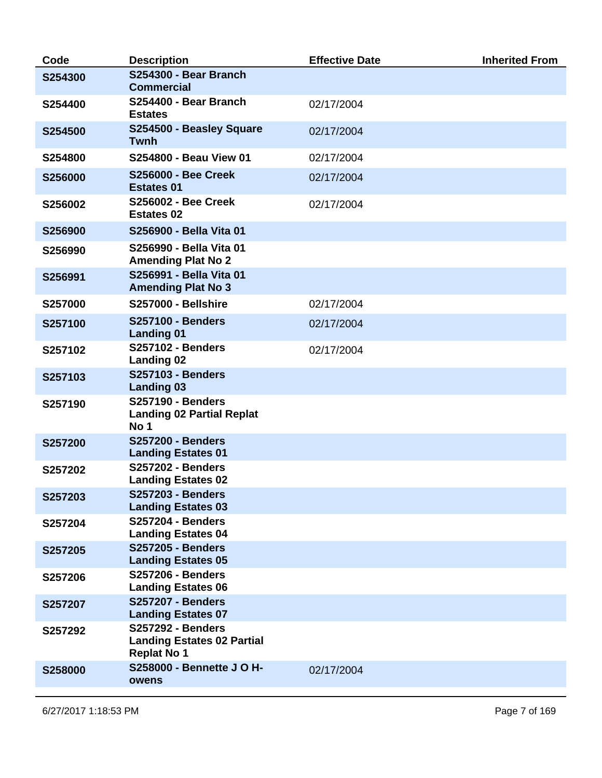| Code    | <b>Description</b>                                                                  | <b>Effective Date</b> | <b>Inherited From</b> |
|---------|-------------------------------------------------------------------------------------|-----------------------|-----------------------|
| S254300 | S254300 - Bear Branch<br><b>Commercial</b>                                          |                       |                       |
| S254400 | S254400 - Bear Branch<br><b>Estates</b>                                             | 02/17/2004            |                       |
| S254500 | S254500 - Beasley Square<br><b>Twnh</b>                                             | 02/17/2004            |                       |
| S254800 | S254800 - Beau View 01                                                              | 02/17/2004            |                       |
| S256000 | <b>S256000 - Bee Creek</b><br><b>Estates 01</b>                                     | 02/17/2004            |                       |
| S256002 | <b>S256002 - Bee Creek</b><br><b>Estates 02</b>                                     | 02/17/2004            |                       |
| S256900 | S256900 - Bella Vita 01                                                             |                       |                       |
| S256990 | S256990 - Bella Vita 01<br><b>Amending Plat No 2</b>                                |                       |                       |
| S256991 | S256991 - Bella Vita 01<br><b>Amending Plat No 3</b>                                |                       |                       |
| S257000 | <b>S257000 - Bellshire</b>                                                          | 02/17/2004            |                       |
| S257100 | <b>S257100 - Benders</b><br><b>Landing 01</b>                                       | 02/17/2004            |                       |
| S257102 | <b>S257102 - Benders</b><br><b>Landing 02</b>                                       | 02/17/2004            |                       |
| S257103 | <b>S257103 - Benders</b><br><b>Landing 03</b>                                       |                       |                       |
| S257190 | <b>S257190 - Benders</b><br><b>Landing 02 Partial Replat</b><br>No 1                |                       |                       |
| S257200 | <b>S257200 - Benders</b><br><b>Landing Estates 01</b>                               |                       |                       |
| S257202 | <b>S257202 - Benders</b><br><b>Landing Estates 02</b>                               |                       |                       |
| S257203 | <b>S257203 - Benders</b><br><b>Landing Estates 03</b>                               |                       |                       |
| S257204 | <b>S257204 - Benders</b><br><b>Landing Estates 04</b>                               |                       |                       |
| S257205 | <b>S257205 - Benders</b><br><b>Landing Estates 05</b>                               |                       |                       |
| S257206 | <b>S257206 - Benders</b><br><b>Landing Estates 06</b>                               |                       |                       |
| S257207 | <b>S257207 - Benders</b><br><b>Landing Estates 07</b>                               |                       |                       |
| S257292 | <b>S257292 - Benders</b><br><b>Landing Estates 02 Partial</b><br><b>Replat No 1</b> |                       |                       |
| S258000 | <b>S258000 - Bennette J O H-</b><br>owens                                           | 02/17/2004            |                       |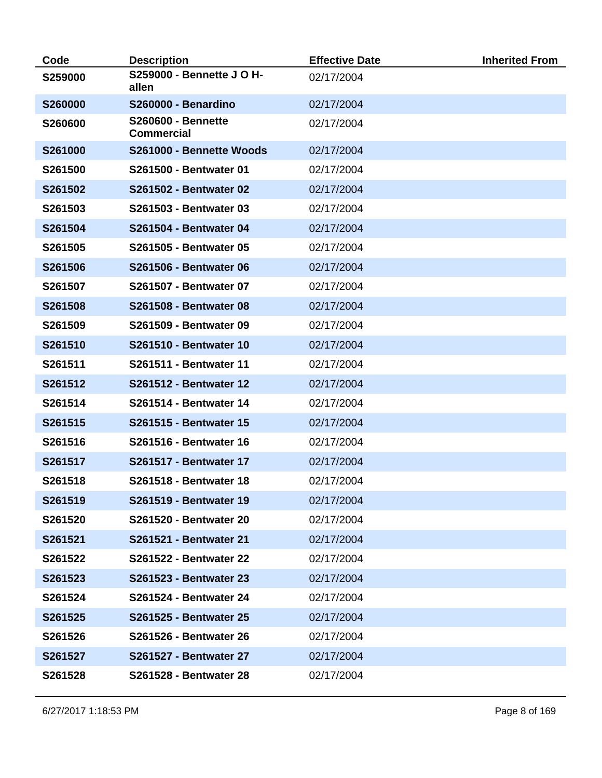| Code    | <b>Description</b>                             | <b>Effective Date</b> | <b>Inherited From</b> |
|---------|------------------------------------------------|-----------------------|-----------------------|
| S259000 | <b>S259000 - Bennette J O H-</b><br>allen      | 02/17/2004            |                       |
| S260000 | S260000 - Benardino                            | 02/17/2004            |                       |
| S260600 | <b>S260600 - Bennette</b><br><b>Commercial</b> | 02/17/2004            |                       |
| S261000 | S261000 - Bennette Woods                       | 02/17/2004            |                       |
| S261500 | S261500 - Bentwater 01                         | 02/17/2004            |                       |
| S261502 | <b>S261502 - Bentwater 02</b>                  | 02/17/2004            |                       |
| S261503 | S261503 - Bentwater 03                         | 02/17/2004            |                       |
| S261504 | <b>S261504 - Bentwater 04</b>                  | 02/17/2004            |                       |
| S261505 | S261505 - Bentwater 05                         | 02/17/2004            |                       |
| S261506 | <b>S261506 - Bentwater 06</b>                  | 02/17/2004            |                       |
| S261507 | S261507 - Bentwater 07                         | 02/17/2004            |                       |
| S261508 | <b>S261508 - Bentwater 08</b>                  | 02/17/2004            |                       |
| S261509 | <b>S261509 - Bentwater 09</b>                  | 02/17/2004            |                       |
| S261510 | <b>S261510 - Bentwater 10</b>                  | 02/17/2004            |                       |
| S261511 | S261511 - Bentwater 11                         | 02/17/2004            |                       |
| S261512 | <b>S261512 - Bentwater 12</b>                  | 02/17/2004            |                       |
| S261514 | <b>S261514 - Bentwater 14</b>                  | 02/17/2004            |                       |
| S261515 | <b>S261515 - Bentwater 15</b>                  | 02/17/2004            |                       |
| S261516 | S261516 - Bentwater 16                         | 02/17/2004            |                       |
| S261517 | <b>S261517 - Bentwater 17</b>                  | 02/17/2004            |                       |
| S261518 | <b>S261518 - Bentwater 18</b>                  | 02/17/2004            |                       |
| S261519 | S261519 - Bentwater 19                         | 02/17/2004            |                       |
| S261520 | S261520 - Bentwater 20                         | 02/17/2004            |                       |
| S261521 | S261521 - Bentwater 21                         | 02/17/2004            |                       |
| S261522 | <b>S261522 - Bentwater 22</b>                  | 02/17/2004            |                       |
| S261523 | S261523 - Bentwater 23                         | 02/17/2004            |                       |
| S261524 | <b>S261524 - Bentwater 24</b>                  | 02/17/2004            |                       |
| S261525 | <b>S261525 - Bentwater 25</b>                  | 02/17/2004            |                       |
| S261526 | <b>S261526 - Bentwater 26</b>                  | 02/17/2004            |                       |
| S261527 | <b>S261527 - Bentwater 27</b>                  | 02/17/2004            |                       |
| S261528 | S261528 - Bentwater 28                         | 02/17/2004            |                       |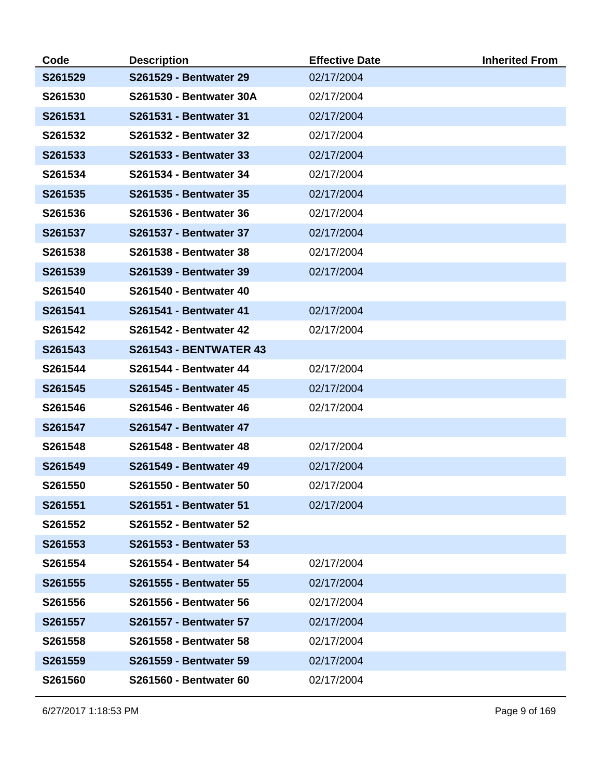| Code    | <b>Description</b>             | <b>Effective Date</b> | <b>Inherited From</b> |
|---------|--------------------------------|-----------------------|-----------------------|
| S261529 | <b>S261529 - Bentwater 29</b>  | 02/17/2004            |                       |
| S261530 | <b>S261530 - Bentwater 30A</b> | 02/17/2004            |                       |
| S261531 | S261531 - Bentwater 31         | 02/17/2004            |                       |
| S261532 | <b>S261532 - Bentwater 32</b>  | 02/17/2004            |                       |
| S261533 | S261533 - Bentwater 33         | 02/17/2004            |                       |
| S261534 | <b>S261534 - Bentwater 34</b>  | 02/17/2004            |                       |
| S261535 | <b>S261535 - Bentwater 35</b>  | 02/17/2004            |                       |
| S261536 | S261536 - Bentwater 36         | 02/17/2004            |                       |
| S261537 | <b>S261537 - Bentwater 37</b>  | 02/17/2004            |                       |
| S261538 | S261538 - Bentwater 38         | 02/17/2004            |                       |
| S261539 | S261539 - Bentwater 39         | 02/17/2004            |                       |
| S261540 | <b>S261540 - Bentwater 40</b>  |                       |                       |
| S261541 | <b>S261541 - Bentwater 41</b>  | 02/17/2004            |                       |
| S261542 | <b>S261542 - Bentwater 42</b>  | 02/17/2004            |                       |
| S261543 | <b>S261543 - BENTWATER 43</b>  |                       |                       |
| S261544 | <b>S261544 - Bentwater 44</b>  | 02/17/2004            |                       |
| S261545 | <b>S261545 - Bentwater 45</b>  | 02/17/2004            |                       |
| S261546 | <b>S261546 - Bentwater 46</b>  | 02/17/2004            |                       |
| S261547 | <b>S261547 - Bentwater 47</b>  |                       |                       |
| S261548 | <b>S261548 - Bentwater 48</b>  | 02/17/2004            |                       |
| S261549 | <b>S261549 - Bentwater 49</b>  | 02/17/2004            |                       |
| S261550 | S261550 - Bentwater 50         | 02/17/2004            |                       |
| S261551 | S261551 - Bentwater 51         | 02/17/2004            |                       |
| S261552 | <b>S261552 - Bentwater 52</b>  |                       |                       |
| S261553 | S261553 - Bentwater 53         |                       |                       |
| S261554 | S261554 - Bentwater 54         | 02/17/2004            |                       |
| S261555 | <b>S261555 - Bentwater 55</b>  | 02/17/2004            |                       |
| S261556 | S261556 - Bentwater 56         | 02/17/2004            |                       |
| S261557 | <b>S261557 - Bentwater 57</b>  | 02/17/2004            |                       |
| S261558 | S261558 - Bentwater 58         | 02/17/2004            |                       |
| S261559 | S261559 - Bentwater 59         | 02/17/2004            |                       |
| S261560 | S261560 - Bentwater 60         | 02/17/2004            |                       |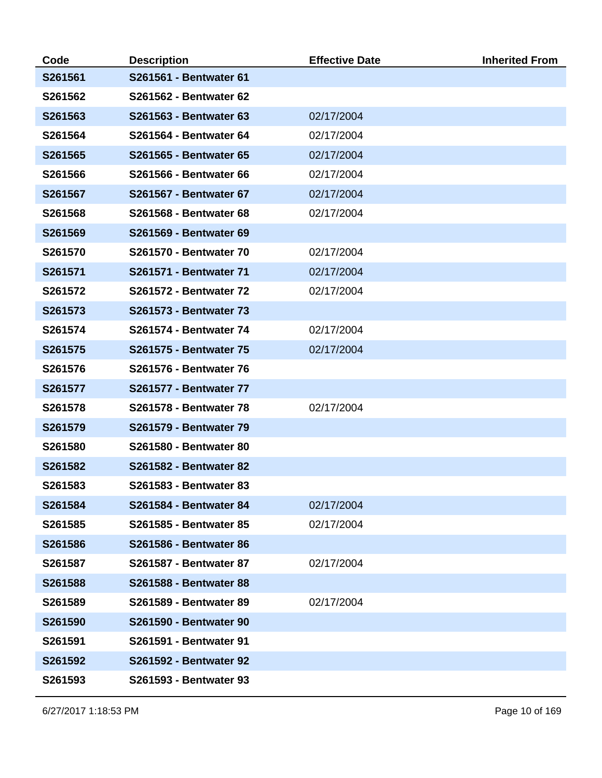| Code    | <b>Description</b>            | <b>Effective Date</b> | <b>Inherited From</b> |
|---------|-------------------------------|-----------------------|-----------------------|
| S261561 | S261561 - Bentwater 61        |                       |                       |
| S261562 | S261562 - Bentwater 62        |                       |                       |
| S261563 | S261563 - Bentwater 63        | 02/17/2004            |                       |
| S261564 | S261564 - Bentwater 64        | 02/17/2004            |                       |
| S261565 | S261565 - Bentwater 65        | 02/17/2004            |                       |
| S261566 | S261566 - Bentwater 66        | 02/17/2004            |                       |
| S261567 | S261567 - Bentwater 67        | 02/17/2004            |                       |
| S261568 | S261568 - Bentwater 68        | 02/17/2004            |                       |
| S261569 | S261569 - Bentwater 69        |                       |                       |
| S261570 | <b>S261570 - Bentwater 70</b> | 02/17/2004            |                       |
| S261571 | S261571 - Bentwater 71        | 02/17/2004            |                       |
| S261572 | <b>S261572 - Bentwater 72</b> | 02/17/2004            |                       |
| S261573 | <b>S261573 - Bentwater 73</b> |                       |                       |
| S261574 | <b>S261574 - Bentwater 74</b> | 02/17/2004            |                       |
| S261575 | <b>S261575 - Bentwater 75</b> | 02/17/2004            |                       |
| S261576 | <b>S261576 - Bentwater 76</b> |                       |                       |
| S261577 | <b>S261577 - Bentwater 77</b> |                       |                       |
| S261578 | <b>S261578 - Bentwater 78</b> | 02/17/2004            |                       |
| S261579 | S261579 - Bentwater 79        |                       |                       |
| S261580 | S261580 - Bentwater 80        |                       |                       |
| S261582 | <b>S261582 - Bentwater 82</b> |                       |                       |
| S261583 | S261583 - Bentwater 83        |                       |                       |
| S261584 | S261584 - Bentwater 84        | 02/17/2004            |                       |
| S261585 | S261585 - Bentwater 85        | 02/17/2004            |                       |
| S261586 | S261586 - Bentwater 86        |                       |                       |
| S261587 | S261587 - Bentwater 87        | 02/17/2004            |                       |
| S261588 | S261588 - Bentwater 88        |                       |                       |
| S261589 | S261589 - Bentwater 89        | 02/17/2004            |                       |
| S261590 | S261590 - Bentwater 90        |                       |                       |
| S261591 | S261591 - Bentwater 91        |                       |                       |
| S261592 | S261592 - Bentwater 92        |                       |                       |
| S261593 | S261593 - Bentwater 93        |                       |                       |

6/27/2017 1:18:53 PM Page 10 of 169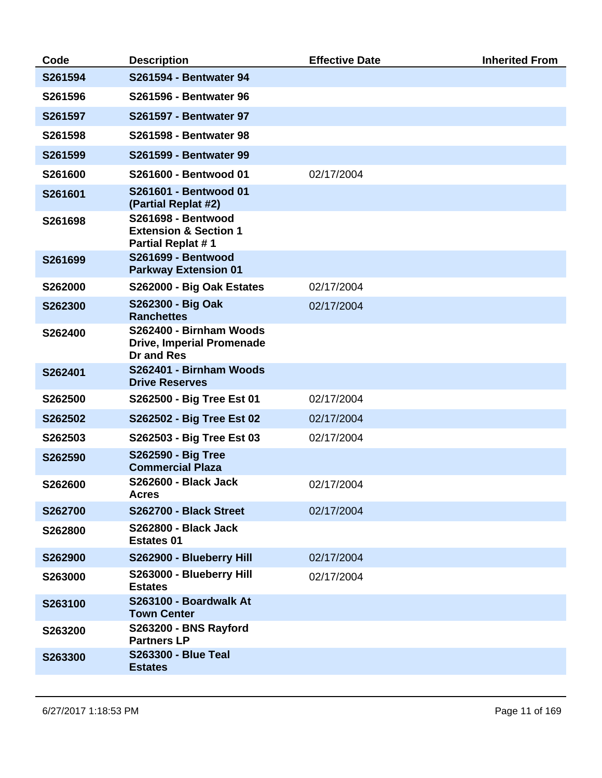| Code    | <b>Description</b>                                                                        | <b>Effective Date</b> | <b>Inherited From</b> |
|---------|-------------------------------------------------------------------------------------------|-----------------------|-----------------------|
| S261594 | <b>S261594 - Bentwater 94</b>                                                             |                       |                       |
| S261596 | <b>S261596 - Bentwater 96</b>                                                             |                       |                       |
| S261597 | <b>S261597 - Bentwater 97</b>                                                             |                       |                       |
| S261598 | <b>S261598 - Bentwater 98</b>                                                             |                       |                       |
| S261599 | S261599 - Bentwater 99                                                                    |                       |                       |
| S261600 | S261600 - Bentwood 01                                                                     | 02/17/2004            |                       |
| S261601 | S261601 - Bentwood 01<br>(Partial Replat #2)                                              |                       |                       |
| S261698 | <b>S261698 - Bentwood</b><br><b>Extension &amp; Section 1</b><br><b>Partial Replat #1</b> |                       |                       |
| S261699 | <b>S261699 - Bentwood</b><br><b>Parkway Extension 01</b>                                  |                       |                       |
| S262000 | S262000 - Big Oak Estates                                                                 | 02/17/2004            |                       |
| S262300 | S262300 - Big Oak<br><b>Ranchettes</b>                                                    | 02/17/2004            |                       |
| S262400 | S262400 - Birnham Woods<br><b>Drive, Imperial Promenade</b><br><b>Dr and Res</b>          |                       |                       |
| S262401 | S262401 - Birnham Woods<br><b>Drive Reserves</b>                                          |                       |                       |
| S262500 | S262500 - Big Tree Est 01                                                                 | 02/17/2004            |                       |
| S262502 | S262502 - Big Tree Est 02                                                                 | 02/17/2004            |                       |
| S262503 | S262503 - Big Tree Est 03                                                                 | 02/17/2004            |                       |
| S262590 | S262590 - Big Tree<br><b>Commercial Plaza</b>                                             |                       |                       |
| S262600 | <b>S262600 - Black Jack</b><br><b>Acres</b>                                               | 02/17/2004            |                       |
| S262700 | S262700 - Black Street                                                                    | 02/17/2004            |                       |
| S262800 | <b>S262800 - Black Jack</b><br><b>Estates 01</b>                                          |                       |                       |
| S262900 | S262900 - Blueberry Hill                                                                  | 02/17/2004            |                       |
| S263000 | S263000 - Blueberry Hill<br><b>Estates</b>                                                | 02/17/2004            |                       |
| S263100 | S263100 - Boardwalk At<br><b>Town Center</b>                                              |                       |                       |
| S263200 | <b>S263200 - BNS Rayford</b><br><b>Partners LP</b>                                        |                       |                       |
| S263300 | <b>S263300 - Blue Teal</b><br><b>Estates</b>                                              |                       |                       |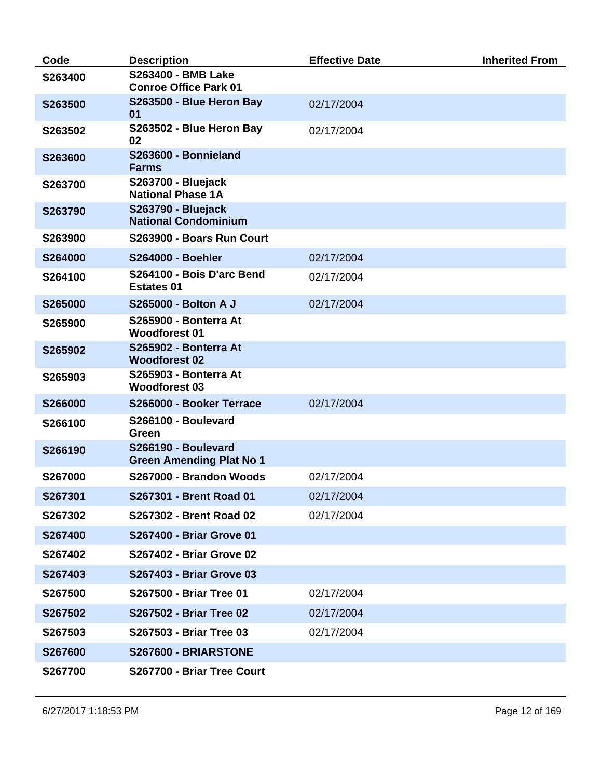| Code    | <b>Description</b>                                        | <b>Effective Date</b> | <b>Inherited From</b> |
|---------|-----------------------------------------------------------|-----------------------|-----------------------|
| S263400 | <b>S263400 - BMB Lake</b><br><b>Conroe Office Park 01</b> |                       |                       |
| S263500 | S263500 - Blue Heron Bay<br>01                            | 02/17/2004            |                       |
| S263502 | S263502 - Blue Heron Bay<br>02                            | 02/17/2004            |                       |
| S263600 | S263600 - Bonnieland<br><b>Farms</b>                      |                       |                       |
| S263700 | <b>S263700 - Bluejack</b><br><b>National Phase 1A</b>     |                       |                       |
| S263790 | <b>S263790 - Bluejack</b><br><b>National Condominium</b>  |                       |                       |
| S263900 | S263900 - Boars Run Court                                 |                       |                       |
| S264000 | <b>S264000 - Boehler</b>                                  | 02/17/2004            |                       |
| S264100 | S264100 - Bois D'arc Bend<br><b>Estates 01</b>            | 02/17/2004            |                       |
| S265000 | <b>S265000 - Bolton A J</b>                               | 02/17/2004            |                       |
| S265900 | <b>S265900 - Bonterra At</b><br><b>Woodforest 01</b>      |                       |                       |
| S265902 | S265902 - Bonterra At<br><b>Woodforest 02</b>             |                       |                       |
| S265903 | <b>S265903 - Bonterra At</b><br><b>Woodforest 03</b>      |                       |                       |
| S266000 | S266000 - Booker Terrace                                  | 02/17/2004            |                       |
| S266100 | S266100 - Boulevard<br>Green                              |                       |                       |
| S266190 | S266190 - Boulevard<br><b>Green Amending Plat No 1</b>    |                       |                       |
| S267000 | S267000 - Brandon Woods                                   | 02/17/2004            |                       |
| S267301 | S267301 - Brent Road 01                                   | 02/17/2004            |                       |
| S267302 | S267302 - Brent Road 02                                   | 02/17/2004            |                       |
| S267400 | <b>S267400 - Briar Grove 01</b>                           |                       |                       |
| S267402 | <b>S267402 - Briar Grove 02</b>                           |                       |                       |
| S267403 | <b>S267403 - Briar Grove 03</b>                           |                       |                       |
| S267500 | <b>S267500 - Briar Tree 01</b>                            | 02/17/2004            |                       |
| S267502 | S267502 - Briar Tree 02                                   | 02/17/2004            |                       |
| S267503 | <b>S267503 - Briar Tree 03</b>                            | 02/17/2004            |                       |
| S267600 | S267600 - BRIARSTONE                                      |                       |                       |
| S267700 | S267700 - Briar Tree Court                                |                       |                       |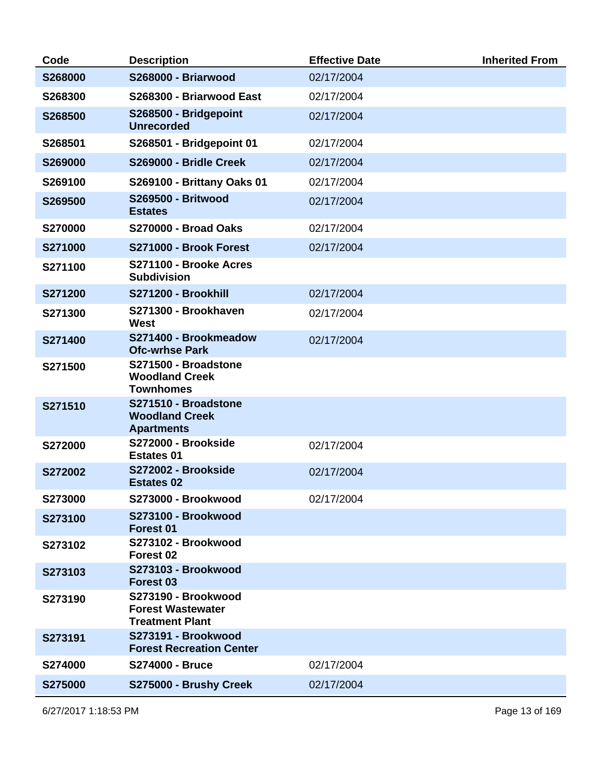| Code           | <b>Description</b>                                                        | <b>Effective Date</b> | <b>Inherited From</b> |
|----------------|---------------------------------------------------------------------------|-----------------------|-----------------------|
| S268000        | S268000 - Briarwood                                                       | 02/17/2004            |                       |
| S268300        | S268300 - Briarwood East                                                  | 02/17/2004            |                       |
| S268500        | S268500 - Bridgepoint<br><b>Unrecorded</b>                                | 02/17/2004            |                       |
| S268501        | S268501 - Bridgepoint 01                                                  | 02/17/2004            |                       |
| S269000        | S269000 - Bridle Creek                                                    | 02/17/2004            |                       |
| S269100        | S269100 - Brittany Oaks 01                                                | 02/17/2004            |                       |
| S269500        | <b>S269500 - Britwood</b><br><b>Estates</b>                               | 02/17/2004            |                       |
| S270000        | <b>S270000 - Broad Oaks</b>                                               | 02/17/2004            |                       |
| S271000        | S271000 - Brook Forest                                                    | 02/17/2004            |                       |
| S271100        | S271100 - Brooke Acres<br><b>Subdivision</b>                              |                       |                       |
| S271200        | S271200 - Brookhill                                                       | 02/17/2004            |                       |
| S271300        | S271300 - Brookhaven<br>West                                              | 02/17/2004            |                       |
| S271400        | S271400 - Brookmeadow<br><b>Ofc-wrhse Park</b>                            | 02/17/2004            |                       |
| S271500        | S271500 - Broadstone<br><b>Woodland Creek</b><br><b>Townhomes</b>         |                       |                       |
| S271510        | S271510 - Broadstone<br><b>Woodland Creek</b><br><b>Apartments</b>        |                       |                       |
| S272000        | S272000 - Brookside<br><b>Estates 01</b>                                  | 02/17/2004            |                       |
| S272002        | S272002 - Brookside<br><b>Estates 02</b>                                  | 02/17/2004            |                       |
| S273000        | S273000 - Brookwood                                                       | 02/17/2004            |                       |
| S273100        | S273100 - Brookwood<br>Forest 01                                          |                       |                       |
| S273102        | S273102 - Brookwood<br>Forest <sub>02</sub>                               |                       |                       |
| S273103        | S273103 - Brookwood<br>Forest <sub>03</sub>                               |                       |                       |
| S273190        | S273190 - Brookwood<br><b>Forest Wastewater</b><br><b>Treatment Plant</b> |                       |                       |
| S273191        | S273191 - Brookwood<br><b>Forest Recreation Center</b>                    |                       |                       |
| S274000        | <b>S274000 - Bruce</b>                                                    | 02/17/2004            |                       |
| <b>S275000</b> | S275000 - Brushy Creek                                                    | 02/17/2004            |                       |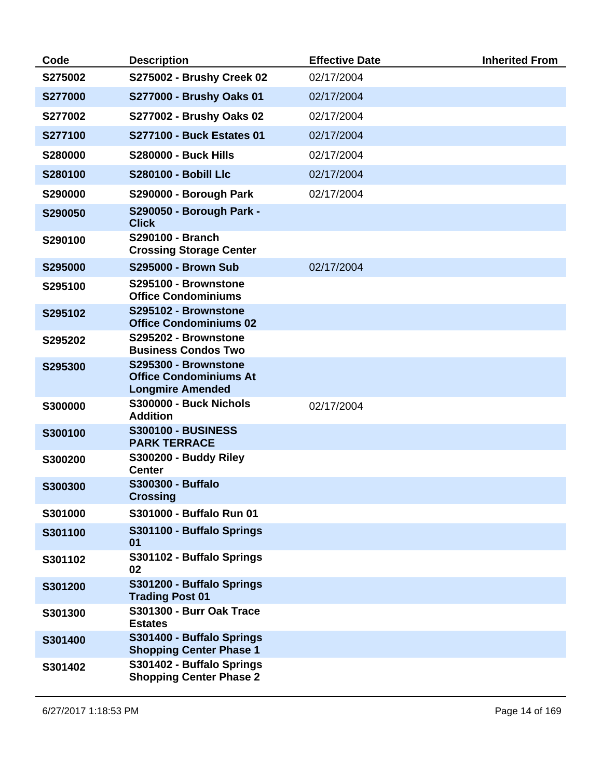| Code           | <b>Description</b>                                                               | <b>Effective Date</b> | <b>Inherited From</b> |
|----------------|----------------------------------------------------------------------------------|-----------------------|-----------------------|
| S275002        | S275002 - Brushy Creek 02                                                        | 02/17/2004            |                       |
| <b>S277000</b> | S277000 - Brushy Oaks 01                                                         | 02/17/2004            |                       |
| S277002        | S277002 - Brushy Oaks 02                                                         | 02/17/2004            |                       |
| S277100        | <b>S277100 - Buck Estates 01</b>                                                 | 02/17/2004            |                       |
| S280000        | <b>S280000 - Buck Hills</b>                                                      | 02/17/2004            |                       |
| S280100        | <b>S280100 - Bobill Llc</b>                                                      | 02/17/2004            |                       |
| S290000        | S290000 - Borough Park                                                           | 02/17/2004            |                       |
| S290050        | S290050 - Borough Park -<br><b>Click</b>                                         |                       |                       |
| S290100        | S290100 - Branch<br><b>Crossing Storage Center</b>                               |                       |                       |
| S295000        | <b>S295000 - Brown Sub</b>                                                       | 02/17/2004            |                       |
| S295100        | S295100 - Brownstone<br><b>Office Condominiums</b>                               |                       |                       |
| S295102        | S295102 - Brownstone<br><b>Office Condominiums 02</b>                            |                       |                       |
| S295202        | S295202 - Brownstone<br><b>Business Condos Two</b>                               |                       |                       |
| S295300        | S295300 - Brownstone<br><b>Office Condominiums At</b><br><b>Longmire Amended</b> |                       |                       |
| S300000        | <b>S300000 - Buck Nichols</b><br><b>Addition</b>                                 | 02/17/2004            |                       |
| S300100        | <b>S300100 - BUSINESS</b><br><b>PARK TERRACE</b>                                 |                       |                       |
| S300200        | <b>S300200 - Buddy Riley</b><br><b>Center</b>                                    |                       |                       |
| S300300        | <b>S300300 - Buffalo</b><br><b>Crossing</b>                                      |                       |                       |
| S301000        | S301000 - Buffalo Run 01                                                         |                       |                       |
| S301100        | S301100 - Buffalo Springs<br>01                                                  |                       |                       |
| S301102        | S301102 - Buffalo Springs<br>02                                                  |                       |                       |
| S301200        | S301200 - Buffalo Springs<br><b>Trading Post 01</b>                              |                       |                       |
| S301300        | S301300 - Burr Oak Trace<br><b>Estates</b>                                       |                       |                       |
| S301400        | S301400 - Buffalo Springs<br><b>Shopping Center Phase 1</b>                      |                       |                       |
| S301402        | S301402 - Buffalo Springs<br><b>Shopping Center Phase 2</b>                      |                       |                       |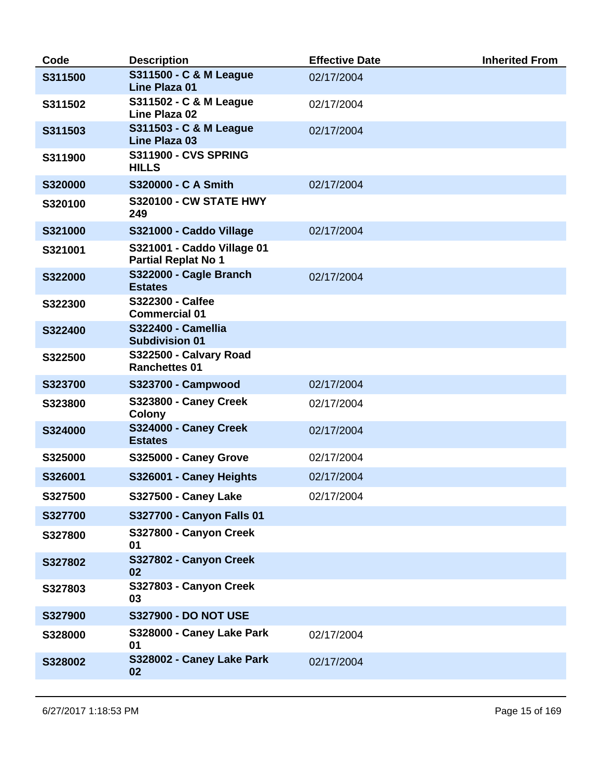| Code    | <b>Description</b>                                       | <b>Effective Date</b> | <b>Inherited From</b> |
|---------|----------------------------------------------------------|-----------------------|-----------------------|
| S311500 | S311500 - C & M League<br>Line Plaza 01                  | 02/17/2004            |                       |
| S311502 | S311502 - C & M League<br>Line Plaza 02                  | 02/17/2004            |                       |
| S311503 | S311503 - C & M League<br><b>Line Plaza 03</b>           | 02/17/2004            |                       |
| S311900 | <b>S311900 - CVS SPRING</b><br><b>HILLS</b>              |                       |                       |
| S320000 | S320000 - C A Smith                                      | 02/17/2004            |                       |
| S320100 | <b>S320100 - CW STATE HWY</b><br>249                     |                       |                       |
| S321000 | S321000 - Caddo Village                                  | 02/17/2004            |                       |
| S321001 | S321001 - Caddo Village 01<br><b>Partial Replat No 1</b> |                       |                       |
| S322000 | S322000 - Cagle Branch<br><b>Estates</b>                 | 02/17/2004            |                       |
| S322300 | <b>S322300 - Calfee</b><br><b>Commercial 01</b>          |                       |                       |
| S322400 | <b>S322400 - Camellia</b><br><b>Subdivision 01</b>       |                       |                       |
| S322500 | S322500 - Calvary Road<br><b>Ranchettes 01</b>           |                       |                       |
| S323700 | <b>S323700 - Campwood</b>                                | 02/17/2004            |                       |
| S323800 | S323800 - Caney Creek<br><b>Colony</b>                   | 02/17/2004            |                       |
| S324000 | S324000 - Caney Creek<br><b>Estates</b>                  | 02/17/2004            |                       |
| S325000 | S325000 - Caney Grove                                    | 02/17/2004            |                       |
| S326001 | S326001 - Caney Heights                                  | 02/17/2004            |                       |
| S327500 | <b>S327500 - Caney Lake</b>                              | 02/17/2004            |                       |
| S327700 | S327700 - Canyon Falls 01                                |                       |                       |
| S327800 | S327800 - Canyon Creek<br>01                             |                       |                       |
| S327802 | S327802 - Canyon Creek<br>02                             |                       |                       |
| S327803 | S327803 - Canyon Creek<br>03                             |                       |                       |
| S327900 | <b>S327900 - DO NOT USE</b>                              |                       |                       |
| S328000 | S328000 - Caney Lake Park<br>01                          | 02/17/2004            |                       |
| S328002 | S328002 - Caney Lake Park<br>02                          | 02/17/2004            |                       |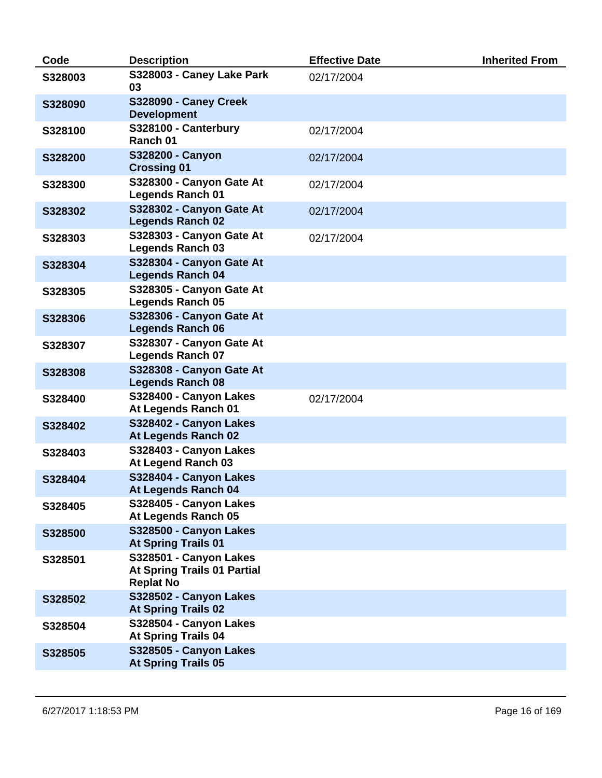| Code    | <b>Description</b>                                                        | <b>Effective Date</b> | <b>Inherited From</b> |
|---------|---------------------------------------------------------------------------|-----------------------|-----------------------|
| S328003 | S328003 - Caney Lake Park<br>03                                           | 02/17/2004            |                       |
| S328090 | S328090 - Caney Creek<br><b>Development</b>                               |                       |                       |
| S328100 | S328100 - Canterbury<br>Ranch 01                                          | 02/17/2004            |                       |
| S328200 | S328200 - Canyon<br><b>Crossing 01</b>                                    | 02/17/2004            |                       |
| S328300 | S328300 - Canyon Gate At<br><b>Legends Ranch 01</b>                       | 02/17/2004            |                       |
| S328302 | S328302 - Canyon Gate At<br><b>Legends Ranch 02</b>                       | 02/17/2004            |                       |
| S328303 | S328303 - Canyon Gate At<br><b>Legends Ranch 03</b>                       | 02/17/2004            |                       |
| S328304 | S328304 - Canyon Gate At<br><b>Legends Ranch 04</b>                       |                       |                       |
| S328305 | S328305 - Canyon Gate At<br><b>Legends Ranch 05</b>                       |                       |                       |
| S328306 | S328306 - Canyon Gate At<br><b>Legends Ranch 06</b>                       |                       |                       |
| S328307 | S328307 - Canyon Gate At<br><b>Legends Ranch 07</b>                       |                       |                       |
| S328308 | S328308 - Canyon Gate At<br><b>Legends Ranch 08</b>                       |                       |                       |
| S328400 | S328400 - Canyon Lakes<br>At Legends Ranch 01                             | 02/17/2004            |                       |
| S328402 | S328402 - Canyon Lakes<br>At Legends Ranch 02                             |                       |                       |
| S328403 | S328403 - Canyon Lakes<br>At Legend Ranch 03                              |                       |                       |
| S328404 | S328404 - Canyon Lakes<br>At Legends Ranch 04                             |                       |                       |
| S328405 | S328405 - Canyon Lakes<br>At Legends Ranch 05                             |                       |                       |
| S328500 | S328500 - Canyon Lakes<br><b>At Spring Trails 01</b>                      |                       |                       |
| S328501 | S328501 - Canyon Lakes<br>At Spring Trails 01 Partial<br><b>Replat No</b> |                       |                       |
| S328502 | S328502 - Canyon Lakes<br><b>At Spring Trails 02</b>                      |                       |                       |
| S328504 | S328504 - Canyon Lakes<br><b>At Spring Trails 04</b>                      |                       |                       |
| S328505 | S328505 - Canyon Lakes<br><b>At Spring Trails 05</b>                      |                       |                       |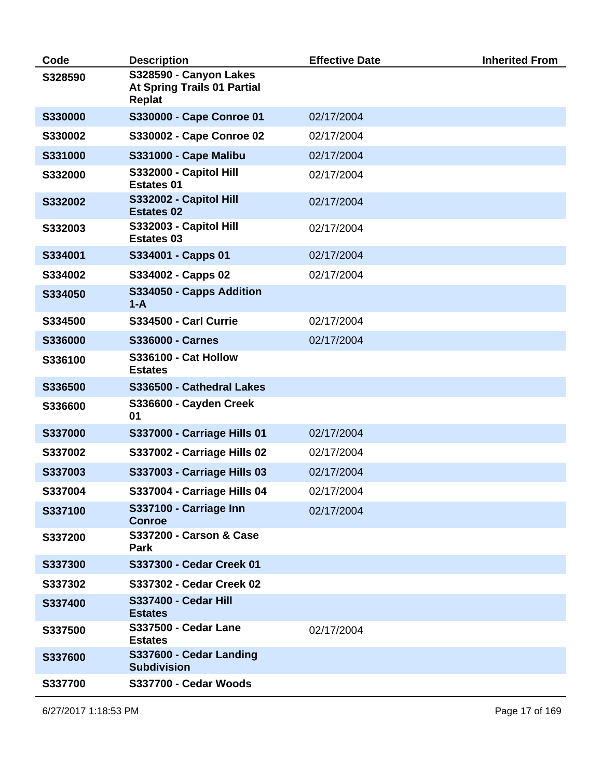| Code    | <b>Description</b>                                                     | <b>Effective Date</b> | <b>Inherited From</b> |
|---------|------------------------------------------------------------------------|-----------------------|-----------------------|
| S328590 | S328590 - Canyon Lakes<br><b>At Spring Trails 01 Partial</b><br>Replat |                       |                       |
| S330000 | S330000 - Cape Conroe 01                                               | 02/17/2004            |                       |
| S330002 | S330002 - Cape Conroe 02                                               | 02/17/2004            |                       |
| S331000 | <b>S331000 - Cape Malibu</b>                                           | 02/17/2004            |                       |
| S332000 | S332000 - Capitol Hill<br><b>Estates 01</b>                            | 02/17/2004            |                       |
| S332002 | S332002 - Capitol Hill<br><b>Estates 02</b>                            | 02/17/2004            |                       |
| S332003 | S332003 - Capitol Hill<br><b>Estates 03</b>                            | 02/17/2004            |                       |
| S334001 | S334001 - Capps 01                                                     | 02/17/2004            |                       |
| S334002 | S334002 - Capps 02                                                     | 02/17/2004            |                       |
| S334050 | S334050 - Capps Addition<br>$1-A$                                      |                       |                       |
| S334500 | <b>S334500 - Carl Currie</b>                                           | 02/17/2004            |                       |
| S336000 | <b>S336000 - Carnes</b>                                                | 02/17/2004            |                       |
| S336100 | <b>S336100 - Cat Hollow</b><br><b>Estates</b>                          |                       |                       |
| S336500 | S336500 - Cathedral Lakes                                              |                       |                       |
| S336600 | S336600 - Cayden Creek<br>01                                           |                       |                       |
| S337000 | S337000 - Carriage Hills 01                                            | 02/17/2004            |                       |
| S337002 | S337002 - Carriage Hills 02                                            | 02/17/2004            |                       |
| S337003 | S337003 - Carriage Hills 03                                            | 02/17/2004            |                       |
| S337004 | S337004 - Carriage Hills 04                                            | 02/17/2004            |                       |
| S337100 | S337100 - Carriage Inn<br><b>Conroe</b>                                | 02/17/2004            |                       |
| S337200 | <b>S337200 - Carson &amp; Case</b><br>Park                             |                       |                       |
| S337300 | S337300 - Cedar Creek 01                                               |                       |                       |
| S337302 | S337302 - Cedar Creek 02                                               |                       |                       |
| S337400 | <b>S337400 - Cedar Hill</b><br><b>Estates</b>                          |                       |                       |
| S337500 | <b>S337500 - Cedar Lane</b><br><b>Estates</b>                          | 02/17/2004            |                       |
| S337600 | S337600 - Cedar Landing<br><b>Subdivision</b>                          |                       |                       |
| S337700 | S337700 - Cedar Woods                                                  |                       |                       |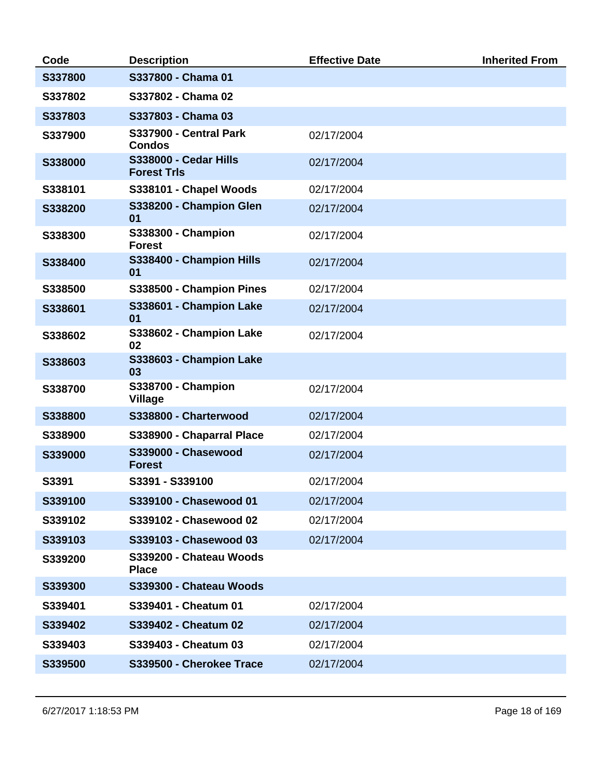| Code    | <b>Description</b>                                 | <b>Effective Date</b> | <b>Inherited From</b> |
|---------|----------------------------------------------------|-----------------------|-----------------------|
| S337800 | S337800 - Chama 01                                 |                       |                       |
| S337802 | S337802 - Chama 02                                 |                       |                       |
| S337803 | S337803 - Chama 03                                 |                       |                       |
| S337900 | S337900 - Central Park<br><b>Condos</b>            | 02/17/2004            |                       |
| S338000 | <b>S338000 - Cedar Hills</b><br><b>Forest Trls</b> | 02/17/2004            |                       |
| S338101 | S338101 - Chapel Woods                             | 02/17/2004            |                       |
| S338200 | S338200 - Champion Glen<br>01                      | 02/17/2004            |                       |
| S338300 | S338300 - Champion<br><b>Forest</b>                | 02/17/2004            |                       |
| S338400 | S338400 - Champion Hills<br>01                     | 02/17/2004            |                       |
| S338500 | S338500 - Champion Pines                           | 02/17/2004            |                       |
| S338601 | S338601 - Champion Lake<br>01                      | 02/17/2004            |                       |
| S338602 | S338602 - Champion Lake<br>02                      | 02/17/2004            |                       |
| S338603 | S338603 - Champion Lake<br>03                      |                       |                       |
| S338700 | <b>S338700 - Champion</b><br><b>Village</b>        | 02/17/2004            |                       |
| S338800 | S338800 - Charterwood                              | 02/17/2004            |                       |
| S338900 | S338900 - Chaparral Place                          | 02/17/2004            |                       |
| S339000 | S339000 - Chasewood<br><b>Forest</b>               | 02/17/2004            |                       |
| S3391   | S3391 - S339100                                    | 02/17/2004            |                       |
| S339100 | S339100 - Chasewood 01                             | 02/17/2004            |                       |
| S339102 | S339102 - Chasewood 02                             | 02/17/2004            |                       |
| S339103 | S339103 - Chasewood 03                             | 02/17/2004            |                       |
| S339200 | S339200 - Chateau Woods<br><b>Place</b>            |                       |                       |
| S339300 | S339300 - Chateau Woods                            |                       |                       |
| S339401 | S339401 - Cheatum 01                               | 02/17/2004            |                       |
| S339402 | S339402 - Cheatum 02                               | 02/17/2004            |                       |
| S339403 | S339403 - Cheatum 03                               | 02/17/2004            |                       |
| S339500 | S339500 - Cherokee Trace                           | 02/17/2004            |                       |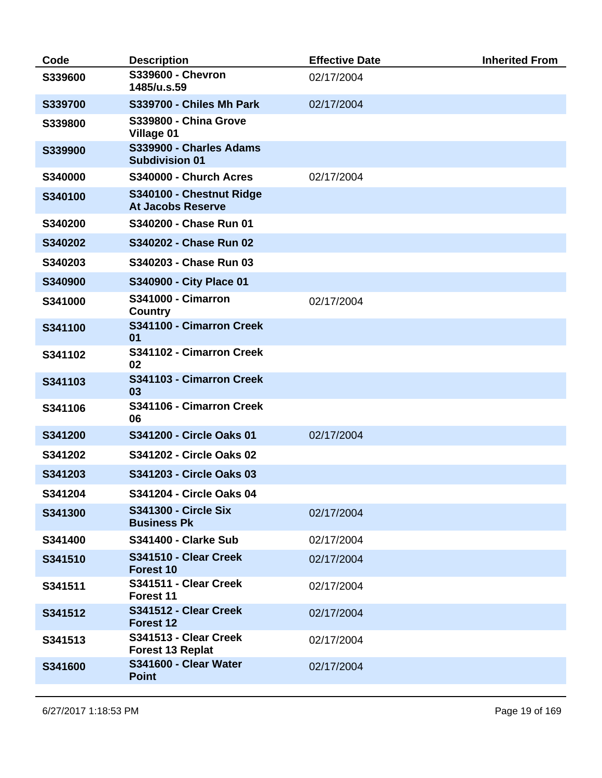| Code    | <b>Description</b>                                   | <b>Effective Date</b> | <b>Inherited From</b> |
|---------|------------------------------------------------------|-----------------------|-----------------------|
| S339600 | S339600 - Chevron<br>1485/u.s.59                     | 02/17/2004            |                       |
| S339700 | S339700 - Chiles Mh Park                             | 02/17/2004            |                       |
| S339800 | <b>S339800 - China Grove</b><br>Village 01           |                       |                       |
| S339900 | S339900 - Charles Adams<br><b>Subdivision 01</b>     |                       |                       |
| S340000 | S340000 - Church Acres                               | 02/17/2004            |                       |
| S340100 | S340100 - Chestnut Ridge<br><b>At Jacobs Reserve</b> |                       |                       |
| S340200 | S340200 - Chase Run 01                               |                       |                       |
| S340202 | S340202 - Chase Run 02                               |                       |                       |
| S340203 | S340203 - Chase Run 03                               |                       |                       |
| S340900 | S340900 - City Place 01                              |                       |                       |
| S341000 | <b>S341000 - Cimarron</b><br><b>Country</b>          | 02/17/2004            |                       |
| S341100 | S341100 - Cimarron Creek<br>01                       |                       |                       |
| S341102 | S341102 - Cimarron Creek<br>02                       |                       |                       |
| S341103 | S341103 - Cimarron Creek<br>03                       |                       |                       |
| S341106 | S341106 - Cimarron Creek<br>06                       |                       |                       |
| S341200 | S341200 - Circle Oaks 01                             | 02/17/2004            |                       |
| S341202 | S341202 - Circle Oaks 02                             |                       |                       |
| S341203 | S341203 - Circle Oaks 03                             |                       |                       |
| S341204 | S341204 - Circle Oaks 04                             |                       |                       |
| S341300 | <b>S341300 - Circle Six</b><br><b>Business Pk</b>    | 02/17/2004            |                       |
| S341400 | <b>S341400 - Clarke Sub</b>                          | 02/17/2004            |                       |
| S341510 | S341510 - Clear Creek<br>Forest 10                   | 02/17/2004            |                       |
| S341511 | S341511 - Clear Creek<br>Forest 11                   | 02/17/2004            |                       |
| S341512 | S341512 - Clear Creek<br>Forest 12                   | 02/17/2004            |                       |
| S341513 | S341513 - Clear Creek<br><b>Forest 13 Replat</b>     | 02/17/2004            |                       |
| S341600 | S341600 - Clear Water<br><b>Point</b>                | 02/17/2004            |                       |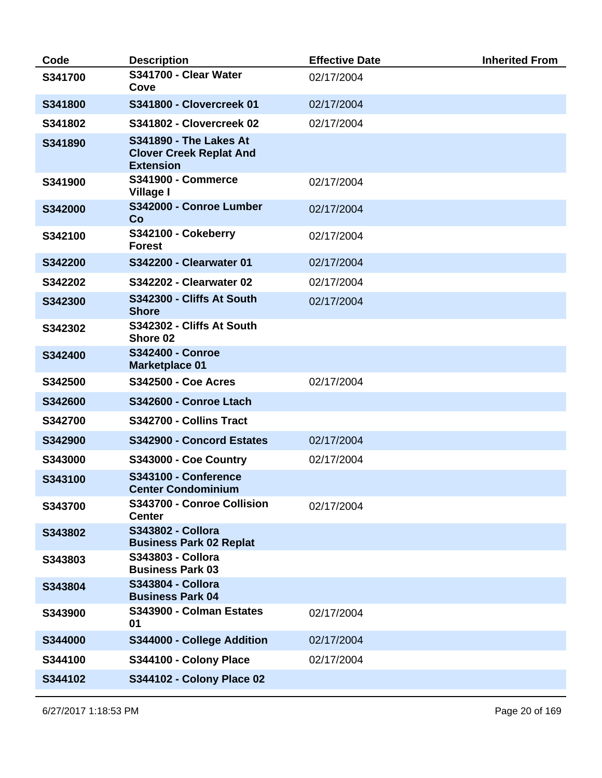| Code    | <b>Description</b>                                                                  | <b>Effective Date</b> | <b>Inherited From</b> |
|---------|-------------------------------------------------------------------------------------|-----------------------|-----------------------|
| S341700 | S341700 - Clear Water<br>Cove                                                       | 02/17/2004            |                       |
| S341800 | <b>S341800 - Clovercreek 01</b>                                                     | 02/17/2004            |                       |
| S341802 | S341802 - Clovercreek 02                                                            | 02/17/2004            |                       |
| S341890 | <b>S341890 - The Lakes At</b><br><b>Clover Creek Replat And</b><br><b>Extension</b> |                       |                       |
| S341900 | <b>S341900 - Commerce</b><br>Village I                                              | 02/17/2004            |                       |
| S342000 | S342000 - Conroe Lumber<br>Co                                                       | 02/17/2004            |                       |
| S342100 | S342100 - Cokeberry<br><b>Forest</b>                                                | 02/17/2004            |                       |
| S342200 | S342200 - Clearwater 01                                                             | 02/17/2004            |                       |
| S342202 | <b>S342202 - Clearwater 02</b>                                                      | 02/17/2004            |                       |
| S342300 | S342300 - Cliffs At South<br><b>Shore</b>                                           | 02/17/2004            |                       |
| S342302 | S342302 - Cliffs At South<br>Shore 02                                               |                       |                       |
| S342400 | <b>S342400 - Conroe</b><br><b>Marketplace 01</b>                                    |                       |                       |
| S342500 | <b>S342500 - Coe Acres</b>                                                          | 02/17/2004            |                       |
| S342600 | S342600 - Conroe Ltach                                                              |                       |                       |
| S342700 | S342700 - Collins Tract                                                             |                       |                       |
| S342900 | S342900 - Concord Estates                                                           | 02/17/2004            |                       |
| S343000 | S343000 - Coe Country                                                               | 02/17/2004            |                       |
| S343100 | S343100 - Conference<br><b>Center Condominium</b>                                   |                       |                       |
| S343700 | S343700 - Conroe Collision<br><b>Center</b>                                         | 02/17/2004            |                       |
| S343802 | <b>S343802 - Collora</b><br><b>Business Park 02 Replat</b>                          |                       |                       |
| S343803 | S343803 - Collora<br><b>Business Park 03</b>                                        |                       |                       |
| S343804 | <b>S343804 - Collora</b><br><b>Business Park 04</b>                                 |                       |                       |
| S343900 | S343900 - Colman Estates<br>01                                                      | 02/17/2004            |                       |
| S344000 | S344000 - College Addition                                                          | 02/17/2004            |                       |
| S344100 | S344100 - Colony Place                                                              | 02/17/2004            |                       |
| S344102 | S344102 - Colony Place 02                                                           |                       |                       |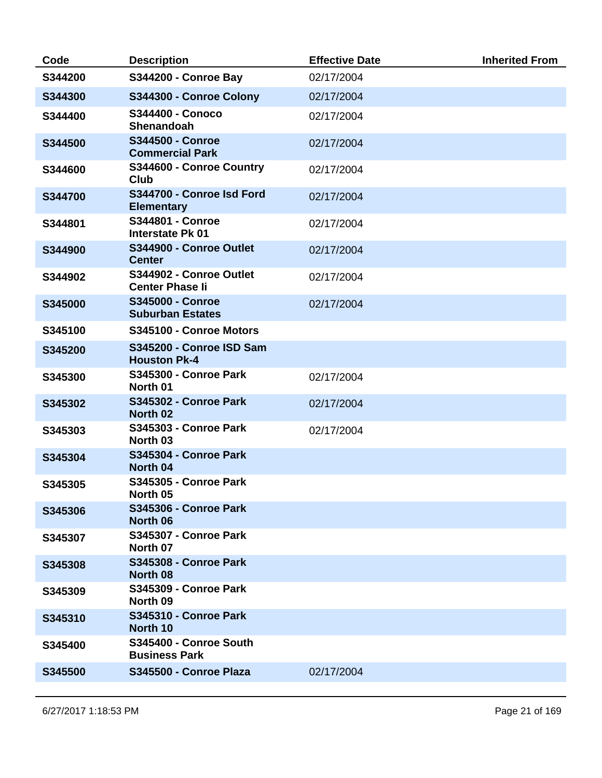| Code    | <b>Description</b>                                 | <b>Effective Date</b> | <b>Inherited From</b> |
|---------|----------------------------------------------------|-----------------------|-----------------------|
| S344200 | <b>S344200 - Conroe Bay</b>                        | 02/17/2004            |                       |
| S344300 | S344300 - Conroe Colony                            | 02/17/2004            |                       |
| S344400 | <b>S344400 - Conoco</b><br>Shenandoah              | 02/17/2004            |                       |
| S344500 | S344500 - Conroe<br><b>Commercial Park</b>         | 02/17/2004            |                       |
| S344600 | S344600 - Conroe Country<br><b>Club</b>            | 02/17/2004            |                       |
| S344700 | S344700 - Conroe Isd Ford<br><b>Elementary</b>     | 02/17/2004            |                       |
| S344801 | <b>S344801 - Conroe</b><br><b>Interstate Pk 01</b> | 02/17/2004            |                       |
| S344900 | S344900 - Conroe Outlet<br><b>Center</b>           | 02/17/2004            |                       |
| S344902 | S344902 - Conroe Outlet<br><b>Center Phase li</b>  | 02/17/2004            |                       |
| S345000 | <b>S345000 - Conroe</b><br><b>Suburban Estates</b> | 02/17/2004            |                       |
| S345100 | S345100 - Conroe Motors                            |                       |                       |
| S345200 | S345200 - Conroe ISD Sam<br><b>Houston Pk-4</b>    |                       |                       |
| S345300 | <b>S345300 - Conroe Park</b><br>North 01           | 02/17/2004            |                       |
| S345302 | <b>S345302 - Conroe Park</b><br>North 02           | 02/17/2004            |                       |
| S345303 | <b>S345303 - Conroe Park</b><br>North 03           | 02/17/2004            |                       |
| S345304 | S345304 - Conroe Park<br>North 04                  |                       |                       |
| S345305 | <b>S345305 - Conroe Park</b><br>North 05           |                       |                       |
| S345306 | <b>S345306 - Conroe Park</b><br>North 06           |                       |                       |
| S345307 | <b>S345307 - Conroe Park</b><br>North 07           |                       |                       |
| S345308 | <b>S345308 - Conroe Park</b><br>North 08           |                       |                       |
| S345309 | <b>S345309 - Conroe Park</b><br>North 09           |                       |                       |
| S345310 | <b>S345310 - Conroe Park</b><br>North 10           |                       |                       |
| S345400 | S345400 - Conroe South<br><b>Business Park</b>     |                       |                       |
| S345500 | S345500 - Conroe Plaza                             | 02/17/2004            |                       |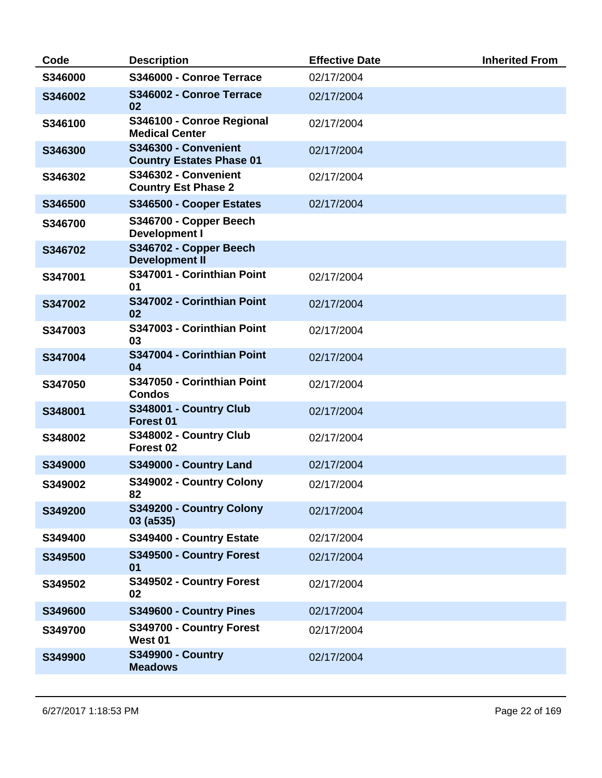| Code    | <b>Description</b>                                      | <b>Effective Date</b> | <b>Inherited From</b> |
|---------|---------------------------------------------------------|-----------------------|-----------------------|
| S346000 | S346000 - Conroe Terrace                                | 02/17/2004            |                       |
| S346002 | S346002 - Conroe Terrace<br>02                          | 02/17/2004            |                       |
| S346100 | S346100 - Conroe Regional<br><b>Medical Center</b>      | 02/17/2004            |                       |
| S346300 | S346300 - Convenient<br><b>Country Estates Phase 01</b> | 02/17/2004            |                       |
| S346302 | S346302 - Convenient<br><b>Country Est Phase 2</b>      | 02/17/2004            |                       |
| S346500 | S346500 - Cooper Estates                                | 02/17/2004            |                       |
| S346700 | S346700 - Copper Beech<br><b>Development I</b>          |                       |                       |
| S346702 | S346702 - Copper Beech<br><b>Development II</b>         |                       |                       |
| S347001 | S347001 - Corinthian Point<br>01                        | 02/17/2004            |                       |
| S347002 | S347002 - Corinthian Point<br>02                        | 02/17/2004            |                       |
| S347003 | S347003 - Corinthian Point<br>03                        | 02/17/2004            |                       |
| S347004 | S347004 - Corinthian Point<br>04                        | 02/17/2004            |                       |
| S347050 | S347050 - Corinthian Point<br><b>Condos</b>             | 02/17/2004            |                       |
| S348001 | S348001 - Country Club<br>Forest 01                     | 02/17/2004            |                       |
| S348002 | S348002 - Country Club<br>Forest <sub>02</sub>          | 02/17/2004            |                       |
| S349000 | S349000 - Country Land                                  | 02/17/2004            |                       |
| S349002 | S349002 - Country Colony<br>82                          | 02/17/2004            |                       |
| S349200 | S349200 - Country Colony<br>$03($ a535 $)$              | 02/17/2004            |                       |
| S349400 | S349400 - Country Estate                                | 02/17/2004            |                       |
| S349500 | S349500 - Country Forest<br>01                          | 02/17/2004            |                       |
| S349502 | S349502 - Country Forest<br>02                          | 02/17/2004            |                       |
| S349600 | S349600 - Country Pines                                 | 02/17/2004            |                       |
| S349700 | S349700 - Country Forest<br>West 01                     | 02/17/2004            |                       |
| S349900 | <b>S349900 - Country</b><br><b>Meadows</b>              | 02/17/2004            |                       |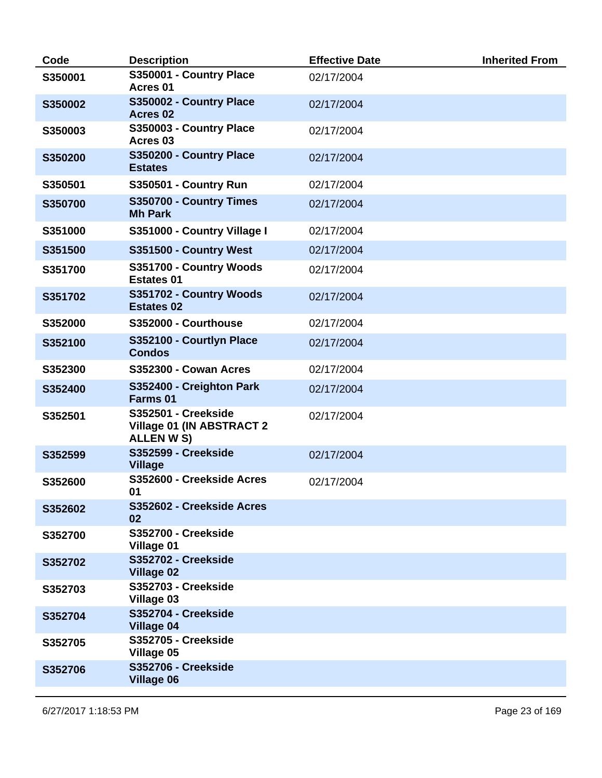| Code    | <b>Description</b>                                             | <b>Effective Date</b> | <b>Inherited From</b> |
|---------|----------------------------------------------------------------|-----------------------|-----------------------|
| S350001 | S350001 - Country Place<br>Acres <sub>01</sub>                 | 02/17/2004            |                       |
| S350002 | S350002 - Country Place<br>Acres <sub>02</sub>                 | 02/17/2004            |                       |
| S350003 | S350003 - Country Place<br>Acres <sub>03</sub>                 | 02/17/2004            |                       |
| S350200 | S350200 - Country Place<br><b>Estates</b>                      | 02/17/2004            |                       |
| S350501 | <b>S350501 - Country Run</b>                                   | 02/17/2004            |                       |
| S350700 | S350700 - Country Times<br><b>Mh Park</b>                      | 02/17/2004            |                       |
| S351000 | S351000 - Country Village I                                    | 02/17/2004            |                       |
| S351500 | S351500 - Country West                                         | 02/17/2004            |                       |
| S351700 | S351700 - Country Woods<br><b>Estates 01</b>                   | 02/17/2004            |                       |
| S351702 | S351702 - Country Woods<br><b>Estates 02</b>                   | 02/17/2004            |                       |
| S352000 | S352000 - Courthouse                                           | 02/17/2004            |                       |
| S352100 | S352100 - Courtlyn Place<br><b>Condos</b>                      | 02/17/2004            |                       |
| S352300 | <b>S352300 - Cowan Acres</b>                                   | 02/17/2004            |                       |
| S352400 | S352400 - Creighton Park<br>Farms 01                           | 02/17/2004            |                       |
| S352501 | S352501 - Creekside<br>Village 01 (IN ABSTRACT 2<br>ALLEN W S) | 02/17/2004            |                       |
| S352599 | <b>S352599 - Creekside</b><br><b>Village</b>                   | 02/17/2004            |                       |
| S352600 | S352600 - Creekside Acres<br>01                                | 02/17/2004            |                       |
| S352602 | S352602 - Creekside Acres<br>02                                |                       |                       |
| S352700 | <b>S352700 - Creekside</b><br>Village 01                       |                       |                       |
| S352702 | <b>S352702 - Creekside</b><br>Village 02                       |                       |                       |
| S352703 | <b>S352703 - Creekside</b><br>Village 03                       |                       |                       |
| S352704 | S352704 - Creekside<br><b>Village 04</b>                       |                       |                       |
| S352705 | <b>S352705 - Creekside</b><br>Village 05                       |                       |                       |
| S352706 | <b>S352706 - Creekside</b><br>Village 06                       |                       |                       |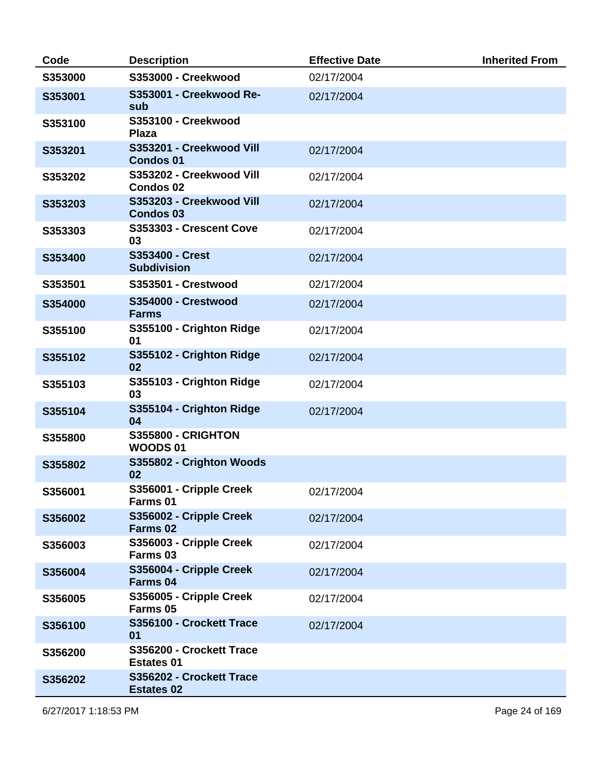| Code    | <b>Description</b>                             | <b>Effective Date</b> | <b>Inherited From</b> |
|---------|------------------------------------------------|-----------------------|-----------------------|
| S353000 | S353000 - Creekwood                            | 02/17/2004            |                       |
| S353001 | S353001 - Creekwood Re-<br>sub                 | 02/17/2004            |                       |
| S353100 | S353100 - Creekwood<br><b>Plaza</b>            |                       |                       |
| S353201 | S353201 - Creekwood Vill<br><b>Condos 01</b>   | 02/17/2004            |                       |
| S353202 | S353202 - Creekwood Vill<br><b>Condos 02</b>   | 02/17/2004            |                       |
| S353203 | S353203 - Creekwood Vill<br><b>Condos 03</b>   | 02/17/2004            |                       |
| S353303 | S353303 - Crescent Cove<br>03                  | 02/17/2004            |                       |
| S353400 | S353400 - Crest<br><b>Subdivision</b>          | 02/17/2004            |                       |
| S353501 | S353501 - Crestwood                            | 02/17/2004            |                       |
| S354000 | S354000 - Crestwood<br><b>Farms</b>            | 02/17/2004            |                       |
| S355100 | S355100 - Crighton Ridge<br>01                 | 02/17/2004            |                       |
| S355102 | S355102 - Crighton Ridge<br>02                 | 02/17/2004            |                       |
| S355103 | S355103 - Crighton Ridge<br>03                 | 02/17/2004            |                       |
| S355104 | S355104 - Crighton Ridge<br>04                 | 02/17/2004            |                       |
| S355800 | <b>S355800 - CRIGHTON</b><br><b>WOODS01</b>    |                       |                       |
| S355802 | S355802 - Crighton Woods<br>02                 |                       |                       |
| S356001 | S356001 - Cripple Creek<br>Farms 01            | 02/17/2004            |                       |
| S356002 | S356002 - Cripple Creek<br>Farms <sub>02</sub> | 02/17/2004            |                       |
| S356003 | S356003 - Cripple Creek<br>Farms <sub>03</sub> | 02/17/2004            |                       |
| S356004 | S356004 - Cripple Creek<br>Farms 04            | 02/17/2004            |                       |
| S356005 | S356005 - Cripple Creek<br>Farms 05            | 02/17/2004            |                       |
| S356100 | S356100 - Crockett Trace<br>01                 | 02/17/2004            |                       |
| S356200 | S356200 - Crockett Trace<br><b>Estates 01</b>  |                       |                       |
| S356202 | S356202 - Crockett Trace<br><b>Estates 02</b>  |                       |                       |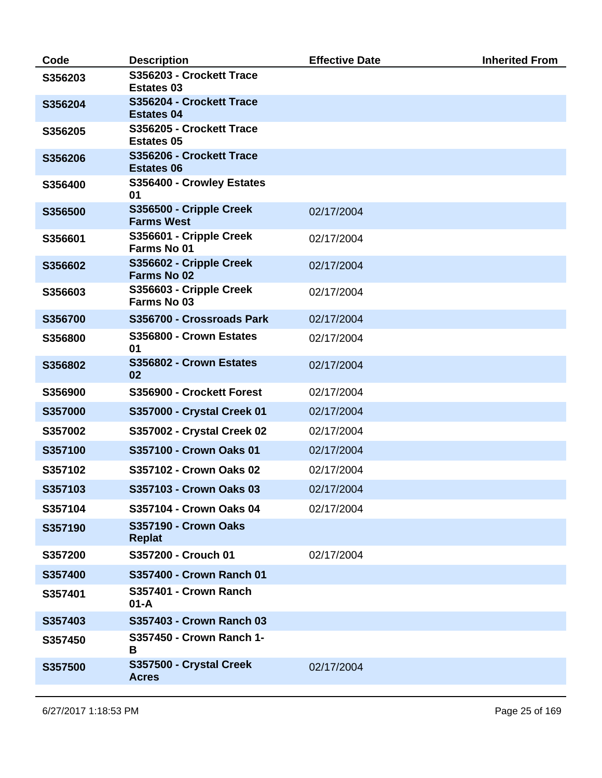| Code    | <b>Description</b>                            | <b>Effective Date</b> | <b>Inherited From</b> |
|---------|-----------------------------------------------|-----------------------|-----------------------|
| S356203 | S356203 - Crockett Trace<br><b>Estates 03</b> |                       |                       |
| S356204 | S356204 - Crockett Trace<br><b>Estates 04</b> |                       |                       |
| S356205 | S356205 - Crockett Trace<br><b>Estates 05</b> |                       |                       |
| S356206 | S356206 - Crockett Trace<br><b>Estates 06</b> |                       |                       |
| S356400 | S356400 - Crowley Estates<br>01               |                       |                       |
| S356500 | S356500 - Cripple Creek<br><b>Farms West</b>  | 02/17/2004            |                       |
| S356601 | S356601 - Cripple Creek<br>Farms No 01        | 02/17/2004            |                       |
| S356602 | S356602 - Cripple Creek<br><b>Farms No 02</b> | 02/17/2004            |                       |
| S356603 | S356603 - Cripple Creek<br>Farms No 03        | 02/17/2004            |                       |
| S356700 | S356700 - Crossroads Park                     | 02/17/2004            |                       |
| S356800 | S356800 - Crown Estates<br>01                 | 02/17/2004            |                       |
| S356802 | S356802 - Crown Estates<br>02                 | 02/17/2004            |                       |
| S356900 | S356900 - Crockett Forest                     | 02/17/2004            |                       |
| S357000 | <b>S357000 - Crystal Creek 01</b>             | 02/17/2004            |                       |
| S357002 | S357002 - Crystal Creek 02                    | 02/17/2004            |                       |
| S357100 | S357100 - Crown Oaks 01                       | 02/17/2004            |                       |
| S357102 | S357102 - Crown Oaks 02                       | 02/17/2004            |                       |
| S357103 | S357103 - Crown Oaks 03                       | 02/17/2004            |                       |
| S357104 | S357104 - Crown Oaks 04                       | 02/17/2004            |                       |
| S357190 | <b>S357190 - Crown Oaks</b><br><b>Replat</b>  |                       |                       |
| S357200 | S357200 - Crouch 01                           | 02/17/2004            |                       |
| S357400 | S357400 - Crown Ranch 01                      |                       |                       |
| S357401 | S357401 - Crown Ranch<br>$01 - A$             |                       |                       |
| S357403 | S357403 - Crown Ranch 03                      |                       |                       |
| S357450 | S357450 - Crown Ranch 1-<br>В                 |                       |                       |
| S357500 | S357500 - Crystal Creek<br><b>Acres</b>       | 02/17/2004            |                       |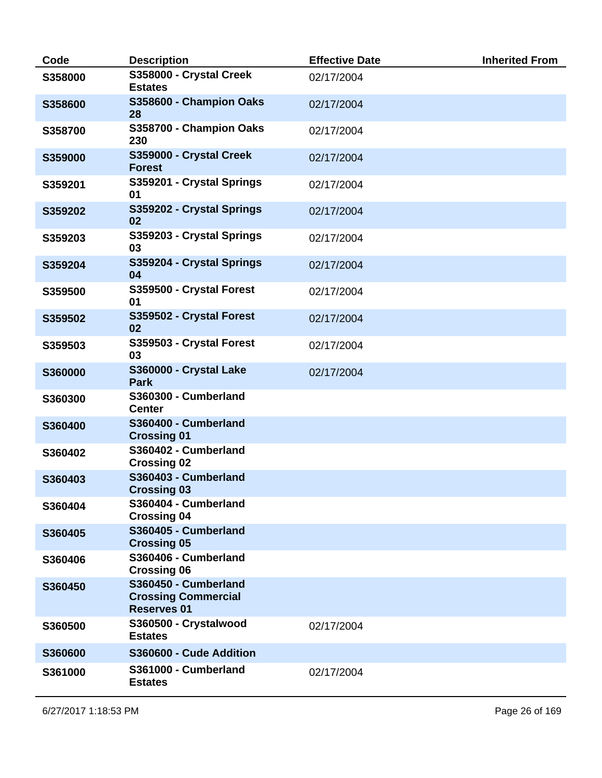| Code    | <b>Description</b>                                                       | <b>Effective Date</b> | <b>Inherited From</b> |
|---------|--------------------------------------------------------------------------|-----------------------|-----------------------|
| S358000 | S358000 - Crystal Creek<br><b>Estates</b>                                | 02/17/2004            |                       |
| S358600 | S358600 - Champion Oaks<br>28                                            | 02/17/2004            |                       |
| S358700 | S358700 - Champion Oaks<br>230                                           | 02/17/2004            |                       |
| S359000 | S359000 - Crystal Creek<br><b>Forest</b>                                 | 02/17/2004            |                       |
| S359201 | S359201 - Crystal Springs<br>01                                          | 02/17/2004            |                       |
| S359202 | S359202 - Crystal Springs<br>02                                          | 02/17/2004            |                       |
| S359203 | S359203 - Crystal Springs<br>03                                          | 02/17/2004            |                       |
| S359204 | S359204 - Crystal Springs<br>04                                          | 02/17/2004            |                       |
| S359500 | S359500 - Crystal Forest<br>01                                           | 02/17/2004            |                       |
| S359502 | S359502 - Crystal Forest<br>02                                           | 02/17/2004            |                       |
| S359503 | S359503 - Crystal Forest<br>03                                           | 02/17/2004            |                       |
| S360000 | S360000 - Crystal Lake<br><b>Park</b>                                    | 02/17/2004            |                       |
| S360300 | S360300 - Cumberland<br><b>Center</b>                                    |                       |                       |
| S360400 | S360400 - Cumberland<br><b>Crossing 01</b>                               |                       |                       |
| S360402 | S360402 - Cumberland<br><b>Crossing 02</b>                               |                       |                       |
| S360403 | S360403 - Cumberland<br><b>Crossing 03</b>                               |                       |                       |
| S360404 | S360404 - Cumberland<br><b>Crossing 04</b>                               |                       |                       |
| S360405 | S360405 - Cumberland<br><b>Crossing 05</b>                               |                       |                       |
| S360406 | S360406 - Cumberland<br><b>Crossing 06</b>                               |                       |                       |
| S360450 | S360450 - Cumberland<br><b>Crossing Commercial</b><br><b>Reserves 01</b> |                       |                       |
| S360500 | S360500 - Crystalwood<br><b>Estates</b>                                  | 02/17/2004            |                       |
| S360600 | S360600 - Cude Addition                                                  |                       |                       |
| S361000 | S361000 - Cumberland<br><b>Estates</b>                                   | 02/17/2004            |                       |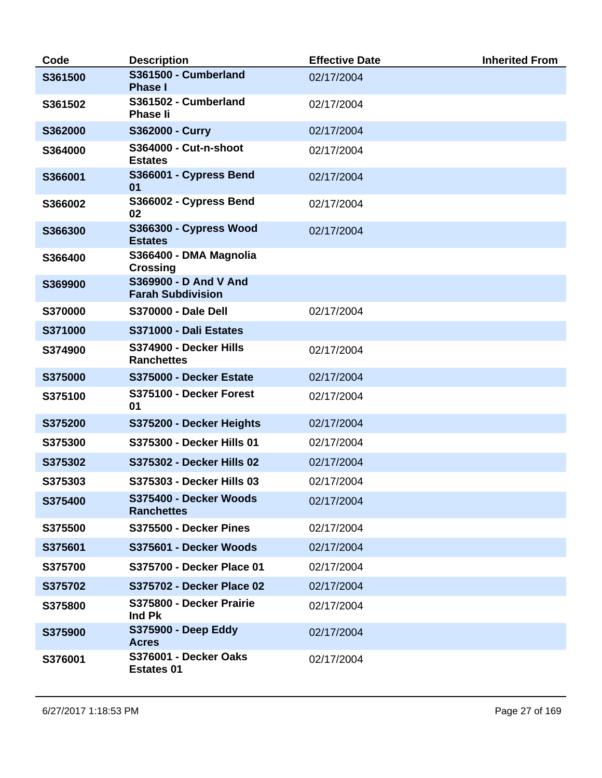| Code    | <b>Description</b>                                | <b>Effective Date</b> | <b>Inherited From</b> |
|---------|---------------------------------------------------|-----------------------|-----------------------|
| S361500 | S361500 - Cumberland<br><b>Phase I</b>            | 02/17/2004            |                       |
| S361502 | S361502 - Cumberland<br><b>Phase li</b>           | 02/17/2004            |                       |
| S362000 | S362000 - Curry                                   | 02/17/2004            |                       |
| S364000 | <b>S364000 - Cut-n-shoot</b><br><b>Estates</b>    | 02/17/2004            |                       |
| S366001 | S366001 - Cypress Bend<br>01                      | 02/17/2004            |                       |
| S366002 | S366002 - Cypress Bend<br>02                      | 02/17/2004            |                       |
| S366300 | S366300 - Cypress Wood<br><b>Estates</b>          | 02/17/2004            |                       |
| S366400 | S366400 - DMA Magnolia<br><b>Crossing</b>         |                       |                       |
| S369900 | S369900 - D And V And<br><b>Farah Subdivision</b> |                       |                       |
| S370000 | <b>S370000 - Dale Dell</b>                        | 02/17/2004            |                       |
| S371000 | S371000 - Dali Estates                            |                       |                       |
| S374900 | S374900 - Decker Hills<br><b>Ranchettes</b>       | 02/17/2004            |                       |
| S375000 | S375000 - Decker Estate                           | 02/17/2004            |                       |
| S375100 | S375100 - Decker Forest<br>01                     | 02/17/2004            |                       |
| S375200 | S375200 - Decker Heights                          | 02/17/2004            |                       |
| S375300 | S375300 - Decker Hills 01                         | 02/17/2004            |                       |
| S375302 | S375302 - Decker Hills 02                         | 02/17/2004            |                       |
| S375303 | S375303 - Decker Hills 03                         | 02/17/2004            |                       |
| S375400 | S375400 - Decker Woods<br><b>Ranchettes</b>       | 02/17/2004            |                       |
| S375500 | S375500 - Decker Pines                            | 02/17/2004            |                       |
| S375601 | S375601 - Decker Woods                            | 02/17/2004            |                       |
| S375700 | S375700 - Decker Place 01                         | 02/17/2004            |                       |
| S375702 | S375702 - Decker Place 02                         | 02/17/2004            |                       |
| S375800 | S375800 - Decker Prairie<br>Ind Pk                | 02/17/2004            |                       |
| S375900 | <b>S375900 - Deep Eddy</b><br><b>Acres</b>        | 02/17/2004            |                       |
| S376001 | S376001 - Decker Oaks<br><b>Estates 01</b>        | 02/17/2004            |                       |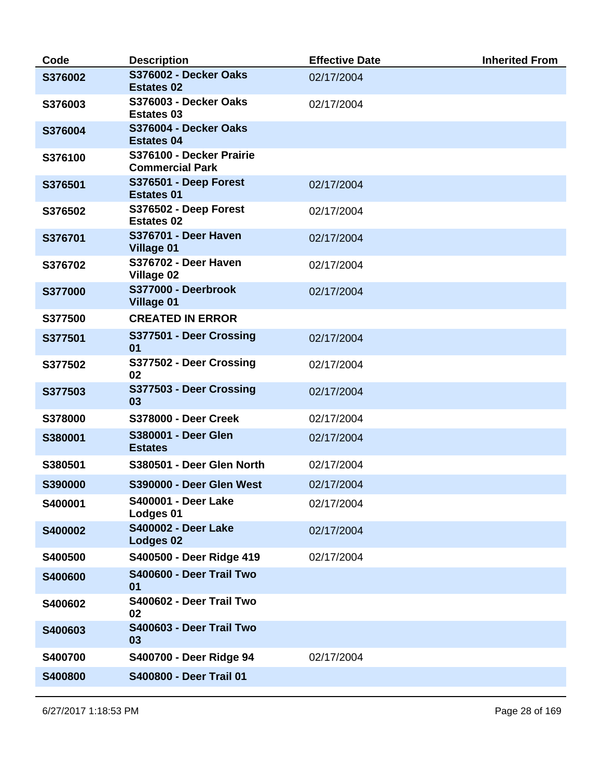| Code    | <b>Description</b>                                 | <b>Effective Date</b> | <b>Inherited From</b> |
|---------|----------------------------------------------------|-----------------------|-----------------------|
| S376002 | S376002 - Decker Oaks<br><b>Estates 02</b>         | 02/17/2004            |                       |
| S376003 | <b>S376003 - Decker Oaks</b><br><b>Estates 03</b>  | 02/17/2004            |                       |
| S376004 | S376004 - Decker Oaks<br><b>Estates 04</b>         |                       |                       |
| S376100 | S376100 - Decker Prairie<br><b>Commercial Park</b> |                       |                       |
| S376501 | S376501 - Deep Forest<br><b>Estates 01</b>         | 02/17/2004            |                       |
| S376502 | S376502 - Deep Forest<br><b>Estates 02</b>         | 02/17/2004            |                       |
| S376701 | <b>S376701 - Deer Haven</b><br><b>Village 01</b>   | 02/17/2004            |                       |
| S376702 | <b>S376702 - Deer Haven</b><br>Village 02          | 02/17/2004            |                       |
| S377000 | S377000 - Deerbrook<br><b>Village 01</b>           | 02/17/2004            |                       |
| S377500 | <b>CREATED IN ERROR</b>                            |                       |                       |
| S377501 | S377501 - Deer Crossing<br>01                      | 02/17/2004            |                       |
| S377502 | S377502 - Deer Crossing<br>02                      | 02/17/2004            |                       |
| S377503 | S377503 - Deer Crossing<br>03                      | 02/17/2004            |                       |
| S378000 | <b>S378000 - Deer Creek</b>                        | 02/17/2004            |                       |
| S380001 | S380001 - Deer Glen<br><b>Estates</b>              | 02/17/2004            |                       |
| S380501 | S380501 - Deer Glen North                          | 02/17/2004            |                       |
| S390000 | S390000 - Deer Glen West                           | 02/17/2004            |                       |
| S400001 | <b>S400001 - Deer Lake</b><br>Lodges 01            | 02/17/2004            |                       |
| S400002 | <b>S400002 - Deer Lake</b><br><b>Lodges 02</b>     | 02/17/2004            |                       |
| S400500 | S400500 - Deer Ridge 419                           | 02/17/2004            |                       |
| S400600 | S400600 - Deer Trail Two<br>01                     |                       |                       |
| S400602 | S400602 - Deer Trail Two<br>02                     |                       |                       |
| S400603 | S400603 - Deer Trail Two<br>03                     |                       |                       |
| S400700 | S400700 - Deer Ridge 94                            | 02/17/2004            |                       |
| S400800 | S400800 - Deer Trail 01                            |                       |                       |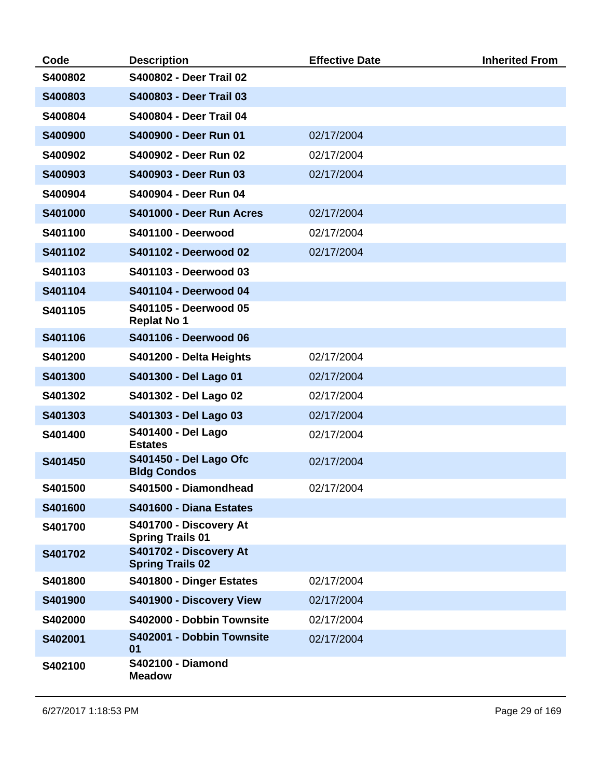| Code    | <b>Description</b>                                  | <b>Effective Date</b> | <b>Inherited From</b> |
|---------|-----------------------------------------------------|-----------------------|-----------------------|
| S400802 | <b>S400802 - Deer Trail 02</b>                      |                       |                       |
| S400803 | S400803 - Deer Trail 03                             |                       |                       |
| S400804 | S400804 - Deer Trail 04                             |                       |                       |
| S400900 | S400900 - Deer Run 01                               | 02/17/2004            |                       |
| S400902 | S400902 - Deer Run 02                               | 02/17/2004            |                       |
| S400903 | S400903 - Deer Run 03                               | 02/17/2004            |                       |
| S400904 | S400904 - Deer Run 04                               |                       |                       |
| S401000 | S401000 - Deer Run Acres                            | 02/17/2004            |                       |
| S401100 | S401100 - Deerwood                                  | 02/17/2004            |                       |
| S401102 | S401102 - Deerwood 02                               | 02/17/2004            |                       |
| S401103 | S401103 - Deerwood 03                               |                       |                       |
| S401104 | S401104 - Deerwood 04                               |                       |                       |
| S401105 | S401105 - Deerwood 05<br><b>Replat No 1</b>         |                       |                       |
| S401106 | S401106 - Deerwood 06                               |                       |                       |
| S401200 | S401200 - Delta Heights                             | 02/17/2004            |                       |
| S401300 | S401300 - Del Lago 01                               | 02/17/2004            |                       |
| S401302 | S401302 - Del Lago 02                               | 02/17/2004            |                       |
| S401303 | S401303 - Del Lago 03                               | 02/17/2004            |                       |
| S401400 | <b>S401400 - Del Lago</b><br><b>Estates</b>         | 02/17/2004            |                       |
| S401450 | <b>S401450 - Del Lago Ofc</b><br><b>Bldg Condos</b> | 02/17/2004            |                       |
| S401500 | S401500 - Diamondhead                               | 02/17/2004            |                       |
| S401600 | S401600 - Diana Estates                             |                       |                       |
| S401700 | S401700 - Discovery At<br><b>Spring Trails 01</b>   |                       |                       |
| S401702 | S401702 - Discovery At<br><b>Spring Trails 02</b>   |                       |                       |
| S401800 | S401800 - Dinger Estates                            | 02/17/2004            |                       |
| S401900 | S401900 - Discovery View                            | 02/17/2004            |                       |
| S402000 | S402000 - Dobbin Townsite                           | 02/17/2004            |                       |
| S402001 | S402001 - Dobbin Townsite<br>01                     | 02/17/2004            |                       |
| S402100 | <b>S402100 - Diamond</b><br><b>Meadow</b>           |                       |                       |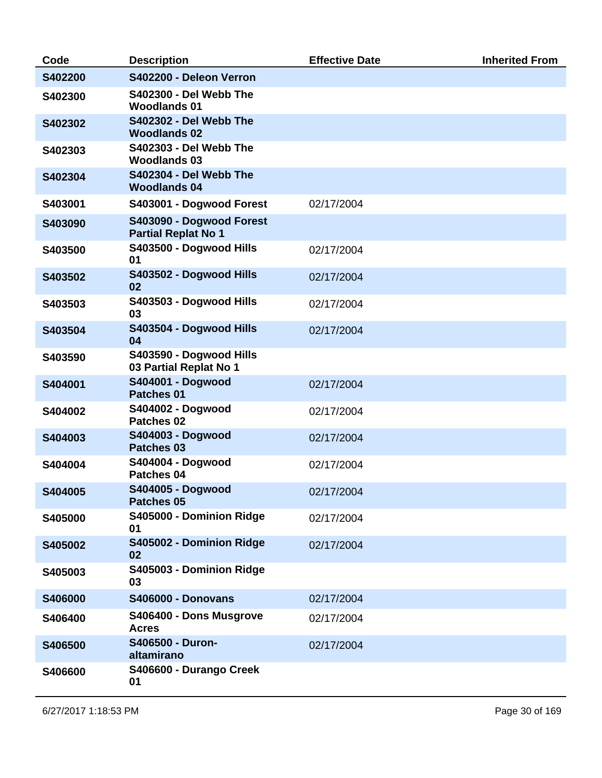| Code    | <b>Description</b>                                     | <b>Effective Date</b> | <b>Inherited From</b> |
|---------|--------------------------------------------------------|-----------------------|-----------------------|
| S402200 | S402200 - Deleon Verron                                |                       |                       |
| S402300 | <b>S402300 - Del Webb The</b><br><b>Woodlands 01</b>   |                       |                       |
| S402302 | <b>S402302 - Del Webb The</b><br><b>Woodlands 02</b>   |                       |                       |
| S402303 | <b>S402303 - Del Webb The</b><br><b>Woodlands 03</b>   |                       |                       |
| S402304 | <b>S402304 - Del Webb The</b><br><b>Woodlands 04</b>   |                       |                       |
| S403001 | S403001 - Dogwood Forest                               | 02/17/2004            |                       |
| S403090 | S403090 - Dogwood Forest<br><b>Partial Replat No 1</b> |                       |                       |
| S403500 | S403500 - Dogwood Hills<br>01                          | 02/17/2004            |                       |
| S403502 | S403502 - Dogwood Hills<br>02                          | 02/17/2004            |                       |
| S403503 | S403503 - Dogwood Hills<br>03                          | 02/17/2004            |                       |
| S403504 | S403504 - Dogwood Hills<br>04                          | 02/17/2004            |                       |
| S403590 | S403590 - Dogwood Hills<br>03 Partial Replat No 1      |                       |                       |
| S404001 | <b>S404001 - Dogwood</b><br>Patches 01                 | 02/17/2004            |                       |
| S404002 | S404002 - Dogwood<br>Patches 02                        | 02/17/2004            |                       |
| S404003 | S404003 - Dogwood<br>Patches 03                        | 02/17/2004            |                       |
| S404004 | S404004 - Dogwood<br>Patches 04                        | 02/17/2004            |                       |
| S404005 | S404005 - Dogwood<br>Patches 05                        | 02/17/2004            |                       |
| S405000 | S405000 - Dominion Ridge<br>01                         | 02/17/2004            |                       |
| S405002 | S405002 - Dominion Ridge<br>02                         | 02/17/2004            |                       |
| S405003 | S405003 - Dominion Ridge<br>03                         |                       |                       |
| S406000 | <b>S406000 - Donovans</b>                              | 02/17/2004            |                       |
| S406400 | S406400 - Dons Musgrove<br><b>Acres</b>                | 02/17/2004            |                       |
| S406500 | S406500 - Duron-<br>altamirano                         | 02/17/2004            |                       |
| S406600 | S406600 - Durango Creek<br>01                          |                       |                       |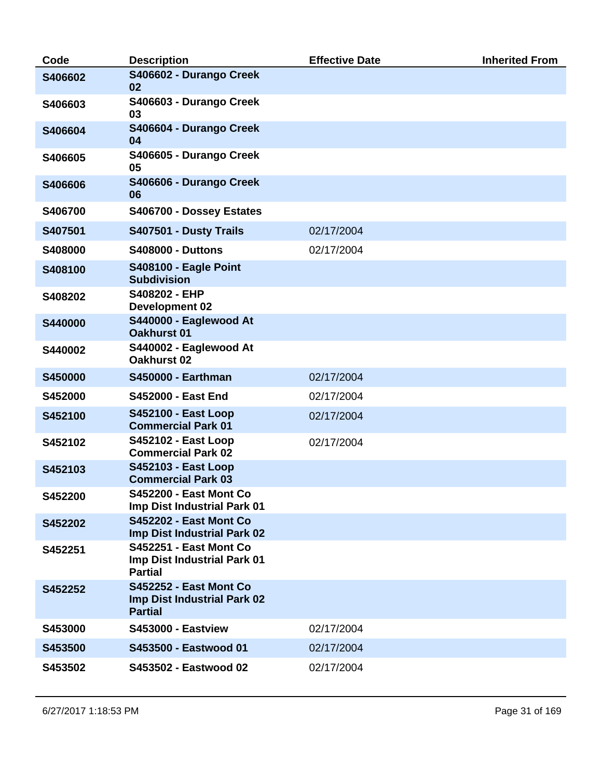| Code           | <b>Description</b>                                                             | <b>Effective Date</b> | <b>Inherited From</b> |
|----------------|--------------------------------------------------------------------------------|-----------------------|-----------------------|
| S406602        | S406602 - Durango Creek<br>02                                                  |                       |                       |
| S406603        | S406603 - Durango Creek<br>03                                                  |                       |                       |
| S406604        | S406604 - Durango Creek<br>04                                                  |                       |                       |
| S406605        | S406605 - Durango Creek<br>05                                                  |                       |                       |
| S406606        | S406606 - Durango Creek<br>06                                                  |                       |                       |
| S406700        | S406700 - Dossey Estates                                                       |                       |                       |
| S407501        | S407501 - Dusty Trails                                                         | 02/17/2004            |                       |
| S408000        | <b>S408000 - Duttons</b>                                                       | 02/17/2004            |                       |
| S408100        | <b>S408100 - Eagle Point</b><br><b>Subdivision</b>                             |                       |                       |
| S408202        | S408202 - EHP<br><b>Development 02</b>                                         |                       |                       |
| S440000        | S440000 - Eaglewood At<br><b>Oakhurst 01</b>                                   |                       |                       |
| S440002        | S440002 - Eaglewood At<br>Oakhurst 02                                          |                       |                       |
| S450000        | <b>S450000 - Earthman</b>                                                      | 02/17/2004            |                       |
| S452000        | <b>S452000 - East End</b>                                                      | 02/17/2004            |                       |
| S452100        | <b>S452100 - East Loop</b><br><b>Commercial Park 01</b>                        | 02/17/2004            |                       |
| S452102        | <b>S452102 - East Loop</b><br><b>Commercial Park 02</b>                        | 02/17/2004            |                       |
| S452103        | <b>S452103 - East Loop</b><br><b>Commercial Park 03</b>                        |                       |                       |
| <b>S452200</b> | <b>S452200 - East Mont Co</b><br>Imp Dist Industrial Park 01                   |                       |                       |
| S452202        | <b>S452202 - East Mont Co</b><br>Imp Dist Industrial Park 02                   |                       |                       |
| S452251        | <b>S452251 - East Mont Co</b><br>Imp Dist Industrial Park 01<br><b>Partial</b> |                       |                       |
| S452252        | <b>S452252 - East Mont Co</b><br>Imp Dist Industrial Park 02<br><b>Partial</b> |                       |                       |
| S453000        | <b>S453000 - Eastview</b>                                                      | 02/17/2004            |                       |
| S453500        | S453500 - Eastwood 01                                                          | 02/17/2004            |                       |
| S453502        | S453502 - Eastwood 02                                                          | 02/17/2004            |                       |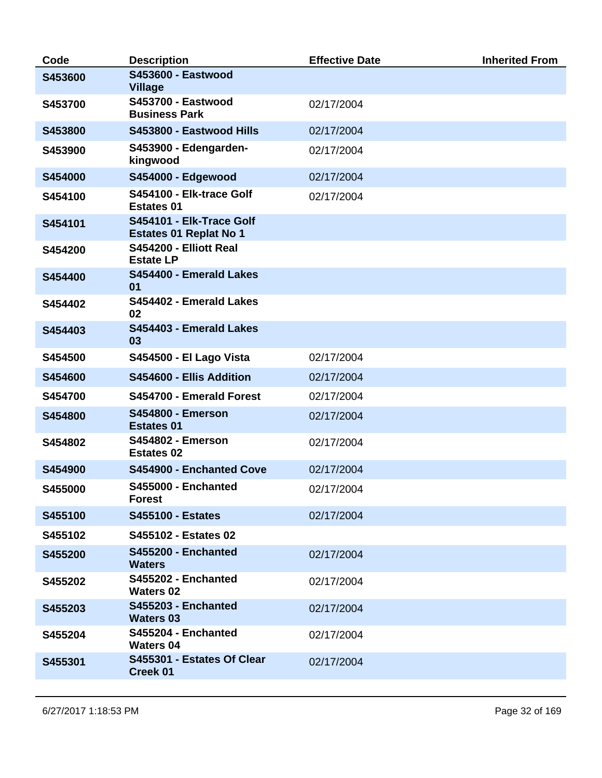| Code    | <b>Description</b>                                        | <b>Effective Date</b> | <b>Inherited From</b> |
|---------|-----------------------------------------------------------|-----------------------|-----------------------|
| S453600 | <b>S453600 - Eastwood</b><br><b>Village</b>               |                       |                       |
| S453700 | <b>S453700 - Eastwood</b><br><b>Business Park</b>         | 02/17/2004            |                       |
| S453800 | S453800 - Eastwood Hills                                  | 02/17/2004            |                       |
| S453900 | S453900 - Edengarden-<br>kingwood                         | 02/17/2004            |                       |
| S454000 | S454000 - Edgewood                                        | 02/17/2004            |                       |
| S454100 | S454100 - Elk-trace Golf<br><b>Estates 01</b>             | 02/17/2004            |                       |
| S454101 | S454101 - Elk-Trace Golf<br><b>Estates 01 Replat No 1</b> |                       |                       |
| S454200 | S454200 - Elliott Real<br><b>Estate LP</b>                |                       |                       |
| S454400 | S454400 - Emerald Lakes<br>01                             |                       |                       |
| S454402 | S454402 - Emerald Lakes<br>02                             |                       |                       |
| S454403 | S454403 - Emerald Lakes<br>03                             |                       |                       |
| S454500 | <b>S454500 - El Lago Vista</b>                            | 02/17/2004            |                       |
| S454600 | S454600 - Ellis Addition                                  | 02/17/2004            |                       |
| S454700 | S454700 - Emerald Forest                                  | 02/17/2004            |                       |
| S454800 | <b>S454800 - Emerson</b><br><b>Estates 01</b>             | 02/17/2004            |                       |
| S454802 | <b>S454802 - Emerson</b><br><b>Estates 02</b>             | 02/17/2004            |                       |
| S454900 | S454900 - Enchanted Cove                                  | 02/17/2004            |                       |
| S455000 | <b>S455000 - Enchanted</b><br><b>Forest</b>               | 02/17/2004            |                       |
| S455100 | <b>S455100 - Estates</b>                                  | 02/17/2004            |                       |
| S455102 | S455102 - Estates 02                                      |                       |                       |
| S455200 | <b>S455200 - Enchanted</b><br><b>Waters</b>               | 02/17/2004            |                       |
| S455202 | S455202 - Enchanted<br><b>Waters 02</b>                   | 02/17/2004            |                       |
| S455203 | <b>S455203 - Enchanted</b><br><b>Waters 03</b>            | 02/17/2004            |                       |
| S455204 | S455204 - Enchanted<br><b>Waters 04</b>                   | 02/17/2004            |                       |
| S455301 | S455301 - Estates Of Clear<br><b>Creek 01</b>             | 02/17/2004            |                       |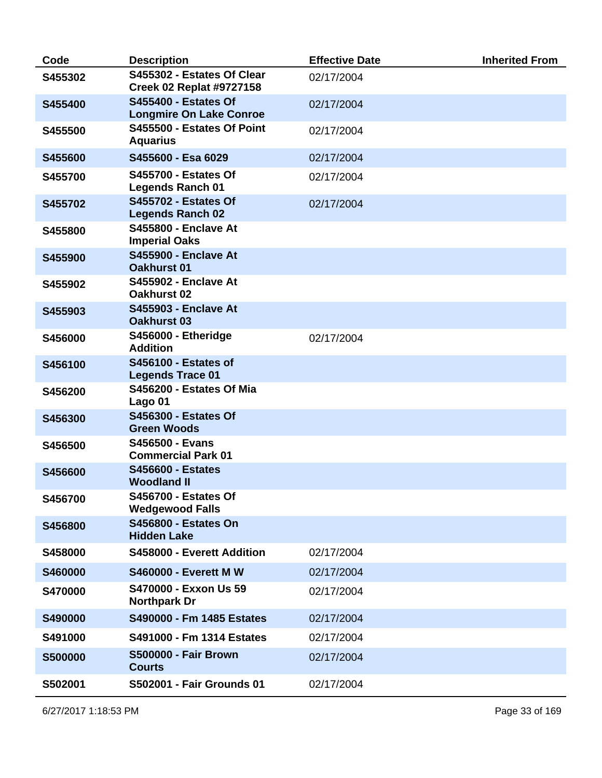| Code           | <b>Description</b>                                            | <b>Effective Date</b> | <b>Inherited From</b> |
|----------------|---------------------------------------------------------------|-----------------------|-----------------------|
| S455302        | S455302 - Estates Of Clear<br><b>Creek 02 Replat #9727158</b> | 02/17/2004            |                       |
| S455400        | <b>S455400 - Estates Of</b><br><b>Longmire On Lake Conroe</b> | 02/17/2004            |                       |
| S455500        | S455500 - Estates Of Point<br><b>Aquarius</b>                 | 02/17/2004            |                       |
| S455600        | S455600 - Esa 6029                                            | 02/17/2004            |                       |
| S455700        | <b>S455700 - Estates Of</b><br><b>Legends Ranch 01</b>        | 02/17/2004            |                       |
| S455702        | <b>S455702 - Estates Of</b><br><b>Legends Ranch 02</b>        | 02/17/2004            |                       |
| S455800        | <b>S455800 - Enclave At</b><br><b>Imperial Oaks</b>           |                       |                       |
| S455900        | <b>S455900 - Enclave At</b><br><b>Oakhurst 01</b>             |                       |                       |
| S455902        | <b>S455902 - Enclave At</b><br>Oakhurst 02                    |                       |                       |
| S455903        | <b>S455903 - Enclave At</b><br><b>Oakhurst 03</b>             |                       |                       |
| S456000        | S456000 - Etheridge<br><b>Addition</b>                        | 02/17/2004            |                       |
| S456100        | <b>S456100 - Estates of</b><br><b>Legends Trace 01</b>        |                       |                       |
| S456200        | S456200 - Estates Of Mia<br>Lago 01                           |                       |                       |
| S456300        | <b>S456300 - Estates Of</b><br><b>Green Woods</b>             |                       |                       |
| S456500        | S456500 - Evans<br><b>Commercial Park 01</b>                  |                       |                       |
| S456600        | <b>S456600 - Estates</b><br><b>Woodland II</b>                |                       |                       |
| S456700        | <b>S456700 - Estates Of</b><br><b>Wedgewood Falls</b>         |                       |                       |
| S456800        | <b>S456800 - Estates On</b><br><b>Hidden Lake</b>             |                       |                       |
| S458000        | S458000 - Everett Addition                                    | 02/17/2004            |                       |
| S460000        | <b>S460000 - Everett M W</b>                                  | 02/17/2004            |                       |
| S470000        | S470000 - Exxon Us 59<br><b>Northpark Dr</b>                  | 02/17/2004            |                       |
| S490000        | S490000 - Fm 1485 Estates                                     | 02/17/2004            |                       |
| S491000        | S491000 - Fm 1314 Estates                                     | 02/17/2004            |                       |
| <b>S500000</b> | <b>S500000 - Fair Brown</b><br><b>Courts</b>                  | 02/17/2004            |                       |
| S502001        | <b>S502001 - Fair Grounds 01</b>                              | 02/17/2004            |                       |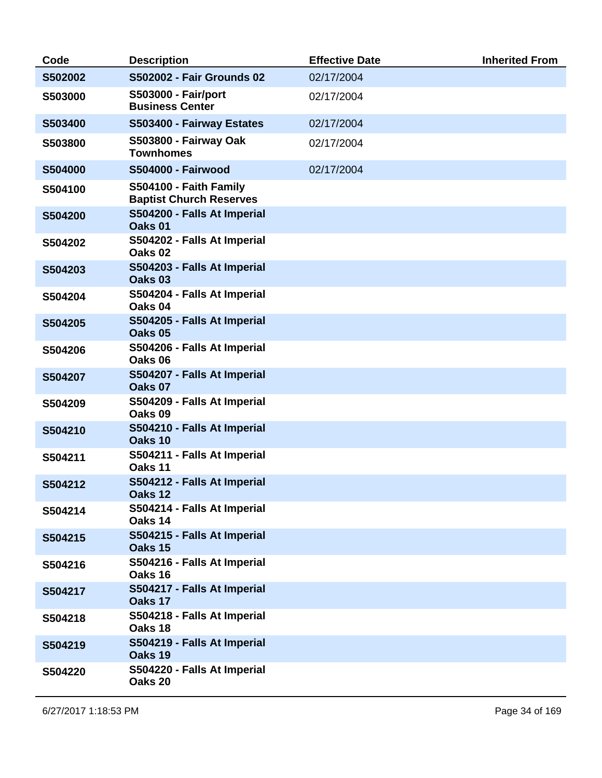| Code    | <b>Description</b>                                       | <b>Effective Date</b> | <b>Inherited From</b> |
|---------|----------------------------------------------------------|-----------------------|-----------------------|
| S502002 | <b>S502002 - Fair Grounds 02</b>                         | 02/17/2004            |                       |
| S503000 | <b>S503000 - Fair/port</b><br><b>Business Center</b>     | 02/17/2004            |                       |
| S503400 | S503400 - Fairway Estates                                | 02/17/2004            |                       |
| S503800 | <b>S503800 - Fairway Oak</b><br><b>Townhomes</b>         | 02/17/2004            |                       |
| S504000 | <b>S504000 - Fairwood</b>                                | 02/17/2004            |                       |
| S504100 | S504100 - Faith Family<br><b>Baptist Church Reserves</b> |                       |                       |
| S504200 | S504200 - Falls At Imperial<br>Oaks <sub>01</sub>        |                       |                       |
| S504202 | S504202 - Falls At Imperial<br>Oaks <sub>02</sub>        |                       |                       |
| S504203 | S504203 - Falls At Imperial<br>Oaks <sub>03</sub>        |                       |                       |
| S504204 | S504204 - Falls At Imperial<br>Oaks 04                   |                       |                       |
| S504205 | S504205 - Falls At Imperial<br>Oaks 05                   |                       |                       |
| S504206 | S504206 - Falls At Imperial<br>Oaks 06                   |                       |                       |
| S504207 | S504207 - Falls At Imperial<br>Oaks 07                   |                       |                       |
| S504209 | S504209 - Falls At Imperial<br>Oaks <sub>09</sub>        |                       |                       |
| S504210 | S504210 - Falls At Imperial<br>Oaks 10                   |                       |                       |
| S504211 | S504211 - Falls At Imperial<br>Oaks 11                   |                       |                       |
| S504212 | S504212 - Falls At Imperial<br>Oaks 12                   |                       |                       |
| S504214 | S504214 - Falls At Imperial<br>Oaks 14                   |                       |                       |
| S504215 | S504215 - Falls At Imperial<br>Oaks 15                   |                       |                       |
| S504216 | S504216 - Falls At Imperial<br>Oaks 16                   |                       |                       |
| S504217 | S504217 - Falls At Imperial<br>Oaks 17                   |                       |                       |
| S504218 | S504218 - Falls At Imperial<br>Oaks 18                   |                       |                       |
| S504219 | S504219 - Falls At Imperial<br>Oaks 19                   |                       |                       |
| S504220 | S504220 - Falls At Imperial<br>Oaks 20                   |                       |                       |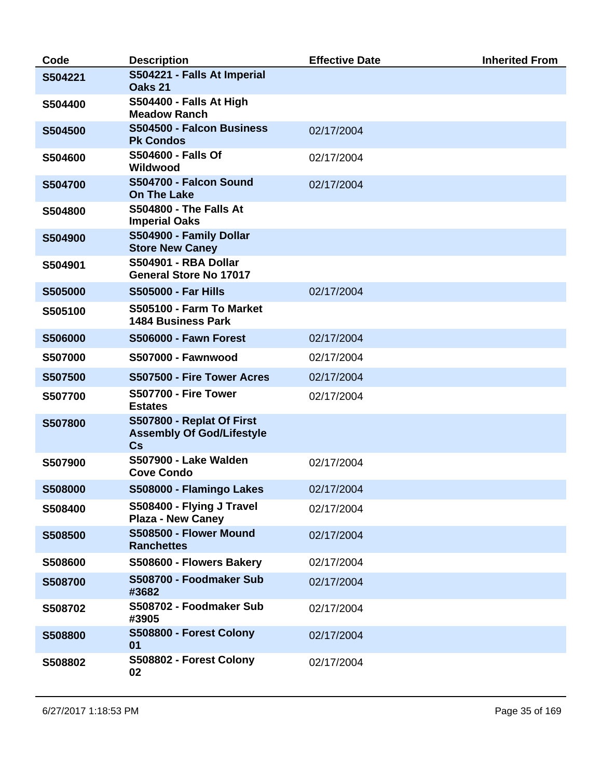| Code    | <b>Description</b>                                                  | <b>Effective Date</b> | <b>Inherited From</b> |
|---------|---------------------------------------------------------------------|-----------------------|-----------------------|
| S504221 | S504221 - Falls At Imperial<br>Oaks 21                              |                       |                       |
| S504400 | <b>S504400 - Falls At High</b><br><b>Meadow Ranch</b>               |                       |                       |
| S504500 | S504500 - Falcon Business<br><b>Pk Condos</b>                       | 02/17/2004            |                       |
| S504600 | <b>S504600 - Falls Of</b><br>Wildwood                               | 02/17/2004            |                       |
| S504700 | S504700 - Falcon Sound<br><b>On The Lake</b>                        | 02/17/2004            |                       |
| S504800 | <b>S504800 - The Falls At</b><br><b>Imperial Oaks</b>               |                       |                       |
| S504900 | S504900 - Family Dollar<br><b>Store New Caney</b>                   |                       |                       |
| S504901 | <b>S504901 - RBA Dollar</b><br><b>General Store No 17017</b>        |                       |                       |
| S505000 | <b>S505000 - Far Hills</b>                                          | 02/17/2004            |                       |
| S505100 | S505100 - Farm To Market<br><b>1484 Business Park</b>               |                       |                       |
| S506000 | <b>S506000 - Fawn Forest</b>                                        | 02/17/2004            |                       |
| S507000 | <b>S507000 - Fawnwood</b>                                           | 02/17/2004            |                       |
| S507500 | S507500 - Fire Tower Acres                                          | 02/17/2004            |                       |
| S507700 | <b>S507700 - Fire Tower</b><br><b>Estates</b>                       | 02/17/2004            |                       |
| S507800 | S507800 - Replat Of First<br><b>Assembly Of God/Lifestyle</b><br>Cs |                       |                       |
| S507900 | <b>S507900 - Lake Walden</b><br><b>Cove Condo</b>                   | 02/17/2004            |                       |
| S508000 | S508000 - Flamingo Lakes                                            | 02/17/2004            |                       |
| S508400 | S508400 - Flying J Travel<br><b>Plaza - New Caney</b>               | 02/17/2004            |                       |
| S508500 | S508500 - Flower Mound<br><b>Ranchettes</b>                         | 02/17/2004            |                       |
| S508600 | S508600 - Flowers Bakery                                            | 02/17/2004            |                       |
| S508700 | S508700 - Foodmaker Sub<br>#3682                                    | 02/17/2004            |                       |
| S508702 | S508702 - Foodmaker Sub<br>#3905                                    | 02/17/2004            |                       |
| S508800 | S508800 - Forest Colony<br>01                                       | 02/17/2004            |                       |
| S508802 | S508802 - Forest Colony<br>02                                       | 02/17/2004            |                       |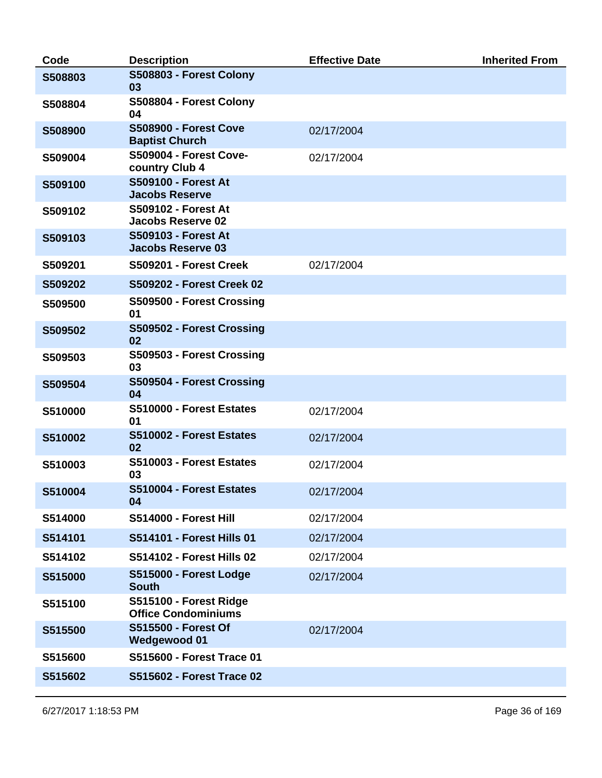| Code    | <b>Description</b>                                     | <b>Effective Date</b> | <b>Inherited From</b> |
|---------|--------------------------------------------------------|-----------------------|-----------------------|
| S508803 | S508803 - Forest Colony<br>03                          |                       |                       |
| S508804 | S508804 - Forest Colony<br>04                          |                       |                       |
| S508900 | <b>S508900 - Forest Cove</b><br><b>Baptist Church</b>  | 02/17/2004            |                       |
| S509004 | <b>S509004 - Forest Cove-</b><br>country Club 4        | 02/17/2004            |                       |
| S509100 | <b>S509100 - Forest At</b><br><b>Jacobs Reserve</b>    |                       |                       |
| S509102 | <b>S509102 - Forest At</b><br><b>Jacobs Reserve 02</b> |                       |                       |
| S509103 | <b>S509103 - Forest At</b><br><b>Jacobs Reserve 03</b> |                       |                       |
| S509201 | S509201 - Forest Creek                                 | 02/17/2004            |                       |
| S509202 | S509202 - Forest Creek 02                              |                       |                       |
| S509500 | S509500 - Forest Crossing<br>01                        |                       |                       |
| S509502 | S509502 - Forest Crossing<br>02                        |                       |                       |
| S509503 | S509503 - Forest Crossing<br>03                        |                       |                       |
| S509504 | S509504 - Forest Crossing<br>04                        |                       |                       |
| S510000 | S510000 - Forest Estates<br>01                         | 02/17/2004            |                       |
| S510002 | S510002 - Forest Estates<br>02                         | 02/17/2004            |                       |
| S510003 | S510003 - Forest Estates<br>03                         | 02/17/2004            |                       |
| S510004 | S510004 - Forest Estates<br>04                         | 02/17/2004            |                       |
| S514000 | S514000 - Forest Hill                                  | 02/17/2004            |                       |
| S514101 | S514101 - Forest Hills 01                              | 02/17/2004            |                       |
| S514102 | <b>S514102 - Forest Hills 02</b>                       | 02/17/2004            |                       |
| S515000 | S515000 - Forest Lodge<br><b>South</b>                 | 02/17/2004            |                       |
| S515100 | S515100 - Forest Ridge<br><b>Office Condominiums</b>   |                       |                       |
| S515500 | <b>S515500 - Forest Of</b><br><b>Wedgewood 01</b>      | 02/17/2004            |                       |
| S515600 | S515600 - Forest Trace 01                              |                       |                       |
| S515602 | S515602 - Forest Trace 02                              |                       |                       |
|         |                                                        |                       |                       |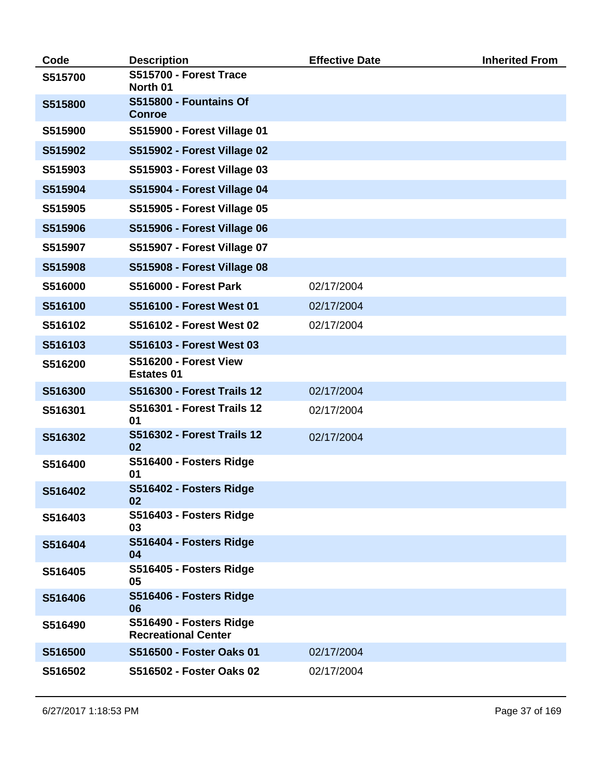| Code    | <b>Description</b>                                    | <b>Effective Date</b> | <b>Inherited From</b> |
|---------|-------------------------------------------------------|-----------------------|-----------------------|
| S515700 | S515700 - Forest Trace<br>North 01                    |                       |                       |
| S515800 | S515800 - Fountains Of<br><b>Conroe</b>               |                       |                       |
| S515900 | S515900 - Forest Village 01                           |                       |                       |
| S515902 | S515902 - Forest Village 02                           |                       |                       |
| S515903 | S515903 - Forest Village 03                           |                       |                       |
| S515904 | S515904 - Forest Village 04                           |                       |                       |
| S515905 | S515905 - Forest Village 05                           |                       |                       |
| S515906 | S515906 - Forest Village 06                           |                       |                       |
| S515907 | S515907 - Forest Village 07                           |                       |                       |
| S515908 | S515908 - Forest Village 08                           |                       |                       |
| S516000 | <b>S516000 - Forest Park</b>                          | 02/17/2004            |                       |
| S516100 | S516100 - Forest West 01                              | 02/17/2004            |                       |
| S516102 | S516102 - Forest West 02                              | 02/17/2004            |                       |
| S516103 | S516103 - Forest West 03                              |                       |                       |
| S516200 | S516200 - Forest View<br><b>Estates 01</b>            |                       |                       |
| S516300 | <b>S516300 - Forest Trails 12</b>                     | 02/17/2004            |                       |
| S516301 | <b>S516301 - Forest Trails 12</b><br>01               | 02/17/2004            |                       |
| S516302 | <b>S516302 - Forest Trails 12</b><br>02               | 02/17/2004            |                       |
| S516400 | S516400 - Fosters Ridge<br>01                         |                       |                       |
| S516402 | S516402 - Fosters Ridge<br>02                         |                       |                       |
| S516403 | S516403 - Fosters Ridge<br>03                         |                       |                       |
| S516404 | S516404 - Fosters Ridge<br>04                         |                       |                       |
| S516405 | S516405 - Fosters Ridge<br>05                         |                       |                       |
| S516406 | S516406 - Fosters Ridge<br>06                         |                       |                       |
| S516490 | S516490 - Fosters Ridge<br><b>Recreational Center</b> |                       |                       |
| S516500 | S516500 - Foster Oaks 01                              | 02/17/2004            |                       |
| S516502 | S516502 - Foster Oaks 02                              | 02/17/2004            |                       |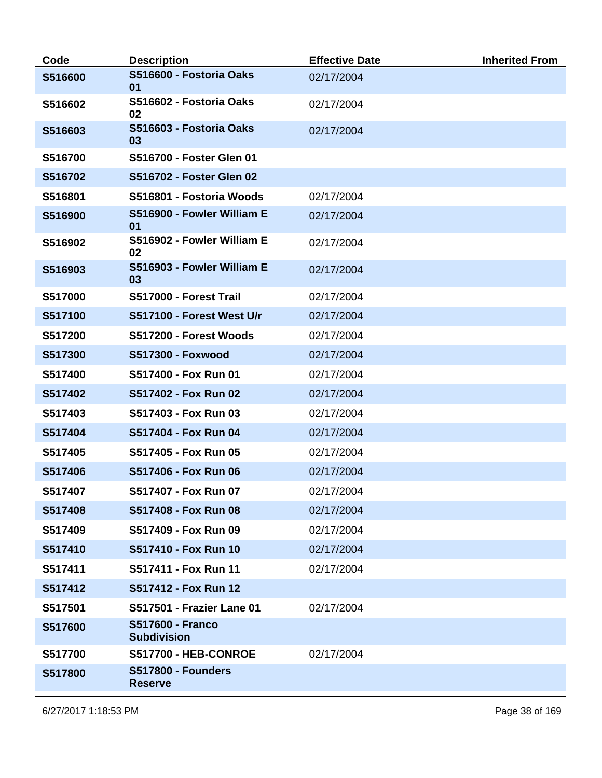| Code    | <b>Description</b>                            | <b>Effective Date</b> | <b>Inherited From</b> |
|---------|-----------------------------------------------|-----------------------|-----------------------|
| S516600 | S516600 - Fostoria Oaks<br>01                 | 02/17/2004            |                       |
| S516602 | S516602 - Fostoria Oaks<br>02                 | 02/17/2004            |                       |
| S516603 | S516603 - Fostoria Oaks<br>03                 | 02/17/2004            |                       |
| S516700 | S516700 - Foster Glen 01                      |                       |                       |
| S516702 | S516702 - Foster Glen 02                      |                       |                       |
| S516801 | S516801 - Fostoria Woods                      | 02/17/2004            |                       |
| S516900 | S516900 - Fowler William E<br>01              | 02/17/2004            |                       |
| S516902 | S516902 - Fowler William E<br>02              | 02/17/2004            |                       |
| S516903 | S516903 - Fowler William E<br>03              | 02/17/2004            |                       |
| S517000 | S517000 - Forest Trail                        | 02/17/2004            |                       |
| S517100 | S517100 - Forest West U/r                     | 02/17/2004            |                       |
| S517200 | S517200 - Forest Woods                        | 02/17/2004            |                       |
| S517300 | <b>S517300 - Foxwood</b>                      | 02/17/2004            |                       |
| S517400 | S517400 - Fox Run 01                          | 02/17/2004            |                       |
| S517402 | S517402 - Fox Run 02                          | 02/17/2004            |                       |
| S517403 | S517403 - Fox Run 03                          | 02/17/2004            |                       |
| S517404 | S517404 - Fox Run 04                          | 02/17/2004            |                       |
| S517405 | S517405 - Fox Run 05                          | 02/17/2004            |                       |
| S517406 | S517406 - Fox Run 06                          | 02/17/2004            |                       |
| S517407 | S517407 - Fox Run 07                          | 02/17/2004            |                       |
| S517408 | S517408 - Fox Run 08                          | 02/17/2004            |                       |
| S517409 | S517409 - Fox Run 09                          | 02/17/2004            |                       |
| S517410 | S517410 - Fox Run 10                          | 02/17/2004            |                       |
| S517411 | S517411 - Fox Run 11                          | 02/17/2004            |                       |
| S517412 | S517412 - Fox Run 12                          |                       |                       |
| S517501 | S517501 - Frazier Lane 01                     | 02/17/2004            |                       |
| S517600 | <b>S517600 - Franco</b><br><b>Subdivision</b> |                       |                       |
| S517700 | <b>S517700 - HEB-CONROE</b>                   | 02/17/2004            |                       |
| S517800 | <b>S517800 - Founders</b><br><b>Reserve</b>   |                       |                       |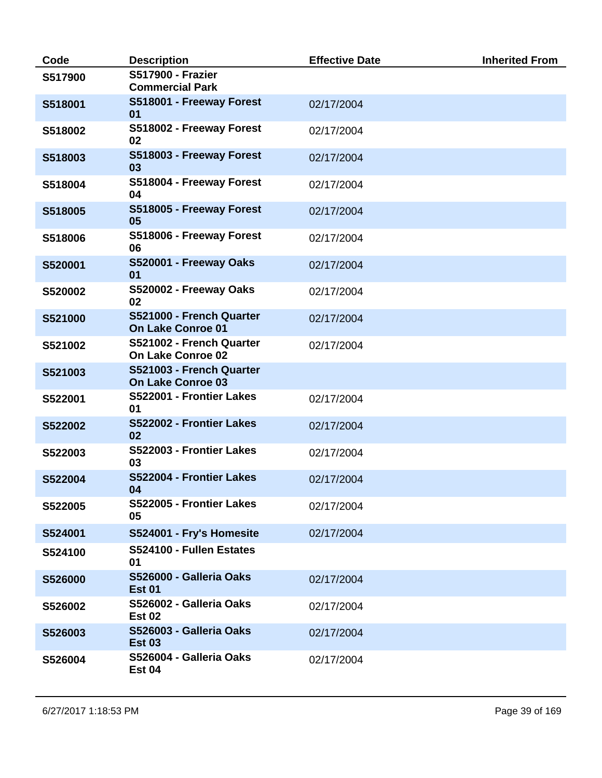| Code    | <b>Description</b>                                   | <b>Effective Date</b> | <b>Inherited From</b> |
|---------|------------------------------------------------------|-----------------------|-----------------------|
| S517900 | <b>S517900 - Frazier</b><br><b>Commercial Park</b>   |                       |                       |
| S518001 | S518001 - Freeway Forest<br>01                       | 02/17/2004            |                       |
| S518002 | S518002 - Freeway Forest<br>02                       | 02/17/2004            |                       |
| S518003 | S518003 - Freeway Forest<br>03                       | 02/17/2004            |                       |
| S518004 | S518004 - Freeway Forest<br>04                       | 02/17/2004            |                       |
| S518005 | S518005 - Freeway Forest<br>05                       | 02/17/2004            |                       |
| S518006 | S518006 - Freeway Forest<br>06                       | 02/17/2004            |                       |
| S520001 | S520001 - Freeway Oaks<br>01                         | 02/17/2004            |                       |
| S520002 | S520002 - Freeway Oaks<br>02                         | 02/17/2004            |                       |
| S521000 | S521000 - French Quarter<br><b>On Lake Conroe 01</b> | 02/17/2004            |                       |
| S521002 | S521002 - French Quarter<br>On Lake Conroe 02        | 02/17/2004            |                       |
| S521003 | S521003 - French Quarter<br><b>On Lake Conroe 03</b> |                       |                       |
| S522001 | S522001 - Frontier Lakes<br>01                       | 02/17/2004            |                       |
| S522002 | S522002 - Frontier Lakes<br>02                       | 02/17/2004            |                       |
| S522003 | S522003 - Frontier Lakes<br>03                       | 02/17/2004            |                       |
| S522004 | S522004 - Frontier Lakes<br>04                       | 02/17/2004            |                       |
| S522005 | S522005 - Frontier Lakes<br>05                       | 02/17/2004            |                       |
| S524001 | S524001 - Fry's Homesite                             | 02/17/2004            |                       |
| S524100 | S524100 - Fullen Estates<br>01                       |                       |                       |
| S526000 | S526000 - Galleria Oaks<br><b>Est 01</b>             | 02/17/2004            |                       |
| S526002 | S526002 - Galleria Oaks<br><b>Est 02</b>             | 02/17/2004            |                       |
| S526003 | S526003 - Galleria Oaks<br><b>Est 03</b>             | 02/17/2004            |                       |
| S526004 | S526004 - Galleria Oaks<br><b>Est 04</b>             | 02/17/2004            |                       |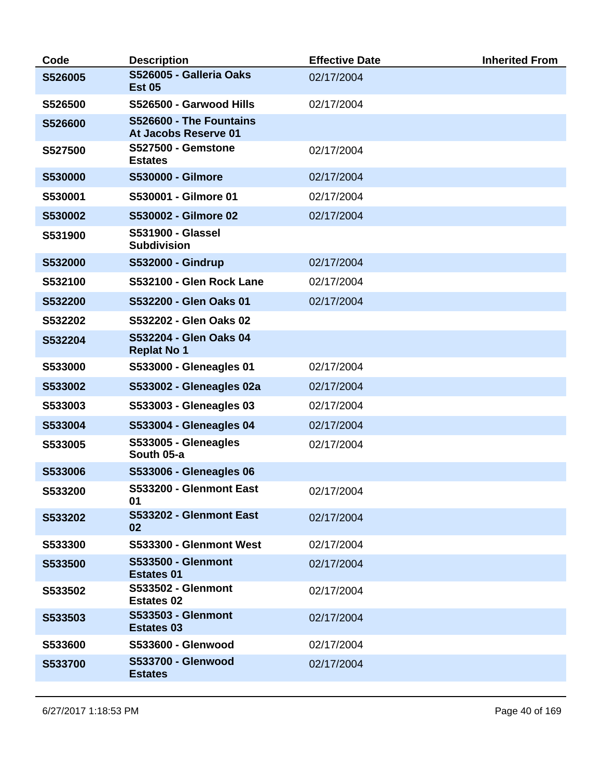| Code    | <b>Description</b>                              | <b>Effective Date</b> | <b>Inherited From</b> |
|---------|-------------------------------------------------|-----------------------|-----------------------|
| S526005 | S526005 - Galleria Oaks<br><b>Est 05</b>        | 02/17/2004            |                       |
| S526500 | S526500 - Garwood Hills                         | 02/17/2004            |                       |
| S526600 | S526600 - The Fountains<br>At Jacobs Reserve 01 |                       |                       |
| S527500 | <b>S527500 - Gemstone</b><br><b>Estates</b>     | 02/17/2004            |                       |
| S530000 | <b>S530000 - Gilmore</b>                        | 02/17/2004            |                       |
| S530001 | S530001 - Gilmore 01                            | 02/17/2004            |                       |
| S530002 | S530002 - Gilmore 02                            | 02/17/2004            |                       |
| S531900 | <b>S531900 - Glassel</b><br><b>Subdivision</b>  |                       |                       |
| S532000 | <b>S532000 - Gindrup</b>                        | 02/17/2004            |                       |
| S532100 | S532100 - Glen Rock Lane                        | 02/17/2004            |                       |
| S532200 | S532200 - Glen Oaks 01                          | 02/17/2004            |                       |
| S532202 | S532202 - Glen Oaks 02                          |                       |                       |
| S532204 | S532204 - Glen Oaks 04<br><b>Replat No 1</b>    |                       |                       |
| S533000 | S533000 - Gleneagles 01                         | 02/17/2004            |                       |
| S533002 | S533002 - Gleneagles 02a                        | 02/17/2004            |                       |
| S533003 | S533003 - Gleneagles 03                         | 02/17/2004            |                       |
| S533004 | S533004 - Gleneagles 04                         | 02/17/2004            |                       |
| S533005 | S533005 - Gleneagles<br>South 05-a              | 02/17/2004            |                       |
| S533006 | <b>S533006 - Gleneagles 06</b>                  |                       |                       |
| S533200 | S533200 - Glenmont East<br>01                   | 02/17/2004            |                       |
| S533202 | S533202 - Glenmont East<br>02                   | 02/17/2004            |                       |
| S533300 | S533300 - Glenmont West                         | 02/17/2004            |                       |
| S533500 | <b>S533500 - Glenmont</b><br><b>Estates 01</b>  | 02/17/2004            |                       |
| S533502 | <b>S533502 - Glenmont</b><br><b>Estates 02</b>  | 02/17/2004            |                       |
| S533503 | <b>S533503 - Glenmont</b><br><b>Estates 03</b>  | 02/17/2004            |                       |
| S533600 | S533600 - Glenwood                              | 02/17/2004            |                       |
| S533700 | S533700 - Glenwood<br><b>Estates</b>            | 02/17/2004            |                       |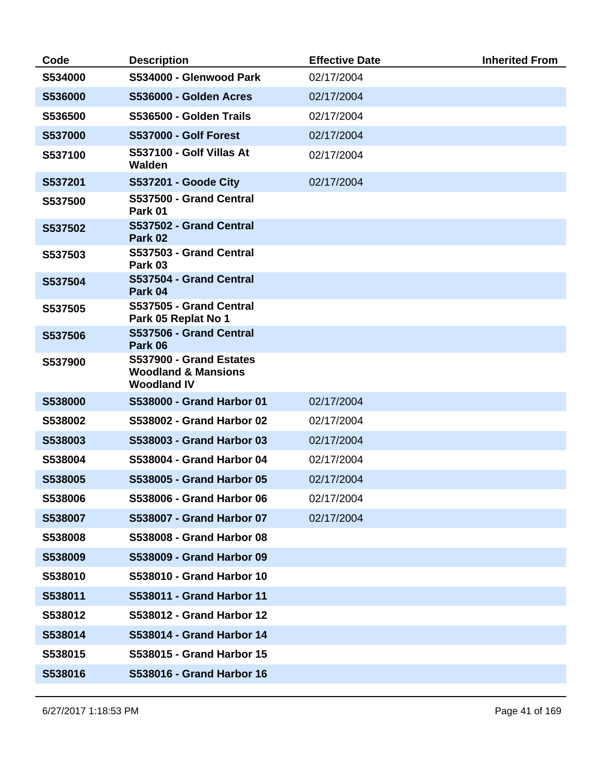| Code    | <b>Description</b>                                                              | <b>Effective Date</b> | <b>Inherited From</b> |
|---------|---------------------------------------------------------------------------------|-----------------------|-----------------------|
| S534000 | S534000 - Glenwood Park                                                         | 02/17/2004            |                       |
| S536000 | S536000 - Golden Acres                                                          | 02/17/2004            |                       |
| S536500 | S536500 - Golden Trails                                                         | 02/17/2004            |                       |
| S537000 | <b>S537000 - Golf Forest</b>                                                    | 02/17/2004            |                       |
| S537100 | S537100 - Golf Villas At<br>Walden                                              | 02/17/2004            |                       |
| S537201 | <b>S537201 - Goode City</b>                                                     | 02/17/2004            |                       |
| S537500 | S537500 - Grand Central<br>Park 01                                              |                       |                       |
| S537502 | S537502 - Grand Central<br>Park 02                                              |                       |                       |
| S537503 | S537503 - Grand Central<br>Park 03                                              |                       |                       |
| S537504 | S537504 - Grand Central<br>Park 04                                              |                       |                       |
| S537505 | S537505 - Grand Central<br>Park 05 Replat No 1                                  |                       |                       |
| S537506 | S537506 - Grand Central<br>Park 06                                              |                       |                       |
| S537900 | S537900 - Grand Estates<br><b>Woodland &amp; Mansions</b><br><b>Woodland IV</b> |                       |                       |
| S538000 | S538000 - Grand Harbor 01                                                       | 02/17/2004            |                       |
| S538002 | S538002 - Grand Harbor 02                                                       | 02/17/2004            |                       |
| S538003 | S538003 - Grand Harbor 03                                                       | 02/17/2004            |                       |
| S538004 | <b>S538004 - Grand Harbor 04</b>                                                | 02/17/2004            |                       |
| S538005 | S538005 - Grand Harbor 05                                                       | 02/17/2004            |                       |
| S538006 | S538006 - Grand Harbor 06                                                       | 02/17/2004            |                       |
| S538007 | S538007 - Grand Harbor 07                                                       | 02/17/2004            |                       |
| S538008 | S538008 - Grand Harbor 08                                                       |                       |                       |
| S538009 | S538009 - Grand Harbor 09                                                       |                       |                       |
| S538010 | S538010 - Grand Harbor 10                                                       |                       |                       |
| S538011 | S538011 - Grand Harbor 11                                                       |                       |                       |
| S538012 | S538012 - Grand Harbor 12                                                       |                       |                       |
| S538014 | S538014 - Grand Harbor 14                                                       |                       |                       |
| S538015 | S538015 - Grand Harbor 15                                                       |                       |                       |
| S538016 | S538016 - Grand Harbor 16                                                       |                       |                       |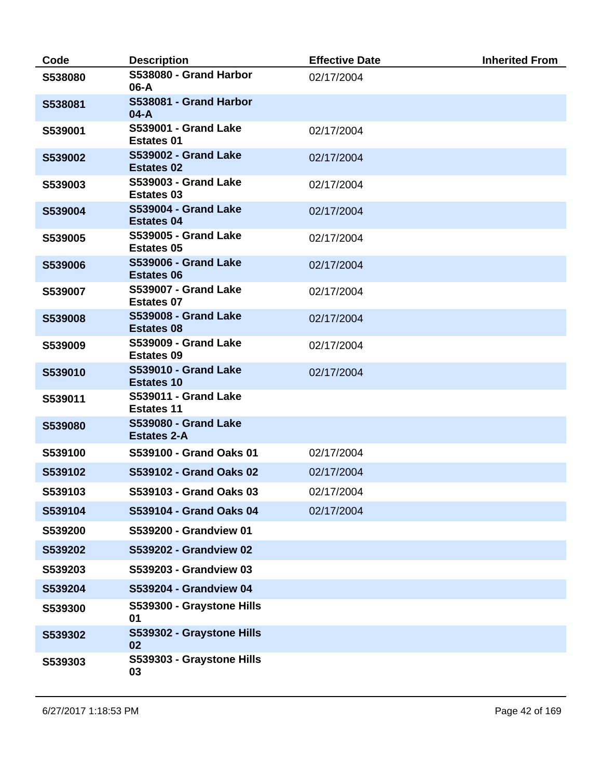| Code    | <b>Description</b>                                | <b>Effective Date</b> | <b>Inherited From</b> |
|---------|---------------------------------------------------|-----------------------|-----------------------|
| S538080 | S538080 - Grand Harbor<br>06-A                    | 02/17/2004            |                       |
| S538081 | S538081 - Grand Harbor<br>$04-A$                  |                       |                       |
| S539001 | <b>S539001 - Grand Lake</b><br><b>Estates 01</b>  | 02/17/2004            |                       |
| S539002 | <b>S539002 - Grand Lake</b><br><b>Estates 02</b>  | 02/17/2004            |                       |
| S539003 | <b>S539003 - Grand Lake</b><br><b>Estates 03</b>  | 02/17/2004            |                       |
| S539004 | <b>S539004 - Grand Lake</b><br><b>Estates 04</b>  | 02/17/2004            |                       |
| S539005 | <b>S539005 - Grand Lake</b><br><b>Estates 05</b>  | 02/17/2004            |                       |
| S539006 | <b>S539006 - Grand Lake</b><br><b>Estates 06</b>  | 02/17/2004            |                       |
| S539007 | <b>S539007 - Grand Lake</b><br><b>Estates 07</b>  | 02/17/2004            |                       |
| S539008 | <b>S539008 - Grand Lake</b><br><b>Estates 08</b>  | 02/17/2004            |                       |
| S539009 | <b>S539009 - Grand Lake</b><br><b>Estates 09</b>  | 02/17/2004            |                       |
| S539010 | <b>S539010 - Grand Lake</b><br><b>Estates 10</b>  | 02/17/2004            |                       |
| S539011 | <b>S539011 - Grand Lake</b><br><b>Estates 11</b>  |                       |                       |
| S539080 | <b>S539080 - Grand Lake</b><br><b>Estates 2-A</b> |                       |                       |
| S539100 | S539100 - Grand Oaks 01                           | 02/17/2004            |                       |
| S539102 | S539102 - Grand Oaks 02                           | 02/17/2004            |                       |
| S539103 | S539103 - Grand Oaks 03                           | 02/17/2004            |                       |
| S539104 | S539104 - Grand Oaks 04                           | 02/17/2004            |                       |
| S539200 | S539200 - Grandview 01                            |                       |                       |
| S539202 | S539202 - Grandview 02                            |                       |                       |
| S539203 | S539203 - Grandview 03                            |                       |                       |
| S539204 | S539204 - Grandview 04                            |                       |                       |
| S539300 | S539300 - Graystone Hills<br>01                   |                       |                       |
| S539302 | S539302 - Graystone Hills<br>02                   |                       |                       |
| S539303 | S539303 - Graystone Hills<br>03                   |                       |                       |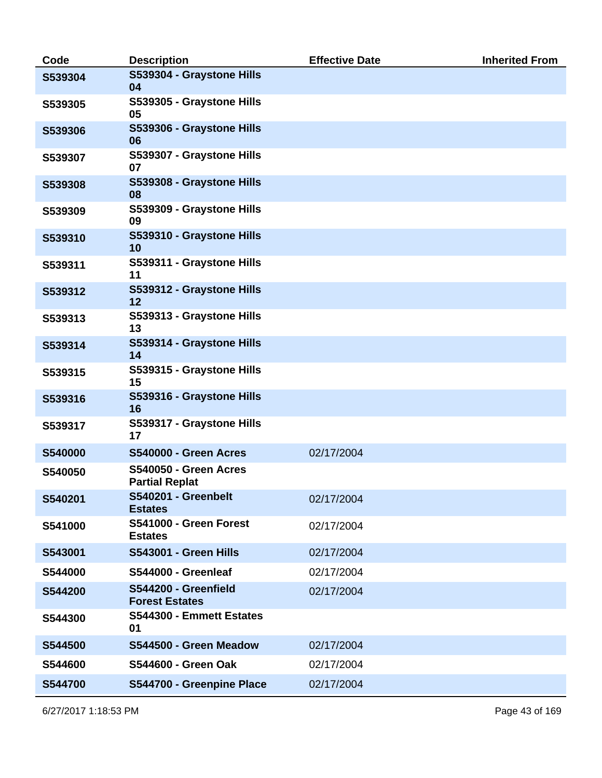| Code    | <b>Description</b>                                    | <b>Effective Date</b> | <b>Inherited From</b> |
|---------|-------------------------------------------------------|-----------------------|-----------------------|
| S539304 | S539304 - Graystone Hills<br>04                       |                       |                       |
| S539305 | S539305 - Graystone Hills<br>05                       |                       |                       |
| S539306 | S539306 - Graystone Hills<br>06                       |                       |                       |
| S539307 | S539307 - Graystone Hills<br>07                       |                       |                       |
| S539308 | S539308 - Graystone Hills<br>08                       |                       |                       |
| S539309 | S539309 - Graystone Hills<br>09                       |                       |                       |
| S539310 | S539310 - Graystone Hills<br>10                       |                       |                       |
| S539311 | S539311 - Graystone Hills<br>11                       |                       |                       |
| S539312 | S539312 - Graystone Hills<br>12                       |                       |                       |
| S539313 | S539313 - Graystone Hills<br>13                       |                       |                       |
| S539314 | S539314 - Graystone Hills<br>14                       |                       |                       |
| S539315 | S539315 - Graystone Hills<br>15                       |                       |                       |
| S539316 | S539316 - Graystone Hills<br>16                       |                       |                       |
| S539317 | S539317 - Graystone Hills<br>17                       |                       |                       |
| S540000 | <b>S540000 - Green Acres</b>                          | 02/17/2004            |                       |
| S540050 | <b>S540050 - Green Acres</b><br><b>Partial Replat</b> |                       |                       |
| S540201 | S540201 - Greenbelt<br><b>Estates</b>                 | 02/17/2004            |                       |
| S541000 | S541000 - Green Forest<br><b>Estates</b>              | 02/17/2004            |                       |
| S543001 | <b>S543001 - Green Hills</b>                          | 02/17/2004            |                       |
| S544000 | S544000 - Greenleaf                                   | 02/17/2004            |                       |
| S544200 | S544200 - Greenfield<br><b>Forest Estates</b>         | 02/17/2004            |                       |
| S544300 | S544300 - Emmett Estates<br>01                        |                       |                       |
| S544500 | S544500 - Green Meadow                                | 02/17/2004            |                       |
| S544600 | <b>S544600 - Green Oak</b>                            | 02/17/2004            |                       |
| S544700 | S544700 - Greenpine Place                             | 02/17/2004            |                       |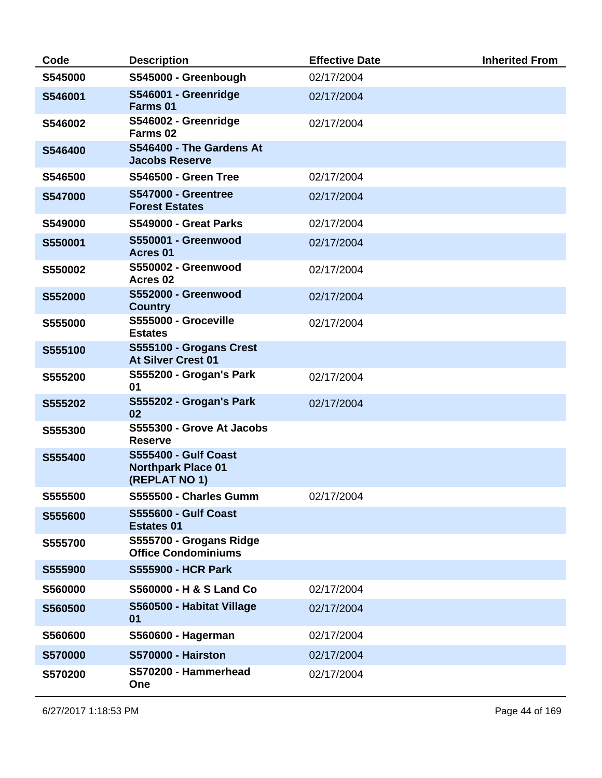| Code           | <b>Description</b>                                                        | <b>Effective Date</b> | <b>Inherited From</b> |
|----------------|---------------------------------------------------------------------------|-----------------------|-----------------------|
| S545000        | S545000 - Greenbough                                                      | 02/17/2004            |                       |
| S546001        | S546001 - Greenridge<br>Farms 01                                          | 02/17/2004            |                       |
| S546002        | S546002 - Greenridge<br>Farms 02                                          | 02/17/2004            |                       |
| S546400        | S546400 - The Gardens At<br><b>Jacobs Reserve</b>                         |                       |                       |
| S546500        | <b>S546500 - Green Tree</b>                                               | 02/17/2004            |                       |
| <b>S547000</b> | <b>S547000 - Greentree</b><br><b>Forest Estates</b>                       | 02/17/2004            |                       |
| S549000        | <b>S549000 - Great Parks</b>                                              | 02/17/2004            |                       |
| S550001        | S550001 - Greenwood<br>Acres 01                                           | 02/17/2004            |                       |
| S550002        | S550002 - Greenwood<br>Acres <sub>02</sub>                                | 02/17/2004            |                       |
| S552000        | <b>S552000 - Greenwood</b><br><b>Country</b>                              | 02/17/2004            |                       |
| S555000        | S555000 - Groceville<br><b>Estates</b>                                    | 02/17/2004            |                       |
| S555100        | S555100 - Grogans Crest<br><b>At Silver Crest 01</b>                      |                       |                       |
| S555200        | S555200 - Grogan's Park<br>01                                             | 02/17/2004            |                       |
| S555202        | S555202 - Grogan's Park<br>02                                             | 02/17/2004            |                       |
| S555300        | S555300 - Grove At Jacobs<br><b>Reserve</b>                               |                       |                       |
| S555400        | <b>S555400 - Gulf Coast</b><br><b>Northpark Place 01</b><br>(REPLAT NO 1) |                       |                       |
| S555500        | S555500 - Charles Gumm                                                    | 02/17/2004            |                       |
| S555600        | <b>S555600 - Gulf Coast</b><br><b>Estates 01</b>                          |                       |                       |
| S555700        | S555700 - Grogans Ridge<br><b>Office Condominiums</b>                     |                       |                       |
| S555900        | <b>S555900 - HCR Park</b>                                                 |                       |                       |
| S560000        | S560000 - H & S Land Co                                                   | 02/17/2004            |                       |
| S560500        | S560500 - Habitat Village<br>01                                           | 02/17/2004            |                       |
| S560600        | S560600 - Hagerman                                                        | 02/17/2004            |                       |
| S570000        | <b>S570000 - Hairston</b>                                                 | 02/17/2004            |                       |
| S570200        | S570200 - Hammerhead<br>One                                               | 02/17/2004            |                       |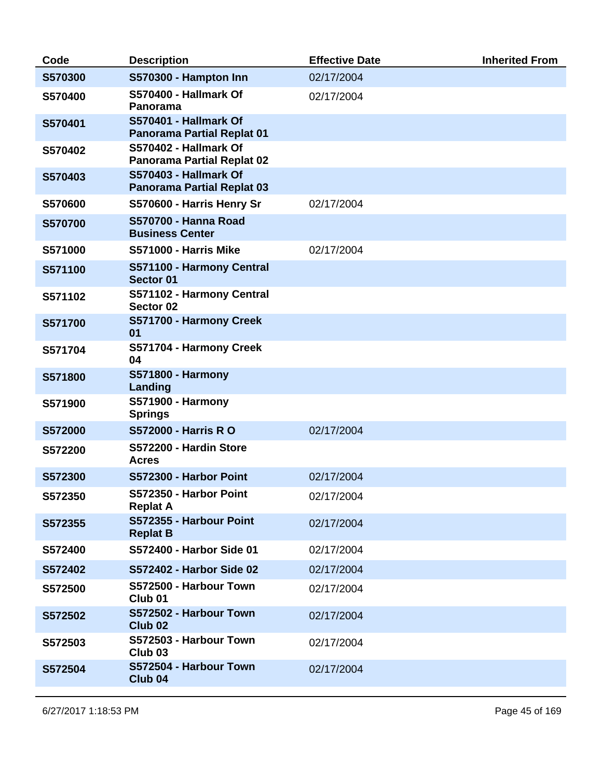| Code    | <b>Description</b>                                                | <b>Effective Date</b> | <b>Inherited From</b> |
|---------|-------------------------------------------------------------------|-----------------------|-----------------------|
| S570300 | S570300 - Hampton Inn                                             | 02/17/2004            |                       |
| S570400 | <b>S570400 - Hallmark Of</b><br>Panorama                          | 02/17/2004            |                       |
| S570401 | S570401 - Hallmark Of<br><b>Panorama Partial Replat 01</b>        |                       |                       |
| S570402 | S570402 - Hallmark Of<br><b>Panorama Partial Replat 02</b>        |                       |                       |
| S570403 | <b>S570403 - Hallmark Of</b><br><b>Panorama Partial Replat 03</b> |                       |                       |
| S570600 | S570600 - Harris Henry Sr                                         | 02/17/2004            |                       |
| S570700 | <b>S570700 - Hanna Road</b><br><b>Business Center</b>             |                       |                       |
| S571000 | <b>S571000 - Harris Mike</b>                                      | 02/17/2004            |                       |
| S571100 | S571100 - Harmony Central<br>Sector 01                            |                       |                       |
| S571102 | S571102 - Harmony Central<br>Sector 02                            |                       |                       |
| S571700 | S571700 - Harmony Creek<br>01                                     |                       |                       |
| S571704 | S571704 - Harmony Creek<br>04                                     |                       |                       |
| S571800 | <b>S571800 - Harmony</b><br>Landing                               |                       |                       |
| S571900 | <b>S571900 - Harmony</b><br><b>Springs</b>                        |                       |                       |
| S572000 | <b>S572000 - Harris R O</b>                                       | 02/17/2004            |                       |
| S572200 | S572200 - Hardin Store<br><b>Acres</b>                            |                       |                       |
| S572300 | S572300 - Harbor Point                                            | 02/17/2004            |                       |
| S572350 | S572350 - Harbor Point<br><b>Replat A</b>                         | 02/17/2004            |                       |
| S572355 | S572355 - Harbour Point<br><b>Replat B</b>                        | 02/17/2004            |                       |
| S572400 | S572400 - Harbor Side 01                                          | 02/17/2004            |                       |
| S572402 | S572402 - Harbor Side 02                                          | 02/17/2004            |                       |
| S572500 | S572500 - Harbour Town<br>Club <sub>01</sub>                      | 02/17/2004            |                       |
| S572502 | S572502 - Harbour Town<br>Club <sub>02</sub>                      | 02/17/2004            |                       |
| S572503 | S572503 - Harbour Town<br>Club <sub>03</sub>                      | 02/17/2004            |                       |
| S572504 | S572504 - Harbour Town<br>Club <sub>04</sub>                      | 02/17/2004            |                       |
|         |                                                                   |                       |                       |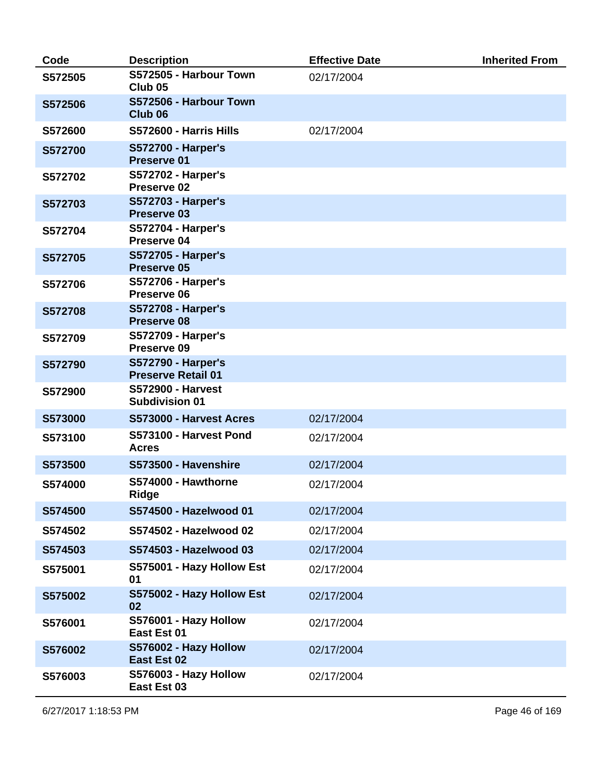| Code    | <b>Description</b>                                     | <b>Effective Date</b> | <b>Inherited From</b> |
|---------|--------------------------------------------------------|-----------------------|-----------------------|
| S572505 | S572505 - Harbour Town<br>Club <sub>05</sub>           | 02/17/2004            |                       |
| S572506 | S572506 - Harbour Town<br>Club <sub>06</sub>           |                       |                       |
| S572600 | S572600 - Harris Hills                                 | 02/17/2004            |                       |
| S572700 | <b>S572700 - Harper's</b><br>Preserve 01               |                       |                       |
| S572702 | <b>S572702 - Harper's</b><br>Preserve 02               |                       |                       |
| S572703 | <b>S572703 - Harper's</b><br>Preserve 03               |                       |                       |
| S572704 | <b>S572704 - Harper's</b><br>Preserve 04               |                       |                       |
| S572705 | <b>S572705 - Harper's</b><br>Preserve 05               |                       |                       |
| S572706 | <b>S572706 - Harper's</b><br>Preserve 06               |                       |                       |
| S572708 | <b>S572708 - Harper's</b><br><b>Preserve 08</b>        |                       |                       |
| S572709 | <b>S572709 - Harper's</b><br>Preserve 09               |                       |                       |
| S572790 | <b>S572790 - Harper's</b><br><b>Preserve Retail 01</b> |                       |                       |
| S572900 | <b>S572900 - Harvest</b><br><b>Subdivision 01</b>      |                       |                       |
| S573000 | S573000 - Harvest Acres                                | 02/17/2004            |                       |
| S573100 | S573100 - Harvest Pond<br><b>Acres</b>                 | 02/17/2004            |                       |
| S573500 | S573500 - Havenshire                                   | 02/17/2004            |                       |
| S574000 | S574000 - Hawthorne<br><b>Ridge</b>                    | 02/17/2004            |                       |
| S574500 | S574500 - Hazelwood 01                                 | 02/17/2004            |                       |
| S574502 | S574502 - Hazelwood 02                                 | 02/17/2004            |                       |
| S574503 | S574503 - Hazelwood 03                                 | 02/17/2004            |                       |
| S575001 | S575001 - Hazy Hollow Est<br>01                        | 02/17/2004            |                       |
| S575002 | S575002 - Hazy Hollow Est<br>02                        | 02/17/2004            |                       |
| S576001 | S576001 - Hazy Hollow<br>East Est 01                   | 02/17/2004            |                       |
| S576002 | S576002 - Hazy Hollow<br>East Est 02                   | 02/17/2004            |                       |
| S576003 | S576003 - Hazy Hollow<br>East Est 03                   | 02/17/2004            |                       |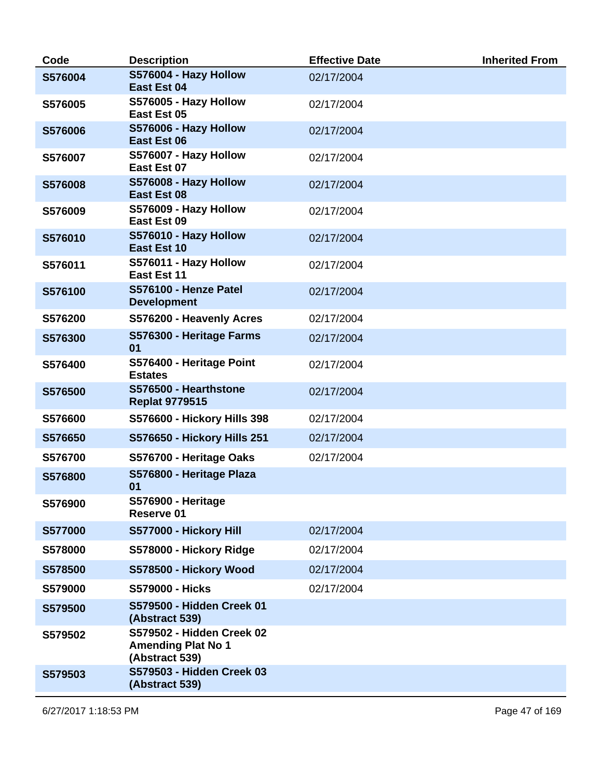| Code    | <b>Description</b>                                                       | <b>Effective Date</b> | <b>Inherited From</b> |
|---------|--------------------------------------------------------------------------|-----------------------|-----------------------|
| S576004 | S576004 - Hazy Hollow<br><b>East Est 04</b>                              | 02/17/2004            |                       |
| S576005 | S576005 - Hazy Hollow<br>East Est 05                                     | 02/17/2004            |                       |
| S576006 | S576006 - Hazy Hollow<br><b>East Est 06</b>                              | 02/17/2004            |                       |
| S576007 | S576007 - Hazy Hollow<br>East Est 07                                     | 02/17/2004            |                       |
| S576008 | S576008 - Hazy Hollow<br><b>East Est 08</b>                              | 02/17/2004            |                       |
| S576009 | S576009 - Hazy Hollow<br>East Est 09                                     | 02/17/2004            |                       |
| S576010 | S576010 - Hazy Hollow<br><b>East Est 10</b>                              | 02/17/2004            |                       |
| S576011 | S576011 - Hazy Hollow<br>East Est 11                                     | 02/17/2004            |                       |
| S576100 | S576100 - Henze Patel<br><b>Development</b>                              | 02/17/2004            |                       |
| S576200 | S576200 - Heavenly Acres                                                 | 02/17/2004            |                       |
| S576300 | S576300 - Heritage Farms<br>01                                           | 02/17/2004            |                       |
| S576400 | S576400 - Heritage Point<br><b>Estates</b>                               | 02/17/2004            |                       |
| S576500 | S576500 - Hearthstone<br><b>Replat 9779515</b>                           | 02/17/2004            |                       |
| S576600 | S576600 - Hickory Hills 398                                              | 02/17/2004            |                       |
| S576650 | S576650 - Hickory Hills 251                                              | 02/17/2004            |                       |
| S576700 | S576700 - Heritage Oaks                                                  | 02/17/2004            |                       |
| S576800 | S576800 - Heritage Plaza<br>01                                           |                       |                       |
| S576900 | <b>S576900 - Heritage</b><br>Reserve 01                                  |                       |                       |
| S577000 | S577000 - Hickory Hill                                                   | 02/17/2004            |                       |
| S578000 | S578000 - Hickory Ridge                                                  | 02/17/2004            |                       |
| S578500 | S578500 - Hickory Wood                                                   | 02/17/2004            |                       |
| S579000 | <b>S579000 - Hicks</b>                                                   | 02/17/2004            |                       |
| S579500 | S579500 - Hidden Creek 01<br>(Abstract 539)                              |                       |                       |
| S579502 | S579502 - Hidden Creek 02<br><b>Amending Plat No 1</b><br>(Abstract 539) |                       |                       |
| S579503 | S579503 - Hidden Creek 03<br>(Abstract 539)                              |                       |                       |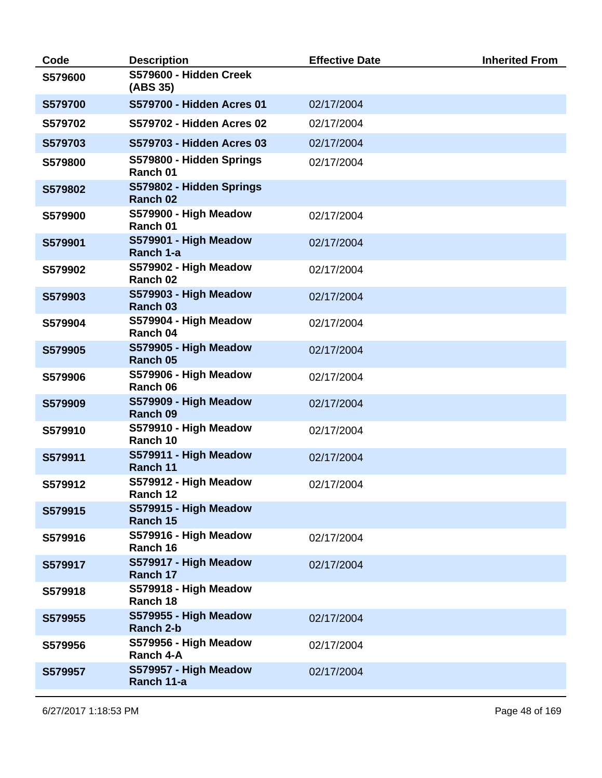| Code    | <b>Description</b>                   | <b>Effective Date</b> | <b>Inherited From</b> |
|---------|--------------------------------------|-----------------------|-----------------------|
| S579600 | S579600 - Hidden Creek<br>(ABS 35)   |                       |                       |
| S579700 | S579700 - Hidden Acres 01            | 02/17/2004            |                       |
| S579702 | S579702 - Hidden Acres 02            | 02/17/2004            |                       |
| S579703 | S579703 - Hidden Acres 03            | 02/17/2004            |                       |
| S579800 | S579800 - Hidden Springs<br>Ranch 01 | 02/17/2004            |                       |
| S579802 | S579802 - Hidden Springs<br>Ranch 02 |                       |                       |
| S579900 | S579900 - High Meadow<br>Ranch 01    | 02/17/2004            |                       |
| S579901 | S579901 - High Meadow<br>Ranch 1-a   | 02/17/2004            |                       |
| S579902 | S579902 - High Meadow<br>Ranch 02    | 02/17/2004            |                       |
| S579903 | S579903 - High Meadow<br>Ranch 03    | 02/17/2004            |                       |
| S579904 | S579904 - High Meadow<br>Ranch 04    | 02/17/2004            |                       |
| S579905 | S579905 - High Meadow<br>Ranch 05    | 02/17/2004            |                       |
| S579906 | S579906 - High Meadow<br>Ranch 06    | 02/17/2004            |                       |
| S579909 | S579909 - High Meadow<br>Ranch 09    | 02/17/2004            |                       |
| S579910 | S579910 - High Meadow<br>Ranch 10    | 02/17/2004            |                       |
| S579911 | S579911 - High Meadow<br>Ranch 11    | 02/17/2004            |                       |
| S579912 | S579912 - High Meadow<br>Ranch 12    | 02/17/2004            |                       |
| S579915 | S579915 - High Meadow<br>Ranch 15    |                       |                       |
| S579916 | S579916 - High Meadow<br>Ranch 16    | 02/17/2004            |                       |
| S579917 | S579917 - High Meadow<br>Ranch 17    | 02/17/2004            |                       |
| S579918 | S579918 - High Meadow<br>Ranch 18    |                       |                       |
| S579955 | S579955 - High Meadow<br>Ranch 2-b   | 02/17/2004            |                       |
| S579956 | S579956 - High Meadow<br>Ranch 4-A   | 02/17/2004            |                       |
| S579957 | S579957 - High Meadow<br>Ranch 11-a  | 02/17/2004            |                       |
|         |                                      |                       |                       |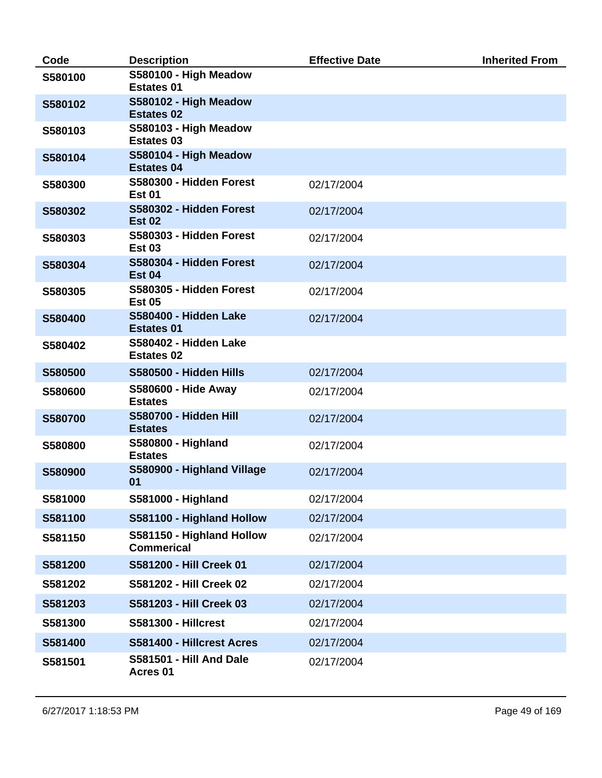| Code    | <b>Description</b>                             | <b>Effective Date</b> | <b>Inherited From</b> |
|---------|------------------------------------------------|-----------------------|-----------------------|
| S580100 | S580100 - High Meadow<br><b>Estates 01</b>     |                       |                       |
| S580102 | S580102 - High Meadow<br><b>Estates 02</b>     |                       |                       |
| S580103 | S580103 - High Meadow<br><b>Estates 03</b>     |                       |                       |
| S580104 | S580104 - High Meadow<br><b>Estates 04</b>     |                       |                       |
| S580300 | S580300 - Hidden Forest<br><b>Est 01</b>       | 02/17/2004            |                       |
| S580302 | S580302 - Hidden Forest<br><b>Est 02</b>       | 02/17/2004            |                       |
| S580303 | S580303 - Hidden Forest<br><b>Est 03</b>       | 02/17/2004            |                       |
| S580304 | S580304 - Hidden Forest<br><b>Est 04</b>       | 02/17/2004            |                       |
| S580305 | S580305 - Hidden Forest<br><b>Est 05</b>       | 02/17/2004            |                       |
| S580400 | S580400 - Hidden Lake<br><b>Estates 01</b>     | 02/17/2004            |                       |
| S580402 | S580402 - Hidden Lake<br><b>Estates 02</b>     |                       |                       |
| S580500 | S580500 - Hidden Hills                         | 02/17/2004            |                       |
| S580600 | S580600 - Hide Away<br><b>Estates</b>          | 02/17/2004            |                       |
| S580700 | <b>S580700 - Hidden Hill</b><br><b>Estates</b> | 02/17/2004            |                       |
| S580800 | S580800 - Highland<br><b>Estates</b>           | 02/17/2004            |                       |
| S580900 | S580900 - Highland Village<br>01               | 02/17/2004            |                       |
| S581000 | S581000 - Highland                             | 02/17/2004            |                       |
| S581100 | S581100 - Highland Hollow                      | 02/17/2004            |                       |
| S581150 | S581150 - Highland Hollow<br><b>Commerical</b> | 02/17/2004            |                       |
| S581200 | S581200 - Hill Creek 01                        | 02/17/2004            |                       |
| S581202 | S581202 - Hill Creek 02                        | 02/17/2004            |                       |
| S581203 | S581203 - Hill Creek 03                        | 02/17/2004            |                       |
| S581300 | <b>S581300 - Hillcrest</b>                     | 02/17/2004            |                       |
| S581400 | S581400 - Hillcrest Acres                      | 02/17/2004            |                       |
| S581501 | <b>S581501 - Hill And Dale</b><br>Acres 01     | 02/17/2004            |                       |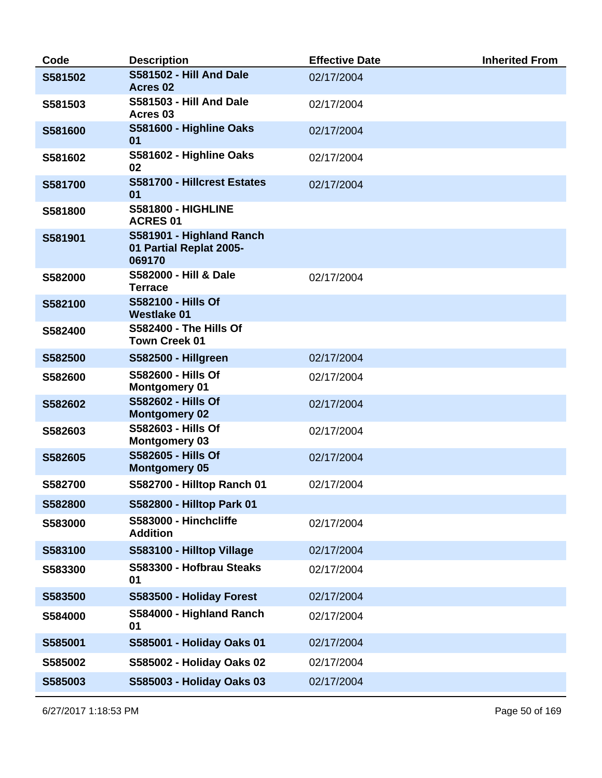| Code    | <b>Description</b>                                            | <b>Effective Date</b> | <b>Inherited From</b> |
|---------|---------------------------------------------------------------|-----------------------|-----------------------|
| S581502 | <b>S581502 - Hill And Dale</b><br>Acres <sub>02</sub>         | 02/17/2004            |                       |
| S581503 | <b>S581503 - Hill And Dale</b><br>Acres <sub>03</sub>         | 02/17/2004            |                       |
| S581600 | S581600 - Highline Oaks<br>01                                 | 02/17/2004            |                       |
| S581602 | S581602 - Highline Oaks<br>02                                 | 02/17/2004            |                       |
| S581700 | S581700 - Hillcrest Estates<br>01                             | 02/17/2004            |                       |
| S581800 | <b>S581800 - HIGHLINE</b><br><b>ACRES 01</b>                  |                       |                       |
| S581901 | S581901 - Highland Ranch<br>01 Partial Replat 2005-<br>069170 |                       |                       |
| S582000 | S582000 - Hill & Dale<br><b>Terrace</b>                       | 02/17/2004            |                       |
| S582100 | S582100 - Hills Of<br><b>Westlake 01</b>                      |                       |                       |
| S582400 | <b>S582400 - The Hills Of</b><br><b>Town Creek 01</b>         |                       |                       |
| S582500 | <b>S582500 - Hillgreen</b>                                    | 02/17/2004            |                       |
| S582600 | S582600 - Hills Of<br><b>Montgomery 01</b>                    | 02/17/2004            |                       |
| S582602 | <b>S582602 - Hills Of</b><br><b>Montgomery 02</b>             | 02/17/2004            |                       |
| S582603 | S582603 - Hills Of<br><b>Montgomery 03</b>                    | 02/17/2004            |                       |
| S582605 | S582605 - Hills Of<br><b>Montgomery 05</b>                    | 02/17/2004            |                       |
| S582700 | S582700 - Hilltop Ranch 01                                    | 02/17/2004            |                       |
| S582800 | S582800 - Hilltop Park 01                                     |                       |                       |
| S583000 | S583000 - Hinchcliffe<br><b>Addition</b>                      | 02/17/2004            |                       |
| S583100 | S583100 - Hilltop Village                                     | 02/17/2004            |                       |
| S583300 | S583300 - Hofbrau Steaks<br>01                                | 02/17/2004            |                       |
| S583500 | S583500 - Holiday Forest                                      | 02/17/2004            |                       |
| S584000 | S584000 - Highland Ranch<br>01                                | 02/17/2004            |                       |
| S585001 | S585001 - Holiday Oaks 01                                     | 02/17/2004            |                       |
| S585002 | S585002 - Holiday Oaks 02                                     | 02/17/2004            |                       |
| S585003 | S585003 - Holiday Oaks 03                                     | 02/17/2004            |                       |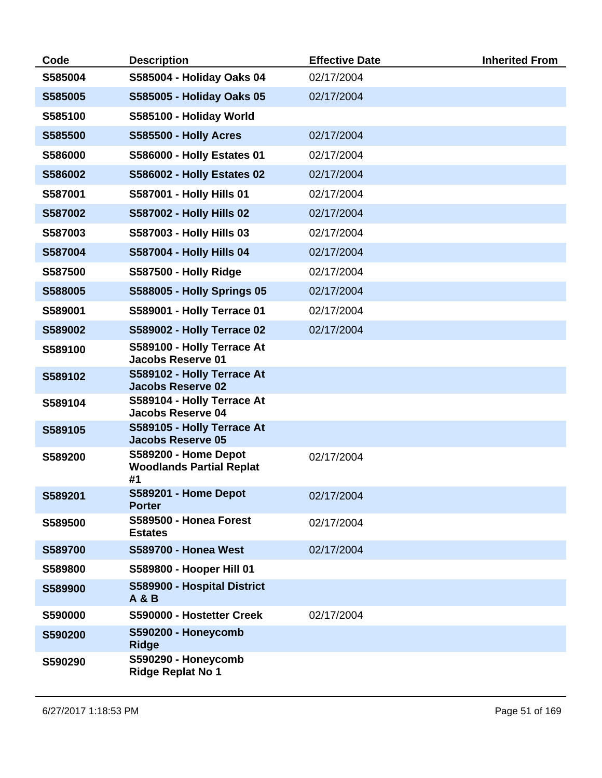| Code    | <b>Description</b>                                                   | <b>Effective Date</b> | <b>Inherited From</b> |
|---------|----------------------------------------------------------------------|-----------------------|-----------------------|
| S585004 | S585004 - Holiday Oaks 04                                            | 02/17/2004            |                       |
| S585005 | S585005 - Holiday Oaks 05                                            | 02/17/2004            |                       |
| S585100 | S585100 - Holiday World                                              |                       |                       |
| S585500 | <b>S585500 - Holly Acres</b>                                         | 02/17/2004            |                       |
| S586000 | <b>S586000 - Holly Estates 01</b>                                    | 02/17/2004            |                       |
| S586002 | <b>S586002 - Holly Estates 02</b>                                    | 02/17/2004            |                       |
| S587001 | S587001 - Holly Hills 01                                             | 02/17/2004            |                       |
| S587002 | <b>S587002 - Holly Hills 02</b>                                      | 02/17/2004            |                       |
| S587003 | S587003 - Holly Hills 03                                             | 02/17/2004            |                       |
| S587004 | S587004 - Holly Hills 04                                             | 02/17/2004            |                       |
| S587500 | <b>S587500 - Holly Ridge</b>                                         | 02/17/2004            |                       |
| S588005 | <b>S588005 - Holly Springs 05</b>                                    | 02/17/2004            |                       |
| S589001 | S589001 - Holly Terrace 01                                           | 02/17/2004            |                       |
| S589002 | <b>S589002 - Holly Terrace 02</b>                                    | 02/17/2004            |                       |
| S589100 | S589100 - Holly Terrace At<br><b>Jacobs Reserve 01</b>               |                       |                       |
| S589102 | S589102 - Holly Terrace At<br><b>Jacobs Reserve 02</b>               |                       |                       |
| S589104 | S589104 - Holly Terrace At<br><b>Jacobs Reserve 04</b>               |                       |                       |
| S589105 | S589105 - Holly Terrace At<br><b>Jacobs Reserve 05</b>               |                       |                       |
| S589200 | <b>S589200 - Home Depot</b><br><b>Woodlands Partial Replat</b><br>#1 | 02/17/2004            |                       |
| S589201 | <b>S589201 - Home Depot</b><br><b>Porter</b>                         | 02/17/2004            |                       |
| S589500 | S589500 - Honea Forest<br><b>Estates</b>                             | 02/17/2004            |                       |
| S589700 | <b>S589700 - Honea West</b>                                          | 02/17/2004            |                       |
| S589800 | S589800 - Hooper Hill 01                                             |                       |                       |
| S589900 | S589900 - Hospital District<br><b>A &amp; B</b>                      |                       |                       |
| S590000 | S590000 - Hostetter Creek                                            | 02/17/2004            |                       |
| S590200 | S590200 - Honeycomb<br><b>Ridge</b>                                  |                       |                       |
| S590290 | S590290 - Honeycomb<br><b>Ridge Replat No 1</b>                      |                       |                       |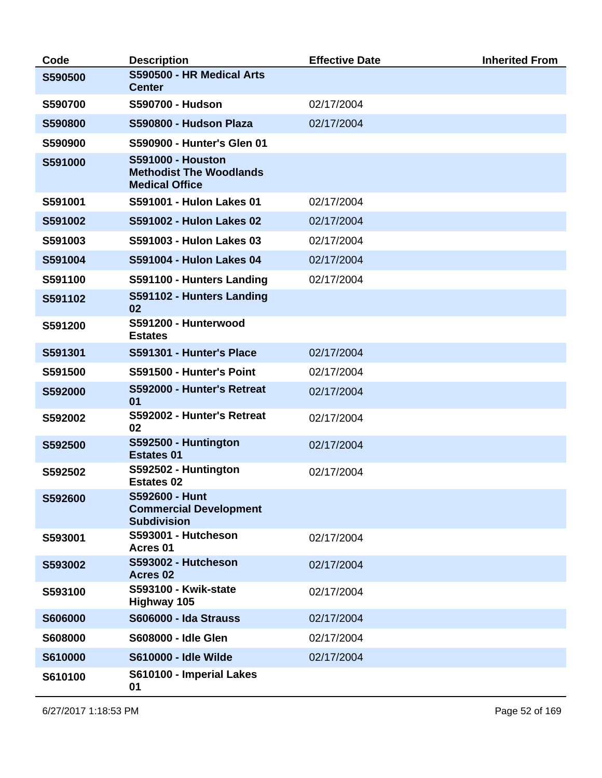| Code           | <b>Description</b>                                                                  | <b>Effective Date</b> | <b>Inherited From</b> |
|----------------|-------------------------------------------------------------------------------------|-----------------------|-----------------------|
| S590500        | S590500 - HR Medical Arts<br><b>Center</b>                                          |                       |                       |
| S590700        | <b>S590700 - Hudson</b>                                                             | 02/17/2004            |                       |
| S590800        | S590800 - Hudson Plaza                                                              | 02/17/2004            |                       |
| S590900        | S590900 - Hunter's Glen 01                                                          |                       |                       |
| S591000        | <b>S591000 - Houston</b><br><b>Methodist The Woodlands</b><br><b>Medical Office</b> |                       |                       |
| S591001        | S591001 - Hulon Lakes 01                                                            | 02/17/2004            |                       |
| S591002        | S591002 - Hulon Lakes 02                                                            | 02/17/2004            |                       |
| S591003        | S591003 - Hulon Lakes 03                                                            | 02/17/2004            |                       |
| S591004        | S591004 - Hulon Lakes 04                                                            | 02/17/2004            |                       |
| S591100        | S591100 - Hunters Landing                                                           | 02/17/2004            |                       |
| S591102        | S591102 - Hunters Landing<br>02                                                     |                       |                       |
| S591200        | S591200 - Hunterwood<br><b>Estates</b>                                              |                       |                       |
| S591301        | S591301 - Hunter's Place                                                            | 02/17/2004            |                       |
| S591500        | S591500 - Hunter's Point                                                            | 02/17/2004            |                       |
| S592000        | S592000 - Hunter's Retreat<br>01                                                    | 02/17/2004            |                       |
| S592002        | S592002 - Hunter's Retreat<br>02                                                    | 02/17/2004            |                       |
| S592500        | S592500 - Huntington<br><b>Estates 01</b>                                           | 02/17/2004            |                       |
| S592502        | S592502 - Huntington<br><b>Estates 02</b>                                           | 02/17/2004            |                       |
| S592600        | S592600 - Hunt<br><b>Commercial Development</b><br><b>Subdivision</b>               |                       |                       |
| S593001        | S593001 - Hutcheson<br>Acres 01                                                     | 02/17/2004            |                       |
| S593002        | S593002 - Hutcheson<br>Acres 02                                                     | 02/17/2004            |                       |
| S593100        | <b>S593100 - Kwik-state</b><br>Highway 105                                          | 02/17/2004            |                       |
| <b>S606000</b> | <b>S606000 - Ida Strauss</b>                                                        | 02/17/2004            |                       |
| S608000        | S608000 - Idle Glen                                                                 | 02/17/2004            |                       |
| S610000        | <b>S610000 - Idle Wilde</b>                                                         | 02/17/2004            |                       |
| S610100        | S610100 - Imperial Lakes<br>01                                                      |                       |                       |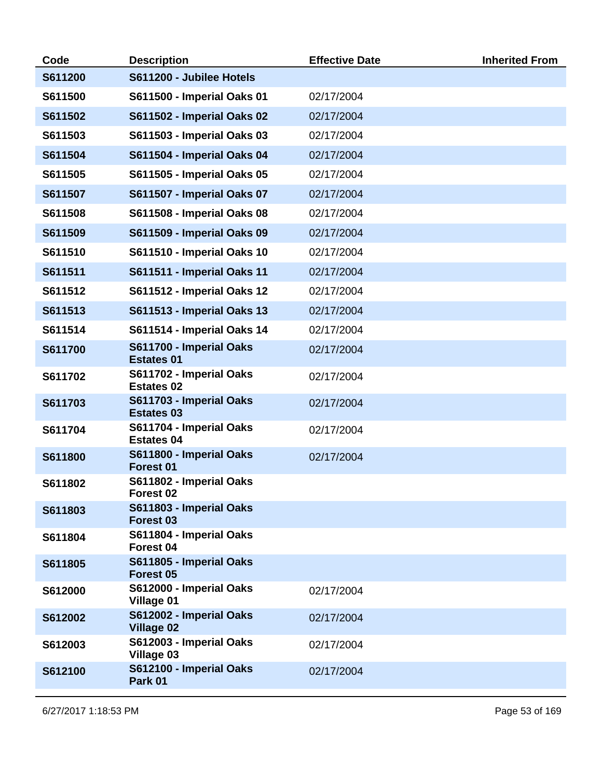| Code    | <b>Description</b>                              | <b>Effective Date</b> | <b>Inherited From</b> |
|---------|-------------------------------------------------|-----------------------|-----------------------|
| S611200 | S611200 - Jubilee Hotels                        |                       |                       |
| S611500 | S611500 - Imperial Oaks 01                      | 02/17/2004            |                       |
| S611502 | <b>S611502 - Imperial Oaks 02</b>               | 02/17/2004            |                       |
| S611503 | S611503 - Imperial Oaks 03                      | 02/17/2004            |                       |
| S611504 | <b>S611504 - Imperial Oaks 04</b>               | 02/17/2004            |                       |
| S611505 | S611505 - Imperial Oaks 05                      | 02/17/2004            |                       |
| S611507 | S611507 - Imperial Oaks 07                      | 02/17/2004            |                       |
| S611508 | <b>S611508 - Imperial Oaks 08</b>               | 02/17/2004            |                       |
| S611509 | <b>S611509 - Imperial Oaks 09</b>               | 02/17/2004            |                       |
| S611510 | <b>S611510 - Imperial Oaks 10</b>               | 02/17/2004            |                       |
| S611511 | S611511 - Imperial Oaks 11                      | 02/17/2004            |                       |
| S611512 | S611512 - Imperial Oaks 12                      | 02/17/2004            |                       |
| S611513 | <b>S611513 - Imperial Oaks 13</b>               | 02/17/2004            |                       |
| S611514 | S611514 - Imperial Oaks 14                      | 02/17/2004            |                       |
| S611700 | S611700 - Imperial Oaks<br><b>Estates 01</b>    | 02/17/2004            |                       |
| S611702 | S611702 - Imperial Oaks<br><b>Estates 02</b>    | 02/17/2004            |                       |
| S611703 | S611703 - Imperial Oaks<br><b>Estates 03</b>    | 02/17/2004            |                       |
| S611704 | S611704 - Imperial Oaks<br><b>Estates 04</b>    | 02/17/2004            |                       |
| S611800 | S611800 - Imperial Oaks<br>Forest 01            | 02/17/2004            |                       |
| S611802 | S611802 - Imperial Oaks<br>Forest 02            |                       |                       |
| S611803 | S611803 - Imperial Oaks<br>Forest <sub>03</sub> |                       |                       |
| S611804 | S611804 - Imperial Oaks<br>Forest 04            |                       |                       |
| S611805 | S611805 - Imperial Oaks<br>Forest 05            |                       |                       |
| S612000 | S612000 - Imperial Oaks<br>Village 01           | 02/17/2004            |                       |
| S612002 | S612002 - Imperial Oaks<br><b>Village 02</b>    | 02/17/2004            |                       |
| S612003 | S612003 - Imperial Oaks<br>Village 03           | 02/17/2004            |                       |
| S612100 | S612100 - Imperial Oaks<br>Park 01              | 02/17/2004            |                       |
|         |                                                 |                       |                       |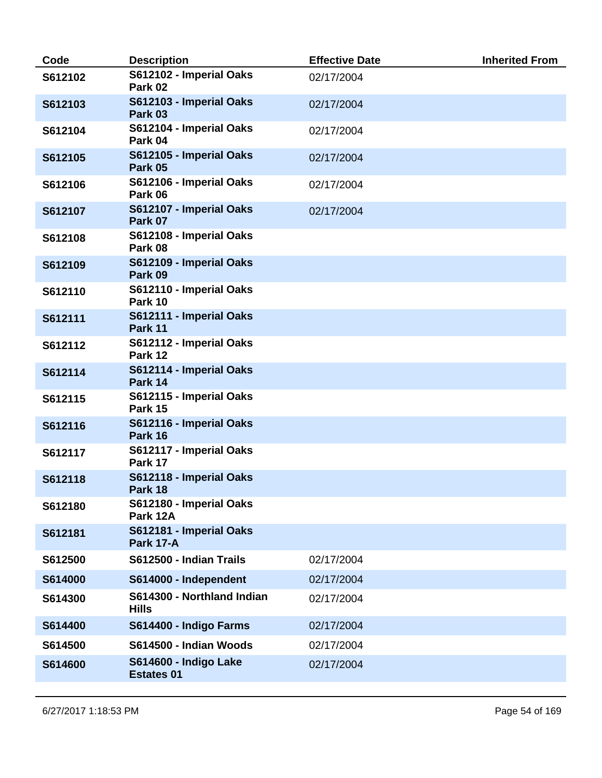| Code    | <b>Description</b>                          | <b>Effective Date</b> | <b>Inherited From</b> |
|---------|---------------------------------------------|-----------------------|-----------------------|
| S612102 | S612102 - Imperial Oaks<br>Park 02          | 02/17/2004            |                       |
| S612103 | S612103 - Imperial Oaks<br>Park 03          | 02/17/2004            |                       |
| S612104 | S612104 - Imperial Oaks<br>Park 04          | 02/17/2004            |                       |
| S612105 | S612105 - Imperial Oaks<br>Park 05          | 02/17/2004            |                       |
| S612106 | S612106 - Imperial Oaks<br>Park 06          | 02/17/2004            |                       |
| S612107 | S612107 - Imperial Oaks<br>Park 07          | 02/17/2004            |                       |
| S612108 | S612108 - Imperial Oaks<br>Park 08          |                       |                       |
| S612109 | S612109 - Imperial Oaks<br>Park 09          |                       |                       |
| S612110 | S612110 - Imperial Oaks<br>Park 10          |                       |                       |
| S612111 | S612111 - Imperial Oaks<br>Park 11          |                       |                       |
| S612112 | S612112 - Imperial Oaks<br>Park 12          |                       |                       |
| S612114 | S612114 - Imperial Oaks<br>Park 14          |                       |                       |
| S612115 | S612115 - Imperial Oaks<br>Park 15          |                       |                       |
| S612116 | S612116 - Imperial Oaks<br>Park 16          |                       |                       |
| S612117 | S612117 - Imperial Oaks<br>Park 17          |                       |                       |
| S612118 | S612118 - Imperial Oaks<br>Park 18          |                       |                       |
| S612180 | S612180 - Imperial Oaks<br>Park 12A         |                       |                       |
| S612181 | S612181 - Imperial Oaks<br><b>Park 17-A</b> |                       |                       |
| S612500 | S612500 - Indian Trails                     | 02/17/2004            |                       |
| S614000 | S614000 - Independent                       | 02/17/2004            |                       |
| S614300 | S614300 - Northland Indian<br><b>Hills</b>  | 02/17/2004            |                       |
| S614400 | S614400 - Indigo Farms                      | 02/17/2004            |                       |
| S614500 | S614500 - Indian Woods                      | 02/17/2004            |                       |
| S614600 | S614600 - Indigo Lake<br><b>Estates 01</b>  | 02/17/2004            |                       |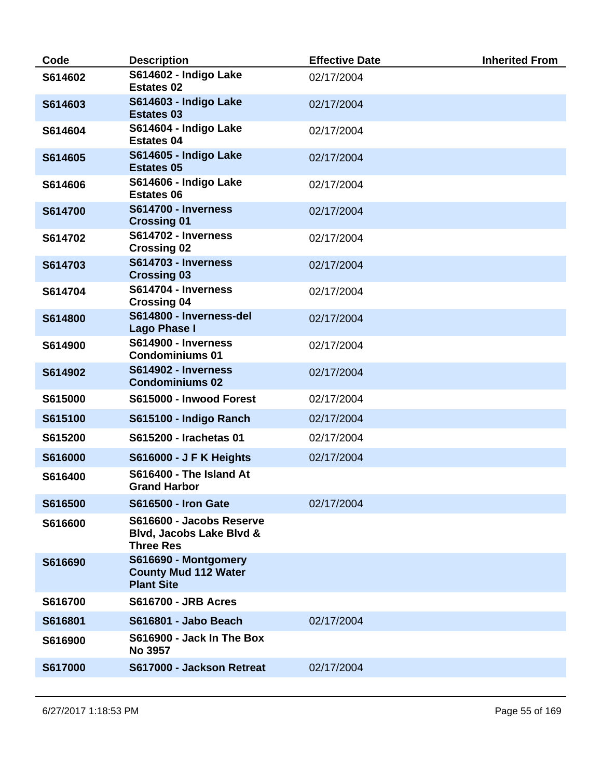| Code    | <b>Description</b>                                                       | <b>Effective Date</b> | <b>Inherited From</b> |
|---------|--------------------------------------------------------------------------|-----------------------|-----------------------|
| S614602 | S614602 - Indigo Lake<br><b>Estates 02</b>                               | 02/17/2004            |                       |
| S614603 | S614603 - Indigo Lake<br><b>Estates 03</b>                               | 02/17/2004            |                       |
| S614604 | S614604 - Indigo Lake<br><b>Estates 04</b>                               | 02/17/2004            |                       |
| S614605 | S614605 - Indigo Lake<br><b>Estates 05</b>                               | 02/17/2004            |                       |
| S614606 | S614606 - Indigo Lake<br><b>Estates 06</b>                               | 02/17/2004            |                       |
| S614700 | <b>S614700 - Inverness</b><br><b>Crossing 01</b>                         | 02/17/2004            |                       |
| S614702 | <b>S614702 - Inverness</b><br><b>Crossing 02</b>                         | 02/17/2004            |                       |
| S614703 | <b>S614703 - Inverness</b><br><b>Crossing 03</b>                         | 02/17/2004            |                       |
| S614704 | S614704 - Inverness<br><b>Crossing 04</b>                                | 02/17/2004            |                       |
| S614800 | S614800 - Inverness-del<br><b>Lago Phase I</b>                           | 02/17/2004            |                       |
| S614900 | <b>S614900 - Inverness</b><br><b>Condominiums 01</b>                     | 02/17/2004            |                       |
| S614902 | S614902 - Inverness<br><b>Condominiums 02</b>                            | 02/17/2004            |                       |
| S615000 | S615000 - Inwood Forest                                                  | 02/17/2004            |                       |
| S615100 | S615100 - Indigo Ranch                                                   | 02/17/2004            |                       |
| S615200 | S615200 - Irachetas 01                                                   | 02/17/2004            |                       |
| S616000 | <b>S616000 - J F K Heights</b>                                           | 02/17/2004            |                       |
| S616400 | S616400 - The Island At<br><b>Grand Harbor</b>                           |                       |                       |
| S616500 | <b>S616500 - Iron Gate</b>                                               | 02/17/2004            |                       |
| S616600 | S616600 - Jacobs Reserve<br>Blvd, Jacobs Lake Blvd &<br><b>Three Res</b> |                       |                       |
| S616690 | S616690 - Montgomery<br><b>County Mud 112 Water</b><br><b>Plant Site</b> |                       |                       |
| S616700 | <b>S616700 - JRB Acres</b>                                               |                       |                       |
| S616801 | <b>S616801 - Jabo Beach</b>                                              | 02/17/2004            |                       |
| S616900 | S616900 - Jack In The Box<br><b>No 3957</b>                              |                       |                       |
| S617000 | S617000 - Jackson Retreat                                                | 02/17/2004            |                       |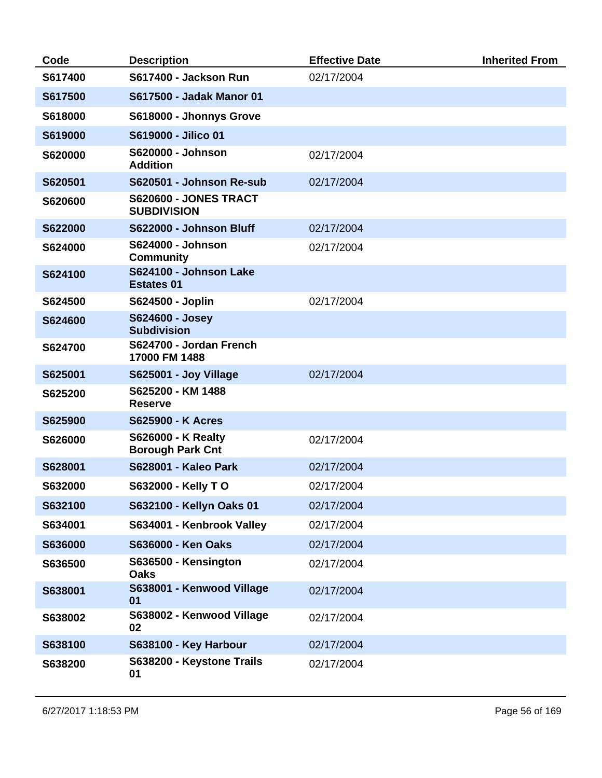| Code    | <b>Description</b>                                   | <b>Effective Date</b> | <b>Inherited From</b> |
|---------|------------------------------------------------------|-----------------------|-----------------------|
| S617400 | S617400 - Jackson Run                                | 02/17/2004            |                       |
| S617500 | S617500 - Jadak Manor 01                             |                       |                       |
| S618000 | S618000 - Jhonnys Grove                              |                       |                       |
| S619000 | S619000 - Jilico 01                                  |                       |                       |
| S620000 | S620000 - Johnson<br><b>Addition</b>                 | 02/17/2004            |                       |
| S620501 | S620501 - Johnson Re-sub                             | 02/17/2004            |                       |
| S620600 | <b>S620600 - JONES TRACT</b><br><b>SUBDIVISION</b>   |                       |                       |
| S622000 | S622000 - Johnson Bluff                              | 02/17/2004            |                       |
| S624000 | S624000 - Johnson<br><b>Community</b>                | 02/17/2004            |                       |
| S624100 | S624100 - Johnson Lake<br><b>Estates 01</b>          |                       |                       |
| S624500 | S624500 - Joplin                                     | 02/17/2004            |                       |
| S624600 | S624600 - Josey<br><b>Subdivision</b>                |                       |                       |
| S624700 | S624700 - Jordan French<br>17000 FM 1488             |                       |                       |
| S625001 | <b>S625001 - Joy Village</b>                         | 02/17/2004            |                       |
| S625200 | S625200 - KM 1488<br><b>Reserve</b>                  |                       |                       |
| S625900 | <b>S625900 - K Acres</b>                             |                       |                       |
| S626000 | <b>S626000 - K Realty</b><br><b>Borough Park Cnt</b> | 02/17/2004            |                       |
| S628001 | <b>S628001 - Kaleo Park</b>                          | 02/17/2004            |                       |
| S632000 | <b>S632000 - Kelly TO</b>                            | 02/17/2004            |                       |
| S632100 | S632100 - Kellyn Oaks 01                             | 02/17/2004            |                       |
| S634001 | S634001 - Kenbrook Valley                            | 02/17/2004            |                       |
| S636000 | S636000 - Ken Oaks                                   | 02/17/2004            |                       |
| S636500 | S636500 - Kensington<br><b>Oaks</b>                  | 02/17/2004            |                       |
| S638001 | S638001 - Kenwood Village<br>01                      | 02/17/2004            |                       |
| S638002 | S638002 - Kenwood Village<br>02                      | 02/17/2004            |                       |
| S638100 | S638100 - Key Harbour                                | 02/17/2004            |                       |
| S638200 | S638200 - Keystone Trails<br>01                      | 02/17/2004            |                       |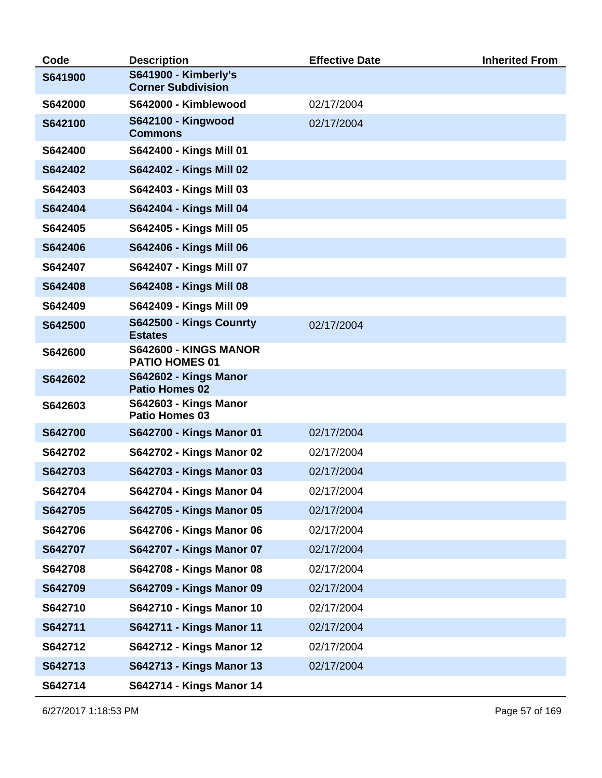| Code    | <b>Description</b>                                    | <b>Effective Date</b> | <b>Inherited From</b> |
|---------|-------------------------------------------------------|-----------------------|-----------------------|
| S641900 | S641900 - Kimberly's<br><b>Corner Subdivision</b>     |                       |                       |
| S642000 | S642000 - Kimblewood                                  | 02/17/2004            |                       |
| S642100 | <b>S642100 - Kingwood</b><br><b>Commons</b>           | 02/17/2004            |                       |
| S642400 | S642400 - Kings Mill 01                               |                       |                       |
| S642402 | S642402 - Kings Mill 02                               |                       |                       |
| S642403 | S642403 - Kings Mill 03                               |                       |                       |
| S642404 | S642404 - Kings Mill 04                               |                       |                       |
| S642405 | S642405 - Kings Mill 05                               |                       |                       |
| S642406 | S642406 - Kings Mill 06                               |                       |                       |
| S642407 | S642407 - Kings Mill 07                               |                       |                       |
| S642408 | S642408 - Kings Mill 08                               |                       |                       |
| S642409 | S642409 - Kings Mill 09                               |                       |                       |
| S642500 | S642500 - Kings Counrty<br><b>Estates</b>             | 02/17/2004            |                       |
| S642600 | S642600 - KINGS MANOR<br><b>PATIO HOMES 01</b>        |                       |                       |
| S642602 | <b>S642602 - Kings Manor</b><br><b>Patio Homes 02</b> |                       |                       |
| S642603 | <b>S642603 - Kings Manor</b><br>Patio Homes 03        |                       |                       |
| S642700 | S642700 - Kings Manor 01                              | 02/17/2004            |                       |
| S642702 | S642702 - Kings Manor 02                              | 02/17/2004            |                       |
| S642703 | S642703 - Kings Manor 03                              | 02/17/2004            |                       |
| S642704 | S642704 - Kings Manor 04                              | 02/17/2004            |                       |
| S642705 | S642705 - Kings Manor 05                              | 02/17/2004            |                       |
| S642706 | S642706 - Kings Manor 06                              | 02/17/2004            |                       |
| S642707 | S642707 - Kings Manor 07                              | 02/17/2004            |                       |
| S642708 | <b>S642708 - Kings Manor 08</b>                       | 02/17/2004            |                       |
| S642709 | S642709 - Kings Manor 09                              | 02/17/2004            |                       |
| S642710 | S642710 - Kings Manor 10                              | 02/17/2004            |                       |
| S642711 | <b>S642711 - Kings Manor 11</b>                       | 02/17/2004            |                       |
| S642712 | S642712 - Kings Manor 12                              | 02/17/2004            |                       |
| S642713 | <b>S642713 - Kings Manor 13</b>                       | 02/17/2004            |                       |
| S642714 | S642714 - Kings Manor 14                              |                       |                       |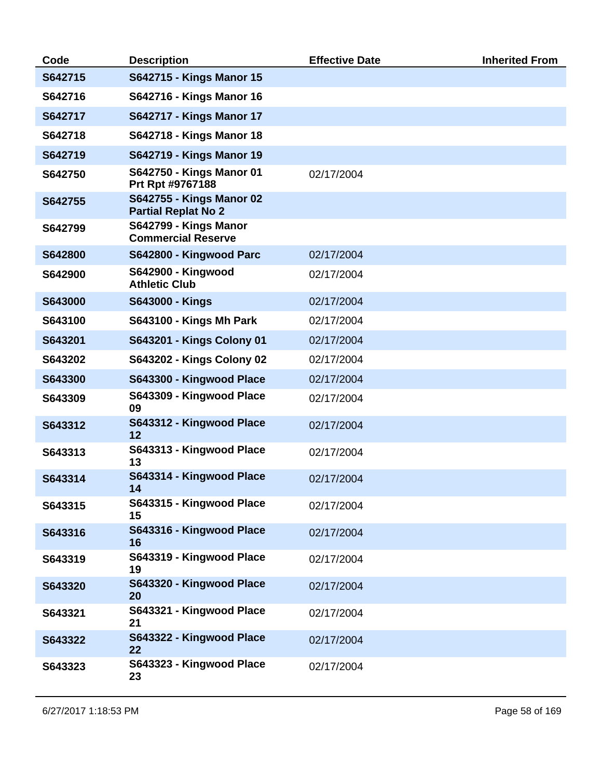| Code    | <b>Description</b>                                     | <b>Effective Date</b> | <b>Inherited From</b> |
|---------|--------------------------------------------------------|-----------------------|-----------------------|
| S642715 | <b>S642715 - Kings Manor 15</b>                        |                       |                       |
| S642716 | S642716 - Kings Manor 16                               |                       |                       |
| S642717 | <b>S642717 - Kings Manor 17</b>                        |                       |                       |
| S642718 | S642718 - Kings Manor 18                               |                       |                       |
| S642719 | <b>S642719 - Kings Manor 19</b>                        |                       |                       |
| S642750 | S642750 - Kings Manor 01<br>Prt Rpt #9767188           | 02/17/2004            |                       |
| S642755 | S642755 - Kings Manor 02<br><b>Partial Replat No 2</b> |                       |                       |
| S642799 | S642799 - Kings Manor<br><b>Commercial Reserve</b>     |                       |                       |
| S642800 | S642800 - Kingwood Parc                                | 02/17/2004            |                       |
| S642900 | <b>S642900 - Kingwood</b><br><b>Athletic Club</b>      | 02/17/2004            |                       |
| S643000 | S643000 - Kings                                        | 02/17/2004            |                       |
| S643100 | <b>S643100 - Kings Mh Park</b>                         | 02/17/2004            |                       |
| S643201 | S643201 - Kings Colony 01                              | 02/17/2004            |                       |
| S643202 | <b>S643202 - Kings Colony 02</b>                       | 02/17/2004            |                       |
| S643300 | S643300 - Kingwood Place                               | 02/17/2004            |                       |
| S643309 | S643309 - Kingwood Place<br>09                         | 02/17/2004            |                       |
| S643312 | S643312 - Kingwood Place<br>12                         | 02/17/2004            |                       |
| S643313 | S643313 - Kingwood Place<br>13                         | 02/17/2004            |                       |
| S643314 | S643314 - Kingwood Place<br>14                         | 02/17/2004            |                       |
| S643315 | S643315 - Kingwood Place<br>15                         | 02/17/2004            |                       |
| S643316 | S643316 - Kingwood Place<br>16                         | 02/17/2004            |                       |
| S643319 | S643319 - Kingwood Place<br>19                         | 02/17/2004            |                       |
| S643320 | S643320 - Kingwood Place<br>20                         | 02/17/2004            |                       |
| S643321 | S643321 - Kingwood Place<br>21                         | 02/17/2004            |                       |
| S643322 | S643322 - Kingwood Place<br>22                         | 02/17/2004            |                       |
| S643323 | S643323 - Kingwood Place<br>23                         | 02/17/2004            |                       |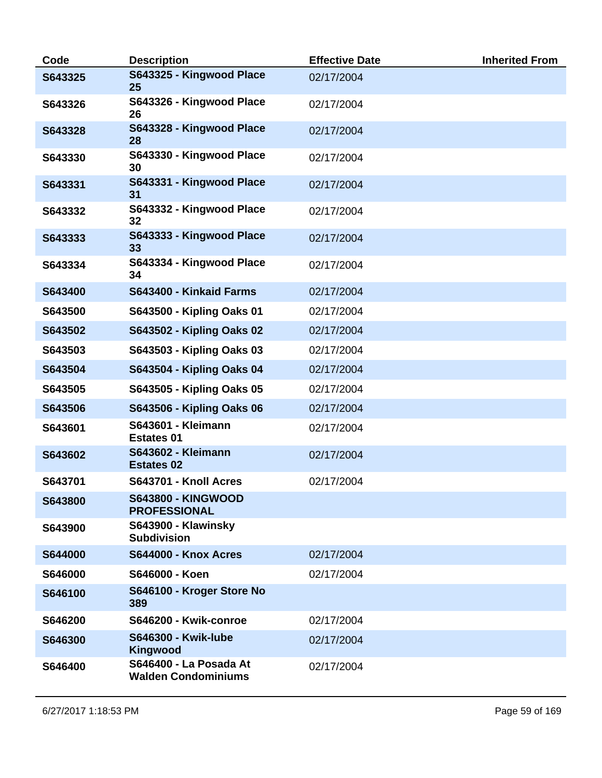| Code    | <b>Description</b>                                   | <b>Effective Date</b> | <b>Inherited From</b> |
|---------|------------------------------------------------------|-----------------------|-----------------------|
| S643325 | S643325 - Kingwood Place<br>25                       | 02/17/2004            |                       |
| S643326 | S643326 - Kingwood Place<br>26                       | 02/17/2004            |                       |
| S643328 | S643328 - Kingwood Place<br>28                       | 02/17/2004            |                       |
| S643330 | S643330 - Kingwood Place<br>30                       | 02/17/2004            |                       |
| S643331 | S643331 - Kingwood Place<br>31                       | 02/17/2004            |                       |
| S643332 | S643332 - Kingwood Place<br>32                       | 02/17/2004            |                       |
| S643333 | S643333 - Kingwood Place<br>33                       | 02/17/2004            |                       |
| S643334 | S643334 - Kingwood Place<br>34                       | 02/17/2004            |                       |
| S643400 | S643400 - Kinkaid Farms                              | 02/17/2004            |                       |
| S643500 | S643500 - Kipling Oaks 01                            | 02/17/2004            |                       |
| S643502 | S643502 - Kipling Oaks 02                            | 02/17/2004            |                       |
| S643503 | S643503 - Kipling Oaks 03                            | 02/17/2004            |                       |
| S643504 | S643504 - Kipling Oaks 04                            | 02/17/2004            |                       |
| S643505 | S643505 - Kipling Oaks 05                            | 02/17/2004            |                       |
| S643506 | S643506 - Kipling Oaks 06                            | 02/17/2004            |                       |
| S643601 | <b>S643601 - Kleimann</b><br><b>Estates 01</b>       | 02/17/2004            |                       |
| S643602 | <b>S643602 - Kleimann</b><br><b>Estates 02</b>       | 02/17/2004            |                       |
| S643701 | S643701 - Knoll Acres                                | 02/17/2004            |                       |
| S643800 | <b>S643800 - KINGWOOD</b><br><b>PROFESSIONAL</b>     |                       |                       |
| S643900 | S643900 - Klawinsky<br><b>Subdivision</b>            |                       |                       |
| S644000 | <b>S644000 - Knox Acres</b>                          | 02/17/2004            |                       |
| S646000 | S646000 - Koen                                       | 02/17/2004            |                       |
| S646100 | S646100 - Kroger Store No<br>389                     |                       |                       |
| S646200 | S646200 - Kwik-conroe                                | 02/17/2004            |                       |
| S646300 | <b>S646300 - Kwik-lube</b><br><b>Kingwood</b>        | 02/17/2004            |                       |
| S646400 | S646400 - La Posada At<br><b>Walden Condominiums</b> | 02/17/2004            |                       |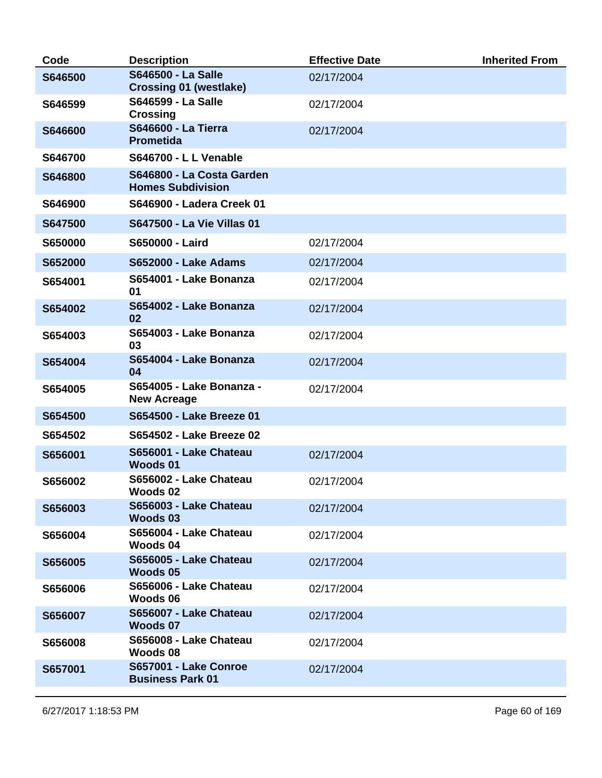| Code    | <b>Description</b>                                         | <b>Effective Date</b> | <b>Inherited From</b> |
|---------|------------------------------------------------------------|-----------------------|-----------------------|
| S646500 | <b>S646500 - La Salle</b><br><b>Crossing 01 (westlake)</b> | 02/17/2004            |                       |
| S646599 | <b>S646599 - La Salle</b><br><b>Crossing</b>               | 02/17/2004            |                       |
| S646600 | <b>S646600 - La Tierra</b><br><b>Prometida</b>             | 02/17/2004            |                       |
| S646700 | <b>S646700 - L L Venable</b>                               |                       |                       |
| S646800 | S646800 - La Costa Garden<br><b>Homes Subdivision</b>      |                       |                       |
| S646900 | S646900 - Ladera Creek 01                                  |                       |                       |
| S647500 | S647500 - La Vie Villas 01                                 |                       |                       |
| S650000 | S650000 - Laird                                            | 02/17/2004            |                       |
| S652000 | <b>S652000 - Lake Adams</b>                                | 02/17/2004            |                       |
| S654001 | S654001 - Lake Bonanza<br>01                               | 02/17/2004            |                       |
| S654002 | S654002 - Lake Bonanza<br>02                               | 02/17/2004            |                       |
| S654003 | S654003 - Lake Bonanza<br>03                               | 02/17/2004            |                       |
| S654004 | S654004 - Lake Bonanza<br>04                               | 02/17/2004            |                       |
| S654005 | S654005 - Lake Bonanza -<br><b>New Acreage</b>             | 02/17/2004            |                       |
| S654500 | S654500 - Lake Breeze 01                                   |                       |                       |
| S654502 | S654502 - Lake Breeze 02                                   |                       |                       |
| S656001 | S656001 - Lake Chateau<br><b>Woods 01</b>                  | 02/17/2004            |                       |
| S656002 | S656002 - Lake Chateau<br>Woods 02                         | 02/17/2004            |                       |
| S656003 | S656003 - Lake Chateau<br>Woods 03                         | 02/17/2004            |                       |
| S656004 | S656004 - Lake Chateau<br>Woods 04                         | 02/17/2004            |                       |
| S656005 | S656005 - Lake Chateau<br>Woods 05                         | 02/17/2004            |                       |
| S656006 | S656006 - Lake Chateau<br>Woods 06                         | 02/17/2004            |                       |
| S656007 | S656007 - Lake Chateau<br>Woods 07                         | 02/17/2004            |                       |
| S656008 | S656008 - Lake Chateau<br>Woods 08                         | 02/17/2004            |                       |
| S657001 | S657001 - Lake Conroe<br><b>Business Park 01</b>           | 02/17/2004            |                       |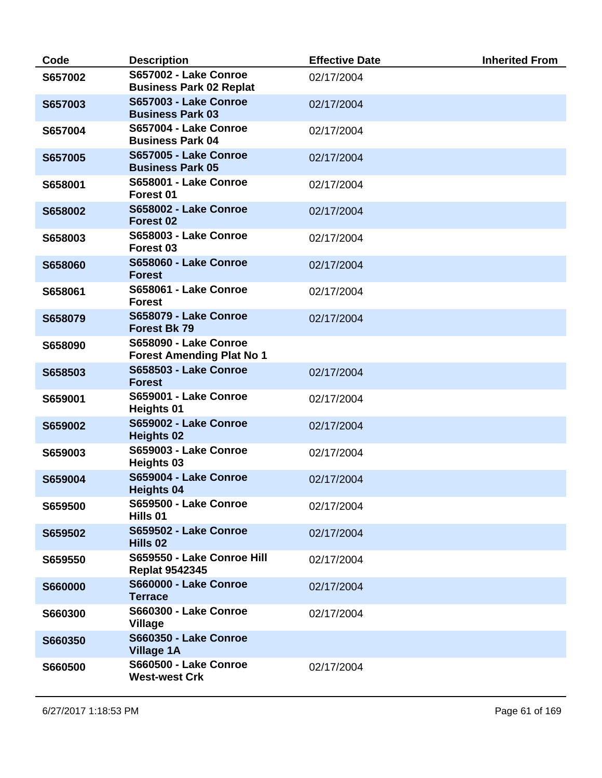| Code           | <b>Description</b>                                        | <b>Effective Date</b> | <b>Inherited From</b> |
|----------------|-----------------------------------------------------------|-----------------------|-----------------------|
| S657002        | S657002 - Lake Conroe<br><b>Business Park 02 Replat</b>   | 02/17/2004            |                       |
| S657003        | <b>S657003 - Lake Conroe</b><br><b>Business Park 03</b>   | 02/17/2004            |                       |
| S657004        | S657004 - Lake Conroe<br><b>Business Park 04</b>          | 02/17/2004            |                       |
| S657005        | <b>S657005 - Lake Conroe</b><br><b>Business Park 05</b>   | 02/17/2004            |                       |
| S658001        | S658001 - Lake Conroe<br>Forest 01                        | 02/17/2004            |                       |
| S658002        | <b>S658002 - Lake Conroe</b><br>Forest 02                 | 02/17/2004            |                       |
| S658003        | <b>S658003 - Lake Conroe</b><br>Forest <sub>03</sub>      | 02/17/2004            |                       |
| S658060        | <b>S658060 - Lake Conroe</b><br><b>Forest</b>             | 02/17/2004            |                       |
| S658061        | S658061 - Lake Conroe<br><b>Forest</b>                    | 02/17/2004            |                       |
| S658079        | S658079 - Lake Conroe<br><b>Forest Bk 79</b>              | 02/17/2004            |                       |
| S658090        | S658090 - Lake Conroe<br><b>Forest Amending Plat No 1</b> |                       |                       |
| S658503        | <b>S658503 - Lake Conroe</b><br><b>Forest</b>             | 02/17/2004            |                       |
| S659001        | S659001 - Lake Conroe<br><b>Heights 01</b>                | 02/17/2004            |                       |
| S659002        | S659002 - Lake Conroe<br><b>Heights 02</b>                | 02/17/2004            |                       |
| S659003        | S659003 - Lake Conroe<br>Heights 03                       | 02/17/2004            |                       |
| S659004        | S659004 - Lake Conroe<br>Heights 04                       | 02/17/2004            |                       |
| S659500        | <b>S659500 - Lake Conroe</b><br>Hills 01                  | 02/17/2004            |                       |
| S659502        | <b>S659502 - Lake Conroe</b><br>Hills 02                  | 02/17/2004            |                       |
| S659550        | S659550 - Lake Conroe Hill<br><b>Replat 9542345</b>       | 02/17/2004            |                       |
| <b>S660000</b> | <b>S660000 - Lake Conroe</b><br><b>Terrace</b>            | 02/17/2004            |                       |
| S660300        | <b>S660300 - Lake Conroe</b><br><b>Village</b>            | 02/17/2004            |                       |
| S660350        | <b>S660350 - Lake Conroe</b><br><b>Village 1A</b>         |                       |                       |
| S660500        | <b>S660500 - Lake Conroe</b><br><b>West-west Crk</b>      | 02/17/2004            |                       |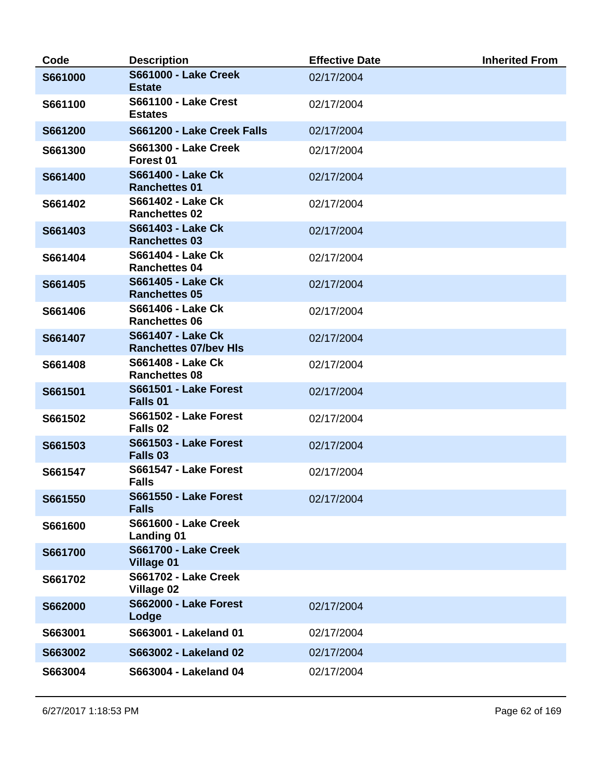| Code    | <b>Description</b>                                  | <b>Effective Date</b> | <b>Inherited From</b> |
|---------|-----------------------------------------------------|-----------------------|-----------------------|
| S661000 | <b>S661000 - Lake Creek</b><br><b>Estate</b>        | 02/17/2004            |                       |
| S661100 | <b>S661100 - Lake Crest</b><br><b>Estates</b>       | 02/17/2004            |                       |
| S661200 | S661200 - Lake Creek Falls                          | 02/17/2004            |                       |
| S661300 | <b>S661300 - Lake Creek</b><br>Forest 01            | 02/17/2004            |                       |
| S661400 | <b>S661400 - Lake Ck</b><br><b>Ranchettes 01</b>    | 02/17/2004            |                       |
| S661402 | S661402 - Lake Ck<br><b>Ranchettes 02</b>           | 02/17/2004            |                       |
| S661403 | S661403 - Lake Ck<br><b>Ranchettes 03</b>           | 02/17/2004            |                       |
| S661404 | S661404 - Lake Ck<br><b>Ranchettes 04</b>           | 02/17/2004            |                       |
| S661405 | S661405 - Lake Ck<br><b>Ranchettes 05</b>           | 02/17/2004            |                       |
| S661406 | S661406 - Lake Ck<br><b>Ranchettes 06</b>           | 02/17/2004            |                       |
| S661407 | S661407 - Lake Ck<br><b>Ranchettes 07/bev HIs</b>   | 02/17/2004            |                       |
| S661408 | S661408 - Lake Ck<br><b>Ranchettes 08</b>           | 02/17/2004            |                       |
| S661501 | <b>S661501 - Lake Forest</b><br>Falls 01            | 02/17/2004            |                       |
| S661502 | <b>S661502 - Lake Forest</b><br>Falls 02            | 02/17/2004            |                       |
| S661503 | <b>S661503 - Lake Forest</b><br>Falls <sub>03</sub> | 02/17/2004            |                       |
| S661547 | S661547 - Lake Forest<br><b>Falls</b>               | 02/17/2004            |                       |
| S661550 | <b>S661550 - Lake Forest</b><br><b>Falls</b>        | 02/17/2004            |                       |
| S661600 | <b>S661600 - Lake Creek</b><br><b>Landing 01</b>    |                       |                       |
| S661700 | <b>S661700 - Lake Creek</b><br><b>Village 01</b>    |                       |                       |
| S661702 | <b>S661702 - Lake Creek</b><br><b>Village 02</b>    |                       |                       |
| S662000 | <b>S662000 - Lake Forest</b><br>Lodge               | 02/17/2004            |                       |
| S663001 | S663001 - Lakeland 01                               | 02/17/2004            |                       |
| S663002 | S663002 - Lakeland 02                               | 02/17/2004            |                       |
| S663004 | S663004 - Lakeland 04                               | 02/17/2004            |                       |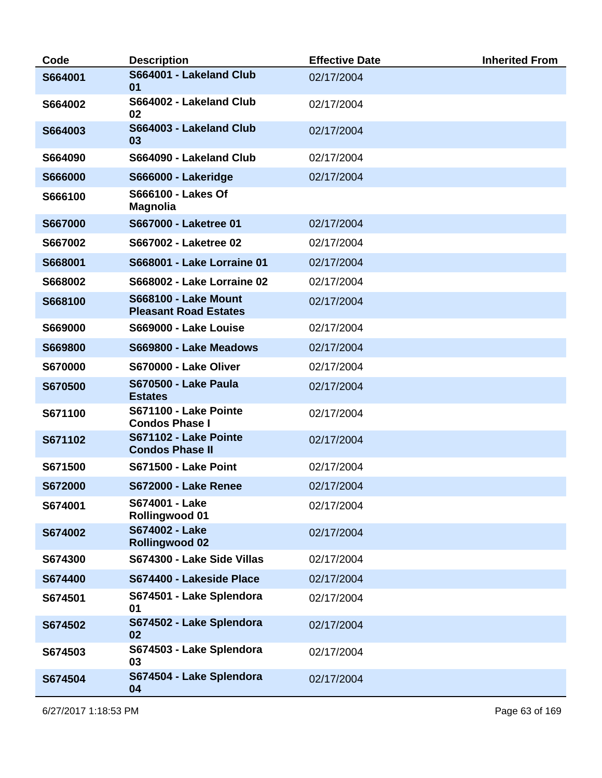| Code    | <b>Description</b>                                          | <b>Effective Date</b> | <b>Inherited From</b> |
|---------|-------------------------------------------------------------|-----------------------|-----------------------|
| S664001 | S664001 - Lakeland Club<br>01                               | 02/17/2004            |                       |
| S664002 | S664002 - Lakeland Club<br>02                               | 02/17/2004            |                       |
| S664003 | S664003 - Lakeland Club<br>03                               | 02/17/2004            |                       |
| S664090 | S664090 - Lakeland Club                                     | 02/17/2004            |                       |
| S666000 | <b>S666000 - Lakeridge</b>                                  | 02/17/2004            |                       |
| S666100 | <b>S666100 - Lakes Of</b><br><b>Magnolia</b>                |                       |                       |
| S667000 | S667000 - Laketree 01                                       | 02/17/2004            |                       |
| S667002 | S667002 - Laketree 02                                       | 02/17/2004            |                       |
| S668001 | <b>S668001 - Lake Lorraine 01</b>                           | 02/17/2004            |                       |
| S668002 | <b>S668002 - Lake Lorraine 02</b>                           | 02/17/2004            |                       |
| S668100 | <b>S668100 - Lake Mount</b><br><b>Pleasant Road Estates</b> | 02/17/2004            |                       |
| S669000 | S669000 - Lake Louise                                       | 02/17/2004            |                       |
| S669800 | S669800 - Lake Meadows                                      | 02/17/2004            |                       |
| S670000 | S670000 - Lake Oliver                                       | 02/17/2004            |                       |
| S670500 | <b>S670500 - Lake Paula</b><br><b>Estates</b>               | 02/17/2004            |                       |
| S671100 | S671100 - Lake Pointe<br><b>Condos Phase I</b>              | 02/17/2004            |                       |
| S671102 | S671102 - Lake Pointe<br><b>Condos Phase II</b>             | 02/17/2004            |                       |
| S671500 | <b>S671500 - Lake Point</b>                                 | 02/17/2004            |                       |
| S672000 | <b>S672000 - Lake Renee</b>                                 | 02/17/2004            |                       |
| S674001 | S674001 - Lake<br><b>Rollingwood 01</b>                     | 02/17/2004            |                       |
| S674002 | S674002 - Lake<br><b>Rollingwood 02</b>                     | 02/17/2004            |                       |
| S674300 | S674300 - Lake Side Villas                                  | 02/17/2004            |                       |
| S674400 | S674400 - Lakeside Place                                    | 02/17/2004            |                       |
| S674501 | S674501 - Lake Splendora<br>01                              | 02/17/2004            |                       |
| S674502 | S674502 - Lake Splendora<br>02                              | 02/17/2004            |                       |
| S674503 | S674503 - Lake Splendora<br>03                              | 02/17/2004            |                       |
| S674504 | S674504 - Lake Splendora<br>04                              | 02/17/2004            |                       |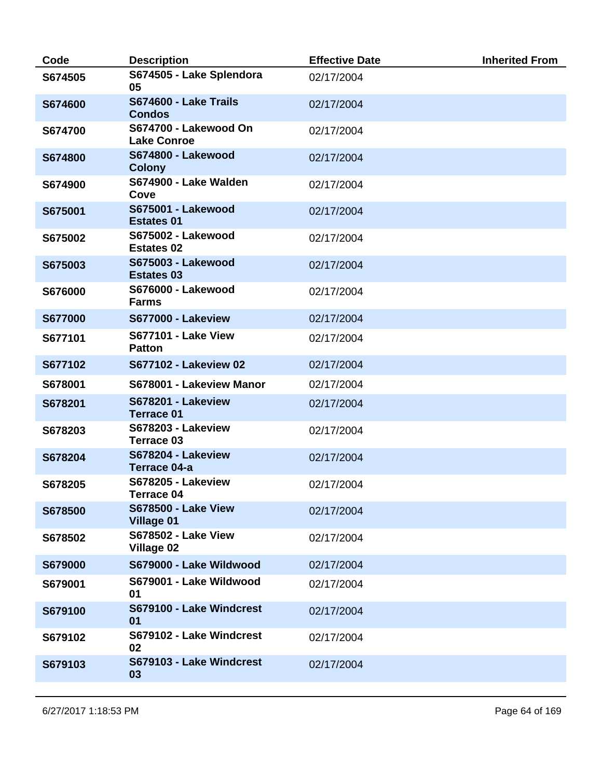| Code           | <b>Description</b>                              | <b>Effective Date</b> | <b>Inherited From</b> |
|----------------|-------------------------------------------------|-----------------------|-----------------------|
| S674505        | S674505 - Lake Splendora<br>05                  | 02/17/2004            |                       |
| S674600        | S674600 - Lake Trails<br><b>Condos</b>          | 02/17/2004            |                       |
| S674700        | S674700 - Lakewood On<br><b>Lake Conroe</b>     | 02/17/2004            |                       |
| S674800        | <b>S674800 - Lakewood</b><br><b>Colony</b>      | 02/17/2004            |                       |
| S674900        | S674900 - Lake Walden<br>Cove                   | 02/17/2004            |                       |
| S675001        | <b>S675001 - Lakewood</b><br><b>Estates 01</b>  | 02/17/2004            |                       |
| S675002        | <b>S675002 - Lakewood</b><br><b>Estates 02</b>  | 02/17/2004            |                       |
| S675003        | <b>S675003 - Lakewood</b><br><b>Estates 03</b>  | 02/17/2004            |                       |
| S676000        | <b>S676000 - Lakewood</b><br><b>Farms</b>       | 02/17/2004            |                       |
| <b>S677000</b> | <b>S677000 - Lakeview</b>                       | 02/17/2004            |                       |
| S677101        | <b>S677101 - Lake View</b><br><b>Patton</b>     | 02/17/2004            |                       |
| S677102        | <b>S677102 - Lakeview 02</b>                    | 02/17/2004            |                       |
| S678001        | S678001 - Lakeview Manor                        | 02/17/2004            |                       |
| S678201        | <b>S678201 - Lakeview</b><br><b>Terrace 01</b>  | 02/17/2004            |                       |
| S678203        | <b>S678203 - Lakeview</b><br><b>Terrace 03</b>  | 02/17/2004            |                       |
| S678204        | <b>S678204 - Lakeview</b><br>Terrace 04-a       | 02/17/2004            |                       |
| S678205        | <b>S678205 - Lakeview</b><br><b>Terrace 04</b>  | 02/17/2004            |                       |
| S678500        | <b>S678500 - Lake View</b><br><b>Village 01</b> | 02/17/2004            |                       |
| S678502        | <b>S678502 - Lake View</b><br><b>Village 02</b> | 02/17/2004            |                       |
| S679000        | S679000 - Lake Wildwood                         | 02/17/2004            |                       |
| S679001        | S679001 - Lake Wildwood<br>01                   | 02/17/2004            |                       |
| S679100        | S679100 - Lake Windcrest<br>01                  | 02/17/2004            |                       |
| S679102        | S679102 - Lake Windcrest<br>02                  | 02/17/2004            |                       |
| S679103        | S679103 - Lake Windcrest<br>03                  | 02/17/2004            |                       |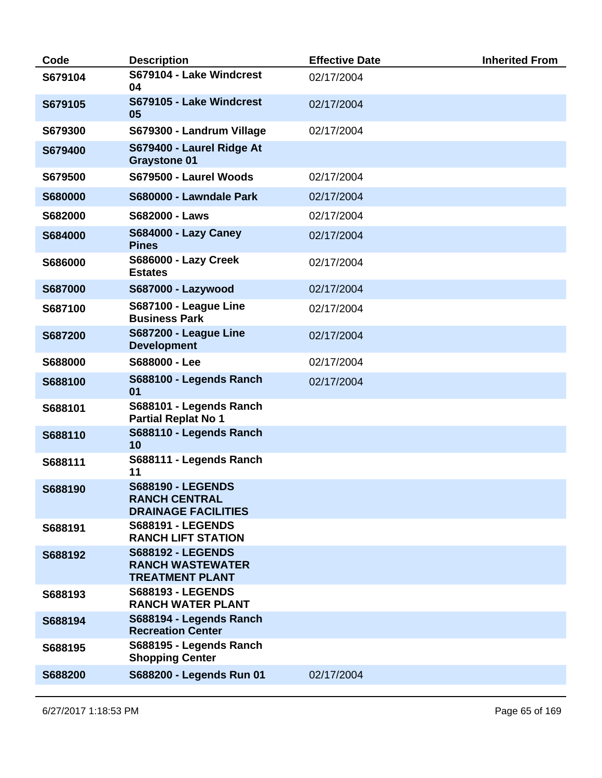| Code           | <b>Description</b>                                                             | <b>Effective Date</b> | <b>Inherited From</b> |
|----------------|--------------------------------------------------------------------------------|-----------------------|-----------------------|
| S679104        | S679104 - Lake Windcrest<br>04                                                 | 02/17/2004            |                       |
| S679105        | S679105 - Lake Windcrest<br>05                                                 | 02/17/2004            |                       |
| S679300        | S679300 - Landrum Village                                                      | 02/17/2004            |                       |
| S679400        | S679400 - Laurel Ridge At<br><b>Graystone 01</b>                               |                       |                       |
| S679500        | S679500 - Laurel Woods                                                         | 02/17/2004            |                       |
| <b>S680000</b> | S680000 - Lawndale Park                                                        | 02/17/2004            |                       |
| S682000        | <b>S682000 - Laws</b>                                                          | 02/17/2004            |                       |
| S684000        | <b>S684000 - Lazy Caney</b><br><b>Pines</b>                                    | 02/17/2004            |                       |
| S686000        | <b>S686000 - Lazy Creek</b><br><b>Estates</b>                                  | 02/17/2004            |                       |
| <b>S687000</b> | <b>S687000 - Lazywood</b>                                                      | 02/17/2004            |                       |
| S687100        | S687100 - League Line<br><b>Business Park</b>                                  | 02/17/2004            |                       |
| S687200        | S687200 - League Line<br><b>Development</b>                                    | 02/17/2004            |                       |
| S688000        | S688000 - Lee                                                                  | 02/17/2004            |                       |
| S688100        | S688100 - Legends Ranch<br>01                                                  | 02/17/2004            |                       |
| S688101        | S688101 - Legends Ranch<br><b>Partial Replat No 1</b>                          |                       |                       |
| S688110        | S688110 - Legends Ranch<br>10                                                  |                       |                       |
| S688111        | S688111 - Legends Ranch<br>11                                                  |                       |                       |
| S688190        | <b>S688190 - LEGENDS</b><br><b>RANCH CENTRAL</b><br><b>DRAINAGE FACILITIES</b> |                       |                       |
| S688191        | <b>S688191 - LEGENDS</b><br><b>RANCH LIFT STATION</b>                          |                       |                       |
| S688192        | <b>S688192 - LEGENDS</b><br><b>RANCH WASTEWATER</b><br><b>TREATMENT PLANT</b>  |                       |                       |
| S688193        | <b>S688193 - LEGENDS</b><br><b>RANCH WATER PLANT</b>                           |                       |                       |
| S688194        | S688194 - Legends Ranch<br><b>Recreation Center</b>                            |                       |                       |
| S688195        | S688195 - Legends Ranch<br><b>Shopping Center</b>                              |                       |                       |
| S688200        | S688200 - Legends Run 01                                                       | 02/17/2004            |                       |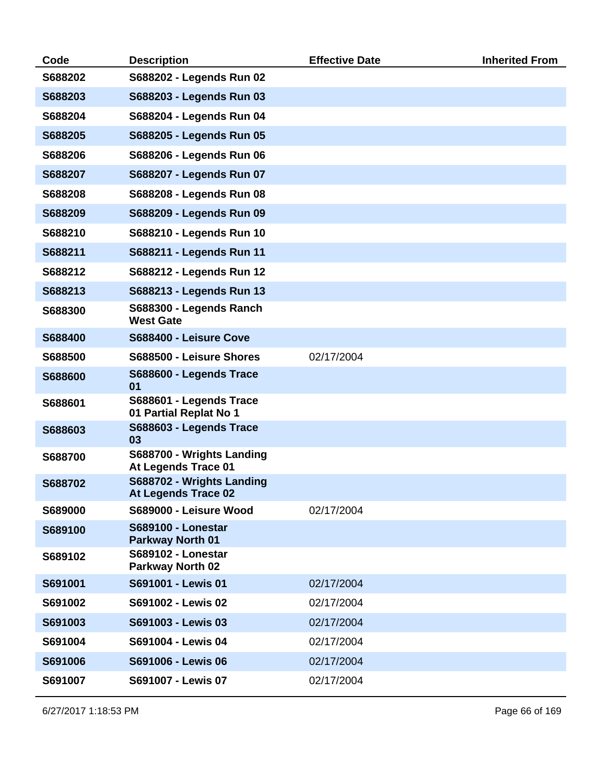| Code    | <b>Description</b>                                      | <b>Effective Date</b> | <b>Inherited From</b> |
|---------|---------------------------------------------------------|-----------------------|-----------------------|
| S688202 | S688202 - Legends Run 02                                |                       |                       |
| S688203 | S688203 - Legends Run 03                                |                       |                       |
| S688204 | S688204 - Legends Run 04                                |                       |                       |
| S688205 | S688205 - Legends Run 05                                |                       |                       |
| S688206 | S688206 - Legends Run 06                                |                       |                       |
| S688207 | S688207 - Legends Run 07                                |                       |                       |
| S688208 | S688208 - Legends Run 08                                |                       |                       |
| S688209 | S688209 - Legends Run 09                                |                       |                       |
| S688210 | S688210 - Legends Run 10                                |                       |                       |
| S688211 | S688211 - Legends Run 11                                |                       |                       |
| S688212 | S688212 - Legends Run 12                                |                       |                       |
| S688213 | S688213 - Legends Run 13                                |                       |                       |
| S688300 | S688300 - Legends Ranch<br><b>West Gate</b>             |                       |                       |
| S688400 | S688400 - Leisure Cove                                  |                       |                       |
| S688500 | S688500 - Leisure Shores                                | 02/17/2004            |                       |
| S688600 | S688600 - Legends Trace<br>01                           |                       |                       |
| S688601 | S688601 - Legends Trace<br>01 Partial Replat No 1       |                       |                       |
| S688603 | S688603 - Legends Trace<br>03                           |                       |                       |
| S688700 | S688700 - Wrights Landing<br><b>At Legends Trace 01</b> |                       |                       |
| S688702 | S688702 - Wrights Landing<br><b>At Legends Trace 02</b> |                       |                       |
| S689000 | S689000 - Leisure Wood                                  | 02/17/2004            |                       |
| S689100 | <b>S689100 - Lonestar</b><br>Parkway North 01           |                       |                       |
| S689102 | <b>S689102 - Lonestar</b><br>Parkway North 02           |                       |                       |
| S691001 | S691001 - Lewis 01                                      | 02/17/2004            |                       |
| S691002 | S691002 - Lewis 02                                      | 02/17/2004            |                       |
| S691003 | S691003 - Lewis 03                                      | 02/17/2004            |                       |
| S691004 | S691004 - Lewis 04                                      | 02/17/2004            |                       |
| S691006 | S691006 - Lewis 06                                      | 02/17/2004            |                       |
| S691007 | S691007 - Lewis 07                                      | 02/17/2004            |                       |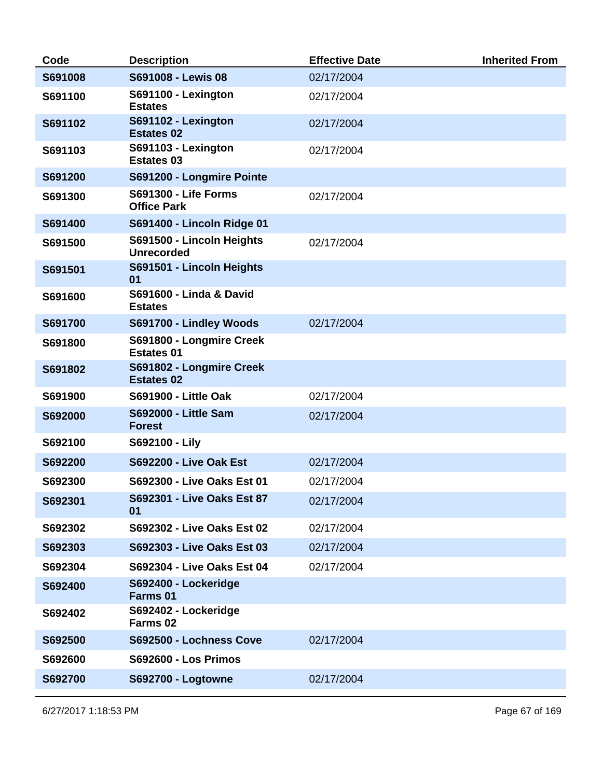| Code    | <b>Description</b>                                | <b>Effective Date</b> | <b>Inherited From</b> |
|---------|---------------------------------------------------|-----------------------|-----------------------|
| S691008 | S691008 - Lewis 08                                | 02/17/2004            |                       |
| S691100 | S691100 - Lexington<br><b>Estates</b>             | 02/17/2004            |                       |
| S691102 | S691102 - Lexington<br><b>Estates 02</b>          | 02/17/2004            |                       |
| S691103 | S691103 - Lexington<br><b>Estates 03</b>          | 02/17/2004            |                       |
| S691200 | S691200 - Longmire Pointe                         |                       |                       |
| S691300 | <b>S691300 - Life Forms</b><br><b>Office Park</b> | 02/17/2004            |                       |
| S691400 | S691400 - Lincoln Ridge 01                        |                       |                       |
| S691500 | S691500 - Lincoln Heights<br><b>Unrecorded</b>    | 02/17/2004            |                       |
| S691501 | S691501 - Lincoln Heights<br>01                   |                       |                       |
| S691600 | S691600 - Linda & David<br><b>Estates</b>         |                       |                       |
| S691700 | S691700 - Lindley Woods                           | 02/17/2004            |                       |
| S691800 | S691800 - Longmire Creek<br><b>Estates 01</b>     |                       |                       |
| S691802 | S691802 - Longmire Creek<br><b>Estates 02</b>     |                       |                       |
| S691900 | <b>S691900 - Little Oak</b>                       | 02/17/2004            |                       |
| S692000 | <b>S692000 - Little Sam</b><br><b>Forest</b>      | 02/17/2004            |                       |
| S692100 | S692100 - Lily                                    |                       |                       |
| S692200 | <b>S692200 - Live Oak Est</b>                     | 02/17/2004            |                       |
| S692300 | S692300 - Live Oaks Est 01                        | 02/17/2004            |                       |
| S692301 | <b>S692301 - Live Oaks Est 87</b><br>01           | 02/17/2004            |                       |
| S692302 | S692302 - Live Oaks Est 02                        | 02/17/2004            |                       |
| S692303 | S692303 - Live Oaks Est 03                        | 02/17/2004            |                       |
| S692304 | S692304 - Live Oaks Est 04                        | 02/17/2004            |                       |
| S692400 | S692400 - Lockeridge<br>Farms 01                  |                       |                       |
| S692402 | S692402 - Lockeridge<br>Farms 02                  |                       |                       |
| S692500 | S692500 - Lochness Cove                           | 02/17/2004            |                       |
| S692600 | <b>S692600 - Los Primos</b>                       |                       |                       |
| S692700 | <b>S692700 - Logtowne</b>                         | 02/17/2004            |                       |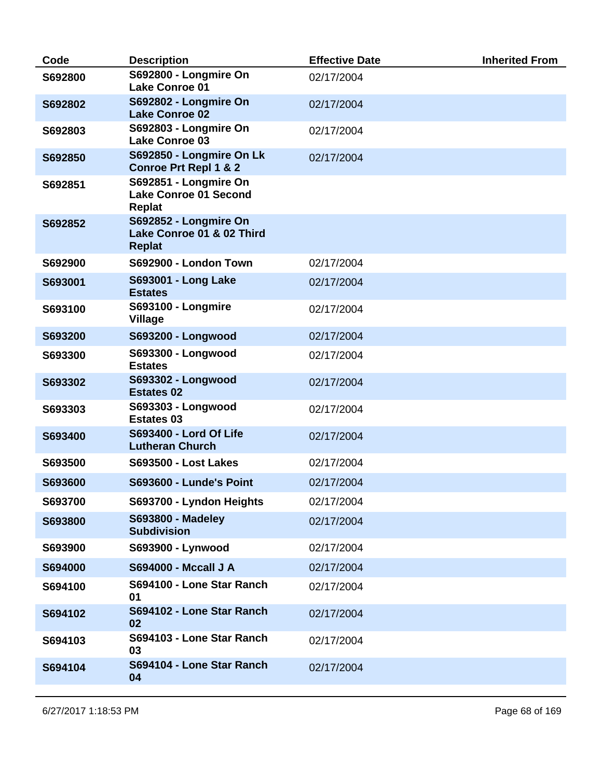| Code    | <b>Description</b>                                                     | <b>Effective Date</b> | <b>Inherited From</b> |
|---------|------------------------------------------------------------------------|-----------------------|-----------------------|
| S692800 | S692800 - Longmire On<br><b>Lake Conroe 01</b>                         | 02/17/2004            |                       |
| S692802 | S692802 - Longmire On<br><b>Lake Conroe 02</b>                         | 02/17/2004            |                       |
| S692803 | S692803 - Longmire On<br><b>Lake Conroe 03</b>                         | 02/17/2004            |                       |
| S692850 | S692850 - Longmire On Lk<br><b>Conroe Prt Repl 1 &amp; 2</b>           | 02/17/2004            |                       |
| S692851 | S692851 - Longmire On<br><b>Lake Conroe 01 Second</b><br><b>Replat</b> |                       |                       |
| S692852 | S692852 - Longmire On<br>Lake Conroe 01 & 02 Third<br><b>Replat</b>    |                       |                       |
| S692900 | S692900 - London Town                                                  | 02/17/2004            |                       |
| S693001 | S693001 - Long Lake<br><b>Estates</b>                                  | 02/17/2004            |                       |
| S693100 | <b>S693100 - Longmire</b><br><b>Village</b>                            | 02/17/2004            |                       |
| S693200 | S693200 - Longwood                                                     | 02/17/2004            |                       |
| S693300 | S693300 - Longwood<br><b>Estates</b>                                   | 02/17/2004            |                       |
| S693302 | S693302 - Longwood<br><b>Estates 02</b>                                | 02/17/2004            |                       |
| S693303 | S693303 - Longwood<br><b>Estates 03</b>                                | 02/17/2004            |                       |
| S693400 | <b>S693400 - Lord Of Life</b><br><b>Lutheran Church</b>                | 02/17/2004            |                       |
| S693500 | <b>S693500 - Lost Lakes</b>                                            | 02/17/2004            |                       |
| S693600 | <b>S693600 - Lunde's Point</b>                                         | 02/17/2004            |                       |
| S693700 | S693700 - Lyndon Heights                                               | 02/17/2004            |                       |
| S693800 | <b>S693800 - Madeley</b><br><b>Subdivision</b>                         | 02/17/2004            |                       |
| S693900 | S693900 - Lynwood                                                      | 02/17/2004            |                       |
| S694000 | <b>S694000 - Mccall J A</b>                                            | 02/17/2004            |                       |
| S694100 | S694100 - Lone Star Ranch<br>01                                        | 02/17/2004            |                       |
| S694102 | S694102 - Lone Star Ranch<br>02                                        | 02/17/2004            |                       |
| S694103 | S694103 - Lone Star Ranch<br>03                                        | 02/17/2004            |                       |
| S694104 | S694104 - Lone Star Ranch<br>04                                        | 02/17/2004            |                       |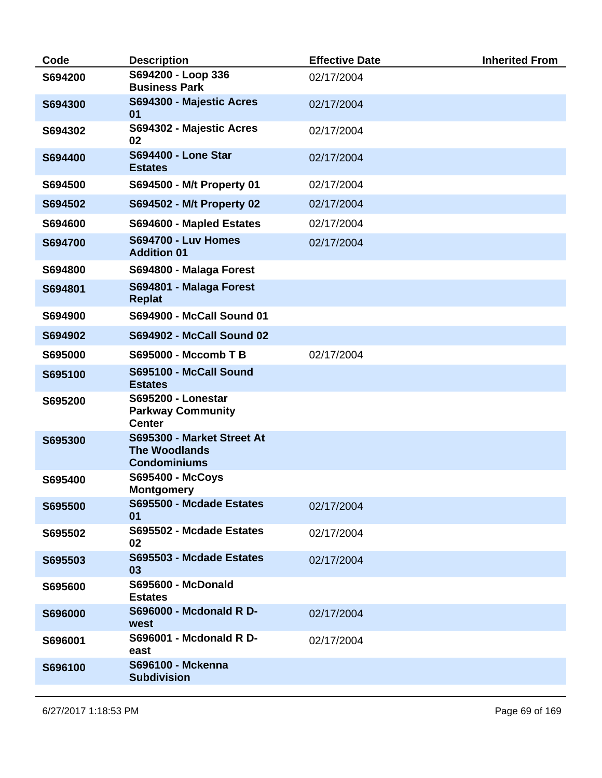| Code    | <b>Description</b>                                                        | <b>Effective Date</b> | <b>Inherited From</b> |
|---------|---------------------------------------------------------------------------|-----------------------|-----------------------|
| S694200 | S694200 - Loop 336<br><b>Business Park</b>                                | 02/17/2004            |                       |
| S694300 | S694300 - Majestic Acres<br>01                                            | 02/17/2004            |                       |
| S694302 | S694302 - Majestic Acres<br>02                                            | 02/17/2004            |                       |
| S694400 | <b>S694400 - Lone Star</b><br><b>Estates</b>                              | 02/17/2004            |                       |
| S694500 | S694500 - M/t Property 01                                                 | 02/17/2004            |                       |
| S694502 | S694502 - M/t Property 02                                                 | 02/17/2004            |                       |
| S694600 | S694600 - Mapled Estates                                                  | 02/17/2004            |                       |
| S694700 | <b>S694700 - Luv Homes</b><br><b>Addition 01</b>                          | 02/17/2004            |                       |
| S694800 | S694800 - Malaga Forest                                                   |                       |                       |
| S694801 | S694801 - Malaga Forest<br><b>Replat</b>                                  |                       |                       |
| S694900 | <b>S694900 - McCall Sound 01</b>                                          |                       |                       |
| S694902 | <b>S694902 - McCall Sound 02</b>                                          |                       |                       |
| S695000 | S695000 - Mccomb T B                                                      | 02/17/2004            |                       |
| S695100 | S695100 - McCall Sound<br><b>Estates</b>                                  |                       |                       |
| S695200 | <b>S695200 - Lonestar</b><br><b>Parkway Community</b><br><b>Center</b>    |                       |                       |
| S695300 | S695300 - Market Street At<br><b>The Woodlands</b><br><b>Condominiums</b> |                       |                       |
| S695400 | S695400 - McCoys<br><b>Montgomery</b>                                     |                       |                       |
| S695500 | S695500 - Mcdade Estates<br>01                                            | 02/17/2004            |                       |
| S695502 | S695502 - Mcdade Estates<br>02                                            | 02/17/2004            |                       |
| S695503 | S695503 - Mcdade Estates<br>03                                            | 02/17/2004            |                       |
| S695600 | <b>S695600 - McDonald</b><br><b>Estates</b>                               |                       |                       |
| S696000 | <b>S696000 - Mcdonald R D-</b><br>west                                    | 02/17/2004            |                       |
| S696001 | S696001 - Mcdonald R D-<br>east                                           | 02/17/2004            |                       |
| S696100 | S696100 - Mckenna<br><b>Subdivision</b>                                   |                       |                       |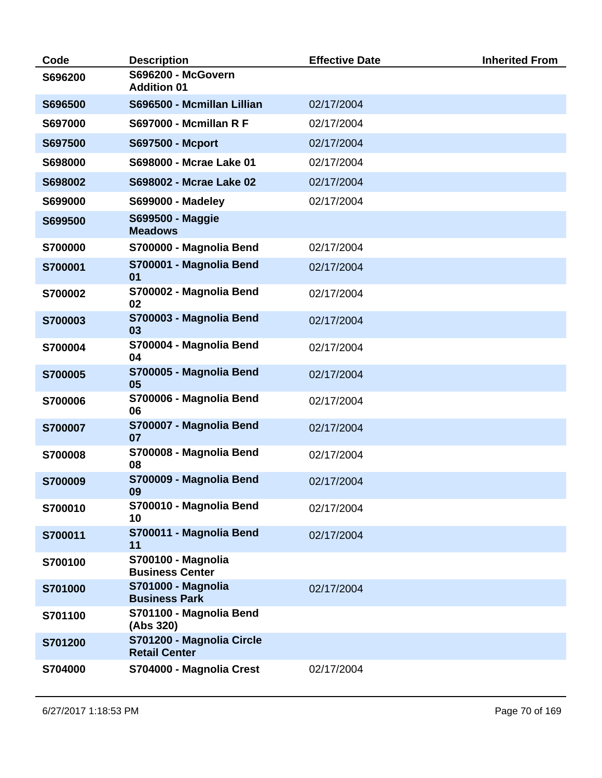| Code    | <b>Description</b>                                  | <b>Effective Date</b> | <b>Inherited From</b> |
|---------|-----------------------------------------------------|-----------------------|-----------------------|
| S696200 | <b>S696200 - McGovern</b><br><b>Addition 01</b>     |                       |                       |
| S696500 | S696500 - Mcmillan Lillian                          | 02/17/2004            |                       |
| S697000 | <b>S697000 - Mcmillan R F</b>                       | 02/17/2004            |                       |
| S697500 | S697500 - Mcport                                    | 02/17/2004            |                       |
| S698000 | S698000 - Mcrae Lake 01                             | 02/17/2004            |                       |
| S698002 | S698002 - Mcrae Lake 02                             | 02/17/2004            |                       |
| S699000 | <b>S699000 - Madeley</b>                            | 02/17/2004            |                       |
| S699500 | <b>S699500 - Maggie</b><br><b>Meadows</b>           |                       |                       |
| S700000 | S700000 - Magnolia Bend                             | 02/17/2004            |                       |
| S700001 | S700001 - Magnolia Bend<br>01                       | 02/17/2004            |                       |
| S700002 | S700002 - Magnolia Bend<br>02                       | 02/17/2004            |                       |
| S700003 | S700003 - Magnolia Bend<br>03                       | 02/17/2004            |                       |
| S700004 | S700004 - Magnolia Bend<br>04                       | 02/17/2004            |                       |
| S700005 | S700005 - Magnolia Bend<br>05                       | 02/17/2004            |                       |
| S700006 | S700006 - Magnolia Bend<br>06                       | 02/17/2004            |                       |
| S700007 | S700007 - Magnolia Bend<br>07                       | 02/17/2004            |                       |
| S700008 | S700008 - Magnolia Bend<br>08                       | 02/17/2004            |                       |
| S700009 | S700009 - Magnolia Bend<br>09                       | 02/17/2004            |                       |
| S700010 | S700010 - Magnolia Bend<br>10                       | 02/17/2004            |                       |
| S700011 | S700011 - Magnolia Bend<br>11                       | 02/17/2004            |                       |
| S700100 | <b>S700100 - Magnolia</b><br><b>Business Center</b> |                       |                       |
| S701000 | <b>S701000 - Magnolia</b><br><b>Business Park</b>   | 02/17/2004            |                       |
| S701100 | S701100 - Magnolia Bend<br>(Abs 320)                |                       |                       |
| S701200 | S701200 - Magnolia Circle<br><b>Retail Center</b>   |                       |                       |
| S704000 | S704000 - Magnolia Crest                            | 02/17/2004            |                       |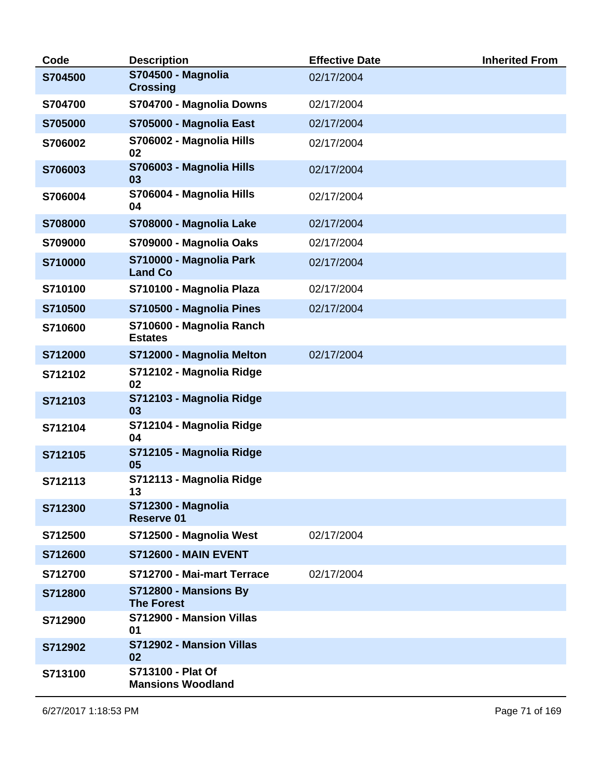| Code    | <b>Description</b>                             | <b>Effective Date</b> | <b>Inherited From</b> |
|---------|------------------------------------------------|-----------------------|-----------------------|
| S704500 | <b>S704500 - Magnolia</b><br><b>Crossing</b>   | 02/17/2004            |                       |
| S704700 | S704700 - Magnolia Downs                       | 02/17/2004            |                       |
| S705000 | S705000 - Magnolia East                        | 02/17/2004            |                       |
| S706002 | S706002 - Magnolia Hills<br>02                 | 02/17/2004            |                       |
| S706003 | S706003 - Magnolia Hills<br>03                 | 02/17/2004            |                       |
| S706004 | S706004 - Magnolia Hills<br>04                 | 02/17/2004            |                       |
| S708000 | S708000 - Magnolia Lake                        | 02/17/2004            |                       |
| S709000 | S709000 - Magnolia Oaks                        | 02/17/2004            |                       |
| S710000 | S710000 - Magnolia Park<br><b>Land Co</b>      | 02/17/2004            |                       |
| S710100 | S710100 - Magnolia Plaza                       | 02/17/2004            |                       |
| S710500 | S710500 - Magnolia Pines                       | 02/17/2004            |                       |
| S710600 | S710600 - Magnolia Ranch<br><b>Estates</b>     |                       |                       |
| S712000 | S712000 - Magnolia Melton                      | 02/17/2004            |                       |
| S712102 | S712102 - Magnolia Ridge<br>02                 |                       |                       |
| S712103 | S712103 - Magnolia Ridge<br>03                 |                       |                       |
| S712104 | S712104 - Magnolia Ridge<br>04                 |                       |                       |
| S712105 | S712105 - Magnolia Ridge<br>05                 |                       |                       |
| S712113 | S712113 - Magnolia Ridge<br>13                 |                       |                       |
| S712300 | <b>S712300 - Magnolia</b><br><b>Reserve 01</b> |                       |                       |
| S712500 | S712500 - Magnolia West                        | 02/17/2004            |                       |
| S712600 | <b>S712600 - MAIN EVENT</b>                    |                       |                       |
| S712700 | S712700 - Mai-mart Terrace                     | 02/17/2004            |                       |
| S712800 | S712800 - Mansions By<br><b>The Forest</b>     |                       |                       |
| S712900 | S712900 - Mansion Villas<br>01                 |                       |                       |
| S712902 | S712902 - Mansion Villas<br>02                 |                       |                       |
| S713100 | S713100 - Plat Of<br><b>Mansions Woodland</b>  |                       |                       |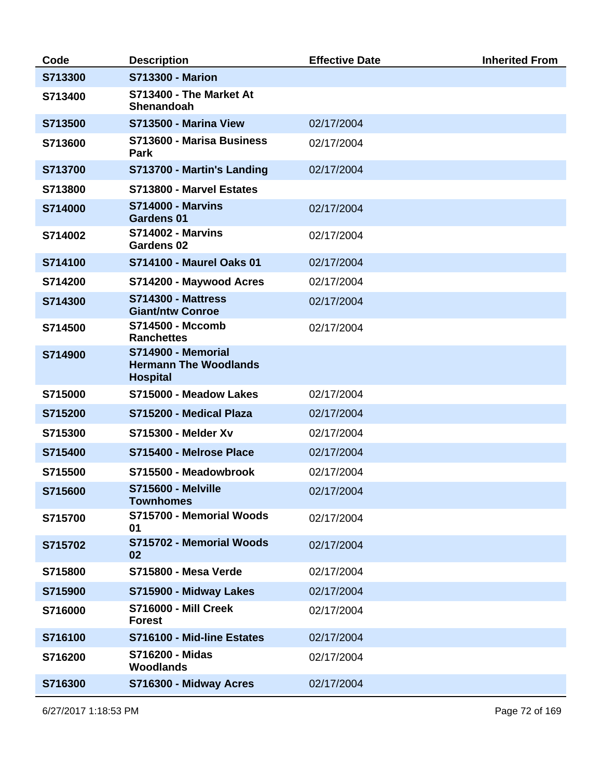| Code    | <b>Description</b>                                                    | <b>Effective Date</b> | <b>Inherited From</b> |
|---------|-----------------------------------------------------------------------|-----------------------|-----------------------|
| S713300 | <b>S713300 - Marion</b>                                               |                       |                       |
| S713400 | S713400 - The Market At<br><b>Shenandoah</b>                          |                       |                       |
| S713500 | S713500 - Marina View                                                 | 02/17/2004            |                       |
| S713600 | S713600 - Marisa Business<br>Park                                     | 02/17/2004            |                       |
| S713700 | S713700 - Martin's Landing                                            | 02/17/2004            |                       |
| S713800 | S713800 - Marvel Estates                                              |                       |                       |
| S714000 | <b>S714000 - Marvins</b><br><b>Gardens 01</b>                         | 02/17/2004            |                       |
| S714002 | <b>S714002 - Marvins</b><br><b>Gardens 02</b>                         | 02/17/2004            |                       |
| S714100 | <b>S714100 - Maurel Oaks 01</b>                                       | 02/17/2004            |                       |
| S714200 | S714200 - Maywood Acres                                               | 02/17/2004            |                       |
| S714300 | <b>S714300 - Mattress</b><br><b>Giant/ntw Conroe</b>                  | 02/17/2004            |                       |
| S714500 | S714500 - Mccomb<br><b>Ranchettes</b>                                 | 02/17/2004            |                       |
| S714900 | S714900 - Memorial<br><b>Hermann The Woodlands</b><br><b>Hospital</b> |                       |                       |
| S715000 | S715000 - Meadow Lakes                                                | 02/17/2004            |                       |
| S715200 | S715200 - Medical Plaza                                               | 02/17/2004            |                       |
| S715300 | <b>S715300 - Melder Xv</b>                                            | 02/17/2004            |                       |
| S715400 | S715400 - Melrose Place                                               | 02/17/2004            |                       |
| S715500 | S715500 - Meadowbrook                                                 | 02/17/2004            |                       |
| S715600 | <b>S715600 - Melville</b><br><b>Townhomes</b>                         | 02/17/2004            |                       |
| S715700 | S715700 - Memorial Woods<br>01                                        | 02/17/2004            |                       |
| S715702 | S715702 - Memorial Woods<br>02                                        | 02/17/2004            |                       |
| S715800 | <b>S715800 - Mesa Verde</b>                                           | 02/17/2004            |                       |
| S715900 | S715900 - Midway Lakes                                                | 02/17/2004            |                       |
| S716000 | <b>S716000 - Mill Creek</b><br><b>Forest</b>                          | 02/17/2004            |                       |
| S716100 | S716100 - Mid-line Estates                                            | 02/17/2004            |                       |
| S716200 | <b>S716200 - Midas</b><br><b>Woodlands</b>                            | 02/17/2004            |                       |
| S716300 | S716300 - Midway Acres                                                | 02/17/2004            |                       |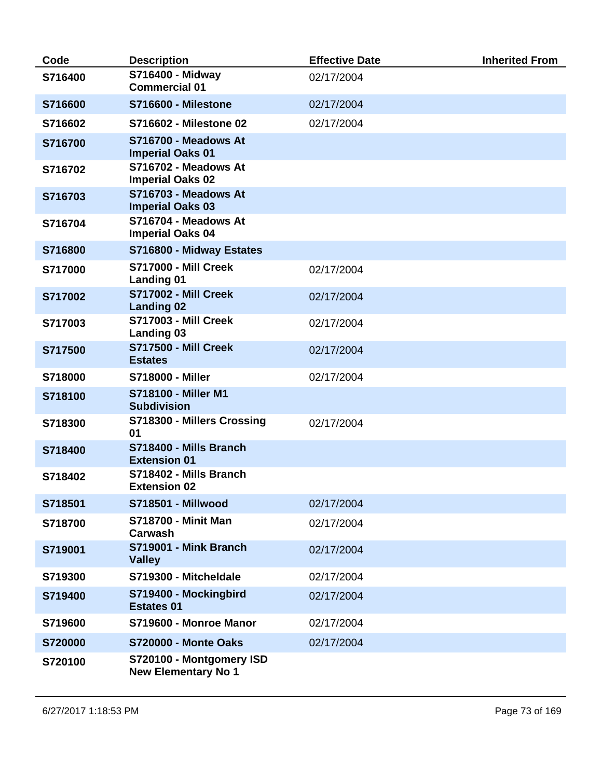| Code    | <b>Description</b>                                     | <b>Effective Date</b> | <b>Inherited From</b> |
|---------|--------------------------------------------------------|-----------------------|-----------------------|
| S716400 | S716400 - Midway<br><b>Commercial 01</b>               | 02/17/2004            |                       |
| S716600 | <b>S716600 - Milestone</b>                             | 02/17/2004            |                       |
| S716602 | <b>S716602 - Milestone 02</b>                          | 02/17/2004            |                       |
| S716700 | S716700 - Meadows At<br><b>Imperial Oaks 01</b>        |                       |                       |
| S716702 | S716702 - Meadows At<br><b>Imperial Oaks 02</b>        |                       |                       |
| S716703 | S716703 - Meadows At<br><b>Imperial Oaks 03</b>        |                       |                       |
| S716704 | S716704 - Meadows At<br><b>Imperial Oaks 04</b>        |                       |                       |
| S716800 | S716800 - Midway Estates                               |                       |                       |
| S717000 | <b>S717000 - Mill Creek</b><br><b>Landing 01</b>       | 02/17/2004            |                       |
| S717002 | <b>S717002 - Mill Creek</b><br><b>Landing 02</b>       | 02/17/2004            |                       |
| S717003 | <b>S717003 - Mill Creek</b><br><b>Landing 03</b>       | 02/17/2004            |                       |
| S717500 | <b>S717500 - Mill Creek</b><br><b>Estates</b>          | 02/17/2004            |                       |
| S718000 | <b>S718000 - Miller</b>                                | 02/17/2004            |                       |
| S718100 | <b>S718100 - Miller M1</b><br><b>Subdivision</b>       |                       |                       |
| S718300 | S718300 - Millers Crossing<br>01                       | 02/17/2004            |                       |
| S718400 | S718400 - Mills Branch<br><b>Extension 01</b>          |                       |                       |
| S718402 | S718402 - Mills Branch<br><b>Extension 02</b>          |                       |                       |
| S718501 | <b>S718501 - Millwood</b>                              | 02/17/2004            |                       |
| S718700 | <b>S718700 - Minit Man</b><br>Carwash                  | 02/17/2004            |                       |
| S719001 | S719001 - Mink Branch<br><b>Valley</b>                 | 02/17/2004            |                       |
| S719300 | S719300 - Mitcheldale                                  | 02/17/2004            |                       |
| S719400 | S719400 - Mockingbird<br><b>Estates 01</b>             | 02/17/2004            |                       |
| S719600 | S719600 - Monroe Manor                                 | 02/17/2004            |                       |
| S720000 | <b>S720000 - Monte Oaks</b>                            | 02/17/2004            |                       |
| S720100 | S720100 - Montgomery ISD<br><b>New Elementary No 1</b> |                       |                       |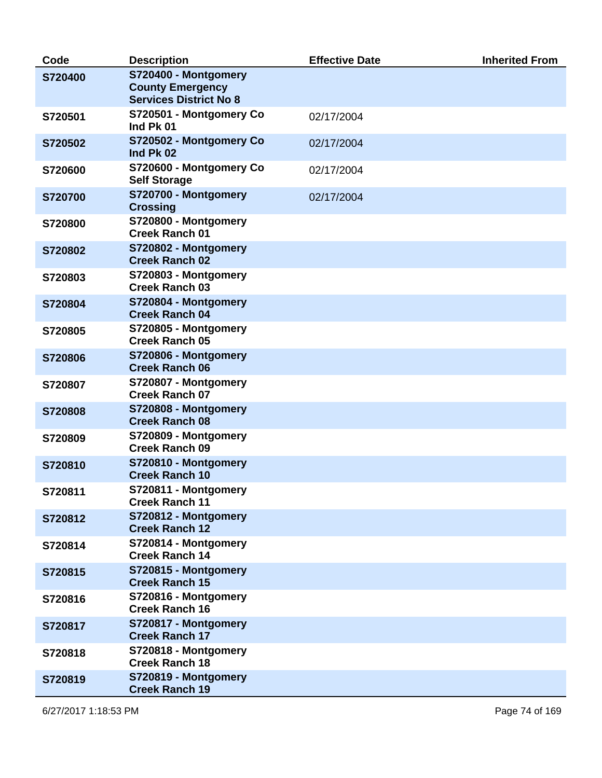| Code    | <b>Description</b>                                                               | <b>Effective Date</b> | <b>Inherited From</b> |
|---------|----------------------------------------------------------------------------------|-----------------------|-----------------------|
| S720400 | S720400 - Montgomery<br><b>County Emergency</b><br><b>Services District No 8</b> |                       |                       |
| S720501 | S720501 - Montgomery Co<br>Ind Pk 01                                             | 02/17/2004            |                       |
| S720502 | S720502 - Montgomery Co<br>Ind Pk 02                                             | 02/17/2004            |                       |
| S720600 | S720600 - Montgomery Co<br><b>Self Storage</b>                                   | 02/17/2004            |                       |
| S720700 | S720700 - Montgomery<br><b>Crossing</b>                                          | 02/17/2004            |                       |
| S720800 | S720800 - Montgomery<br><b>Creek Ranch 01</b>                                    |                       |                       |
| S720802 | S720802 - Montgomery<br><b>Creek Ranch 02</b>                                    |                       |                       |
| S720803 | S720803 - Montgomery<br><b>Creek Ranch 03</b>                                    |                       |                       |
| S720804 | S720804 - Montgomery<br><b>Creek Ranch 04</b>                                    |                       |                       |
| S720805 | S720805 - Montgomery<br><b>Creek Ranch 05</b>                                    |                       |                       |
| S720806 | S720806 - Montgomery<br><b>Creek Ranch 06</b>                                    |                       |                       |
| S720807 | S720807 - Montgomery<br><b>Creek Ranch 07</b>                                    |                       |                       |
| S720808 | S720808 - Montgomery<br><b>Creek Ranch 08</b>                                    |                       |                       |
| S720809 | S720809 - Montgomery<br><b>Creek Ranch 09</b>                                    |                       |                       |
| S720810 | S720810 - Montgomery<br><b>Creek Ranch 10</b>                                    |                       |                       |
| S720811 | S720811 - Montgomery<br><b>Creek Ranch 11</b>                                    |                       |                       |
| S720812 | S720812 - Montgomery<br><b>Creek Ranch 12</b>                                    |                       |                       |
| S720814 | S720814 - Montgomery<br><b>Creek Ranch 14</b>                                    |                       |                       |
| S720815 | S720815 - Montgomery<br><b>Creek Ranch 15</b>                                    |                       |                       |
| S720816 | S720816 - Montgomery<br><b>Creek Ranch 16</b>                                    |                       |                       |
| S720817 | S720817 - Montgomery<br><b>Creek Ranch 17</b>                                    |                       |                       |
| S720818 | S720818 - Montgomery<br><b>Creek Ranch 18</b>                                    |                       |                       |
| S720819 | S720819 - Montgomery<br><b>Creek Ranch 19</b>                                    |                       |                       |

6/27/2017 1:18:53 PM Page 74 of 169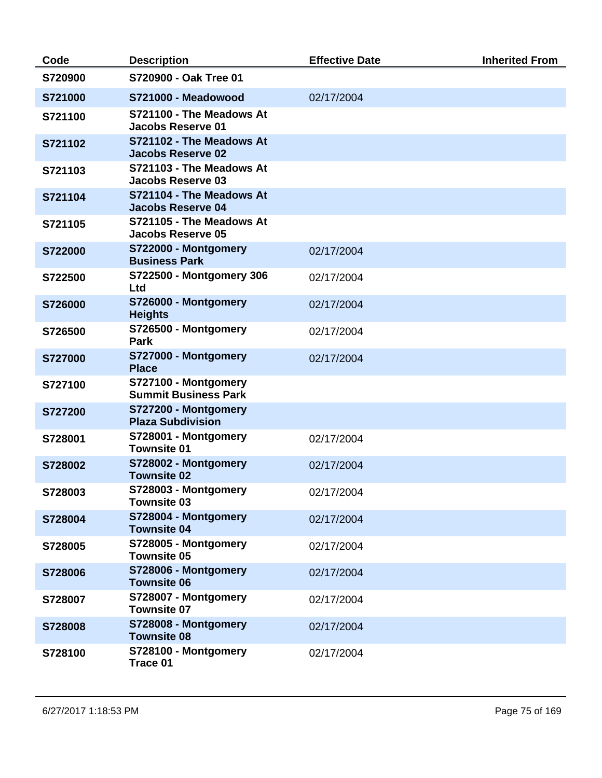| Code           | <b>Description</b>                                   | <b>Effective Date</b> | <b>Inherited From</b> |
|----------------|------------------------------------------------------|-----------------------|-----------------------|
| S720900        | S720900 - Oak Tree 01                                |                       |                       |
| S721000        | S721000 - Meadowood                                  | 02/17/2004            |                       |
| S721100        | S721100 - The Meadows At<br><b>Jacobs Reserve 01</b> |                       |                       |
| S721102        | S721102 - The Meadows At<br><b>Jacobs Reserve 02</b> |                       |                       |
| S721103        | S721103 - The Meadows At<br>Jacobs Reserve 03        |                       |                       |
| S721104        | S721104 - The Meadows At<br><b>Jacobs Reserve 04</b> |                       |                       |
| S721105        | S721105 - The Meadows At<br><b>Jacobs Reserve 05</b> |                       |                       |
| S722000        | S722000 - Montgomery<br><b>Business Park</b>         | 02/17/2004            |                       |
| S722500        | S722500 - Montgomery 306<br>Ltd                      | 02/17/2004            |                       |
| S726000        | S726000 - Montgomery<br><b>Heights</b>               | 02/17/2004            |                       |
| S726500        | S726500 - Montgomery<br>Park                         | 02/17/2004            |                       |
| <b>S727000</b> | S727000 - Montgomery<br><b>Place</b>                 | 02/17/2004            |                       |
| S727100        | S727100 - Montgomery<br><b>Summit Business Park</b>  |                       |                       |
| S727200        | S727200 - Montgomery<br><b>Plaza Subdivision</b>     |                       |                       |
| S728001        | S728001 - Montgomery<br><b>Townsite 01</b>           | 02/17/2004            |                       |
| S728002        | S728002 - Montgomery<br><b>Townsite 02</b>           | 02/17/2004            |                       |
| S728003        | S728003 - Montgomery<br><b>Townsite 03</b>           | 02/17/2004            |                       |
| S728004        | S728004 - Montgomery<br><b>Townsite 04</b>           | 02/17/2004            |                       |
| S728005        | S728005 - Montgomery<br><b>Townsite 05</b>           | 02/17/2004            |                       |
| S728006        | S728006 - Montgomery<br><b>Townsite 06</b>           | 02/17/2004            |                       |
| S728007        | S728007 - Montgomery<br><b>Townsite 07</b>           | 02/17/2004            |                       |
| S728008        | S728008 - Montgomery<br><b>Townsite 08</b>           | 02/17/2004            |                       |
| S728100        | S728100 - Montgomery<br>Trace 01                     | 02/17/2004            |                       |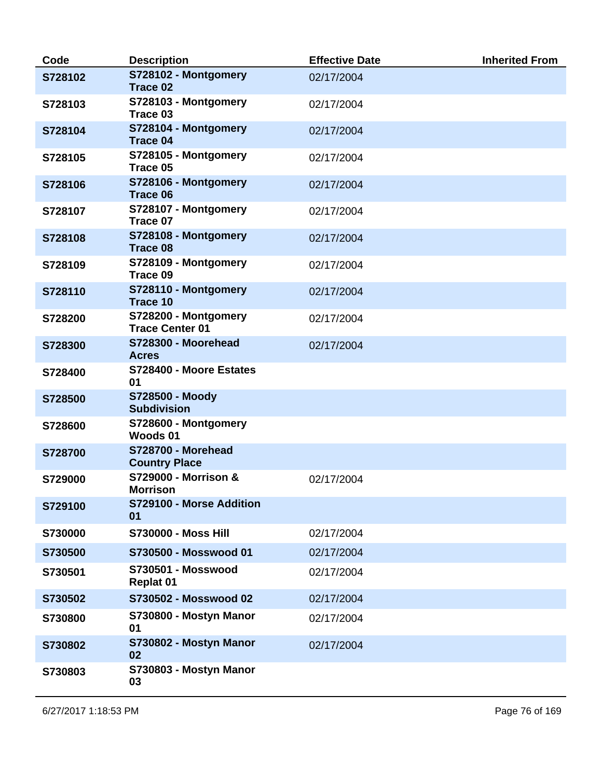| Code    | <b>Description</b>                                | <b>Effective Date</b> | <b>Inherited From</b> |
|---------|---------------------------------------------------|-----------------------|-----------------------|
| S728102 | S728102 - Montgomery<br>Trace 02                  | 02/17/2004            |                       |
| S728103 | S728103 - Montgomery<br>Trace 03                  | 02/17/2004            |                       |
| S728104 | S728104 - Montgomery<br><b>Trace 04</b>           | 02/17/2004            |                       |
| S728105 | S728105 - Montgomery<br>Trace 05                  | 02/17/2004            |                       |
| S728106 | S728106 - Montgomery<br>Trace 06                  | 02/17/2004            |                       |
| S728107 | S728107 - Montgomery<br>Trace 07                  | 02/17/2004            |                       |
| S728108 | S728108 - Montgomery<br>Trace 08                  | 02/17/2004            |                       |
| S728109 | S728109 - Montgomery<br>Trace 09                  | 02/17/2004            |                       |
| S728110 | S728110 - Montgomery<br><b>Trace 10</b>           | 02/17/2004            |                       |
| S728200 | S728200 - Montgomery<br><b>Trace Center 01</b>    | 02/17/2004            |                       |
| S728300 | S728300 - Moorehead<br><b>Acres</b>               | 02/17/2004            |                       |
| S728400 | S728400 - Moore Estates<br>01                     |                       |                       |
| S728500 | <b>S728500 - Moody</b><br><b>Subdivision</b>      |                       |                       |
| S728600 | S728600 - Montgomery<br>Woods 01                  |                       |                       |
| S728700 | <b>S728700 - Morehead</b><br><b>Country Place</b> |                       |                       |
| S729000 | S729000 - Morrison &<br>Morrison                  | 02/17/2004            |                       |
| S729100 | S729100 - Morse Addition<br>01                    |                       |                       |
| S730000 | <b>S730000 - Moss Hill</b>                        | 02/17/2004            |                       |
| S730500 | S730500 - Mosswood 01                             | 02/17/2004            |                       |
| S730501 | <b>S730501 - Mosswood</b><br><b>Replat 01</b>     | 02/17/2004            |                       |
| S730502 | S730502 - Mosswood 02                             | 02/17/2004            |                       |
| S730800 | S730800 - Mostyn Manor<br>01                      | 02/17/2004            |                       |
| S730802 | S730802 - Mostyn Manor<br>02                      | 02/17/2004            |                       |
| S730803 | S730803 - Mostyn Manor<br>03                      |                       |                       |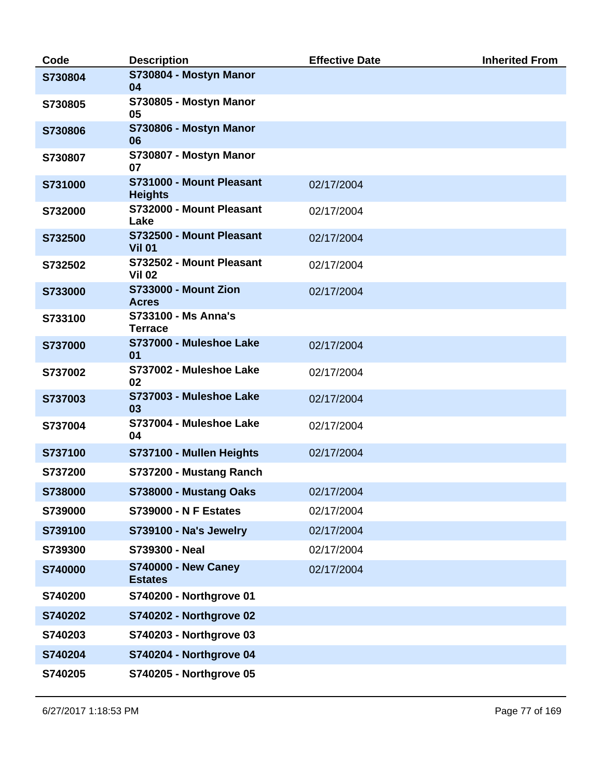| Code    | <b>Description</b>                           | <b>Effective Date</b> | <b>Inherited From</b> |
|---------|----------------------------------------------|-----------------------|-----------------------|
| S730804 | S730804 - Mostyn Manor<br>04                 |                       |                       |
| S730805 | S730805 - Mostyn Manor<br>05                 |                       |                       |
| S730806 | S730806 - Mostyn Manor<br>06                 |                       |                       |
| S730807 | S730807 - Mostyn Manor<br>07                 |                       |                       |
| S731000 | S731000 - Mount Pleasant<br><b>Heights</b>   | 02/17/2004            |                       |
| S732000 | S732000 - Mount Pleasant<br>Lake             | 02/17/2004            |                       |
| S732500 | S732500 - Mount Pleasant<br><b>Vil 01</b>    | 02/17/2004            |                       |
| S732502 | S732502 - Mount Pleasant<br><b>Vil 02</b>    | 02/17/2004            |                       |
| S733000 | <b>S733000 - Mount Zion</b><br><b>Acres</b>  | 02/17/2004            |                       |
| S733100 | <b>S733100 - Ms Anna's</b><br><b>Terrace</b> |                       |                       |
| S737000 | S737000 - Muleshoe Lake<br>01                | 02/17/2004            |                       |
| S737002 | S737002 - Muleshoe Lake<br>02                | 02/17/2004            |                       |
| S737003 | S737003 - Muleshoe Lake<br>03                | 02/17/2004            |                       |
| S737004 | S737004 - Muleshoe Lake<br>04                | 02/17/2004            |                       |
| S737100 | S737100 - Mullen Heights                     | 02/17/2004            |                       |
| S737200 | S737200 - Mustang Ranch                      |                       |                       |
| S738000 | S738000 - Mustang Oaks                       | 02/17/2004            |                       |
| S739000 | <b>S739000 - N F Estates</b>                 | 02/17/2004            |                       |
| S739100 | S739100 - Na's Jewelry                       | 02/17/2004            |                       |
| S739300 | S739300 - Neal                               | 02/17/2004            |                       |
| S740000 | <b>S740000 - New Caney</b><br><b>Estates</b> | 02/17/2004            |                       |
| S740200 | <b>S740200 - Northgrove 01</b>               |                       |                       |
| S740202 | <b>S740202 - Northgrove 02</b>               |                       |                       |
| S740203 | S740203 - Northgrove 03                      |                       |                       |
| S740204 | <b>S740204 - Northgrove 04</b>               |                       |                       |
| S740205 | S740205 - Northgrove 05                      |                       |                       |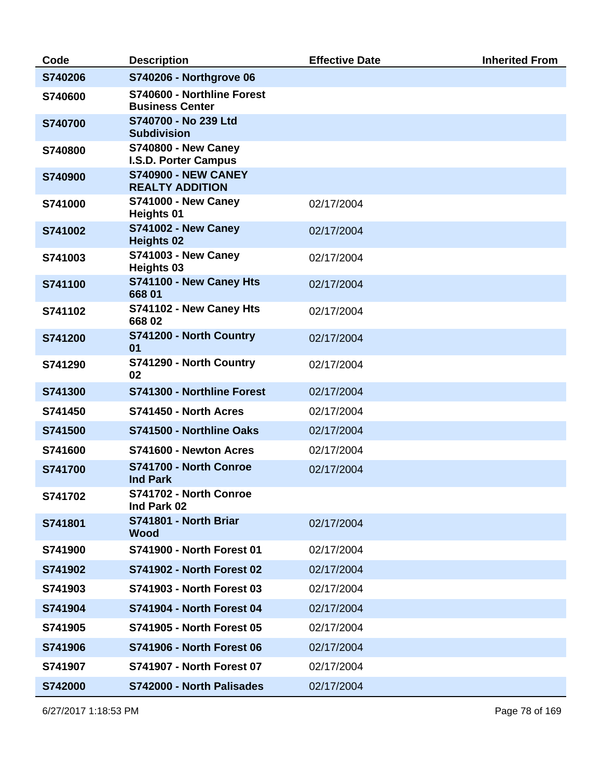| Code    | <b>Description</b>                                   | <b>Effective Date</b> | <b>Inherited From</b> |
|---------|------------------------------------------------------|-----------------------|-----------------------|
| S740206 | <b>S740206 - Northgrove 06</b>                       |                       |                       |
| S740600 | S740600 - Northline Forest<br><b>Business Center</b> |                       |                       |
| S740700 | S740700 - No 239 Ltd<br><b>Subdivision</b>           |                       |                       |
| S740800 | <b>S740800 - New Caney</b><br>I.S.D. Porter Campus   |                       |                       |
| S740900 | <b>S740900 - NEW CANEY</b><br><b>REALTY ADDITION</b> |                       |                       |
| S741000 | <b>S741000 - New Caney</b><br><b>Heights 01</b>      | 02/17/2004            |                       |
| S741002 | <b>S741002 - New Caney</b><br><b>Heights 02</b>      | 02/17/2004            |                       |
| S741003 | <b>S741003 - New Caney</b><br><b>Heights 03</b>      | 02/17/2004            |                       |
| S741100 | S741100 - New Caney Hts<br>668 01                    | 02/17/2004            |                       |
| S741102 | S741102 - New Caney Hts<br>66802                     | 02/17/2004            |                       |
| S741200 | S741200 - North Country<br>01                        | 02/17/2004            |                       |
| S741290 | S741290 - North Country<br>02                        | 02/17/2004            |                       |
| S741300 | S741300 - Northline Forest                           | 02/17/2004            |                       |
| S741450 | S741450 - North Acres                                | 02/17/2004            |                       |
| S741500 | S741500 - Northline Oaks                             | 02/17/2004            |                       |
| S741600 | S741600 - Newton Acres                               | 02/17/2004            |                       |
| S741700 | S741700 - North Conroe<br><b>Ind Park</b>            | 02/17/2004            |                       |
| S741702 | S741702 - North Conroe<br>Ind Park 02                |                       |                       |
| S741801 | S741801 - North Briar<br><b>Wood</b>                 | 02/17/2004            |                       |
| S741900 | <b>S741900 - North Forest 01</b>                     | 02/17/2004            |                       |
| S741902 | <b>S741902 - North Forest 02</b>                     | 02/17/2004            |                       |
| S741903 | <b>S741903 - North Forest 03</b>                     | 02/17/2004            |                       |
| S741904 | <b>S741904 - North Forest 04</b>                     | 02/17/2004            |                       |
| S741905 | <b>S741905 - North Forest 05</b>                     | 02/17/2004            |                       |
| S741906 | <b>S741906 - North Forest 06</b>                     | 02/17/2004            |                       |
| S741907 | <b>S741907 - North Forest 07</b>                     | 02/17/2004            |                       |
| S742000 | S742000 - North Palisades                            | 02/17/2004            |                       |

6/27/2017 1:18:53 PM Page 78 of 169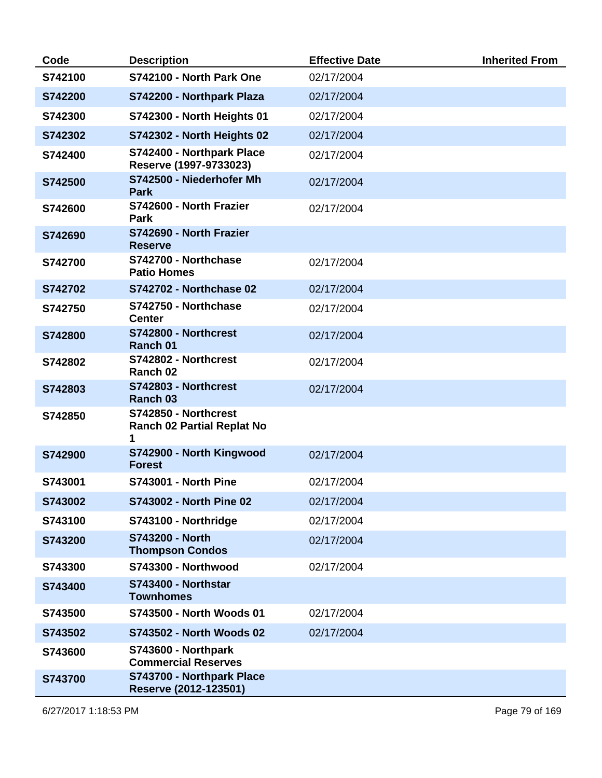| Code    | <b>Description</b>                                             | <b>Effective Date</b> | <b>Inherited From</b> |
|---------|----------------------------------------------------------------|-----------------------|-----------------------|
| S742100 | S742100 - North Park One                                       | 02/17/2004            |                       |
| S742200 | S742200 - Northpark Plaza                                      | 02/17/2004            |                       |
| S742300 | S742300 - North Heights 01                                     | 02/17/2004            |                       |
| S742302 | S742302 - North Heights 02                                     | 02/17/2004            |                       |
| S742400 | S742400 - Northpark Place<br>Reserve (1997-9733023)            | 02/17/2004            |                       |
| S742500 | S742500 - Niederhofer Mh<br><b>Park</b>                        | 02/17/2004            |                       |
| S742600 | S742600 - North Frazier<br><b>Park</b>                         | 02/17/2004            |                       |
| S742690 | S742690 - North Frazier<br><b>Reserve</b>                      |                       |                       |
| S742700 | S742700 - Northchase<br><b>Patio Homes</b>                     | 02/17/2004            |                       |
| S742702 | <b>S742702 - Northchase 02</b>                                 | 02/17/2004            |                       |
| S742750 | S742750 - Northchase<br><b>Center</b>                          | 02/17/2004            |                       |
| S742800 | S742800 - Northcrest<br>Ranch 01                               | 02/17/2004            |                       |
| S742802 | S742802 - Northcrest<br>Ranch 02                               | 02/17/2004            |                       |
| S742803 | S742803 - Northcrest<br>Ranch 03                               | 02/17/2004            |                       |
| S742850 | S742850 - Northcrest<br><b>Ranch 02 Partial Replat No</b><br>1 |                       |                       |
| S742900 | S742900 - North Kingwood<br><b>Forest</b>                      | 02/17/2004            |                       |
| S743001 | <b>S743001 - North Pine</b>                                    | 02/17/2004            |                       |
| S743002 | <b>S743002 - North Pine 02</b>                                 | 02/17/2004            |                       |
| S743100 | S743100 - Northridge                                           | 02/17/2004            |                       |
| S743200 | S743200 - North<br><b>Thompson Condos</b>                      | 02/17/2004            |                       |
| S743300 | S743300 - Northwood                                            | 02/17/2004            |                       |
| S743400 | S743400 - Northstar<br><b>Townhomes</b>                        |                       |                       |
| S743500 | S743500 - North Woods 01                                       | 02/17/2004            |                       |
| S743502 | S743502 - North Woods 02                                       | 02/17/2004            |                       |
| S743600 | S743600 - Northpark<br><b>Commercial Reserves</b>              |                       |                       |
| S743700 | S743700 - Northpark Place<br>Reserve (2012-123501)             |                       |                       |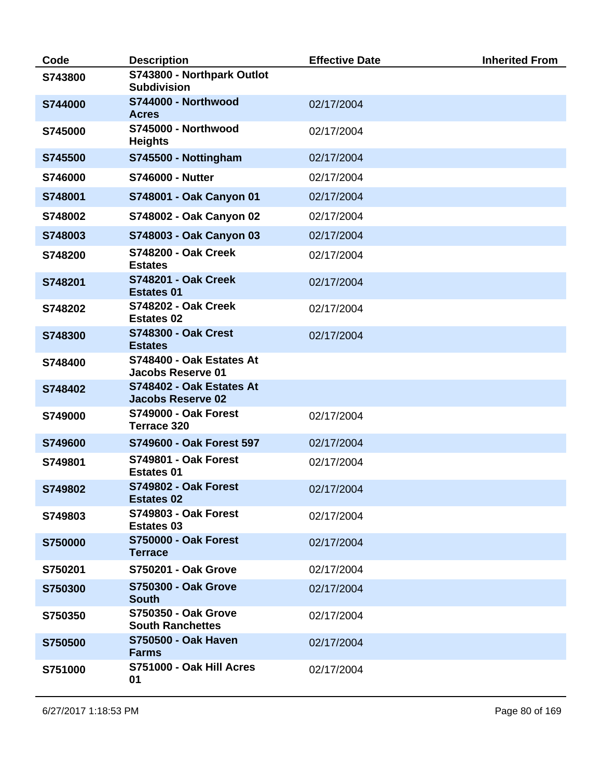| Code    | <b>Description</b>                                    | <b>Effective Date</b> | <b>Inherited From</b> |
|---------|-------------------------------------------------------|-----------------------|-----------------------|
| S743800 | S743800 - Northpark Outlot<br><b>Subdivision</b>      |                       |                       |
| S744000 | S744000 - Northwood<br><b>Acres</b>                   | 02/17/2004            |                       |
| S745000 | S745000 - Northwood<br><b>Heights</b>                 | 02/17/2004            |                       |
| S745500 | S745500 - Nottingham                                  | 02/17/2004            |                       |
| S746000 | <b>S746000 - Nutter</b>                               | 02/17/2004            |                       |
| S748001 | S748001 - Oak Canyon 01                               | 02/17/2004            |                       |
| S748002 | S748002 - Oak Canyon 02                               | 02/17/2004            |                       |
| S748003 | S748003 - Oak Canyon 03                               | 02/17/2004            |                       |
| S748200 | <b>S748200 - Oak Creek</b><br><b>Estates</b>          | 02/17/2004            |                       |
| S748201 | <b>S748201 - Oak Creek</b><br><b>Estates 01</b>       | 02/17/2004            |                       |
| S748202 | <b>S748202 - Oak Creek</b><br><b>Estates 02</b>       | 02/17/2004            |                       |
| S748300 | <b>S748300 - Oak Crest</b><br><b>Estates</b>          | 02/17/2004            |                       |
| S748400 | S748400 - Oak Estates At<br><b>Jacobs Reserve 01</b>  |                       |                       |
| S748402 | S748402 - Oak Estates At<br><b>Jacobs Reserve 02</b>  |                       |                       |
| S749000 | <b>S749000 - Oak Forest</b><br>Terrace 320            | 02/17/2004            |                       |
| S749600 | S749600 - Oak Forest 597                              | 02/17/2004            |                       |
| S749801 | <b>S749801 - Oak Forest</b><br><b>Estates 01</b>      | 02/17/2004            |                       |
| S749802 | <b>S749802 - Oak Forest</b><br><b>Estates 02</b>      | 02/17/2004            |                       |
| S749803 | <b>S749803 - Oak Forest</b><br><b>Estates 03</b>      | 02/17/2004            |                       |
| S750000 | <b>S750000 - Oak Forest</b><br><b>Terrace</b>         | 02/17/2004            |                       |
| S750201 | <b>S750201 - Oak Grove</b>                            | 02/17/2004            |                       |
| S750300 | <b>S750300 - Oak Grove</b><br><b>South</b>            | 02/17/2004            |                       |
| S750350 | <b>S750350 - Oak Grove</b><br><b>South Ranchettes</b> | 02/17/2004            |                       |
| S750500 | <b>S750500 - Oak Haven</b><br><b>Farms</b>            | 02/17/2004            |                       |
| S751000 | S751000 - Oak Hill Acres<br>01                        | 02/17/2004            |                       |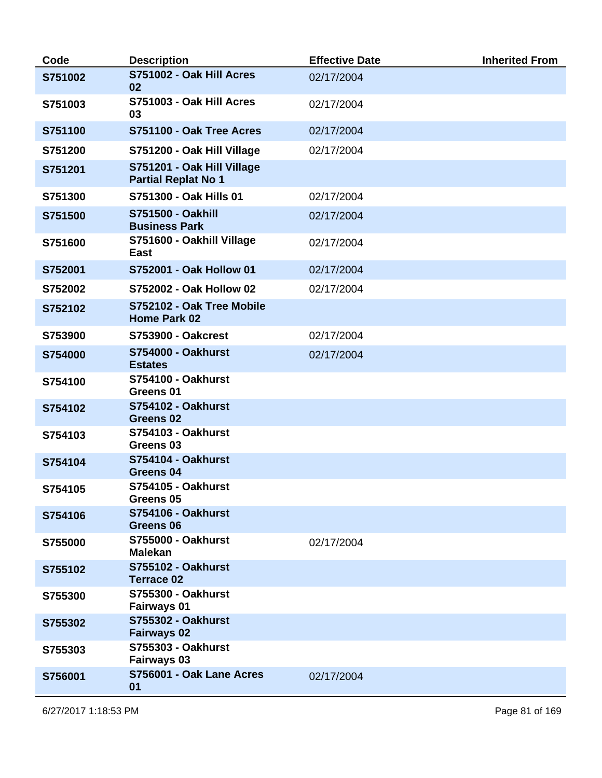| Code    | <b>Description</b>                                       | <b>Effective Date</b> | <b>Inherited From</b> |
|---------|----------------------------------------------------------|-----------------------|-----------------------|
| S751002 | S751002 - Oak Hill Acres<br>02                           | 02/17/2004            |                       |
| S751003 | S751003 - Oak Hill Acres<br>03                           | 02/17/2004            |                       |
| S751100 | S751100 - Oak Tree Acres                                 | 02/17/2004            |                       |
| S751200 | S751200 - Oak Hill Village                               | 02/17/2004            |                       |
| S751201 | S751201 - Oak Hill Village<br><b>Partial Replat No 1</b> |                       |                       |
| S751300 | S751300 - Oak Hills 01                                   | 02/17/2004            |                       |
| S751500 | <b>S751500 - Oakhill</b><br><b>Business Park</b>         | 02/17/2004            |                       |
| S751600 | S751600 - Oakhill Village<br>East                        | 02/17/2004            |                       |
| S752001 | S752001 - Oak Hollow 01                                  | 02/17/2004            |                       |
| S752002 | S752002 - Oak Hollow 02                                  | 02/17/2004            |                       |
| S752102 | S752102 - Oak Tree Mobile<br><b>Home Park 02</b>         |                       |                       |
| S753900 | <b>S753900 - Oakcrest</b>                                | 02/17/2004            |                       |
| S754000 | <b>S754000 - Oakhurst</b><br><b>Estates</b>              | 02/17/2004            |                       |
| S754100 | <b>S754100 - Oakhurst</b><br>Greens 01                   |                       |                       |
| S754102 | <b>S754102 - Oakhurst</b><br>Greens <sub>02</sub>        |                       |                       |
| S754103 | <b>S754103 - Oakhurst</b><br>Greens <sub>03</sub>        |                       |                       |
| S754104 | S754104 - Oakhurst<br>Greens 04                          |                       |                       |
| S754105 | <b>S754105 - Oakhurst</b><br>Greens <sub>05</sub>        |                       |                       |
| S754106 | <b>S754106 - Oakhurst</b><br>Greens 06                   |                       |                       |
| S755000 | <b>S755000 - Oakhurst</b><br><b>Malekan</b>              | 02/17/2004            |                       |
| S755102 | <b>S755102 - Oakhurst</b><br><b>Terrace 02</b>           |                       |                       |
| S755300 | <b>S755300 - Oakhurst</b><br>Fairways 01                 |                       |                       |
| S755302 | <b>S755302 - Oakhurst</b><br><b>Fairways 02</b>          |                       |                       |
| S755303 | <b>S755303 - Oakhurst</b><br><b>Fairways 03</b>          |                       |                       |
| S756001 | S756001 - Oak Lane Acres<br>01                           | 02/17/2004            |                       |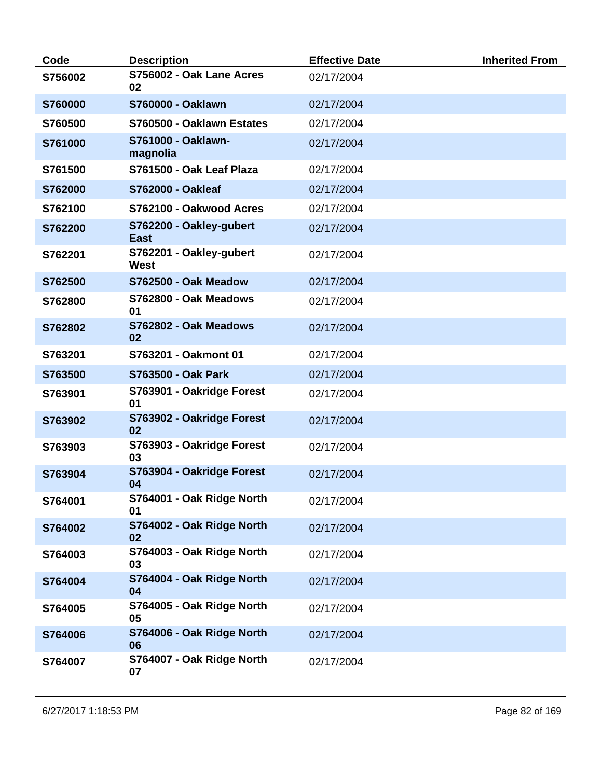| Code    | <b>Description</b>                     | <b>Effective Date</b> | <b>Inherited From</b> |
|---------|----------------------------------------|-----------------------|-----------------------|
| S756002 | S756002 - Oak Lane Acres<br>02         | 02/17/2004            |                       |
| S760000 | <b>S760000 - Oaklawn</b>               | 02/17/2004            |                       |
| S760500 | S760500 - Oaklawn Estates              | 02/17/2004            |                       |
| S761000 | S761000 - Oaklawn-<br>magnolia         | 02/17/2004            |                       |
| S761500 | S761500 - Oak Leaf Plaza               | 02/17/2004            |                       |
| S762000 | <b>S762000 - Oakleaf</b>               | 02/17/2004            |                       |
| S762100 | S762100 - Oakwood Acres                | 02/17/2004            |                       |
| S762200 | S762200 - Oakley-gubert<br><b>East</b> | 02/17/2004            |                       |
| S762201 | S762201 - Oakley-gubert<br>West        | 02/17/2004            |                       |
| S762500 | S762500 - Oak Meadow                   | 02/17/2004            |                       |
| S762800 | S762800 - Oak Meadows<br>01            | 02/17/2004            |                       |
| S762802 | S762802 - Oak Meadows<br>02            | 02/17/2004            |                       |
| S763201 | S763201 - Oakmont 01                   | 02/17/2004            |                       |
| S763500 | <b>S763500 - Oak Park</b>              | 02/17/2004            |                       |
| S763901 | S763901 - Oakridge Forest<br>01        | 02/17/2004            |                       |
| S763902 | S763902 - Oakridge Forest<br>02        | 02/17/2004            |                       |
| S763903 | S763903 - Oakridge Forest<br>03        | 02/17/2004            |                       |
| S763904 | S763904 - Oakridge Forest<br>04        | 02/17/2004            |                       |
| S764001 | S764001 - Oak Ridge North<br>01        | 02/17/2004            |                       |
| S764002 | S764002 - Oak Ridge North<br>02        | 02/17/2004            |                       |
| S764003 | S764003 - Oak Ridge North<br>03        | 02/17/2004            |                       |
| S764004 | S764004 - Oak Ridge North<br>04        | 02/17/2004            |                       |
| S764005 | S764005 - Oak Ridge North<br>05        | 02/17/2004            |                       |
| S764006 | S764006 - Oak Ridge North<br>06        | 02/17/2004            |                       |
| S764007 | S764007 - Oak Ridge North<br>07        | 02/17/2004            |                       |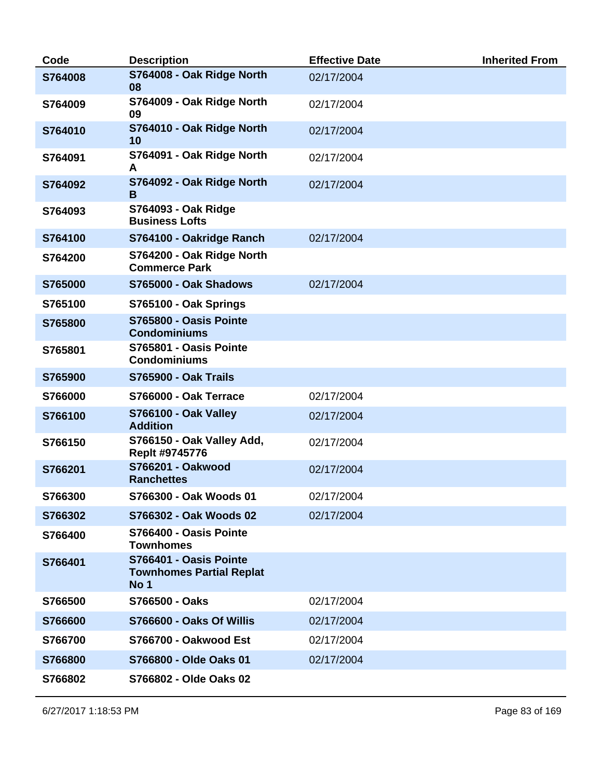| Code    | <b>Description</b>                                                | <b>Effective Date</b> | <b>Inherited From</b> |
|---------|-------------------------------------------------------------------|-----------------------|-----------------------|
| S764008 | S764008 - Oak Ridge North<br>08                                   | 02/17/2004            |                       |
| S764009 | S764009 - Oak Ridge North<br>09                                   | 02/17/2004            |                       |
| S764010 | S764010 - Oak Ridge North<br>10                                   | 02/17/2004            |                       |
| S764091 | S764091 - Oak Ridge North<br>A                                    | 02/17/2004            |                       |
| S764092 | S764092 - Oak Ridge North<br>B                                    | 02/17/2004            |                       |
| S764093 | S764093 - Oak Ridge<br><b>Business Lofts</b>                      |                       |                       |
| S764100 | S764100 - Oakridge Ranch                                          | 02/17/2004            |                       |
| S764200 | S764200 - Oak Ridge North<br><b>Commerce Park</b>                 |                       |                       |
| S765000 | S765000 - Oak Shadows                                             | 02/17/2004            |                       |
| S765100 | S765100 - Oak Springs                                             |                       |                       |
| S765800 | S765800 - Oasis Pointe<br><b>Condominiums</b>                     |                       |                       |
| S765801 | S765801 - Oasis Pointe<br><b>Condominiums</b>                     |                       |                       |
| S765900 | <b>S765900 - Oak Trails</b>                                       |                       |                       |
| S766000 | S766000 - Oak Terrace                                             | 02/17/2004            |                       |
| S766100 | <b>S766100 - Oak Valley</b><br><b>Addition</b>                    | 02/17/2004            |                       |
| S766150 | S766150 - Oak Valley Add,<br>Replt #9745776                       | 02/17/2004            |                       |
| S766201 | <b>S766201 - Oakwood</b><br><b>Ranchettes</b>                     | 02/17/2004            |                       |
| S766300 | S766300 - Oak Woods 01                                            | 02/17/2004            |                       |
| S766302 | S766302 - Oak Woods 02                                            | 02/17/2004            |                       |
| S766400 | S766400 - Oasis Pointe<br><b>Townhomes</b>                        |                       |                       |
| S766401 | S766401 - Oasis Pointe<br><b>Townhomes Partial Replat</b><br>No 1 |                       |                       |
| S766500 | S766500 - Oaks                                                    | 02/17/2004            |                       |
| S766600 | S766600 - Oaks Of Willis                                          | 02/17/2004            |                       |
| S766700 | S766700 - Oakwood Est                                             | 02/17/2004            |                       |
| S766800 | S766800 - Olde Oaks 01                                            | 02/17/2004            |                       |
| S766802 | S766802 - Olde Oaks 02                                            |                       |                       |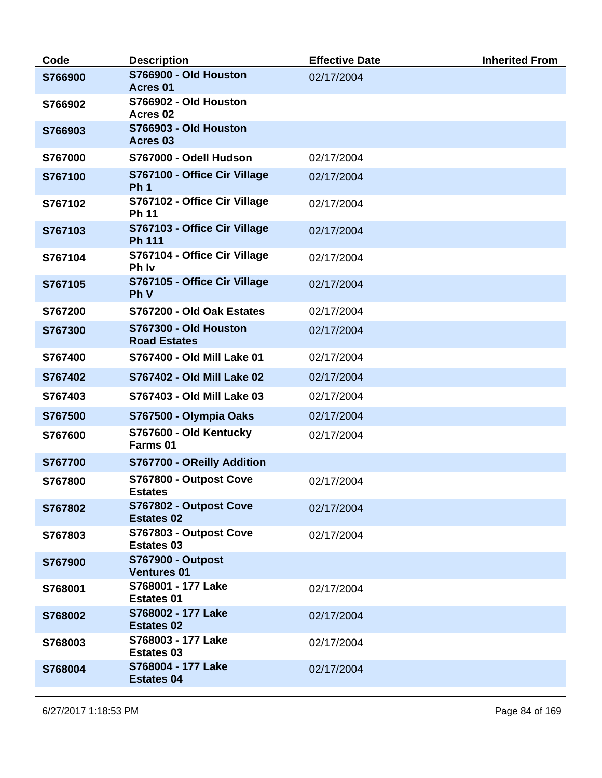| Code    | <b>Description</b>                              | <b>Effective Date</b> | <b>Inherited From</b> |
|---------|-------------------------------------------------|-----------------------|-----------------------|
| S766900 | S766900 - Old Houston<br>Acres 01               | 02/17/2004            |                       |
| S766902 | S766902 - Old Houston<br>Acres <sub>02</sub>    |                       |                       |
| S766903 | S766903 - Old Houston<br>Acres 03               |                       |                       |
| S767000 | S767000 - Odell Hudson                          | 02/17/2004            |                       |
| S767100 | S767100 - Office Cir Village<br>Ph <sub>1</sub> | 02/17/2004            |                       |
| S767102 | S767102 - Office Cir Village<br><b>Ph 11</b>    | 02/17/2004            |                       |
| S767103 | S767103 - Office Cir Village<br><b>Ph 111</b>   | 02/17/2004            |                       |
| S767104 | S767104 - Office Cir Village<br>Ph Iv           | 02/17/2004            |                       |
| S767105 | S767105 - Office Cir Village<br><b>Ph V</b>     | 02/17/2004            |                       |
| S767200 | S767200 - Old Oak Estates                       | 02/17/2004            |                       |
| S767300 | S767300 - Old Houston<br><b>Road Estates</b>    | 02/17/2004            |                       |
| S767400 | S767400 - Old Mill Lake 01                      | 02/17/2004            |                       |
| S767402 | S767402 - Old Mill Lake 02                      | 02/17/2004            |                       |
| S767403 | S767403 - Old Mill Lake 03                      | 02/17/2004            |                       |
| S767500 | S767500 - Olympia Oaks                          | 02/17/2004            |                       |
| S767600 | S767600 - Old Kentucky<br>Farms 01              | 02/17/2004            |                       |
| S767700 | S767700 - OReilly Addition                      |                       |                       |
| S767800 | S767800 - Outpost Cove<br><b>Estates</b>        | 02/17/2004            |                       |
| S767802 | S767802 - Outpost Cove<br><b>Estates 02</b>     | 02/17/2004            |                       |
| S767803 | S767803 - Outpost Cove<br><b>Estates 03</b>     | 02/17/2004            |                       |
| S767900 | <b>S767900 - Outpost</b><br><b>Ventures 01</b>  |                       |                       |
| S768001 | S768001 - 177 Lake<br><b>Estates 01</b>         | 02/17/2004            |                       |
| S768002 | S768002 - 177 Lake<br><b>Estates 02</b>         | 02/17/2004            |                       |
| S768003 | S768003 - 177 Lake<br><b>Estates 03</b>         | 02/17/2004            |                       |
| S768004 | S768004 - 177 Lake<br><b>Estates 04</b>         | 02/17/2004            |                       |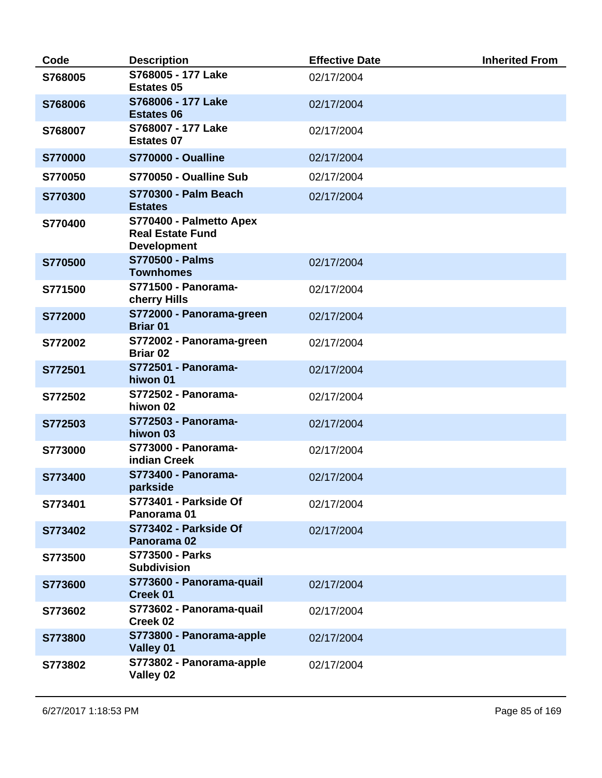| Code    | <b>Description</b>                                                       | <b>Effective Date</b> | <b>Inherited From</b> |
|---------|--------------------------------------------------------------------------|-----------------------|-----------------------|
| S768005 | S768005 - 177 Lake<br><b>Estates 05</b>                                  | 02/17/2004            |                       |
| S768006 | S768006 - 177 Lake<br><b>Estates 06</b>                                  | 02/17/2004            |                       |
| S768007 | S768007 - 177 Lake<br><b>Estates 07</b>                                  | 02/17/2004            |                       |
| S770000 | <b>S770000 - Oualline</b>                                                | 02/17/2004            |                       |
| S770050 | S770050 - Oualline Sub                                                   | 02/17/2004            |                       |
| S770300 | <b>S770300 - Palm Beach</b><br><b>Estates</b>                            | 02/17/2004            |                       |
| S770400 | S770400 - Palmetto Apex<br><b>Real Estate Fund</b><br><b>Development</b> |                       |                       |
| S770500 | <b>S770500 - Palms</b><br><b>Townhomes</b>                               | 02/17/2004            |                       |
| S771500 | S771500 - Panorama-<br>cherry Hills                                      | 02/17/2004            |                       |
| S772000 | S772000 - Panorama-green<br><b>Briar 01</b>                              | 02/17/2004            |                       |
| S772002 | S772002 - Panorama-green<br><b>Briar 02</b>                              | 02/17/2004            |                       |
| S772501 | S772501 - Panorama-<br>hiwon 01                                          | 02/17/2004            |                       |
| S772502 | S772502 - Panorama-<br>hiwon 02                                          | 02/17/2004            |                       |
| S772503 | S772503 - Panorama-<br>hiwon 03                                          | 02/17/2004            |                       |
| S773000 | S773000 - Panorama-<br>indian Creek                                      | 02/17/2004            |                       |
| S773400 | S773400 - Panorama-<br>parkside                                          | 02/17/2004            |                       |
| S773401 | S773401 - Parkside Of<br>Panorama 01                                     | 02/17/2004            |                       |
| S773402 | S773402 - Parkside Of<br>Panorama 02                                     | 02/17/2004            |                       |
| S773500 | <b>S773500 - Parks</b><br><b>Subdivision</b>                             |                       |                       |
| S773600 | S773600 - Panorama-quail<br><b>Creek 01</b>                              | 02/17/2004            |                       |
| S773602 | S773602 - Panorama-quail<br>Creek 02                                     | 02/17/2004            |                       |
| S773800 | S773800 - Panorama-apple<br>Valley 01                                    | 02/17/2004            |                       |
| S773802 | S773802 - Panorama-apple<br>Valley 02                                    | 02/17/2004            |                       |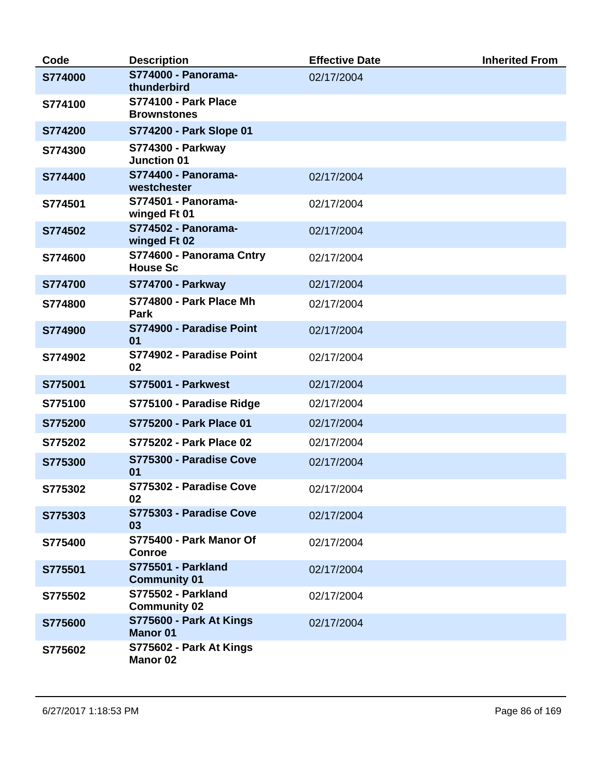| Code    | <b>Description</b>                                | <b>Effective Date</b> | <b>Inherited From</b> |
|---------|---------------------------------------------------|-----------------------|-----------------------|
| S774000 | S774000 - Panorama-<br>thunderbird                | 02/17/2004            |                       |
| S774100 | <b>S774100 - Park Place</b><br><b>Brownstones</b> |                       |                       |
| S774200 | S774200 - Park Slope 01                           |                       |                       |
| S774300 | <b>S774300 - Parkway</b><br><b>Junction 01</b>    |                       |                       |
| S774400 | S774400 - Panorama-<br>westchester                | 02/17/2004            |                       |
| S774501 | S774501 - Panorama-<br>winged Ft 01               | 02/17/2004            |                       |
| S774502 | S774502 - Panorama-<br>winged Ft 02               | 02/17/2004            |                       |
| S774600 | S774600 - Panorama Cntry<br><b>House Sc</b>       | 02/17/2004            |                       |
| S774700 | <b>S774700 - Parkway</b>                          | 02/17/2004            |                       |
| S774800 | S774800 - Park Place Mh<br>Park                   | 02/17/2004            |                       |
| S774900 | S774900 - Paradise Point<br>01                    | 02/17/2004            |                       |
| S774902 | S774902 - Paradise Point<br>02                    | 02/17/2004            |                       |
| S775001 | <b>S775001 - Parkwest</b>                         | 02/17/2004            |                       |
| S775100 | S775100 - Paradise Ridge                          | 02/17/2004            |                       |
| S775200 | S775200 - Park Place 01                           | 02/17/2004            |                       |
| S775202 | S775202 - Park Place 02                           | 02/17/2004            |                       |
| S775300 | S775300 - Paradise Cove<br>01                     | 02/17/2004            |                       |
| S775302 | S775302 - Paradise Cove<br>02                     | 02/17/2004            |                       |
| S775303 | S775303 - Paradise Cove<br>03                     | 02/17/2004            |                       |
| S775400 | S775400 - Park Manor Of<br><b>Conroe</b>          | 02/17/2004            |                       |
| S775501 | <b>S775501 - Parkland</b><br><b>Community 01</b>  | 02/17/2004            |                       |
| S775502 | <b>S775502 - Parkland</b><br><b>Community 02</b>  | 02/17/2004            |                       |
| S775600 | S775600 - Park At Kings<br><b>Manor 01</b>        | 02/17/2004            |                       |
| S775602 | S775602 - Park At Kings<br><b>Manor 02</b>        |                       |                       |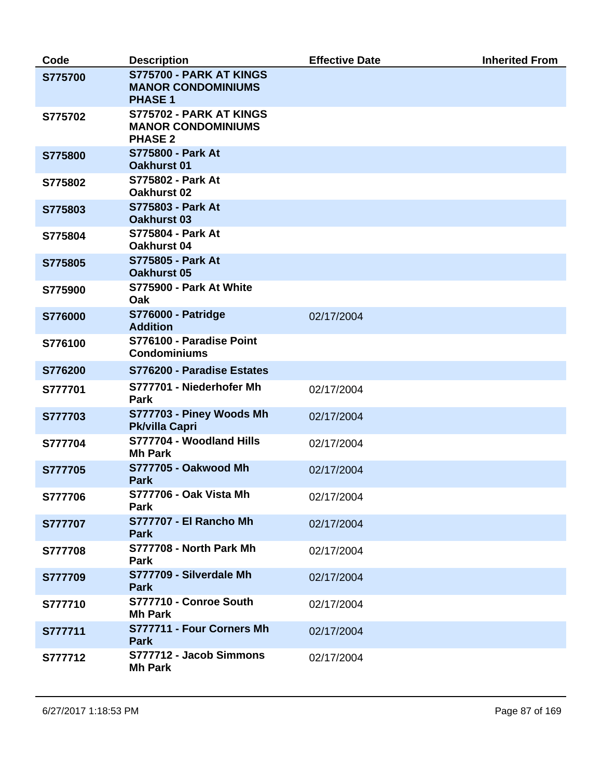| Code    | <b>Description</b>                                                     | <b>Effective Date</b> | <b>Inherited From</b> |
|---------|------------------------------------------------------------------------|-----------------------|-----------------------|
| S775700 | S775700 - PARK AT KINGS<br><b>MANOR CONDOMINIUMS</b><br><b>PHASE 1</b> |                       |                       |
| S775702 | S775702 - PARK AT KINGS<br><b>MANOR CONDOMINIUMS</b><br><b>PHASE 2</b> |                       |                       |
| S775800 | <b>S775800 - Park At</b><br><b>Oakhurst 01</b>                         |                       |                       |
| S775802 | S775802 - Park At<br>Oakhurst 02                                       |                       |                       |
| S775803 | S775803 - Park At<br><b>Oakhurst 03</b>                                |                       |                       |
| S775804 | <b>S775804 - Park At</b><br>Oakhurst 04                                |                       |                       |
| S775805 | <b>S775805 - Park At</b><br><b>Oakhurst 05</b>                         |                       |                       |
| S775900 | S775900 - Park At White<br>Oak                                         |                       |                       |
| S776000 | <b>S776000 - Patridge</b><br><b>Addition</b>                           | 02/17/2004            |                       |
| S776100 | S776100 - Paradise Point<br><b>Condominiums</b>                        |                       |                       |
| S776200 | S776200 - Paradise Estates                                             |                       |                       |
| S777701 | S777701 - Niederhofer Mh<br>Park                                       | 02/17/2004            |                       |
| S777703 | S777703 - Piney Woods Mh<br>Pk/villa Capri                             | 02/17/2004            |                       |
| S777704 | S777704 - Woodland Hills<br><b>Mh Park</b>                             | 02/17/2004            |                       |
| S777705 | <b>S777705 - Oakwood Mh</b><br><b>Park</b>                             | 02/17/2004            |                       |
| S777706 | <b>S777706 - Oak Vista Mh</b><br><b>Park</b>                           | 02/17/2004            |                       |
| S777707 | <b>S777707 - El Rancho Mh</b><br><b>Park</b>                           | 02/17/2004            |                       |
| S777708 | S777708 - North Park Mh<br><b>Park</b>                                 | 02/17/2004            |                       |
| S777709 | S777709 - Silverdale Mh<br><b>Park</b>                                 | 02/17/2004            |                       |
| S777710 | S777710 - Conroe South<br><b>Mh Park</b>                               | 02/17/2004            |                       |
| S777711 | S777711 - Four Corners Mh<br><b>Park</b>                               | 02/17/2004            |                       |
| S777712 | S777712 - Jacob Simmons<br><b>Mh Park</b>                              | 02/17/2004            |                       |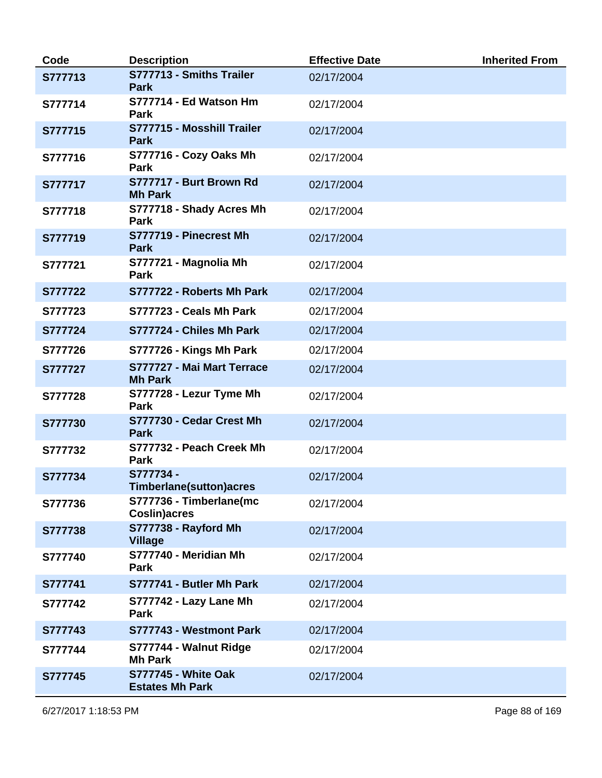| Code    | <b>Description</b>                                   | <b>Effective Date</b> | <b>Inherited From</b> |
|---------|------------------------------------------------------|-----------------------|-----------------------|
| S777713 | S777713 - Smiths Trailer<br><b>Park</b>              | 02/17/2004            |                       |
| S777714 | S777714 - Ed Watson Hm<br>Park                       | 02/17/2004            |                       |
| S777715 | S777715 - Mosshill Trailer<br><b>Park</b>            | 02/17/2004            |                       |
| S777716 | S777716 - Cozy Oaks Mh<br>Park                       | 02/17/2004            |                       |
| S777717 | S777717 - Burt Brown Rd<br><b>Mh Park</b>            | 02/17/2004            |                       |
| S777718 | S777718 - Shady Acres Mh<br>Park                     | 02/17/2004            |                       |
| S777719 | S777719 - Pinecrest Mh<br><b>Park</b>                | 02/17/2004            |                       |
| S777721 | S777721 - Magnolia Mh<br>Park                        | 02/17/2004            |                       |
| S777722 | S777722 - Roberts Mh Park                            | 02/17/2004            |                       |
| S777723 | S777723 - Ceals Mh Park                              | 02/17/2004            |                       |
| S777724 | S777724 - Chiles Mh Park                             | 02/17/2004            |                       |
| S777726 | S777726 - Kings Mh Park                              | 02/17/2004            |                       |
| S777727 | S777727 - Mai Mart Terrace<br><b>Mh Park</b>         | 02/17/2004            |                       |
| S777728 | S777728 - Lezur Tyme Mh<br>Park                      | 02/17/2004            |                       |
| S777730 | S777730 - Cedar Crest Mh<br><b>Park</b>              | 02/17/2004            |                       |
| S777732 | S777732 - Peach Creek Mh<br>Park                     | 02/17/2004            |                       |
| S777734 | S777734-<br><b>Timberlane(sutton)acres</b>           | 02/17/2004            |                       |
| S777736 | S777736 - Timberlane(mc<br><b>Coslin)acres</b>       | 02/17/2004            |                       |
| S777738 | S777738 - Rayford Mh<br><b>Village</b>               | 02/17/2004            |                       |
| S777740 | S777740 - Meridian Mh<br><b>Park</b>                 | 02/17/2004            |                       |
| S777741 | S777741 - Butler Mh Park                             | 02/17/2004            |                       |
| S777742 | S777742 - Lazy Lane Mh<br><b>Park</b>                | 02/17/2004            |                       |
| S777743 | S777743 - Westmont Park                              | 02/17/2004            |                       |
| S777744 | S777744 - Walnut Ridge<br><b>Mh Park</b>             | 02/17/2004            |                       |
| S777745 | <b>S777745 - White Oak</b><br><b>Estates Mh Park</b> | 02/17/2004            |                       |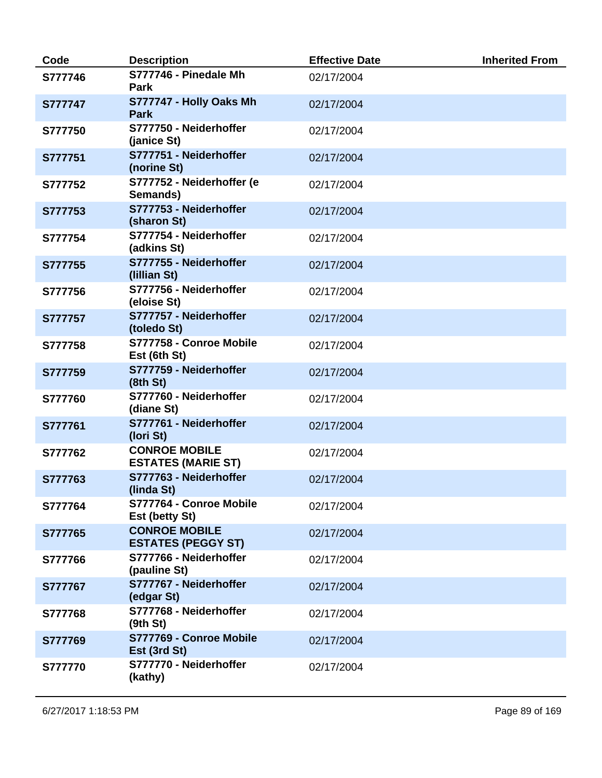| Code    | <b>Description</b>                                | <b>Effective Date</b> | <b>Inherited From</b> |
|---------|---------------------------------------------------|-----------------------|-----------------------|
| S777746 | S777746 - Pinedale Mh<br><b>Park</b>              | 02/17/2004            |                       |
| S777747 | S777747 - Holly Oaks Mh<br><b>Park</b>            | 02/17/2004            |                       |
| S777750 | S777750 - Neiderhoffer<br>(janice St)             | 02/17/2004            |                       |
| S777751 | S777751 - Neiderhoffer<br>(norine St)             | 02/17/2004            |                       |
| S777752 | S777752 - Neiderhoffer (e<br>Semands)             | 02/17/2004            |                       |
| S777753 | S777753 - Neiderhoffer<br>(sharon St)             | 02/17/2004            |                       |
| S777754 | S777754 - Neiderhoffer<br>(adkins St)             | 02/17/2004            |                       |
| S777755 | S777755 - Neiderhoffer<br>(Iillian St)            | 02/17/2004            |                       |
| S777756 | S777756 - Neiderhoffer<br>(eloise St)             | 02/17/2004            |                       |
| S777757 | S777757 - Neiderhoffer<br>(toledo St)             | 02/17/2004            |                       |
| S777758 | S777758 - Conroe Mobile<br>Est (6th St)           | 02/17/2004            |                       |
| S777759 | S777759 - Neiderhoffer<br>(8th St)                | 02/17/2004            |                       |
| S777760 | S777760 - Neiderhoffer<br>(diane St)              | 02/17/2004            |                       |
| S777761 | S777761 - Neiderhoffer<br>(Iori St)               | 02/17/2004            |                       |
| S777762 | <b>CONROE MOBILE</b><br><b>ESTATES (MARIE ST)</b> | 02/17/2004            |                       |
| S777763 | S777763 - Neiderhoffer<br>(linda St)              | 02/17/2004            |                       |
| S777764 | S777764 - Conroe Mobile<br>Est (betty St)         | 02/17/2004            |                       |
| S777765 | <b>CONROE MOBILE</b><br><b>ESTATES (PEGGY ST)</b> | 02/17/2004            |                       |
| S777766 | S777766 - Neiderhoffer<br>(pauline St)            | 02/17/2004            |                       |
| S777767 | S777767 - Neiderhoffer<br>(edgar St)              | 02/17/2004            |                       |
| S777768 | S777768 - Neiderhoffer<br>(9th St)                | 02/17/2004            |                       |
| S777769 | S777769 - Conroe Mobile<br>Est (3rd St)           | 02/17/2004            |                       |
| S777770 | S777770 - Neiderhoffer<br>(kathy)                 | 02/17/2004            |                       |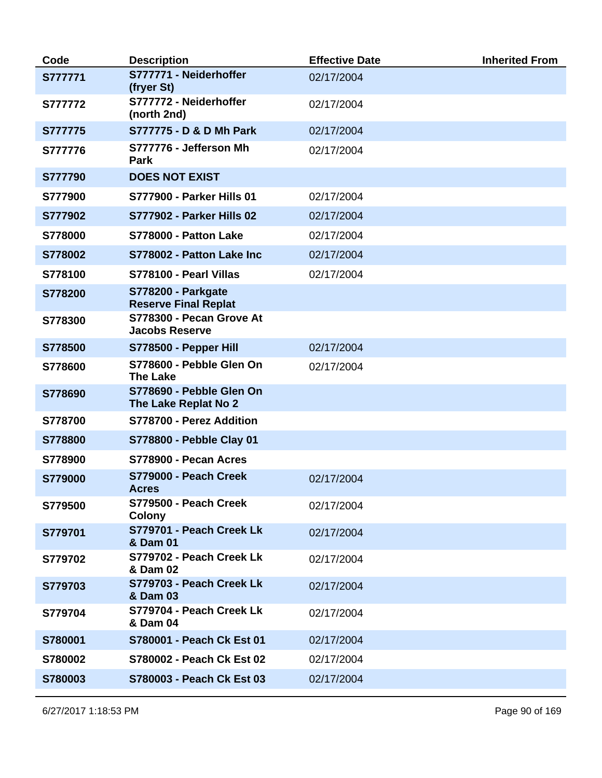| Code           | <b>Description</b>                                       | <b>Effective Date</b> | <b>Inherited From</b> |
|----------------|----------------------------------------------------------|-----------------------|-----------------------|
| S777771        | S777771 - Neiderhoffer<br>(fryer St)                     | 02/17/2004            |                       |
| <b>S777772</b> | S777772 - Neiderhoffer<br>(north 2nd)                    | 02/17/2004            |                       |
| S777775        | S777775 - D & D Mh Park                                  | 02/17/2004            |                       |
| S777776        | S777776 - Jefferson Mh<br>Park                           | 02/17/2004            |                       |
| S777790        | <b>DOES NOT EXIST</b>                                    |                       |                       |
| S777900        | <b>S777900 - Parker Hills 01</b>                         | 02/17/2004            |                       |
| S777902        | <b>S777902 - Parker Hills 02</b>                         | 02/17/2004            |                       |
| S778000        | <b>S778000 - Patton Lake</b>                             | 02/17/2004            |                       |
| S778002        | S778002 - Patton Lake Inc                                | 02/17/2004            |                       |
| S778100        | S778100 - Pearl Villas                                   | 02/17/2004            |                       |
| S778200        | <b>S778200 - Parkgate</b><br><b>Reserve Final Replat</b> |                       |                       |
| S778300        | S778300 - Pecan Grove At<br><b>Jacobs Reserve</b>        |                       |                       |
| S778500        | S778500 - Pepper Hill                                    | 02/17/2004            |                       |
| S778600        | S778600 - Pebble Glen On<br><b>The Lake</b>              | 02/17/2004            |                       |
| S778690        | S778690 - Pebble Glen On<br>The Lake Replat No 2         |                       |                       |
| S778700        | S778700 - Perez Addition                                 |                       |                       |
| S778800        | S778800 - Pebble Clay 01                                 |                       |                       |
| S778900        | S778900 - Pecan Acres                                    |                       |                       |
| S779000        | S779000 - Peach Creek<br><b>Acres</b>                    | 02/17/2004            |                       |
| S779500        | S779500 - Peach Creek<br><b>Colony</b>                   | 02/17/2004            |                       |
| S779701        | S779701 - Peach Creek Lk<br>& Dam 01                     | 02/17/2004            |                       |
| S779702        | S779702 - Peach Creek Lk<br>& Dam 02                     | 02/17/2004            |                       |
| S779703        | S779703 - Peach Creek Lk<br>& Dam 03                     | 02/17/2004            |                       |
| S779704        | S779704 - Peach Creek Lk<br>& Dam 04                     | 02/17/2004            |                       |
| S780001        | S780001 - Peach Ck Est 01                                | 02/17/2004            |                       |
| S780002        | S780002 - Peach Ck Est 02                                | 02/17/2004            |                       |
| S780003        | S780003 - Peach Ck Est 03                                | 02/17/2004            |                       |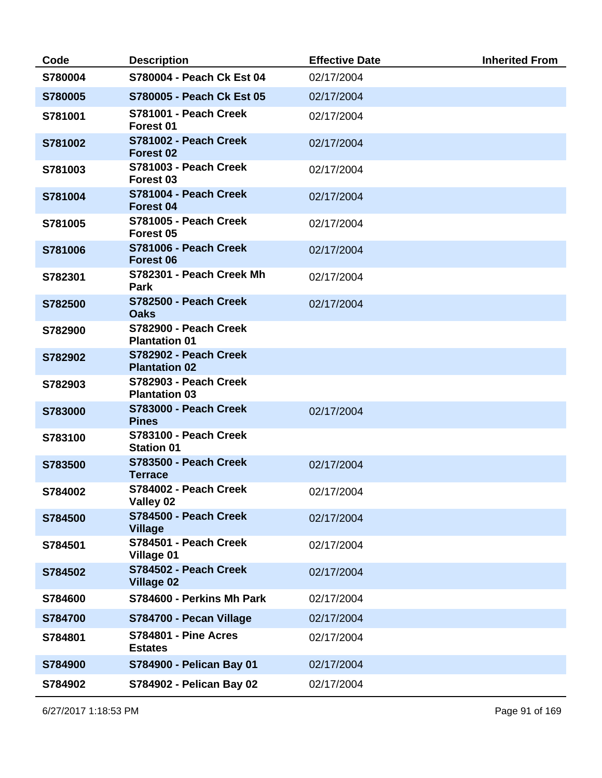| Code    | <b>Description</b>                                   | <b>Effective Date</b> | <b>Inherited From</b> |
|---------|------------------------------------------------------|-----------------------|-----------------------|
| S780004 | S780004 - Peach Ck Est 04                            | 02/17/2004            |                       |
| S780005 | S780005 - Peach Ck Est 05                            | 02/17/2004            |                       |
| S781001 | S781001 - Peach Creek<br>Forest 01                   | 02/17/2004            |                       |
| S781002 | S781002 - Peach Creek<br>Forest <sub>02</sub>        | 02/17/2004            |                       |
| S781003 | S781003 - Peach Creek<br>Forest 03                   | 02/17/2004            |                       |
| S781004 | S781004 - Peach Creek<br>Forest 04                   | 02/17/2004            |                       |
| S781005 | <b>S781005 - Peach Creek</b><br>Forest <sub>05</sub> | 02/17/2004            |                       |
| S781006 | S781006 - Peach Creek<br><b>Forest 06</b>            | 02/17/2004            |                       |
| S782301 | S782301 - Peach Creek Mh<br><b>Park</b>              | 02/17/2004            |                       |
| S782500 | S782500 - Peach Creek<br><b>Oaks</b>                 | 02/17/2004            |                       |
| S782900 | S782900 - Peach Creek<br><b>Plantation 01</b>        |                       |                       |
| S782902 | S782902 - Peach Creek<br><b>Plantation 02</b>        |                       |                       |
| S782903 | S782903 - Peach Creek<br><b>Plantation 03</b>        |                       |                       |
| S783000 | <b>S783000 - Peach Creek</b><br><b>Pines</b>         | 02/17/2004            |                       |
| S783100 | <b>S783100 - Peach Creek</b><br><b>Station 01</b>    |                       |                       |
| S783500 | S783500 - Peach Creek<br><b>Terrace</b>              | 02/17/2004            |                       |
| S784002 | S784002 - Peach Creek<br>Valley 02                   | 02/17/2004            |                       |
| S784500 | S784500 - Peach Creek<br><b>Village</b>              | 02/17/2004            |                       |
| S784501 | S784501 - Peach Creek<br><b>Village 01</b>           | 02/17/2004            |                       |
| S784502 | S784502 - Peach Creek<br><b>Village 02</b>           | 02/17/2004            |                       |
| S784600 | S784600 - Perkins Mh Park                            | 02/17/2004            |                       |
| S784700 | S784700 - Pecan Village                              | 02/17/2004            |                       |
| S784801 | <b>S784801 - Pine Acres</b><br><b>Estates</b>        | 02/17/2004            |                       |
| S784900 | S784900 - Pelican Bay 01                             | 02/17/2004            |                       |
| S784902 | S784902 - Pelican Bay 02                             | 02/17/2004            |                       |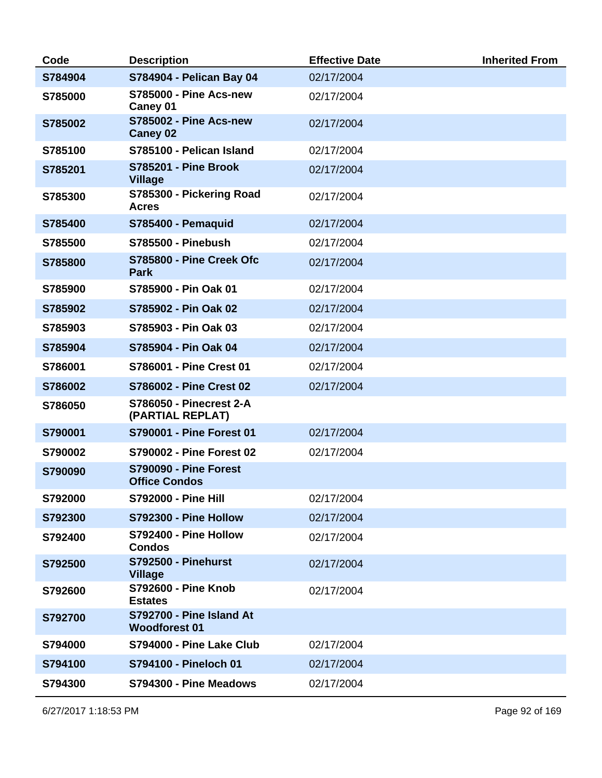| Code    | <b>Description</b>                                   | <b>Effective Date</b> | <b>Inherited From</b> |
|---------|------------------------------------------------------|-----------------------|-----------------------|
| S784904 | S784904 - Pelican Bay 04                             | 02/17/2004            |                       |
| S785000 | <b>S785000 - Pine Acs-new</b><br>Caney 01            | 02/17/2004            |                       |
| S785002 | <b>S785002 - Pine Acs-new</b><br><b>Caney 02</b>     | 02/17/2004            |                       |
| S785100 | S785100 - Pelican Island                             | 02/17/2004            |                       |
| S785201 | <b>S785201 - Pine Brook</b><br><b>Village</b>        | 02/17/2004            |                       |
| S785300 | S785300 - Pickering Road<br><b>Acres</b>             | 02/17/2004            |                       |
| S785400 | <b>S785400 - Pemaquid</b>                            | 02/17/2004            |                       |
| S785500 | <b>S785500 - Pinebush</b>                            | 02/17/2004            |                       |
| S785800 | S785800 - Pine Creek Ofc<br><b>Park</b>              | 02/17/2004            |                       |
| S785900 | S785900 - Pin Oak 01                                 | 02/17/2004            |                       |
| S785902 | S785902 - Pin Oak 02                                 | 02/17/2004            |                       |
| S785903 | S785903 - Pin Oak 03                                 | 02/17/2004            |                       |
| S785904 | S785904 - Pin Oak 04                                 | 02/17/2004            |                       |
| S786001 | S786001 - Pine Crest 01                              | 02/17/2004            |                       |
| S786002 | <b>S786002 - Pine Crest 02</b>                       | 02/17/2004            |                       |
| S786050 | <b>S786050 - Pinecrest 2-A</b><br>(PARTIAL REPLAT)   |                       |                       |
| S790001 | S790001 - Pine Forest 01                             | 02/17/2004            |                       |
| S790002 | <b>S790002 - Pine Forest 02</b>                      | 02/17/2004            |                       |
| S790090 | <b>S790090 - Pine Forest</b><br><b>Office Condos</b> |                       |                       |
| S792000 | <b>S792000 - Pine Hill</b>                           | 02/17/2004            |                       |
| S792300 | S792300 - Pine Hollow                                | 02/17/2004            |                       |
| S792400 | S792400 - Pine Hollow<br><b>Condos</b>               | 02/17/2004            |                       |
| S792500 | <b>S792500 - Pinehurst</b><br><b>Village</b>         | 02/17/2004            |                       |
| S792600 | <b>S792600 - Pine Knob</b><br><b>Estates</b>         | 02/17/2004            |                       |
| S792700 | S792700 - Pine Island At<br><b>Woodforest 01</b>     |                       |                       |
| S794000 | S794000 - Pine Lake Club                             | 02/17/2004            |                       |
| S794100 | S794100 - Pineloch 01                                | 02/17/2004            |                       |
| S794300 | S794300 - Pine Meadows                               | 02/17/2004            |                       |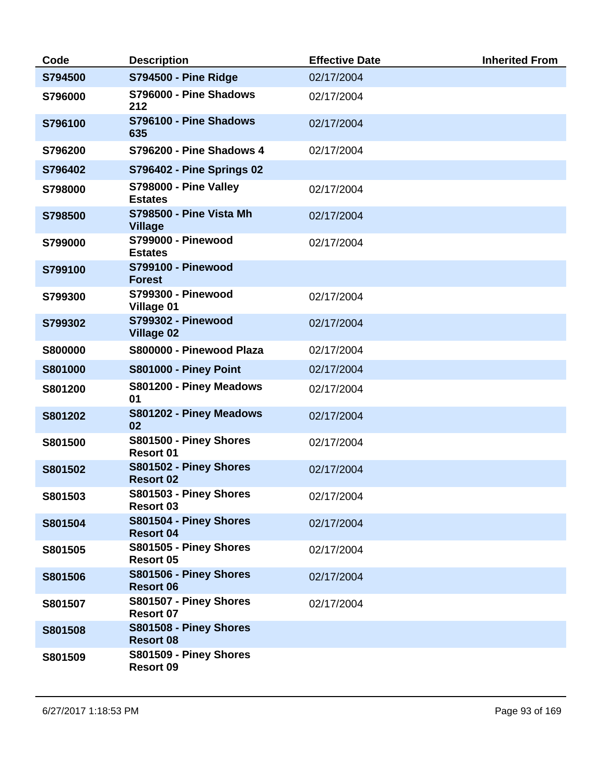| Code           | <b>Description</b>                               | <b>Effective Date</b> | <b>Inherited From</b> |
|----------------|--------------------------------------------------|-----------------------|-----------------------|
| S794500        | <b>S794500 - Pine Ridge</b>                      | 02/17/2004            |                       |
| S796000        | S796000 - Pine Shadows<br>212                    | 02/17/2004            |                       |
| S796100        | S796100 - Pine Shadows<br>635                    | 02/17/2004            |                       |
| S796200        | <b>S796200 - Pine Shadows 4</b>                  | 02/17/2004            |                       |
| S796402        | <b>S796402 - Pine Springs 02</b>                 |                       |                       |
| S798000        | <b>S798000 - Pine Valley</b><br><b>Estates</b>   | 02/17/2004            |                       |
| S798500        | <b>S798500 - Pine Vista Mh</b><br><b>Village</b> | 02/17/2004            |                       |
| S799000        | <b>S799000 - Pinewood</b><br><b>Estates</b>      | 02/17/2004            |                       |
| S799100        | <b>S799100 - Pinewood</b><br><b>Forest</b>       |                       |                       |
| S799300        | <b>S799300 - Pinewood</b><br><b>Village 01</b>   | 02/17/2004            |                       |
| S799302        | <b>S799302 - Pinewood</b><br><b>Village 02</b>   | 02/17/2004            |                       |
| <b>S800000</b> | S800000 - Pinewood Plaza                         | 02/17/2004            |                       |
| S801000        | <b>S801000 - Piney Point</b>                     | 02/17/2004            |                       |
| S801200        | S801200 - Piney Meadows<br>01                    | 02/17/2004            |                       |
| S801202        | S801202 - Piney Meadows<br>02                    | 02/17/2004            |                       |
| S801500        | S801500 - Piney Shores<br><b>Resort 01</b>       | 02/17/2004            |                       |
| S801502        | S801502 - Piney Shores<br><b>Resort 02</b>       | 02/17/2004            |                       |
| S801503        | S801503 - Piney Shores<br><b>Resort 03</b>       | 02/17/2004            |                       |
| S801504        | S801504 - Piney Shores<br><b>Resort 04</b>       | 02/17/2004            |                       |
| S801505        | S801505 - Piney Shores<br>Resort 05              | 02/17/2004            |                       |
| S801506        | S801506 - Piney Shores<br><b>Resort 06</b>       | 02/17/2004            |                       |
| S801507        | S801507 - Piney Shores<br><b>Resort 07</b>       | 02/17/2004            |                       |
| S801508        | S801508 - Piney Shores<br><b>Resort 08</b>       |                       |                       |
| S801509        | S801509 - Piney Shores<br><b>Resort 09</b>       |                       |                       |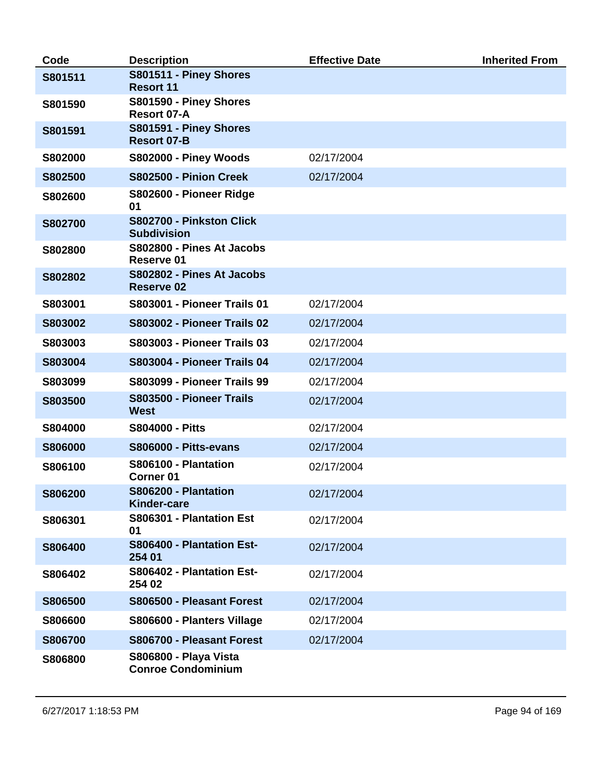| Code           | <b>Description</b>                                        | <b>Effective Date</b> | <b>Inherited From</b> |
|----------------|-----------------------------------------------------------|-----------------------|-----------------------|
| S801511        | S801511 - Piney Shores<br><b>Resort 11</b>                |                       |                       |
| S801590        | S801590 - Piney Shores<br>Resort 07-A                     |                       |                       |
| S801591        | S801591 - Piney Shores<br><b>Resort 07-B</b>              |                       |                       |
| S802000        | S802000 - Piney Woods                                     | 02/17/2004            |                       |
| S802500        | S802500 - Pinion Creek                                    | 02/17/2004            |                       |
| S802600        | S802600 - Pioneer Ridge<br>01                             |                       |                       |
| S802700        | S802700 - Pinkston Click<br><b>Subdivision</b>            |                       |                       |
| S802800        | S802800 - Pines At Jacobs<br>Reserve 01                   |                       |                       |
| S802802        | S802802 - Pines At Jacobs<br><b>Reserve 02</b>            |                       |                       |
| S803001        | <b>S803001 - Pioneer Trails 01</b>                        | 02/17/2004            |                       |
| S803002        | <b>S803002 - Pioneer Trails 02</b>                        | 02/17/2004            |                       |
| S803003        | <b>S803003 - Pioneer Trails 03</b>                        | 02/17/2004            |                       |
| S803004        | <b>S803004 - Pioneer Trails 04</b>                        | 02/17/2004            |                       |
| S803099        | <b>S803099 - Pioneer Trails 99</b>                        | 02/17/2004            |                       |
| S803500        | S803500 - Pioneer Trails<br><b>West</b>                   | 02/17/2004            |                       |
| S804000        | <b>S804000 - Pitts</b>                                    | 02/17/2004            |                       |
| <b>S806000</b> | <b>S806000 - Pitts-evans</b>                              | 02/17/2004            |                       |
| S806100        | S806100 - Plantation<br><b>Corner 01</b>                  | 02/17/2004            |                       |
| S806200        | S806200 - Plantation<br><b>Kinder-care</b>                | 02/17/2004            |                       |
| S806301        | S806301 - Plantation Est<br>01                            | 02/17/2004            |                       |
| S806400        | S806400 - Plantation Est-<br>254 01                       | 02/17/2004            |                       |
| S806402        | S806402 - Plantation Est-<br>254 02                       | 02/17/2004            |                       |
| S806500        | S806500 - Pleasant Forest                                 | 02/17/2004            |                       |
| S806600        | S806600 - Planters Village                                | 02/17/2004            |                       |
| S806700        | S806700 - Pleasant Forest                                 | 02/17/2004            |                       |
| S806800        | <b>S806800 - Playa Vista</b><br><b>Conroe Condominium</b> |                       |                       |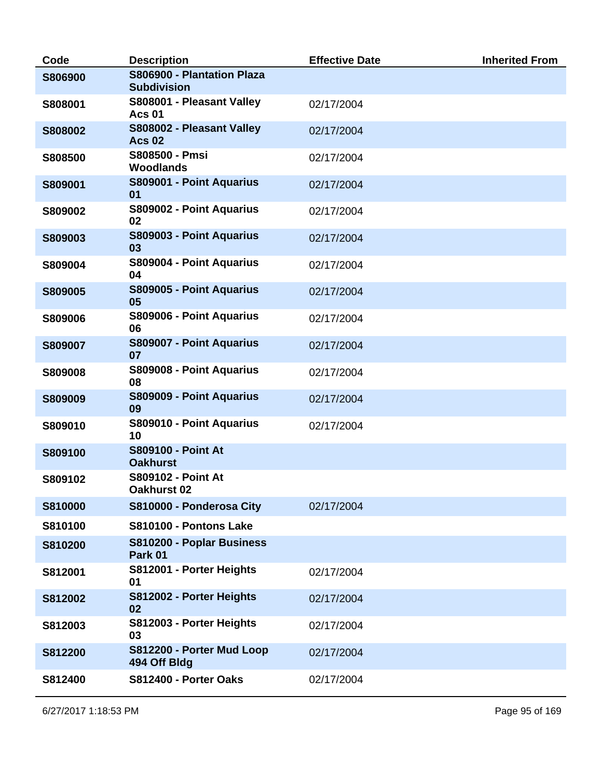| Code    | <b>Description</b>                               | <b>Effective Date</b> | <b>Inherited From</b> |
|---------|--------------------------------------------------|-----------------------|-----------------------|
| S806900 | S806900 - Plantation Plaza<br><b>Subdivision</b> |                       |                       |
| S808001 | S808001 - Pleasant Valley<br><b>Acs 01</b>       | 02/17/2004            |                       |
| S808002 | S808002 - Pleasant Valley<br><b>Acs 02</b>       | 02/17/2004            |                       |
| S808500 | S808500 - Pmsi<br><b>Woodlands</b>               | 02/17/2004            |                       |
| S809001 | S809001 - Point Aquarius<br>01                   | 02/17/2004            |                       |
| S809002 | S809002 - Point Aquarius<br>02                   | 02/17/2004            |                       |
| S809003 | S809003 - Point Aquarius<br>03                   | 02/17/2004            |                       |
| S809004 | S809004 - Point Aquarius<br>04                   | 02/17/2004            |                       |
| S809005 | S809005 - Point Aquarius<br>05                   | 02/17/2004            |                       |
| S809006 | S809006 - Point Aquarius<br>06                   | 02/17/2004            |                       |
| S809007 | S809007 - Point Aquarius<br>07                   | 02/17/2004            |                       |
| S809008 | S809008 - Point Aquarius<br>08                   | 02/17/2004            |                       |
| S809009 | S809009 - Point Aquarius<br>09                   | 02/17/2004            |                       |
| S809010 | S809010 - Point Aquarius<br>10                   | 02/17/2004            |                       |
| S809100 | <b>S809100 - Point At</b><br><b>Oakhurst</b>     |                       |                       |
| S809102 | <b>S809102 - Point At</b><br>Oakhurst 02         |                       |                       |
| S810000 | S810000 - Ponderosa City                         | 02/17/2004            |                       |
| S810100 | S810100 - Pontons Lake                           |                       |                       |
| S810200 | S810200 - Poplar Business<br>Park 01             |                       |                       |
| S812001 | S812001 - Porter Heights<br>01                   | 02/17/2004            |                       |
| S812002 | S812002 - Porter Heights<br>02                   | 02/17/2004            |                       |
| S812003 | S812003 - Porter Heights<br>03                   | 02/17/2004            |                       |
| S812200 | S812200 - Porter Mud Loop<br>494 Off Bldg        | 02/17/2004            |                       |
| S812400 | S812400 - Porter Oaks                            | 02/17/2004            |                       |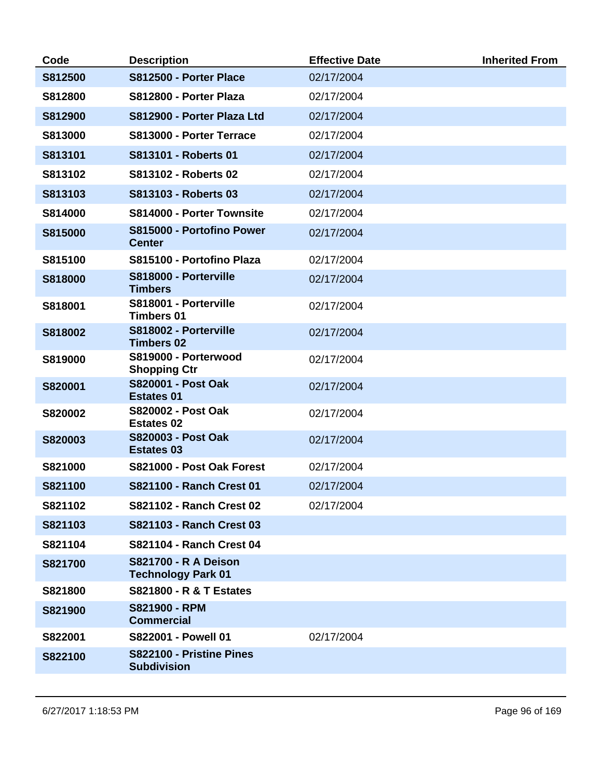| Code    | <b>Description</b>                                       | <b>Effective Date</b> | <b>Inherited From</b> |
|---------|----------------------------------------------------------|-----------------------|-----------------------|
| S812500 | S812500 - Porter Place                                   | 02/17/2004            |                       |
| S812800 | S812800 - Porter Plaza                                   | 02/17/2004            |                       |
| S812900 | S812900 - Porter Plaza Ltd                               | 02/17/2004            |                       |
| S813000 | S813000 - Porter Terrace                                 | 02/17/2004            |                       |
| S813101 | S813101 - Roberts 01                                     | 02/17/2004            |                       |
| S813102 | S813102 - Roberts 02                                     | 02/17/2004            |                       |
| S813103 | S813103 - Roberts 03                                     | 02/17/2004            |                       |
| S814000 | S814000 - Porter Townsite                                | 02/17/2004            |                       |
| S815000 | S815000 - Portofino Power<br><b>Center</b>               | 02/17/2004            |                       |
| S815100 | S815100 - Portofino Plaza                                | 02/17/2004            |                       |
| S818000 | S818000 - Porterville<br><b>Timbers</b>                  | 02/17/2004            |                       |
| S818001 | S818001 - Porterville<br><b>Timbers 01</b>               | 02/17/2004            |                       |
| S818002 | S818002 - Porterville<br><b>Timbers 02</b>               | 02/17/2004            |                       |
| S819000 | S819000 - Porterwood<br><b>Shopping Ctr</b>              | 02/17/2004            |                       |
| S820001 | <b>S820001 - Post Oak</b><br><b>Estates 01</b>           | 02/17/2004            |                       |
| S820002 | S820002 - Post Oak<br><b>Estates 02</b>                  | 02/17/2004            |                       |
| S820003 | S820003 - Post Oak<br><b>Estates 03</b>                  | 02/17/2004            |                       |
| S821000 | S821000 - Post Oak Forest                                | 02/17/2004            |                       |
| S821100 | S821100 - Ranch Crest 01                                 | 02/17/2004            |                       |
| S821102 | <b>S821102 - Ranch Crest 02</b>                          | 02/17/2004            |                       |
| S821103 | S821103 - Ranch Crest 03                                 |                       |                       |
| S821104 | S821104 - Ranch Crest 04                                 |                       |                       |
| S821700 | <b>S821700 - R A Deison</b><br><b>Technology Park 01</b> |                       |                       |
| S821800 | <b>S821800 - R &amp; T Estates</b>                       |                       |                       |
| S821900 | S821900 - RPM<br><b>Commercial</b>                       |                       |                       |
| S822001 | S822001 - Powell 01                                      | 02/17/2004            |                       |
| S822100 | S822100 - Pristine Pines<br><b>Subdivision</b>           |                       |                       |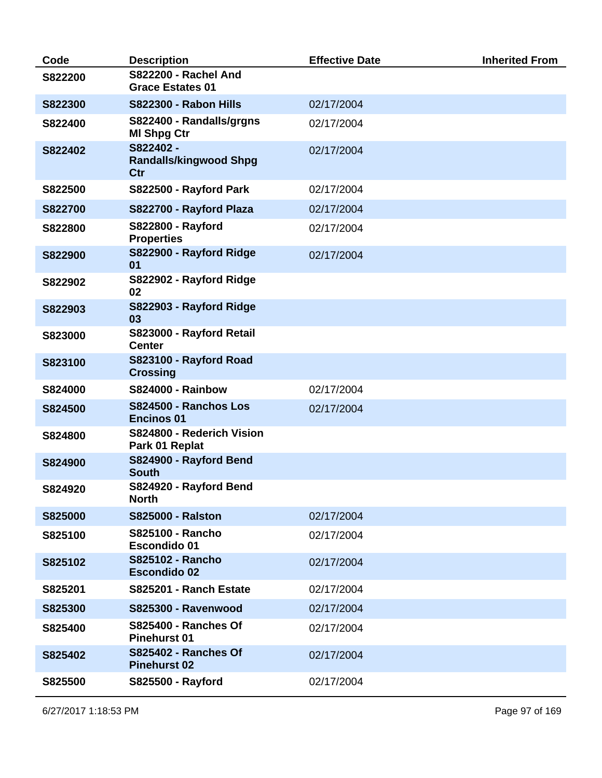| Code           | <b>Description</b>                                     | <b>Effective Date</b> | <b>Inherited From</b> |
|----------------|--------------------------------------------------------|-----------------------|-----------------------|
| S822200        | <b>S822200 - Rachel And</b><br><b>Grace Estates 01</b> |                       |                       |
| S822300        | <b>S822300 - Rabon Hills</b>                           | 02/17/2004            |                       |
| S822400        | S822400 - Randalls/grgns<br><b>MI Shpg Ctr</b>         | 02/17/2004            |                       |
| S822402        | S822402 -<br><b>Randalls/kingwood Shpg</b><br>Ctr      | 02/17/2004            |                       |
| S822500        | S822500 - Rayford Park                                 | 02/17/2004            |                       |
| <b>S822700</b> | S822700 - Rayford Plaza                                | 02/17/2004            |                       |
| S822800        | <b>S822800 - Rayford</b><br><b>Properties</b>          | 02/17/2004            |                       |
| S822900        | S822900 - Rayford Ridge<br>01                          | 02/17/2004            |                       |
| S822902        | S822902 - Rayford Ridge<br>02                          |                       |                       |
| S822903        | S822903 - Rayford Ridge<br>03                          |                       |                       |
| S823000        | S823000 - Rayford Retail<br><b>Center</b>              |                       |                       |
| S823100        | S823100 - Rayford Road<br><b>Crossing</b>              |                       |                       |
| S824000        | <b>S824000 - Rainbow</b>                               | 02/17/2004            |                       |
| S824500        | S824500 - Ranchos Los<br><b>Encinos 01</b>             | 02/17/2004            |                       |
| S824800        | S824800 - Rederich Vision<br>Park 01 Replat            |                       |                       |
| S824900        | S824900 - Rayford Bend<br><b>South</b>                 |                       |                       |
| S824920        | S824920 - Rayford Bend<br><b>North</b>                 |                       |                       |
| S825000        | <b>S825000 - Ralston</b>                               | 02/17/2004            |                       |
| S825100        | <b>S825100 - Rancho</b><br><b>Escondido 01</b>         | 02/17/2004            |                       |
| S825102        | <b>S825102 - Rancho</b><br><b>Escondido 02</b>         | 02/17/2004            |                       |
| S825201        | S825201 - Ranch Estate                                 | 02/17/2004            |                       |
| S825300        | <b>S825300 - Ravenwood</b>                             | 02/17/2004            |                       |
| S825400        | <b>S825400 - Ranches Of</b><br><b>Pinehurst 01</b>     | 02/17/2004            |                       |
| S825402        | <b>S825402 - Ranches Of</b><br><b>Pinehurst 02</b>     | 02/17/2004            |                       |
| S825500        | S825500 - Rayford                                      | 02/17/2004            |                       |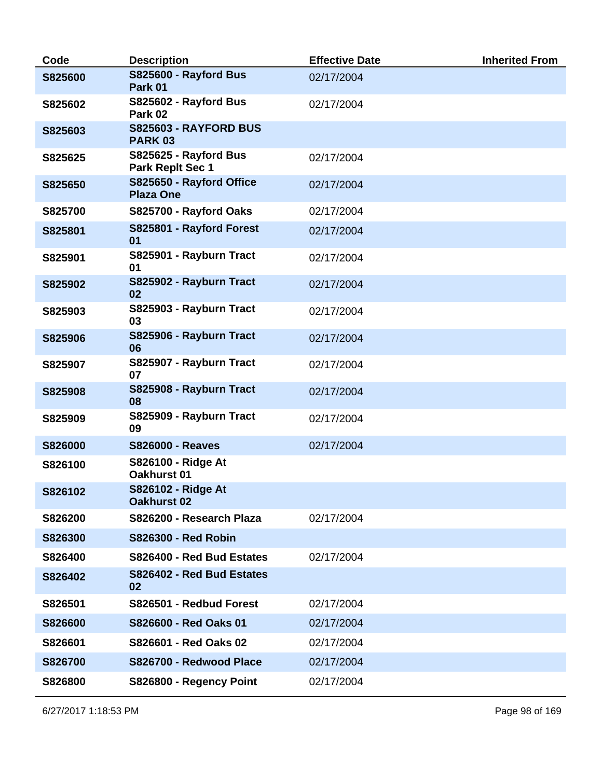| Code           | <b>Description</b>                               | <b>Effective Date</b> | <b>Inherited From</b> |
|----------------|--------------------------------------------------|-----------------------|-----------------------|
| S825600        | <b>S825600 - Rayford Bus</b><br>Park 01          | 02/17/2004            |                       |
| S825602        | S825602 - Rayford Bus<br>Park 02                 | 02/17/2004            |                       |
| S825603        | <b>S825603 - RAYFORD BUS</b><br><b>PARK 03</b>   |                       |                       |
| S825625        | S825625 - Rayford Bus<br><b>Park Replt Sec 1</b> | 02/17/2004            |                       |
| S825650        | S825650 - Rayford Office<br><b>Plaza One</b>     | 02/17/2004            |                       |
| S825700        | S825700 - Rayford Oaks                           | 02/17/2004            |                       |
| S825801        | S825801 - Rayford Forest<br>01                   | 02/17/2004            |                       |
| S825901        | S825901 - Rayburn Tract<br>01                    | 02/17/2004            |                       |
| S825902        | S825902 - Rayburn Tract<br>02                    | 02/17/2004            |                       |
| S825903        | S825903 - Rayburn Tract<br>03                    | 02/17/2004            |                       |
| S825906        | S825906 - Rayburn Tract<br>06                    | 02/17/2004            |                       |
| S825907        | S825907 - Rayburn Tract<br>07                    | 02/17/2004            |                       |
| S825908        | S825908 - Rayburn Tract<br>08                    | 02/17/2004            |                       |
| S825909        | S825909 - Rayburn Tract<br>09                    | 02/17/2004            |                       |
| <b>S826000</b> | <b>S826000 - Reaves</b>                          | 02/17/2004            |                       |
| S826100        | S826100 - Ridge At<br>Oakhurst 01                |                       |                       |
| S826102        | S826102 - Ridge At<br>Oakhurst 02                |                       |                       |
| S826200        | S826200 - Research Plaza                         | 02/17/2004            |                       |
| S826300        | <b>S826300 - Red Robin</b>                       |                       |                       |
| S826400        | S826400 - Red Bud Estates                        | 02/17/2004            |                       |
| S826402        | S826402 - Red Bud Estates<br>02                  |                       |                       |
| S826501        | S826501 - Redbud Forest                          | 02/17/2004            |                       |
| S826600        | S826600 - Red Oaks 01                            | 02/17/2004            |                       |
| S826601        | S826601 - Red Oaks 02                            | 02/17/2004            |                       |
| S826700        | S826700 - Redwood Place                          | 02/17/2004            |                       |
| S826800        | S826800 - Regency Point                          | 02/17/2004            |                       |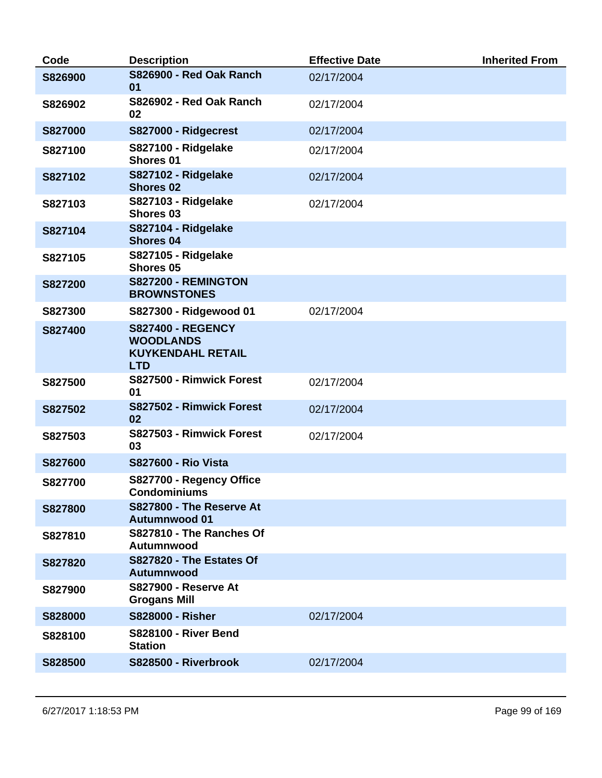| Code           | <b>Description</b>                                                                     | <b>Effective Date</b> | <b>Inherited From</b> |
|----------------|----------------------------------------------------------------------------------------|-----------------------|-----------------------|
| S826900        | S826900 - Red Oak Ranch<br>01                                                          | 02/17/2004            |                       |
| S826902        | S826902 - Red Oak Ranch<br>02                                                          | 02/17/2004            |                       |
| <b>S827000</b> | S827000 - Ridgecrest                                                                   | 02/17/2004            |                       |
| S827100        | S827100 - Ridgelake<br>Shores 01                                                       | 02/17/2004            |                       |
| S827102        | S827102 - Ridgelake<br><b>Shores 02</b>                                                | 02/17/2004            |                       |
| S827103        | S827103 - Ridgelake<br>Shores 03                                                       | 02/17/2004            |                       |
| S827104        | S827104 - Ridgelake<br><b>Shores 04</b>                                                |                       |                       |
| S827105        | S827105 - Ridgelake<br>Shores 05                                                       |                       |                       |
| S827200        | S827200 - REMINGTON<br><b>BROWNSTONES</b>                                              |                       |                       |
| S827300        | S827300 - Ridgewood 01                                                                 | 02/17/2004            |                       |
| S827400        | <b>S827400 - REGENCY</b><br><b>WOODLANDS</b><br><b>KUYKENDAHL RETAIL</b><br><b>LTD</b> |                       |                       |
| S827500        | S827500 - Rimwick Forest<br>01                                                         | 02/17/2004            |                       |
| S827502        | S827502 - Rimwick Forest<br>02                                                         | 02/17/2004            |                       |
| S827503        | S827503 - Rimwick Forest<br>03                                                         | 02/17/2004            |                       |
| S827600        | <b>S827600 - Rio Vista</b>                                                             |                       |                       |
| S827700        | S827700 - Regency Office<br>Condominiums                                               |                       |                       |
| S827800        | S827800 - The Reserve At<br><b>Autumnwood 01</b>                                       |                       |                       |
| S827810        | S827810 - The Ranches Of<br>Autumnwood                                                 |                       |                       |
| S827820        | S827820 - The Estates Of<br>Autumnwood                                                 |                       |                       |
| S827900        | <b>S827900 - Reserve At</b><br><b>Grogans Mill</b>                                     |                       |                       |
| <b>S828000</b> | <b>S828000 - Risher</b>                                                                | 02/17/2004            |                       |
| S828100        | <b>S828100 - River Bend</b><br><b>Station</b>                                          |                       |                       |
| S828500        | S828500 - Riverbrook                                                                   | 02/17/2004            |                       |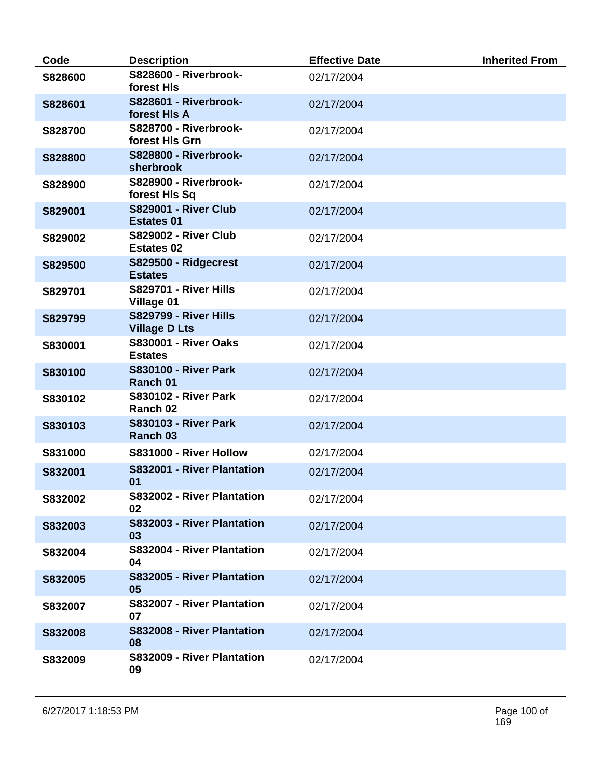| Code    | <b>Description</b>                                   | <b>Effective Date</b> | <b>Inherited From</b> |
|---------|------------------------------------------------------|-----------------------|-----------------------|
| S828600 | S828600 - Riverbrook-<br>forest HIs                  | 02/17/2004            |                       |
| S828601 | S828601 - Riverbrook-<br>forest HIs A                | 02/17/2004            |                       |
| S828700 | S828700 - Riverbrook-<br>forest HIs Grn              | 02/17/2004            |                       |
| S828800 | <b>S828800 - Riverbrook-</b><br>sherbrook            | 02/17/2004            |                       |
| S828900 | S828900 - Riverbrook-<br>forest HIs Sq               | 02/17/2004            |                       |
| S829001 | <b>S829001 - River Club</b><br><b>Estates 01</b>     | 02/17/2004            |                       |
| S829002 | <b>S829002 - River Club</b><br><b>Estates 02</b>     | 02/17/2004            |                       |
| S829500 | S829500 - Ridgecrest<br><b>Estates</b>               | 02/17/2004            |                       |
| S829701 | <b>S829701 - River Hills</b><br><b>Village 01</b>    | 02/17/2004            |                       |
| S829799 | <b>S829799 - River Hills</b><br><b>Village D Lts</b> | 02/17/2004            |                       |
| S830001 | <b>S830001 - River Oaks</b><br><b>Estates</b>        | 02/17/2004            |                       |
| S830100 | <b>S830100 - River Park</b><br>Ranch 01              | 02/17/2004            |                       |
| S830102 | <b>S830102 - River Park</b><br>Ranch 02              | 02/17/2004            |                       |
| S830103 | <b>S830103 - River Park</b><br>Ranch 03              | 02/17/2004            |                       |
| S831000 | S831000 - River Hollow                               | 02/17/2004            |                       |
| S832001 | S832001 - River Plantation<br>01                     | 02/17/2004            |                       |
| S832002 | S832002 - River Plantation<br>02                     | 02/17/2004            |                       |
| S832003 | S832003 - River Plantation<br>03                     | 02/17/2004            |                       |
| S832004 | S832004 - River Plantation<br>04                     | 02/17/2004            |                       |
| S832005 | S832005 - River Plantation<br>05                     | 02/17/2004            |                       |
| S832007 | S832007 - River Plantation<br>07                     | 02/17/2004            |                       |
| S832008 | S832008 - River Plantation<br>08                     | 02/17/2004            |                       |
| S832009 | S832009 - River Plantation<br>09                     | 02/17/2004            |                       |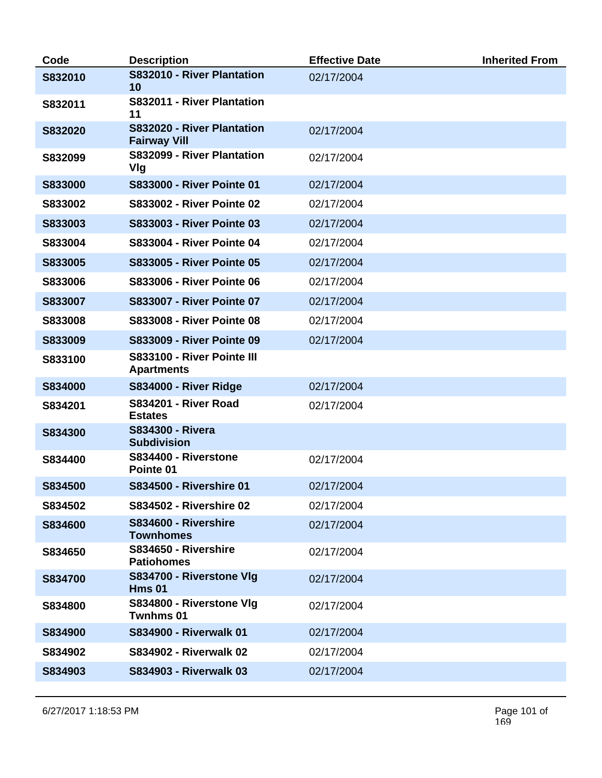| Code    | <b>Description</b>                                | <b>Effective Date</b> | <b>Inherited From</b> |
|---------|---------------------------------------------------|-----------------------|-----------------------|
| S832010 | S832010 - River Plantation<br>10                  | 02/17/2004            |                       |
| S832011 | S832011 - River Plantation<br>11                  |                       |                       |
| S832020 | S832020 - River Plantation<br><b>Fairway Vill</b> | 02/17/2004            |                       |
| S832099 | S832099 - River Plantation<br>Vlg                 | 02/17/2004            |                       |
| S833000 | <b>S833000 - River Pointe 01</b>                  | 02/17/2004            |                       |
| S833002 | <b>S833002 - River Pointe 02</b>                  | 02/17/2004            |                       |
| S833003 | <b>S833003 - River Pointe 03</b>                  | 02/17/2004            |                       |
| S833004 | <b>S833004 - River Pointe 04</b>                  | 02/17/2004            |                       |
| S833005 | <b>S833005 - River Pointe 05</b>                  | 02/17/2004            |                       |
| S833006 | <b>S833006 - River Pointe 06</b>                  | 02/17/2004            |                       |
| S833007 | <b>S833007 - River Pointe 07</b>                  | 02/17/2004            |                       |
| S833008 | <b>S833008 - River Pointe 08</b>                  | 02/17/2004            |                       |
| S833009 | <b>S833009 - River Pointe 09</b>                  | 02/17/2004            |                       |
| S833100 | S833100 - River Pointe III<br><b>Apartments</b>   |                       |                       |
| S834000 | <b>S834000 - River Ridge</b>                      | 02/17/2004            |                       |
| S834201 | <b>S834201 - River Road</b><br><b>Estates</b>     | 02/17/2004            |                       |
| S834300 | <b>S834300 - Rivera</b><br><b>Subdivision</b>     |                       |                       |
| S834400 | S834400 - Riverstone<br>Pointe 01                 | 02/17/2004            |                       |
| S834500 | <b>S834500 - Rivershire 01</b>                    | 02/17/2004            |                       |
| S834502 | <b>S834502 - Rivershire 02</b>                    | 02/17/2004            |                       |
| S834600 | S834600 - Rivershire<br><b>Townhomes</b>          | 02/17/2004            |                       |
| S834650 | S834650 - Rivershire<br><b>Patiohomes</b>         | 02/17/2004            |                       |
| S834700 | S834700 - Riverstone Vlg<br><b>Hms 01</b>         | 02/17/2004            |                       |
| S834800 | S834800 - Riverstone VIg<br>Twnhms 01             | 02/17/2004            |                       |
| S834900 | <b>S834900 - Riverwalk 01</b>                     | 02/17/2004            |                       |
| S834902 | <b>S834902 - Riverwalk 02</b>                     | 02/17/2004            |                       |
| S834903 | <b>S834903 - Riverwalk 03</b>                     | 02/17/2004            |                       |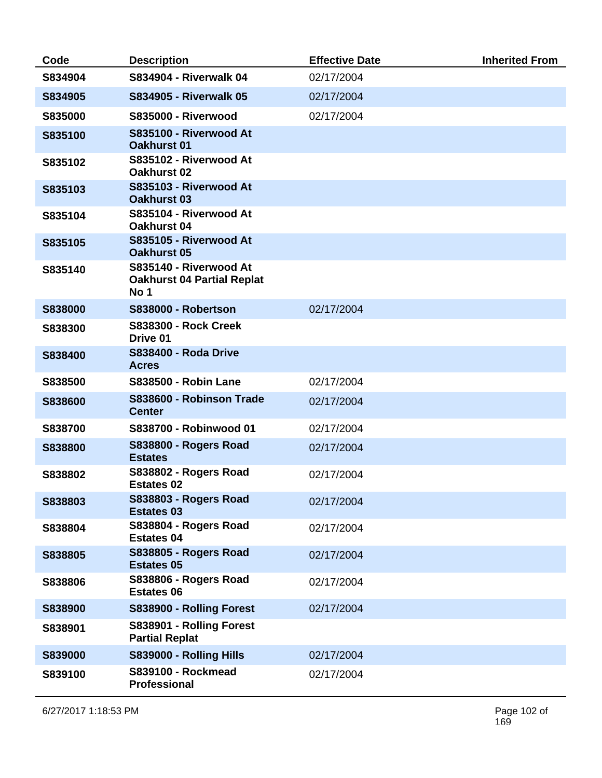| Code    | <b>Description</b>                                                  | <b>Effective Date</b> | <b>Inherited From</b> |
|---------|---------------------------------------------------------------------|-----------------------|-----------------------|
| S834904 | <b>S834904 - Riverwalk 04</b>                                       | 02/17/2004            |                       |
| S834905 | <b>S834905 - Riverwalk 05</b>                                       | 02/17/2004            |                       |
| S835000 | <b>S835000 - Riverwood</b>                                          | 02/17/2004            |                       |
| S835100 | S835100 - Riverwood At<br><b>Oakhurst 01</b>                        |                       |                       |
| S835102 | S835102 - Riverwood At<br><b>Oakhurst 02</b>                        |                       |                       |
| S835103 | S835103 - Riverwood At<br><b>Oakhurst 03</b>                        |                       |                       |
| S835104 | S835104 - Riverwood At<br>Oakhurst 04                               |                       |                       |
| S835105 | S835105 - Riverwood At<br><b>Oakhurst 05</b>                        |                       |                       |
| S835140 | S835140 - Riverwood At<br><b>Oakhurst 04 Partial Replat</b><br>No 1 |                       |                       |
| S838000 | <b>S838000 - Robertson</b>                                          | 02/17/2004            |                       |
| S838300 | <b>S838300 - Rock Creek</b><br>Drive 01                             |                       |                       |
| S838400 | <b>S838400 - Roda Drive</b><br><b>Acres</b>                         |                       |                       |
| S838500 | <b>S838500 - Robin Lane</b>                                         | 02/17/2004            |                       |
| S838600 | S838600 - Robinson Trade<br><b>Center</b>                           | 02/17/2004            |                       |
| S838700 | S838700 - Robinwood 01                                              | 02/17/2004            |                       |
| S838800 | <b>S838800 - Rogers Road</b><br><b>Estates</b>                      | 02/17/2004            |                       |
| S838802 | S838802 - Rogers Road<br><b>Estates 02</b>                          | 02/17/2004            |                       |
| S838803 | S838803 - Rogers Road<br><b>Estates 03</b>                          | 02/17/2004            |                       |
| S838804 | <b>S838804 - Rogers Road</b><br><b>Estates 04</b>                   | 02/17/2004            |                       |
| S838805 | S838805 - Rogers Road<br><b>Estates 05</b>                          | 02/17/2004            |                       |
| S838806 | <b>S838806 - Rogers Road</b><br><b>Estates 06</b>                   | 02/17/2004            |                       |
| S838900 | S838900 - Rolling Forest                                            | 02/17/2004            |                       |
| S838901 | S838901 - Rolling Forest<br><b>Partial Replat</b>                   |                       |                       |
| S839000 | S839000 - Rolling Hills                                             | 02/17/2004            |                       |
| S839100 | <b>S839100 - Rockmead</b><br><b>Professional</b>                    | 02/17/2004            |                       |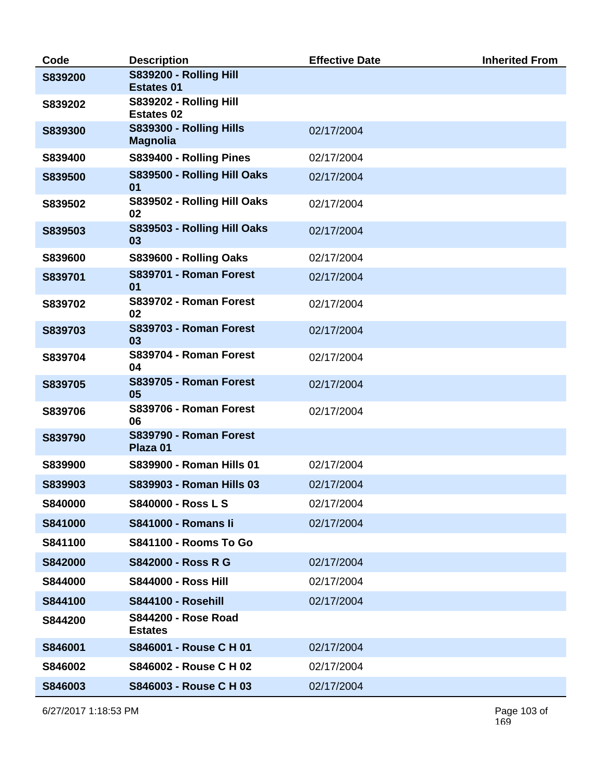| Code    | <b>Description</b>                                 | <b>Effective Date</b> | <b>Inherited From</b> |
|---------|----------------------------------------------------|-----------------------|-----------------------|
| S839200 | <b>S839200 - Rolling Hill</b><br><b>Estates 01</b> |                       |                       |
| S839202 | <b>S839202 - Rolling Hill</b><br><b>Estates 02</b> |                       |                       |
| S839300 | S839300 - Rolling Hills<br><b>Magnolia</b>         | 02/17/2004            |                       |
| S839400 | S839400 - Rolling Pines                            | 02/17/2004            |                       |
| S839500 | S839500 - Rolling Hill Oaks<br>01                  | 02/17/2004            |                       |
| S839502 | S839502 - Rolling Hill Oaks<br>02                  | 02/17/2004            |                       |
| S839503 | S839503 - Rolling Hill Oaks<br>03                  | 02/17/2004            |                       |
| S839600 | S839600 - Rolling Oaks                             | 02/17/2004            |                       |
| S839701 | S839701 - Roman Forest<br>01                       | 02/17/2004            |                       |
| S839702 | S839702 - Roman Forest<br>02                       | 02/17/2004            |                       |
| S839703 | <b>S839703 - Roman Forest</b><br>03                | 02/17/2004            |                       |
| S839704 | S839704 - Roman Forest<br>04                       | 02/17/2004            |                       |
| S839705 | <b>S839705 - Roman Forest</b><br>05                | 02/17/2004            |                       |
| S839706 | S839706 - Roman Forest<br>06                       | 02/17/2004            |                       |
| S839790 | S839790 - Roman Forest<br>Plaza 01                 |                       |                       |
| S839900 | S839900 - Roman Hills 01                           | 02/17/2004            |                       |
| S839903 | S839903 - Roman Hills 03                           | 02/17/2004            |                       |
| S840000 | <b>S840000 - Ross L S</b>                          | 02/17/2004            |                       |
| S841000 | <b>S841000 - Romans li</b>                         | 02/17/2004            |                       |
| S841100 | <b>S841100 - Rooms To Go</b>                       |                       |                       |
| S842000 | <b>S842000 - Ross R G</b>                          | 02/17/2004            |                       |
| S844000 | <b>S844000 - Ross Hill</b>                         | 02/17/2004            |                       |
| S844100 | <b>S844100 - Rosehill</b>                          | 02/17/2004            |                       |
| S844200 | <b>S844200 - Rose Road</b><br><b>Estates</b>       |                       |                       |
| S846001 | S846001 - Rouse C H 01                             | 02/17/2004            |                       |
| S846002 | S846002 - Rouse C H 02                             | 02/17/2004            |                       |
| S846003 | S846003 - Rouse C H 03                             | 02/17/2004            |                       |

6/27/2017 1:18:53 PM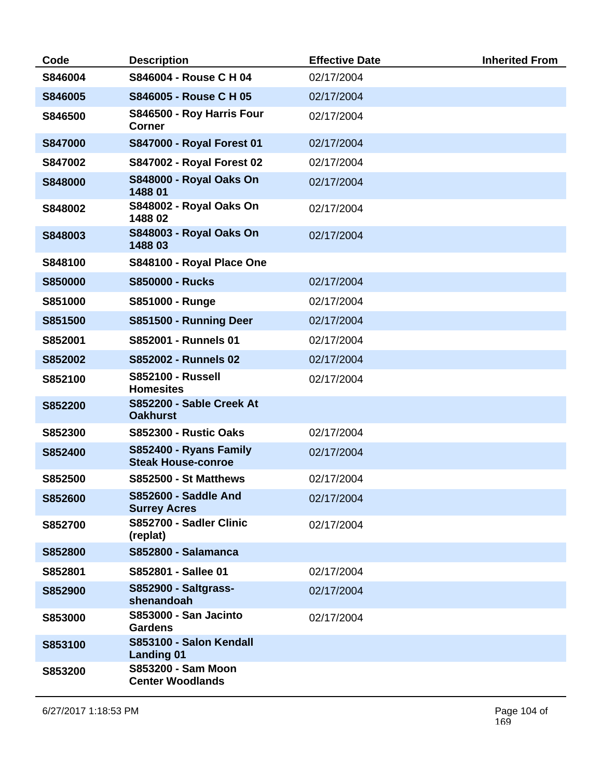| Code           | <b>Description</b>                                   | <b>Effective Date</b> | <b>Inherited From</b> |
|----------------|------------------------------------------------------|-----------------------|-----------------------|
| S846004        | S846004 - Rouse C H 04                               | 02/17/2004            |                       |
| S846005        | S846005 - Rouse C H 05                               | 02/17/2004            |                       |
| S846500        | S846500 - Roy Harris Four<br><b>Corner</b>           | 02/17/2004            |                       |
| <b>S847000</b> | S847000 - Royal Forest 01                            | 02/17/2004            |                       |
| S847002        | S847002 - Royal Forest 02                            | 02/17/2004            |                       |
| S848000        | <b>S848000 - Royal Oaks On</b><br>1488 01            | 02/17/2004            |                       |
| S848002        | <b>S848002 - Royal Oaks On</b><br>148802             | 02/17/2004            |                       |
| S848003        | <b>S848003 - Royal Oaks On</b><br>148803             | 02/17/2004            |                       |
| S848100        | S848100 - Royal Place One                            |                       |                       |
| <b>S850000</b> | <b>S850000 - Rucks</b>                               | 02/17/2004            |                       |
| S851000        | S851000 - Runge                                      | 02/17/2004            |                       |
| S851500        | S851500 - Running Deer                               | 02/17/2004            |                       |
| S852001        | S852001 - Runnels 01                                 | 02/17/2004            |                       |
| S852002        | S852002 - Runnels 02                                 | 02/17/2004            |                       |
| S852100        | <b>S852100 - Russell</b><br><b>Homesites</b>         | 02/17/2004            |                       |
| S852200        | S852200 - Sable Creek At<br><b>Oakhurst</b>          |                       |                       |
| S852300        | <b>S852300 - Rustic Oaks</b>                         | 02/17/2004            |                       |
| S852400        | S852400 - Ryans Family<br><b>Steak House-conroe</b>  | 02/17/2004            |                       |
| S852500        | <b>S852500 - St Matthews</b>                         | 02/17/2004            |                       |
| S852600        | <b>S852600 - Saddle And</b><br><b>Surrey Acres</b>   | 02/17/2004            |                       |
| S852700        | S852700 - Sadler Clinic<br>(replat)                  | 02/17/2004            |                       |
| S852800        | <b>S852800 - Salamanca</b>                           |                       |                       |
| S852801        | S852801 - Sallee 01                                  | 02/17/2004            |                       |
| S852900        | <b>S852900 - Saltgrass-</b><br>shenandoah            | 02/17/2004            |                       |
| S853000        | <b>S853000 - San Jacinto</b><br><b>Gardens</b>       | 02/17/2004            |                       |
| S853100        | S853100 - Salon Kendall<br><b>Landing 01</b>         |                       |                       |
| S853200        | <b>S853200 - Sam Moon</b><br><b>Center Woodlands</b> |                       |                       |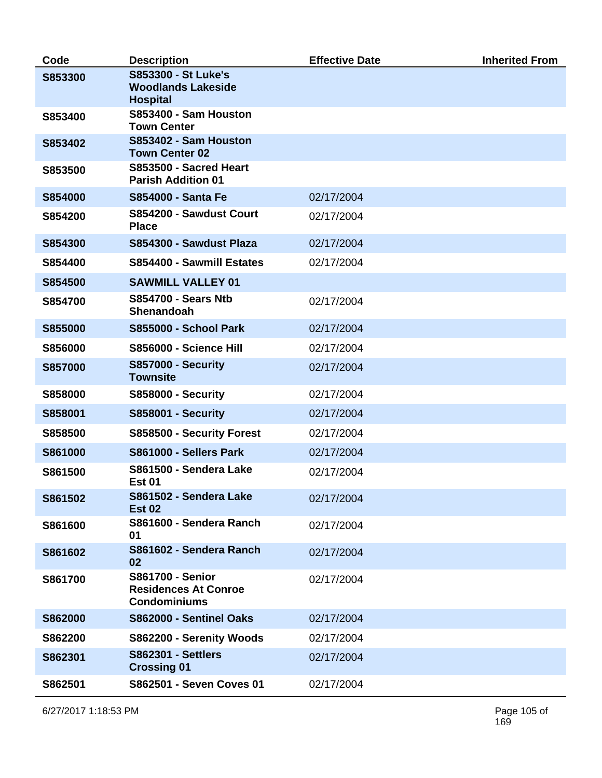| Code           | <b>Description</b>                                                            | <b>Effective Date</b> | <b>Inherited From</b> |
|----------------|-------------------------------------------------------------------------------|-----------------------|-----------------------|
| S853300        | <b>S853300 - St Luke's</b><br><b>Woodlands Lakeside</b><br><b>Hospital</b>    |                       |                       |
| S853400        | S853400 - Sam Houston<br><b>Town Center</b>                                   |                       |                       |
| S853402        | S853402 - Sam Houston<br><b>Town Center 02</b>                                |                       |                       |
| S853500        | S853500 - Sacred Heart<br><b>Parish Addition 01</b>                           |                       |                       |
| S854000        | <b>S854000 - Santa Fe</b>                                                     | 02/17/2004            |                       |
| S854200        | S854200 - Sawdust Court<br><b>Place</b>                                       | 02/17/2004            |                       |
| S854300        | S854300 - Sawdust Plaza                                                       | 02/17/2004            |                       |
| S854400        | S854400 - Sawmill Estates                                                     | 02/17/2004            |                       |
| S854500        | <b>SAWMILL VALLEY 01</b>                                                      |                       |                       |
| S854700        | <b>S854700 - Sears Ntb</b><br><b>Shenandoah</b>                               | 02/17/2004            |                       |
| S855000        | <b>S855000 - School Park</b>                                                  | 02/17/2004            |                       |
| S856000        | S856000 - Science Hill                                                        | 02/17/2004            |                       |
| <b>S857000</b> | <b>S857000 - Security</b><br><b>Townsite</b>                                  | 02/17/2004            |                       |
| S858000        | <b>S858000 - Security</b>                                                     | 02/17/2004            |                       |
| S858001        | <b>S858001 - Security</b>                                                     | 02/17/2004            |                       |
| S858500        | S858500 - Security Forest                                                     | 02/17/2004            |                       |
| S861000        | S861000 - Sellers Park                                                        | 02/17/2004            |                       |
| S861500        | S861500 - Sendera Lake<br><b>Est 01</b>                                       | 02/17/2004            |                       |
| S861502        | S861502 - Sendera Lake<br><b>Est 02</b>                                       | 02/17/2004            |                       |
| S861600        | S861600 - Sendera Ranch<br>01                                                 | 02/17/2004            |                       |
| S861602        | S861602 - Sendera Ranch<br>02                                                 | 02/17/2004            |                       |
| S861700        | <b>S861700 - Senior</b><br><b>Residences At Conroe</b><br><b>Condominiums</b> | 02/17/2004            |                       |
| S862000        | S862000 - Sentinel Oaks                                                       | 02/17/2004            |                       |
| S862200        | S862200 - Serenity Woods                                                      | 02/17/2004            |                       |
| S862301        | <b>S862301 - Settlers</b><br><b>Crossing 01</b>                               | 02/17/2004            |                       |
| S862501        | S862501 - Seven Coves 01                                                      | 02/17/2004            |                       |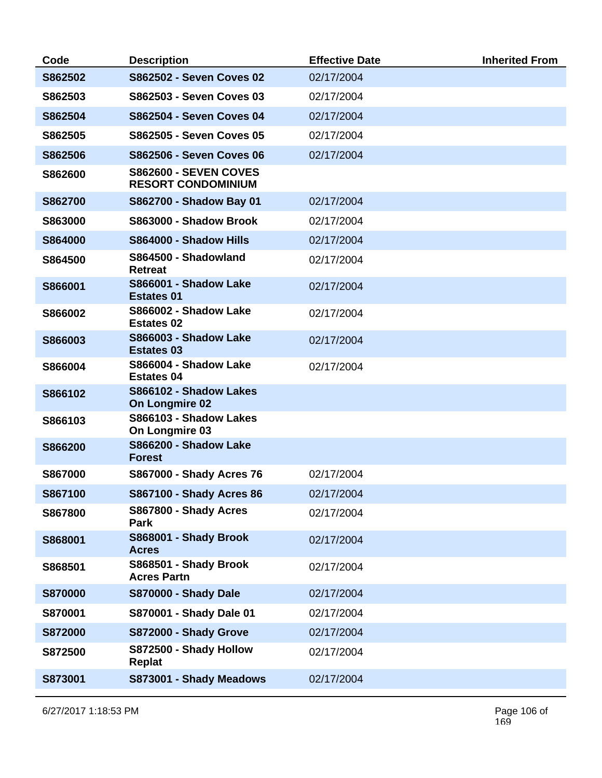| Code           | <b>Description</b>                                        | <b>Effective Date</b> | <b>Inherited From</b> |
|----------------|-----------------------------------------------------------|-----------------------|-----------------------|
| S862502        | S862502 - Seven Coves 02                                  | 02/17/2004            |                       |
| S862503        | S862503 - Seven Coves 03                                  | 02/17/2004            |                       |
| S862504        | S862504 - Seven Coves 04                                  | 02/17/2004            |                       |
| S862505        | S862505 - Seven Coves 05                                  | 02/17/2004            |                       |
| S862506        | <b>S862506 - Seven Coves 06</b>                           | 02/17/2004            |                       |
| S862600        | <b>S862600 - SEVEN COVES</b><br><b>RESORT CONDOMINIUM</b> |                       |                       |
| S862700        | S862700 - Shadow Bay 01                                   | 02/17/2004            |                       |
| S863000        | S863000 - Shadow Brook                                    | 02/17/2004            |                       |
| S864000        | S864000 - Shadow Hills                                    | 02/17/2004            |                       |
| S864500        | S864500 - Shadowland<br><b>Retreat</b>                    | 02/17/2004            |                       |
| S866001        | <b>S866001 - Shadow Lake</b><br><b>Estates 01</b>         | 02/17/2004            |                       |
| S866002        | <b>S866002 - Shadow Lake</b><br><b>Estates 02</b>         | 02/17/2004            |                       |
| S866003        | <b>S866003 - Shadow Lake</b><br><b>Estates 03</b>         | 02/17/2004            |                       |
| S866004        | S866004 - Shadow Lake<br><b>Estates 04</b>                | 02/17/2004            |                       |
| S866102        | S866102 - Shadow Lakes<br><b>On Longmire 02</b>           |                       |                       |
| S866103        | S866103 - Shadow Lakes<br>On Longmire 03                  |                       |                       |
| S866200        | S866200 - Shadow Lake<br><b>Forest</b>                    |                       |                       |
| S867000        | <b>S867000 - Shady Acres 76</b>                           | 02/17/2004            |                       |
| S867100        | <b>S867100 - Shady Acres 86</b>                           | 02/17/2004            |                       |
| S867800        | S867800 - Shady Acres<br>Park                             | 02/17/2004            |                       |
| S868001        | S868001 - Shady Brook<br><b>Acres</b>                     | 02/17/2004            |                       |
| S868501        | S868501 - Shady Brook<br><b>Acres Partn</b>               | 02/17/2004            |                       |
| <b>S870000</b> | <b>S870000 - Shady Dale</b>                               | 02/17/2004            |                       |
| S870001        | S870001 - Shady Dale 01                                   | 02/17/2004            |                       |
| <b>S872000</b> | S872000 - Shady Grove                                     | 02/17/2004            |                       |
| S872500        | S872500 - Shady Hollow<br><b>Replat</b>                   | 02/17/2004            |                       |
| S873001        | S873001 - Shady Meadows                                   | 02/17/2004            |                       |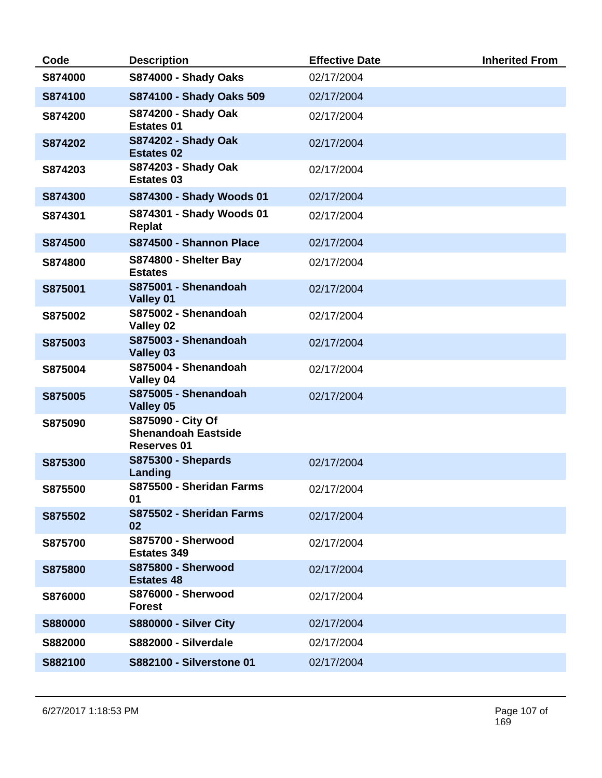| Code           | <b>Description</b>                                             | <b>Effective Date</b> | <b>Inherited From</b> |
|----------------|----------------------------------------------------------------|-----------------------|-----------------------|
| S874000        | <b>S874000 - Shady Oaks</b>                                    | 02/17/2004            |                       |
| S874100        | S874100 - Shady Oaks 509                                       | 02/17/2004            |                       |
| S874200        | <b>S874200 - Shady Oak</b><br><b>Estates 01</b>                | 02/17/2004            |                       |
| S874202        | <b>S874202 - Shady Oak</b><br><b>Estates 02</b>                | 02/17/2004            |                       |
| S874203        | S874203 - Shady Oak<br><b>Estates 03</b>                       | 02/17/2004            |                       |
| S874300        | S874300 - Shady Woods 01                                       | 02/17/2004            |                       |
| S874301        | S874301 - Shady Woods 01<br><b>Replat</b>                      | 02/17/2004            |                       |
| S874500        | S874500 - Shannon Place                                        | 02/17/2004            |                       |
| S874800        | S874800 - Shelter Bay<br><b>Estates</b>                        | 02/17/2004            |                       |
| S875001        | S875001 - Shenandoah<br>Valley 01                              | 02/17/2004            |                       |
| S875002        | S875002 - Shenandoah<br>Valley 02                              | 02/17/2004            |                       |
| S875003        | S875003 - Shenandoah<br>Valley 03                              | 02/17/2004            |                       |
| S875004        | S875004 - Shenandoah<br>Valley 04                              | 02/17/2004            |                       |
| S875005        | S875005 - Shenandoah<br>Valley 05                              | 02/17/2004            |                       |
| S875090        | S875090 - City Of<br><b>Shenandoah Eastside</b><br>Reserves 01 |                       |                       |
| S875300        | <b>S875300 - Shepards</b><br>Landing                           | 02/17/2004            |                       |
| S875500        | S875500 - Sheridan Farms<br>01                                 | 02/17/2004            |                       |
| S875502        | S875502 - Sheridan Farms<br>02                                 | 02/17/2004            |                       |
| S875700        | <b>S875700 - Sherwood</b><br><b>Estates 349</b>                | 02/17/2004            |                       |
| S875800        | <b>S875800 - Sherwood</b><br><b>Estates 48</b>                 | 02/17/2004            |                       |
| S876000        | <b>S876000 - Sherwood</b><br><b>Forest</b>                     | 02/17/2004            |                       |
| <b>S880000</b> | <b>S880000 - Silver City</b>                                   | 02/17/2004            |                       |
| S882000        | S882000 - Silverdale                                           | 02/17/2004            |                       |
| S882100        | <b>S882100 - Silverstone 01</b>                                | 02/17/2004            |                       |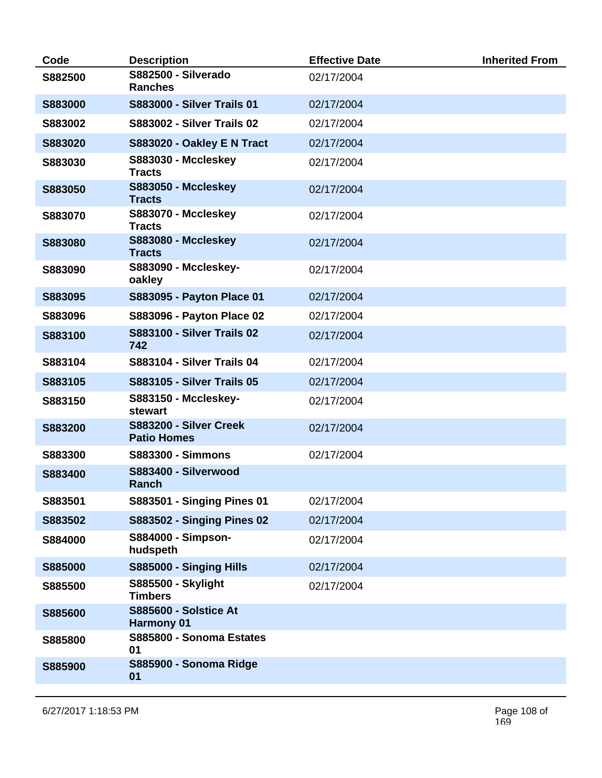| Code    | <b>Description</b>                                | <b>Effective Date</b> | <b>Inherited From</b> |
|---------|---------------------------------------------------|-----------------------|-----------------------|
| S882500 | S882500 - Silverado<br><b>Ranches</b>             | 02/17/2004            |                       |
| S883000 | <b>S883000 - Silver Trails 01</b>                 | 02/17/2004            |                       |
| S883002 | <b>S883002 - Silver Trails 02</b>                 | 02/17/2004            |                       |
| S883020 | S883020 - Oakley E N Tract                        | 02/17/2004            |                       |
| S883030 | <b>S883030 - Mccleskey</b><br><b>Tracts</b>       | 02/17/2004            |                       |
| S883050 | <b>S883050 - Mccleskey</b><br><b>Tracts</b>       | 02/17/2004            |                       |
| S883070 | S883070 - Mccleskey<br><b>Tracts</b>              | 02/17/2004            |                       |
| S883080 | <b>S883080 - Mccleskey</b><br><b>Tracts</b>       | 02/17/2004            |                       |
| S883090 | S883090 - Mccleskey-<br>oakley                    | 02/17/2004            |                       |
| S883095 | S883095 - Payton Place 01                         | 02/17/2004            |                       |
| S883096 | S883096 - Payton Place 02                         | 02/17/2004            |                       |
| S883100 | <b>S883100 - Silver Trails 02</b><br>742          | 02/17/2004            |                       |
| S883104 | <b>S883104 - Silver Trails 04</b>                 | 02/17/2004            |                       |
| S883105 | <b>S883105 - Silver Trails 05</b>                 | 02/17/2004            |                       |
| S883150 | S883150 - Mccleskey-<br>stewart                   | 02/17/2004            |                       |
| S883200 | S883200 - Silver Creek<br><b>Patio Homes</b>      | 02/17/2004            |                       |
| S883300 | <b>S883300 - Simmons</b>                          | 02/17/2004            |                       |
| S883400 | S883400 - Silverwood<br>Ranch                     |                       |                       |
| S883501 | <b>S883501 - Singing Pines 01</b>                 | 02/17/2004            |                       |
| S883502 | <b>S883502 - Singing Pines 02</b>                 | 02/17/2004            |                       |
| S884000 | S884000 - Simpson-<br>hudspeth                    | 02/17/2004            |                       |
| S885000 | S885000 - Singing Hills                           | 02/17/2004            |                       |
| S885500 | <b>S885500 - Skylight</b><br><b>Timbers</b>       | 02/17/2004            |                       |
| S885600 | <b>S885600 - Solstice At</b><br><b>Harmony 01</b> |                       |                       |
| S885800 | S885800 - Sonoma Estates<br>01                    |                       |                       |
| S885900 | S885900 - Sonoma Ridge<br>01                      |                       |                       |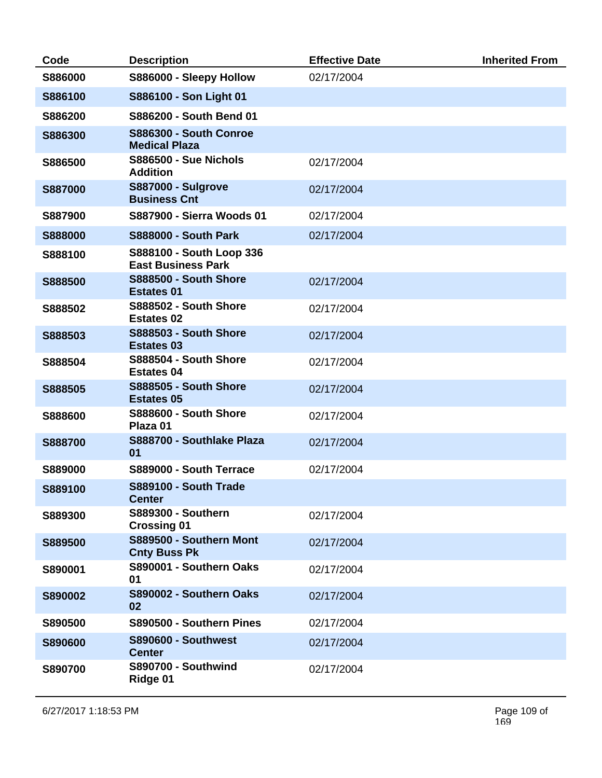| Code           | <b>Description</b>                                    | <b>Effective Date</b> | <b>Inherited From</b> |
|----------------|-------------------------------------------------------|-----------------------|-----------------------|
| S886000        | S886000 - Sleepy Hollow                               | 02/17/2004            |                       |
| S886100        | S886100 - Son Light 01                                |                       |                       |
| S886200        | S886200 - South Bend 01                               |                       |                       |
| S886300        | <b>S886300 - South Conroe</b><br><b>Medical Plaza</b> |                       |                       |
| S886500        | <b>S886500 - Sue Nichols</b><br><b>Addition</b>       | 02/17/2004            |                       |
| <b>S887000</b> | <b>S887000 - Sulgrove</b><br><b>Business Cnt</b>      | 02/17/2004            |                       |
| S887900        | <b>S887900 - Sierra Woods 01</b>                      | 02/17/2004            |                       |
| <b>S888000</b> | <b>S888000 - South Park</b>                           | 02/17/2004            |                       |
| S888100        | S888100 - South Loop 336<br><b>East Business Park</b> |                       |                       |
| S888500        | <b>S888500 - South Shore</b><br><b>Estates 01</b>     | 02/17/2004            |                       |
| S888502        | <b>S888502 - South Shore</b><br><b>Estates 02</b>     | 02/17/2004            |                       |
| S888503        | <b>S888503 - South Shore</b><br><b>Estates 03</b>     | 02/17/2004            |                       |
| S888504        | <b>S888504 - South Shore</b><br><b>Estates 04</b>     | 02/17/2004            |                       |
| S888505        | <b>S888505 - South Shore</b><br><b>Estates 05</b>     | 02/17/2004            |                       |
| S888600        | <b>S888600 - South Shore</b><br>Plaza 01              | 02/17/2004            |                       |
| S888700        | S888700 - Southlake Plaza<br>01                       | 02/17/2004            |                       |
| S889000        | S889000 - South Terrace                               | 02/17/2004            |                       |
| S889100        | S889100 - South Trade<br><b>Center</b>                |                       |                       |
| S889300        | <b>S889300 - Southern</b><br><b>Crossing 01</b>       | 02/17/2004            |                       |
| S889500        | S889500 - Southern Mont<br><b>Cnty Buss Pk</b>        | 02/17/2004            |                       |
| S890001        | S890001 - Southern Oaks<br>01                         | 02/17/2004            |                       |
| S890002        | S890002 - Southern Oaks<br>02                         | 02/17/2004            |                       |
| S890500        | S890500 - Southern Pines                              | 02/17/2004            |                       |
| S890600        | <b>S890600 - Southwest</b><br><b>Center</b>           | 02/17/2004            |                       |
| S890700        | <b>S890700 - Southwind</b><br>Ridge 01                | 02/17/2004            |                       |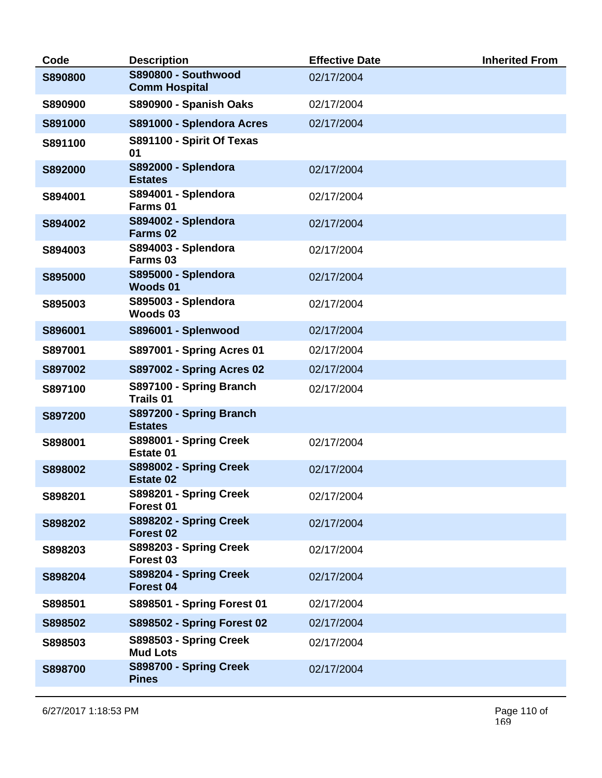| Code           | <b>Description</b>                                 | <b>Effective Date</b> | <b>Inherited From</b> |
|----------------|----------------------------------------------------|-----------------------|-----------------------|
| <b>S890800</b> | <b>S890800 - Southwood</b><br><b>Comm Hospital</b> | 02/17/2004            |                       |
| S890900        | S890900 - Spanish Oaks                             | 02/17/2004            |                       |
| S891000        | S891000 - Splendora Acres                          | 02/17/2004            |                       |
| S891100        | S891100 - Spirit Of Texas<br>01                    |                       |                       |
| S892000        | <b>S892000 - Splendora</b><br><b>Estates</b>       | 02/17/2004            |                       |
| S894001        | S894001 - Splendora<br>Farms 01                    | 02/17/2004            |                       |
| S894002        | S894002 - Splendora<br>Farms <sub>02</sub>         | 02/17/2004            |                       |
| S894003        | S894003 - Splendora<br>Farms <sub>03</sub>         | 02/17/2004            |                       |
| S895000        | <b>S895000 - Splendora</b><br>Woods 01             | 02/17/2004            |                       |
| S895003        | S895003 - Splendora<br>Woods 03                    | 02/17/2004            |                       |
| S896001        | S896001 - Splenwood                                | 02/17/2004            |                       |
| S897001        | S897001 - Spring Acres 01                          | 02/17/2004            |                       |
| S897002        | <b>S897002 - Spring Acres 02</b>                   | 02/17/2004            |                       |
| S897100        | S897100 - Spring Branch<br><b>Trails 01</b>        | 02/17/2004            |                       |
| S897200        | S897200 - Spring Branch<br><b>Estates</b>          |                       |                       |
| S898001        | S898001 - Spring Creek<br>Estate 01                | 02/17/2004            |                       |
| S898002        | S898002 - Spring Creek<br><b>Estate 02</b>         | 02/17/2004            |                       |
| S898201        | S898201 - Spring Creek<br>Forest 01                | 02/17/2004            |                       |
| S898202        | S898202 - Spring Creek<br>Forest 02                | 02/17/2004            |                       |
| S898203        | S898203 - Spring Creek<br>Forest 03                | 02/17/2004            |                       |
| S898204        | S898204 - Spring Creek<br>Forest 04                | 02/17/2004            |                       |
| S898501        | S898501 - Spring Forest 01                         | 02/17/2004            |                       |
| S898502        | <b>S898502 - Spring Forest 02</b>                  | 02/17/2004            |                       |
| S898503        | S898503 - Spring Creek<br><b>Mud Lots</b>          | 02/17/2004            |                       |
| S898700        | S898700 - Spring Creek<br><b>Pines</b>             | 02/17/2004            |                       |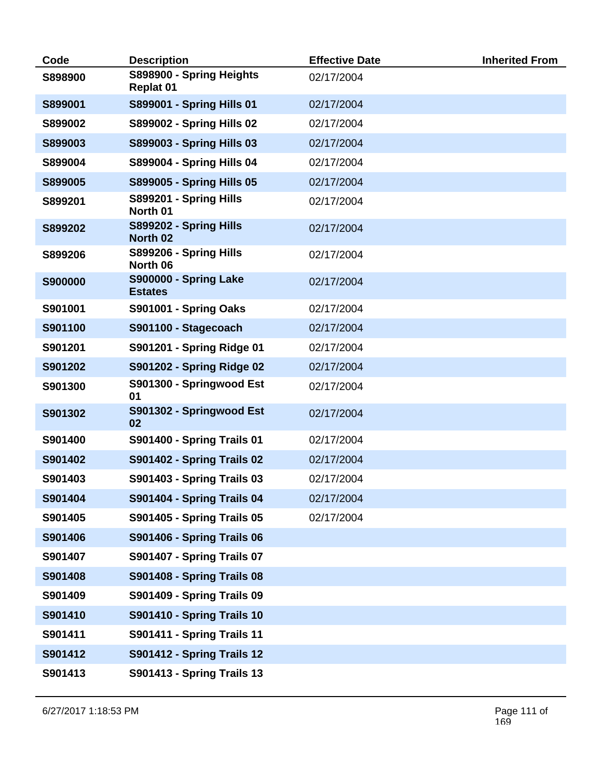| Code    | <b>Description</b>                             | <b>Effective Date</b> | <b>Inherited From</b> |
|---------|------------------------------------------------|-----------------------|-----------------------|
| S898900 | S898900 - Spring Heights<br><b>Replat 01</b>   | 02/17/2004            |                       |
| S899001 | S899001 - Spring Hills 01                      | 02/17/2004            |                       |
| S899002 | <b>S899002 - Spring Hills 02</b>               | 02/17/2004            |                       |
| S899003 | S899003 - Spring Hills 03                      | 02/17/2004            |                       |
| S899004 | S899004 - Spring Hills 04                      | 02/17/2004            |                       |
| S899005 | <b>S899005 - Spring Hills 05</b>               | 02/17/2004            |                       |
| S899201 | S899201 - Spring Hills<br>North 01             | 02/17/2004            |                       |
| S899202 | S899202 - Spring Hills<br>North 02             | 02/17/2004            |                       |
| S899206 | S899206 - Spring Hills<br>North 06             | 02/17/2004            |                       |
| S900000 | <b>S900000 - Spring Lake</b><br><b>Estates</b> | 02/17/2004            |                       |
| S901001 | S901001 - Spring Oaks                          | 02/17/2004            |                       |
| S901100 | S901100 - Stagecoach                           | 02/17/2004            |                       |
| S901201 | S901201 - Spring Ridge 01                      | 02/17/2004            |                       |
| S901202 | S901202 - Spring Ridge 02                      | 02/17/2004            |                       |
| S901300 | S901300 - Springwood Est<br>01                 | 02/17/2004            |                       |
| S901302 | S901302 - Springwood Est<br>02                 | 02/17/2004            |                       |
| S901400 | <b>S901400 - Spring Trails 01</b>              | 02/17/2004            |                       |
| S901402 | <b>S901402 - Spring Trails 02</b>              | 02/17/2004            |                       |
| S901403 | S901403 - Spring Trails 03                     | 02/17/2004            |                       |
| S901404 | <b>S901404 - Spring Trails 04</b>              | 02/17/2004            |                       |
| S901405 | <b>S901405 - Spring Trails 05</b>              | 02/17/2004            |                       |
| S901406 | <b>S901406 - Spring Trails 06</b>              |                       |                       |
| S901407 | <b>S901407 - Spring Trails 07</b>              |                       |                       |
| S901408 | <b>S901408 - Spring Trails 08</b>              |                       |                       |
| S901409 | <b>S901409 - Spring Trails 09</b>              |                       |                       |
| S901410 | <b>S901410 - Spring Trails 10</b>              |                       |                       |
| S901411 | <b>S901411 - Spring Trails 11</b>              |                       |                       |
| S901412 | <b>S901412 - Spring Trails 12</b>              |                       |                       |
| S901413 | <b>S901413 - Spring Trails 13</b>              |                       |                       |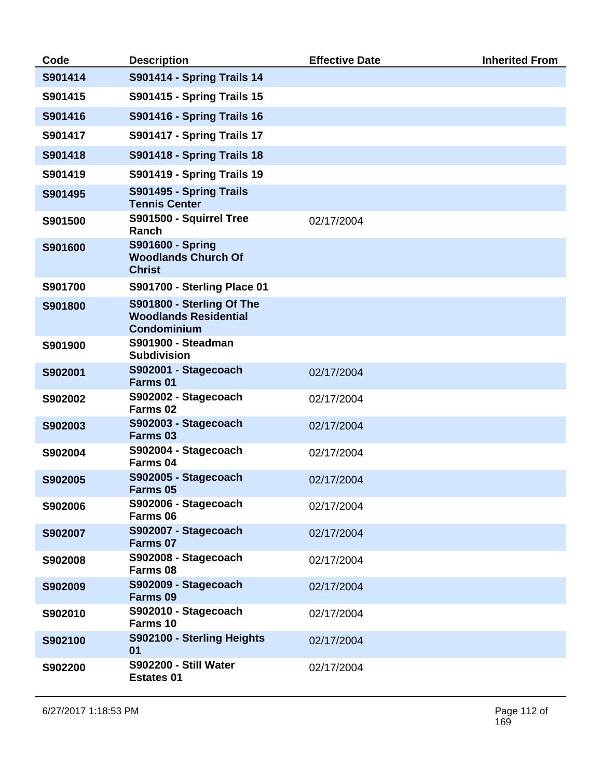| Code    | <b>Description</b>                                                              | <b>Effective Date</b> | <b>Inherited From</b> |
|---------|---------------------------------------------------------------------------------|-----------------------|-----------------------|
| S901414 | S901414 - Spring Trails 14                                                      |                       |                       |
| S901415 | <b>S901415 - Spring Trails 15</b>                                               |                       |                       |
| S901416 | <b>S901416 - Spring Trails 16</b>                                               |                       |                       |
| S901417 | <b>S901417 - Spring Trails 17</b>                                               |                       |                       |
| S901418 | <b>S901418 - Spring Trails 18</b>                                               |                       |                       |
| S901419 | <b>S901419 - Spring Trails 19</b>                                               |                       |                       |
| S901495 | S901495 - Spring Trails<br><b>Tennis Center</b>                                 |                       |                       |
| S901500 | S901500 - Squirrel Tree<br>Ranch                                                | 02/17/2004            |                       |
| S901600 | <b>S901600 - Spring</b><br><b>Woodlands Church Of</b><br><b>Christ</b>          |                       |                       |
| S901700 | S901700 - Sterling Place 01                                                     |                       |                       |
| S901800 | S901800 - Sterling Of The<br><b>Woodlands Residential</b><br><b>Condominium</b> |                       |                       |
| S901900 | <b>S901900 - Steadman</b><br><b>Subdivision</b>                                 |                       |                       |
| S902001 | S902001 - Stagecoach<br>Farms 01                                                | 02/17/2004            |                       |
| S902002 | S902002 - Stagecoach<br>Farms 02                                                | 02/17/2004            |                       |
| S902003 | S902003 - Stagecoach<br>Farms 03                                                | 02/17/2004            |                       |
| S902004 | S902004 - Stagecoach<br>Farms 04                                                | 02/17/2004            |                       |
| S902005 | S902005 - Stagecoach<br>Farms <sub>05</sub>                                     | 02/17/2004            |                       |
| S902006 | S902006 - Stagecoach<br>Farms 06                                                | 02/17/2004            |                       |
| S902007 | S902007 - Stagecoach<br>Farms 07                                                | 02/17/2004            |                       |
| S902008 | S902008 - Stagecoach<br>Farms 08                                                | 02/17/2004            |                       |
| S902009 | S902009 - Stagecoach<br>Farms 09                                                | 02/17/2004            |                       |
| S902010 | S902010 - Stagecoach<br>Farms 10                                                | 02/17/2004            |                       |
| S902100 | S902100 - Sterling Heights<br>01                                                | 02/17/2004            |                       |
| S902200 | S902200 - Still Water<br><b>Estates 01</b>                                      | 02/17/2004            |                       |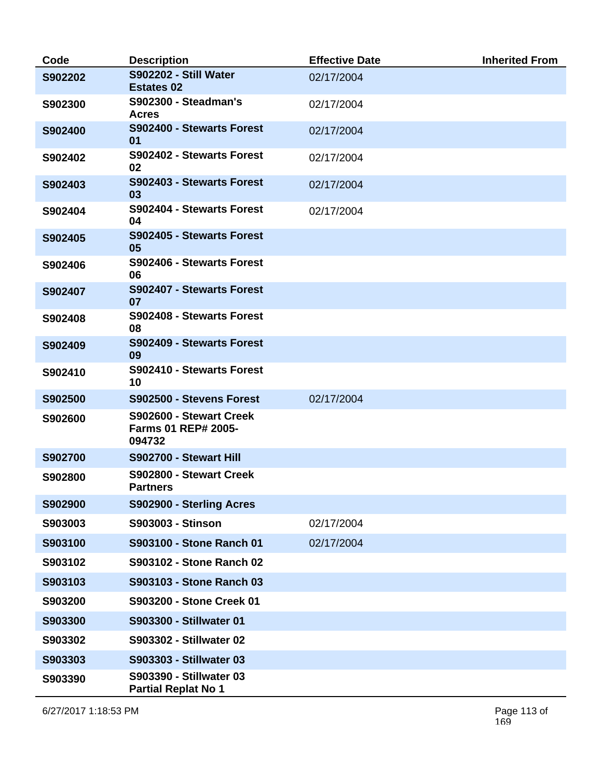| Code    | <b>Description</b>                                              | <b>Effective Date</b> | <b>Inherited From</b> |
|---------|-----------------------------------------------------------------|-----------------------|-----------------------|
| S902202 | S902202 - Still Water<br><b>Estates 02</b>                      | 02/17/2004            |                       |
| S902300 | <b>S902300 - Steadman's</b><br><b>Acres</b>                     | 02/17/2004            |                       |
| S902400 | S902400 - Stewarts Forest<br>01                                 | 02/17/2004            |                       |
| S902402 | S902402 - Stewarts Forest<br>02                                 | 02/17/2004            |                       |
| S902403 | S902403 - Stewarts Forest<br>03                                 | 02/17/2004            |                       |
| S902404 | S902404 - Stewarts Forest<br>04                                 | 02/17/2004            |                       |
| S902405 | S902405 - Stewarts Forest<br>05                                 |                       |                       |
| S902406 | S902406 - Stewarts Forest<br>06                                 |                       |                       |
| S902407 | S902407 - Stewarts Forest<br>07                                 |                       |                       |
| S902408 | S902408 - Stewarts Forest<br>08                                 |                       |                       |
| S902409 | S902409 - Stewarts Forest<br>09                                 |                       |                       |
| S902410 | S902410 - Stewarts Forest<br>10                                 |                       |                       |
| S902500 | S902500 - Stevens Forest                                        | 02/17/2004            |                       |
| S902600 | S902600 - Stewart Creek<br><b>Farms 01 REP# 2005-</b><br>094732 |                       |                       |
| S902700 | S902700 - Stewart Hill                                          |                       |                       |
| S902800 | S902800 - Stewart Creek<br><b>Partners</b>                      |                       |                       |
| S902900 | S902900 - Sterling Acres                                        |                       |                       |
| S903003 | <b>S903003 - Stinson</b>                                        | 02/17/2004            |                       |
| S903100 | S903100 - Stone Ranch 01                                        | 02/17/2004            |                       |
| S903102 | S903102 - Stone Ranch 02                                        |                       |                       |
| S903103 | S903103 - Stone Ranch 03                                        |                       |                       |
| S903200 | S903200 - Stone Creek 01                                        |                       |                       |
| S903300 | S903300 - Stillwater 01                                         |                       |                       |
| S903302 | S903302 - Stillwater 02                                         |                       |                       |
| S903303 | S903303 - Stillwater 03                                         |                       |                       |
| S903390 | S903390 - Stillwater 03<br><b>Partial Replat No 1</b>           |                       |                       |

6/27/2017 1:18:53 PM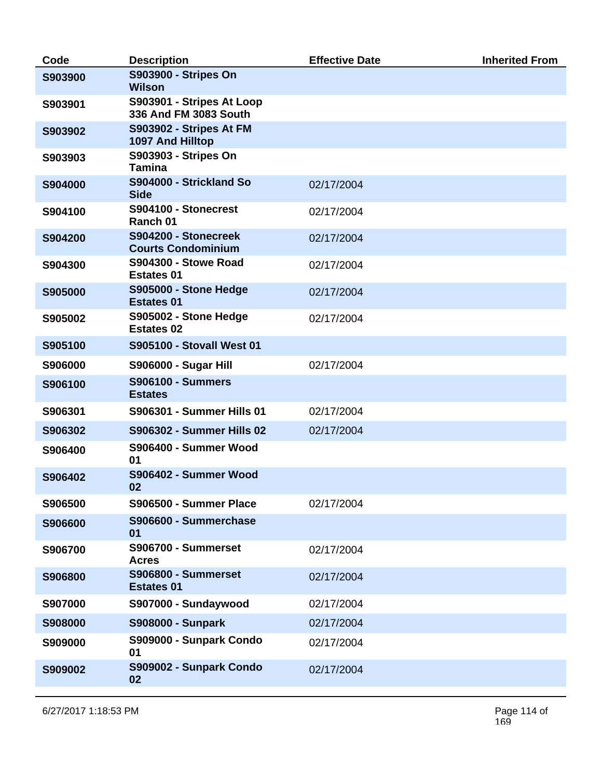| Code    | <b>Description</b>                                 | <b>Effective Date</b> | <b>Inherited From</b> |
|---------|----------------------------------------------------|-----------------------|-----------------------|
| S903900 | S903900 - Stripes On<br><b>Wilson</b>              |                       |                       |
| S903901 | S903901 - Stripes At Loop<br>336 And FM 3083 South |                       |                       |
| S903902 | S903902 - Stripes At FM<br>1097 And Hilltop        |                       |                       |
| S903903 | S903903 - Stripes On<br><b>Tamina</b>              |                       |                       |
| S904000 | S904000 - Strickland So<br><b>Side</b>             | 02/17/2004            |                       |
| S904100 | S904100 - Stonecrest<br>Ranch 01                   | 02/17/2004            |                       |
| S904200 | S904200 - Stonecreek<br><b>Courts Condominium</b>  | 02/17/2004            |                       |
| S904300 | <b>S904300 - Stowe Road</b><br><b>Estates 01</b>   | 02/17/2004            |                       |
| S905000 | S905000 - Stone Hedge<br><b>Estates 01</b>         | 02/17/2004            |                       |
| S905002 | S905002 - Stone Hedge<br><b>Estates 02</b>         | 02/17/2004            |                       |
| S905100 | <b>S905100 - Stovall West 01</b>                   |                       |                       |
| S906000 | <b>S906000 - Sugar Hill</b>                        | 02/17/2004            |                       |
| S906100 | <b>S906100 - Summers</b><br><b>Estates</b>         |                       |                       |
| S906301 | <b>S906301 - Summer Hills 01</b>                   | 02/17/2004            |                       |
| S906302 | <b>S906302 - Summer Hills 02</b>                   | 02/17/2004            |                       |
| S906400 | S906400 - Summer Wood<br>01                        |                       |                       |
| S906402 | S906402 - Summer Wood<br>02                        |                       |                       |
| S906500 | S906500 - Summer Place                             | 02/17/2004            |                       |
| S906600 | S906600 - Summerchase<br>01                        |                       |                       |
| S906700 | <b>S906700 - Summerset</b><br><b>Acres</b>         | 02/17/2004            |                       |
| S906800 | <b>S906800 - Summerset</b><br><b>Estates 01</b>    | 02/17/2004            |                       |
| S907000 | S907000 - Sundaywood                               | 02/17/2004            |                       |
| S908000 | <b>S908000 - Sunpark</b>                           | 02/17/2004            |                       |
| S909000 | S909000 - Sunpark Condo<br>01                      | 02/17/2004            |                       |
| S909002 | S909002 - Sunpark Condo<br>02                      | 02/17/2004            |                       |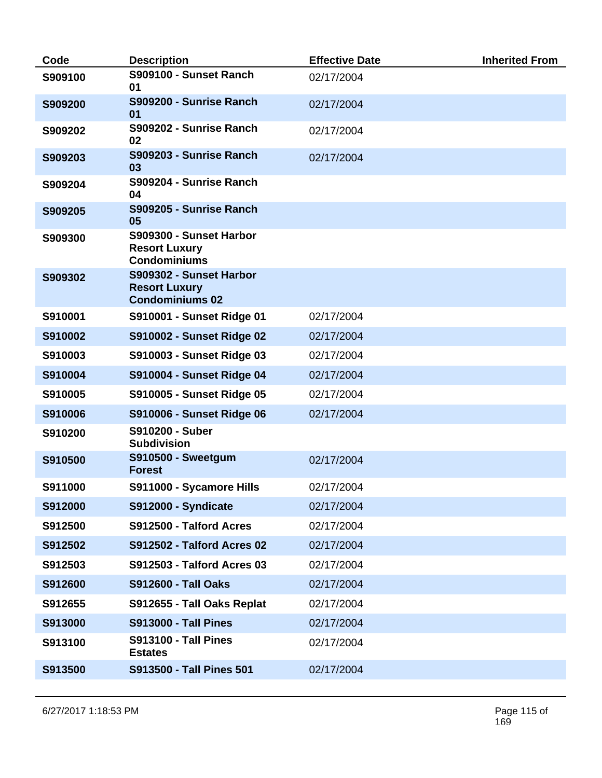| Code    | <b>Description</b>                                                        | <b>Effective Date</b> | <b>Inherited From</b> |
|---------|---------------------------------------------------------------------------|-----------------------|-----------------------|
| S909100 | S909100 - Sunset Ranch<br>01                                              | 02/17/2004            |                       |
| S909200 | S909200 - Sunrise Ranch<br>01                                             | 02/17/2004            |                       |
| S909202 | S909202 - Sunrise Ranch<br>02                                             | 02/17/2004            |                       |
| S909203 | S909203 - Sunrise Ranch<br>03                                             | 02/17/2004            |                       |
| S909204 | S909204 - Sunrise Ranch<br>04                                             |                       |                       |
| S909205 | S909205 - Sunrise Ranch<br>05                                             |                       |                       |
| S909300 | S909300 - Sunset Harbor<br><b>Resort Luxury</b><br><b>Condominiums</b>    |                       |                       |
| S909302 | S909302 - Sunset Harbor<br><b>Resort Luxury</b><br><b>Condominiums 02</b> |                       |                       |
| S910001 | S910001 - Sunset Ridge 01                                                 | 02/17/2004            |                       |
| S910002 | <b>S910002 - Sunset Ridge 02</b>                                          | 02/17/2004            |                       |
| S910003 | S910003 - Sunset Ridge 03                                                 | 02/17/2004            |                       |
| S910004 | <b>S910004 - Sunset Ridge 04</b>                                          | 02/17/2004            |                       |
| S910005 | S910005 - Sunset Ridge 05                                                 | 02/17/2004            |                       |
| S910006 | <b>S910006 - Sunset Ridge 06</b>                                          | 02/17/2004            |                       |
| S910200 | S910200 - Suber<br><b>Subdivision</b>                                     |                       |                       |
| S910500 | <b>S910500 - Sweetgum</b><br><b>Forest</b>                                | 02/17/2004            |                       |
| S911000 | S911000 - Sycamore Hills                                                  | 02/17/2004            |                       |
| S912000 | <b>S912000 - Syndicate</b>                                                | 02/17/2004            |                       |
| S912500 | S912500 - Talford Acres                                                   | 02/17/2004            |                       |
| S912502 | <b>S912502 - Talford Acres 02</b>                                         | 02/17/2004            |                       |
| S912503 | <b>S912503 - Talford Acres 03</b>                                         | 02/17/2004            |                       |
| S912600 | <b>S912600 - Tall Oaks</b>                                                | 02/17/2004            |                       |
| S912655 | S912655 - Tall Oaks Replat                                                | 02/17/2004            |                       |
| S913000 | <b>S913000 - Tall Pines</b>                                               | 02/17/2004            |                       |
| S913100 | <b>S913100 - Tall Pines</b><br><b>Estates</b>                             | 02/17/2004            |                       |
| S913500 | <b>S913500 - Tall Pines 501</b>                                           | 02/17/2004            |                       |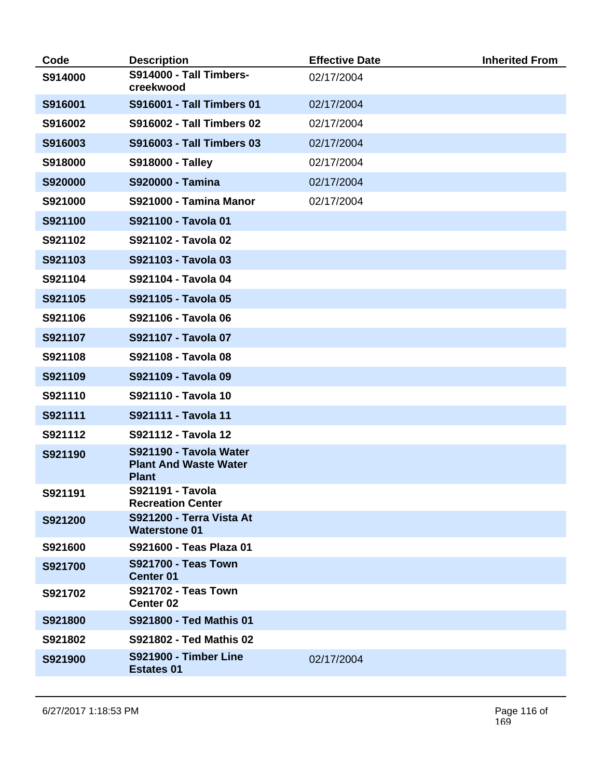| Code    | <b>Description</b>                                                     | <b>Effective Date</b> | <b>Inherited From</b> |
|---------|------------------------------------------------------------------------|-----------------------|-----------------------|
| S914000 | <b>S914000 - Tall Timbers-</b><br>creekwood                            | 02/17/2004            |                       |
| S916001 | <b>S916001 - Tall Timbers 01</b>                                       | 02/17/2004            |                       |
| S916002 | <b>S916002 - Tall Timbers 02</b>                                       | 02/17/2004            |                       |
| S916003 | <b>S916003 - Tall Timbers 03</b>                                       | 02/17/2004            |                       |
| S918000 | <b>S918000 - Talley</b>                                                | 02/17/2004            |                       |
| S920000 | <b>S920000 - Tamina</b>                                                | 02/17/2004            |                       |
| S921000 | S921000 - Tamina Manor                                                 | 02/17/2004            |                       |
| S921100 | S921100 - Tavola 01                                                    |                       |                       |
| S921102 | S921102 - Tavola 02                                                    |                       |                       |
| S921103 | S921103 - Tavola 03                                                    |                       |                       |
| S921104 | S921104 - Tavola 04                                                    |                       |                       |
| S921105 | S921105 - Tavola 05                                                    |                       |                       |
| S921106 | S921106 - Tavola 06                                                    |                       |                       |
| S921107 | S921107 - Tavola 07                                                    |                       |                       |
| S921108 | S921108 - Tavola 08                                                    |                       |                       |
| S921109 | S921109 - Tavola 09                                                    |                       |                       |
| S921110 | S921110 - Tavola 10                                                    |                       |                       |
| S921111 | S921111 - Tavola 11                                                    |                       |                       |
| S921112 | S921112 - Tavola 12                                                    |                       |                       |
| S921190 | S921190 - Tavola Water<br><b>Plant And Waste Water</b><br><b>Plant</b> |                       |                       |
| S921191 | S921191 - Tavola<br><b>Recreation Center</b>                           |                       |                       |
| S921200 | S921200 - Terra Vista At<br><b>Waterstone 01</b>                       |                       |                       |
| S921600 | S921600 - Teas Plaza 01                                                |                       |                       |
| S921700 | <b>S921700 - Teas Town</b><br><b>Center 01</b>                         |                       |                       |
| S921702 | <b>S921702 - Teas Town</b><br><b>Center 02</b>                         |                       |                       |
| S921800 | S921800 - Ted Mathis 01                                                |                       |                       |
| S921802 | S921802 - Ted Mathis 02                                                |                       |                       |
| S921900 | <b>S921900 - Timber Line</b><br><b>Estates 01</b>                      | 02/17/2004            |                       |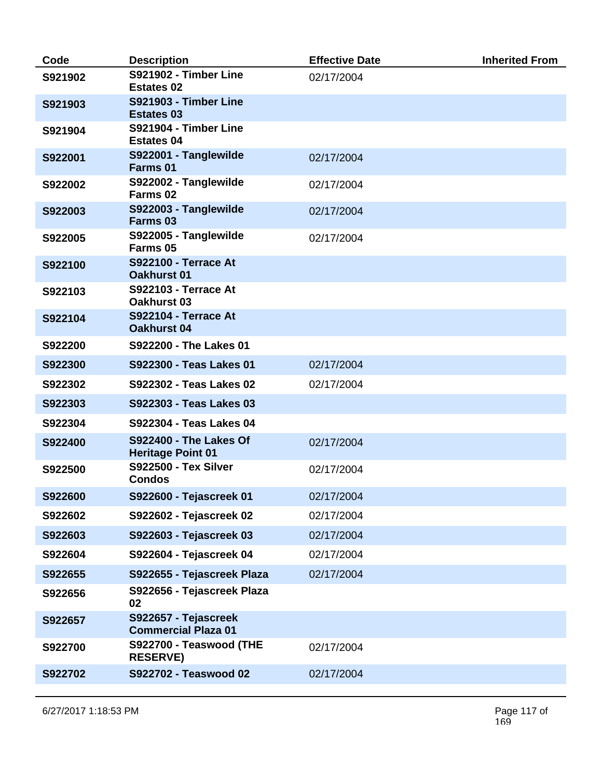| Code    | <b>Description</b>                                        | <b>Effective Date</b> | <b>Inherited From</b> |
|---------|-----------------------------------------------------------|-----------------------|-----------------------|
| S921902 | S921902 - Timber Line<br><b>Estates 02</b>                | 02/17/2004            |                       |
| S921903 | <b>S921903 - Timber Line</b><br><b>Estates 03</b>         |                       |                       |
| S921904 | S921904 - Timber Line<br><b>Estates 04</b>                |                       |                       |
| S922001 | S922001 - Tanglewilde<br>Farms 01                         | 02/17/2004            |                       |
| S922002 | S922002 - Tanglewilde<br>Farms <sub>02</sub>              | 02/17/2004            |                       |
| S922003 | S922003 - Tanglewilde<br>Farms 03                         | 02/17/2004            |                       |
| S922005 | S922005 - Tanglewilde<br>Farms 05                         | 02/17/2004            |                       |
| S922100 | <b>S922100 - Terrace At</b><br><b>Oakhurst 01</b>         |                       |                       |
| S922103 | <b>S922103 - Terrace At</b><br><b>Oakhurst 03</b>         |                       |                       |
| S922104 | <b>S922104 - Terrace At</b><br><b>Oakhurst 04</b>         |                       |                       |
| S922200 | S922200 - The Lakes 01                                    |                       |                       |
| S922300 | S922300 - Teas Lakes 01                                   | 02/17/2004            |                       |
| S922302 | S922302 - Teas Lakes 02                                   | 02/17/2004            |                       |
| S922303 | S922303 - Teas Lakes 03                                   |                       |                       |
| S922304 | S922304 - Teas Lakes 04                                   |                       |                       |
| S922400 | <b>S922400 - The Lakes Of</b><br><b>Heritage Point 01</b> | 02/17/2004            |                       |
| S922500 | <b>S922500 - Tex Silver</b><br><b>Condos</b>              | 02/17/2004            |                       |
| S922600 | S922600 - Tejascreek 01                                   | 02/17/2004            |                       |
| S922602 | S922602 - Tejascreek 02                                   | 02/17/2004            |                       |
| S922603 | S922603 - Tejascreek 03                                   | 02/17/2004            |                       |
| S922604 | S922604 - Tejascreek 04                                   | 02/17/2004            |                       |
| S922655 | S922655 - Tejascreek Plaza                                | 02/17/2004            |                       |
| S922656 | S922656 - Tejascreek Plaza<br>02                          |                       |                       |
| S922657 | S922657 - Tejascreek<br><b>Commercial Plaza 01</b>        |                       |                       |
| S922700 | S922700 - Teaswood (THE<br><b>RESERVE)</b>                | 02/17/2004            |                       |
| S922702 | S922702 - Teaswood 02                                     | 02/17/2004            |                       |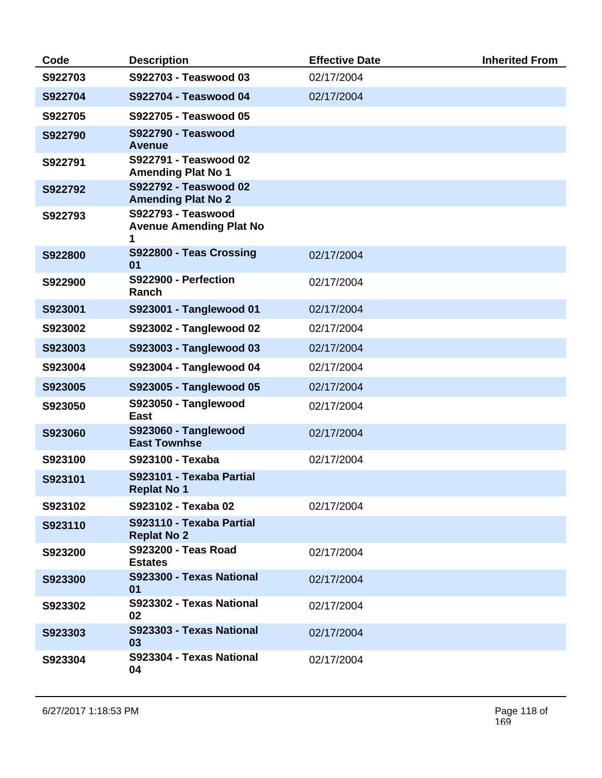| Code    | <b>Description</b>                                               | <b>Effective Date</b> | <b>Inherited From</b> |
|---------|------------------------------------------------------------------|-----------------------|-----------------------|
| S922703 | S922703 - Teaswood 03                                            | 02/17/2004            |                       |
| S922704 | S922704 - Teaswood 04                                            | 02/17/2004            |                       |
| S922705 | S922705 - Teaswood 05                                            |                       |                       |
| S922790 | <b>S922790 - Teaswood</b><br>Avenue                              |                       |                       |
| S922791 | S922791 - Teaswood 02<br><b>Amending Plat No 1</b>               |                       |                       |
| S922792 | S922792 - Teaswood 02<br><b>Amending Plat No 2</b>               |                       |                       |
| S922793 | <b>S922793 - Teaswood</b><br><b>Avenue Amending Plat No</b><br>1 |                       |                       |
| S922800 | S922800 - Teas Crossing<br>01                                    | 02/17/2004            |                       |
| S922900 | S922900 - Perfection<br>Ranch                                    | 02/17/2004            |                       |
| S923001 | S923001 - Tanglewood 01                                          | 02/17/2004            |                       |
| S923002 | S923002 - Tanglewood 02                                          | 02/17/2004            |                       |
| S923003 | S923003 - Tanglewood 03                                          | 02/17/2004            |                       |
| S923004 | S923004 - Tanglewood 04                                          | 02/17/2004            |                       |
| S923005 | S923005 - Tanglewood 05                                          | 02/17/2004            |                       |
| S923050 | S923050 - Tanglewood<br>East                                     | 02/17/2004            |                       |
| S923060 | S923060 - Tanglewood<br><b>East Townhse</b>                      | 02/17/2004            |                       |
| S923100 | S923100 - Texaba                                                 | 02/17/2004            |                       |
| S923101 | S923101 - Texaba Partial<br><b>Replat No 1</b>                   |                       |                       |
| S923102 | S923102 - Texaba 02                                              | 02/17/2004            |                       |
| S923110 | S923110 - Texaba Partial<br><b>Replat No 2</b>                   |                       |                       |
| S923200 | <b>S923200 - Teas Road</b><br><b>Estates</b>                     | 02/17/2004            |                       |
| S923300 | S923300 - Texas National<br>01                                   | 02/17/2004            |                       |
| S923302 | S923302 - Texas National<br>02                                   | 02/17/2004            |                       |
| S923303 | S923303 - Texas National<br>03                                   | 02/17/2004            |                       |
| S923304 | S923304 - Texas National<br>04                                   | 02/17/2004            |                       |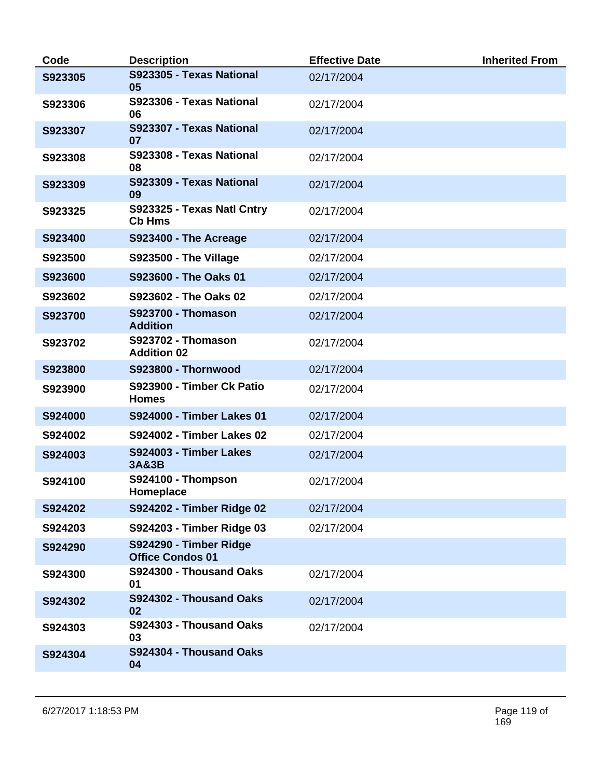| Code    | <b>Description</b>                                | <b>Effective Date</b> | <b>Inherited From</b> |
|---------|---------------------------------------------------|-----------------------|-----------------------|
| S923305 | S923305 - Texas National<br>05                    | 02/17/2004            |                       |
| S923306 | S923306 - Texas National<br>06                    | 02/17/2004            |                       |
| S923307 | S923307 - Texas National<br>07                    | 02/17/2004            |                       |
| S923308 | S923308 - Texas National<br>08                    | 02/17/2004            |                       |
| S923309 | S923309 - Texas National<br>09                    | 02/17/2004            |                       |
| S923325 | S923325 - Texas Natl Cntry<br><b>Cb Hms</b>       | 02/17/2004            |                       |
| S923400 | S923400 - The Acreage                             | 02/17/2004            |                       |
| S923500 | S923500 - The Village                             | 02/17/2004            |                       |
| S923600 | S923600 - The Oaks 01                             | 02/17/2004            |                       |
| S923602 | S923602 - The Oaks 02                             | 02/17/2004            |                       |
| S923700 | <b>S923700 - Thomason</b><br><b>Addition</b>      | 02/17/2004            |                       |
| S923702 | <b>S923702 - Thomason</b><br><b>Addition 02</b>   | 02/17/2004            |                       |
| S923800 | <b>S923800 - Thornwood</b>                        | 02/17/2004            |                       |
| S923900 | S923900 - Timber Ck Patio<br><b>Homes</b>         | 02/17/2004            |                       |
| S924000 | <b>S924000 - Timber Lakes 01</b>                  | 02/17/2004            |                       |
| S924002 | <b>S924002 - Timber Lakes 02</b>                  | 02/17/2004            |                       |
| S924003 | S924003 - Timber Lakes<br><b>3A&amp;3B</b>        | 02/17/2004            |                       |
| S924100 | S924100 - Thompson<br>Homeplace                   | 02/17/2004            |                       |
| S924202 | S924202 - Timber Ridge 02                         | 02/17/2004            |                       |
| S924203 | S924203 - Timber Ridge 03                         | 02/17/2004            |                       |
| S924290 | S924290 - Timber Ridge<br><b>Office Condos 01</b> |                       |                       |
| S924300 | S924300 - Thousand Oaks<br>01                     | 02/17/2004            |                       |
| S924302 | S924302 - Thousand Oaks<br>02                     | 02/17/2004            |                       |
| S924303 | S924303 - Thousand Oaks<br>03                     | 02/17/2004            |                       |
| S924304 | S924304 - Thousand Oaks<br>04                     |                       |                       |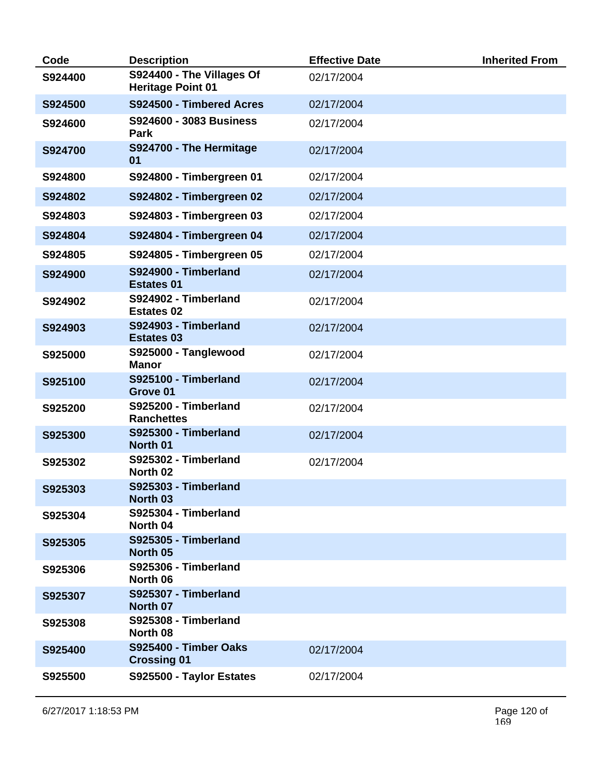| Code    | <b>Description</b>                                    | <b>Effective Date</b> | <b>Inherited From</b> |
|---------|-------------------------------------------------------|-----------------------|-----------------------|
| S924400 | S924400 - The Villages Of<br><b>Heritage Point 01</b> | 02/17/2004            |                       |
| S924500 | S924500 - Timbered Acres                              | 02/17/2004            |                       |
| S924600 | S924600 - 3083 Business<br>Park                       | 02/17/2004            |                       |
| S924700 | S924700 - The Hermitage<br>01                         | 02/17/2004            |                       |
| S924800 | S924800 - Timbergreen 01                              | 02/17/2004            |                       |
| S924802 | S924802 - Timbergreen 02                              | 02/17/2004            |                       |
| S924803 | S924803 - Timbergreen 03                              | 02/17/2004            |                       |
| S924804 | S924804 - Timbergreen 04                              | 02/17/2004            |                       |
| S924805 | S924805 - Timbergreen 05                              | 02/17/2004            |                       |
| S924900 | S924900 - Timberland<br><b>Estates 01</b>             | 02/17/2004            |                       |
| S924902 | S924902 - Timberland<br><b>Estates 02</b>             | 02/17/2004            |                       |
| S924903 | S924903 - Timberland<br><b>Estates 03</b>             | 02/17/2004            |                       |
| S925000 | S925000 - Tanglewood<br><b>Manor</b>                  | 02/17/2004            |                       |
| S925100 | S925100 - Timberland<br>Grove 01                      | 02/17/2004            |                       |
| S925200 | S925200 - Timberland<br><b>Ranchettes</b>             | 02/17/2004            |                       |
| S925300 | S925300 - Timberland<br>North 01                      | 02/17/2004            |                       |
| S925302 | S925302 - Timberland<br>North 02                      | 02/17/2004            |                       |
| S925303 | S925303 - Timberland<br>North 03                      |                       |                       |
| S925304 | S925304 - Timberland<br>North 04                      |                       |                       |
| S925305 | S925305 - Timberland<br>North 05                      |                       |                       |
| S925306 | S925306 - Timberland<br>North 06                      |                       |                       |
| S925307 | S925307 - Timberland<br>North 07                      |                       |                       |
| S925308 | S925308 - Timberland<br>North 08                      |                       |                       |
| S925400 | S925400 - Timber Oaks<br><b>Crossing 01</b>           | 02/17/2004            |                       |
| S925500 | S925500 - Taylor Estates                              | 02/17/2004            |                       |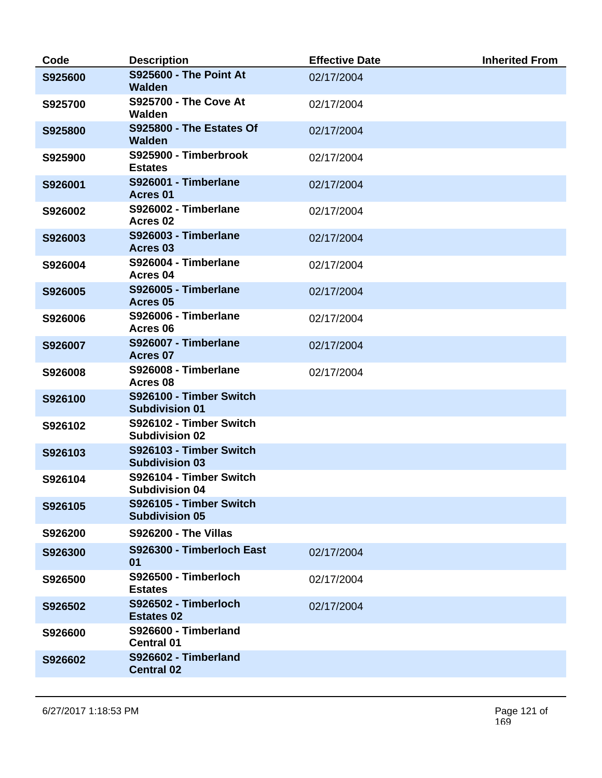| Code    | <b>Description</b>                               | <b>Effective Date</b> | <b>Inherited From</b> |
|---------|--------------------------------------------------|-----------------------|-----------------------|
| S925600 | <b>S925600 - The Point At</b><br><b>Walden</b>   | 02/17/2004            |                       |
| S925700 | <b>S925700 - The Cove At</b><br>Walden           | 02/17/2004            |                       |
| S925800 | S925800 - The Estates Of<br><b>Walden</b>        | 02/17/2004            |                       |
| S925900 | S925900 - Timberbrook<br><b>Estates</b>          | 02/17/2004            |                       |
| S926001 | S926001 - Timberlane<br>Acres <sub>01</sub>      | 02/17/2004            |                       |
| S926002 | S926002 - Timberlane<br>Acres <sub>02</sub>      | 02/17/2004            |                       |
| S926003 | S926003 - Timberlane<br>Acres 03                 | 02/17/2004            |                       |
| S926004 | S926004 - Timberlane<br>Acres 04                 | 02/17/2004            |                       |
| S926005 | S926005 - Timberlane<br>Acres 05                 | 02/17/2004            |                       |
| S926006 | S926006 - Timberlane<br>Acres 06                 | 02/17/2004            |                       |
| S926007 | S926007 - Timberlane<br>Acres 07                 | 02/17/2004            |                       |
| S926008 | S926008 - Timberlane<br>Acres 08                 | 02/17/2004            |                       |
| S926100 | S926100 - Timber Switch<br><b>Subdivision 01</b> |                       |                       |
| S926102 | S926102 - Timber Switch<br><b>Subdivision 02</b> |                       |                       |
| S926103 | S926103 - Timber Switch<br><b>Subdivision 03</b> |                       |                       |
| S926104 | S926104 - Timber Switch<br><b>Subdivision 04</b> |                       |                       |
| S926105 | S926105 - Timber Switch<br><b>Subdivision 05</b> |                       |                       |
| S926200 | <b>S926200 - The Villas</b>                      |                       |                       |
| S926300 | S926300 - Timberloch East<br>01                  | 02/17/2004            |                       |
| S926500 | S926500 - Timberloch<br><b>Estates</b>           | 02/17/2004            |                       |
| S926502 | S926502 - Timberloch<br><b>Estates 02</b>        | 02/17/2004            |                       |
| S926600 | S926600 - Timberland<br><b>Central 01</b>        |                       |                       |
| S926602 | S926602 - Timberland<br><b>Central 02</b>        |                       |                       |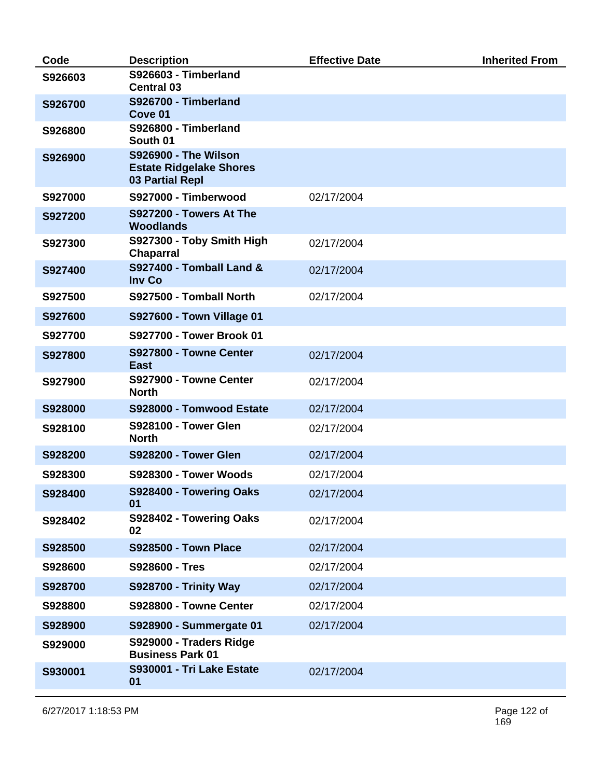| Code    | <b>Description</b>                                                                      | <b>Effective Date</b> | <b>Inherited From</b> |
|---------|-----------------------------------------------------------------------------------------|-----------------------|-----------------------|
| S926603 | S926603 - Timberland<br><b>Central 03</b>                                               |                       |                       |
| S926700 | S926700 - Timberland<br>Cove 01                                                         |                       |                       |
| S926800 | S926800 - Timberland<br>South 01                                                        |                       |                       |
| S926900 | <b>S926900 - The Wilson</b><br><b>Estate Ridgelake Shores</b><br><b>03 Partial Repl</b> |                       |                       |
| S927000 | S927000 - Timberwood                                                                    | 02/17/2004            |                       |
| S927200 | S927200 - Towers At The<br><b>Woodlands</b>                                             |                       |                       |
| S927300 | S927300 - Toby Smith High<br><b>Chaparral</b>                                           | 02/17/2004            |                       |
| S927400 | <b>S927400 - Tomball Land &amp;</b><br><b>Inv Co</b>                                    | 02/17/2004            |                       |
| S927500 | S927500 - Tomball North                                                                 | 02/17/2004            |                       |
| S927600 | <b>S927600 - Town Village 01</b>                                                        |                       |                       |
| S927700 | S927700 - Tower Brook 01                                                                |                       |                       |
| S927800 | S927800 - Towne Center<br><b>East</b>                                                   | 02/17/2004            |                       |
| S927900 | S927900 - Towne Center<br><b>North</b>                                                  | 02/17/2004            |                       |
| S928000 | S928000 - Tomwood Estate                                                                | 02/17/2004            |                       |
| S928100 | <b>S928100 - Tower Glen</b><br><b>North</b>                                             | 02/17/2004            |                       |
| S928200 | <b>S928200 - Tower Glen</b>                                                             | 02/17/2004            |                       |
| S928300 | S928300 - Tower Woods                                                                   | 02/17/2004            |                       |
| S928400 | S928400 - Towering Oaks<br>01                                                           | 02/17/2004            |                       |
| S928402 | S928402 - Towering Oaks<br>02                                                           | 02/17/2004            |                       |
| S928500 | <b>S928500 - Town Place</b>                                                             | 02/17/2004            |                       |
| S928600 | S928600 - Tres                                                                          | 02/17/2004            |                       |
| S928700 | <b>S928700 - Trinity Way</b>                                                            | 02/17/2004            |                       |
| S928800 | S928800 - Towne Center                                                                  | 02/17/2004            |                       |
| S928900 | S928900 - Summergate 01                                                                 | 02/17/2004            |                       |
| S929000 | S929000 - Traders Ridge<br><b>Business Park 01</b>                                      |                       |                       |
| S930001 | S930001 - Tri Lake Estate<br>01                                                         | 02/17/2004            |                       |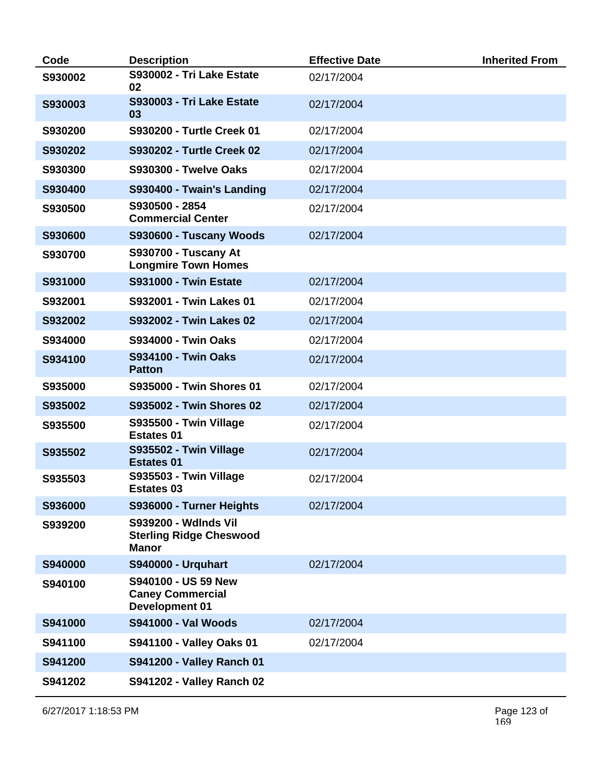| Code    | <b>Description</b>                                                            | <b>Effective Date</b> | <b>Inherited From</b> |
|---------|-------------------------------------------------------------------------------|-----------------------|-----------------------|
| S930002 | S930002 - Tri Lake Estate<br>02                                               | 02/17/2004            |                       |
| S930003 | S930003 - Tri Lake Estate<br>03                                               | 02/17/2004            |                       |
| S930200 | S930200 - Turtle Creek 01                                                     | 02/17/2004            |                       |
| S930202 | <b>S930202 - Turtle Creek 02</b>                                              | 02/17/2004            |                       |
| S930300 | <b>S930300 - Twelve Oaks</b>                                                  | 02/17/2004            |                       |
| S930400 | S930400 - Twain's Landing                                                     | 02/17/2004            |                       |
| S930500 | S930500 - 2854<br><b>Commercial Center</b>                                    | 02/17/2004            |                       |
| S930600 | S930600 - Tuscany Woods                                                       | 02/17/2004            |                       |
| S930700 | <b>S930700 - Tuscany At</b><br><b>Longmire Town Homes</b>                     |                       |                       |
| S931000 | <b>S931000 - Twin Estate</b>                                                  | 02/17/2004            |                       |
| S932001 | S932001 - Twin Lakes 01                                                       | 02/17/2004            |                       |
| S932002 | <b>S932002 - Twin Lakes 02</b>                                                | 02/17/2004            |                       |
| S934000 | <b>S934000 - Twin Oaks</b>                                                    | 02/17/2004            |                       |
| S934100 | <b>S934100 - Twin Oaks</b><br><b>Patton</b>                                   | 02/17/2004            |                       |
| S935000 | S935000 - Twin Shores 01                                                      | 02/17/2004            |                       |
| S935002 | S935002 - Twin Shores 02                                                      | 02/17/2004            |                       |
| S935500 | S935500 - Twin Village<br><b>Estates 01</b>                                   | 02/17/2004            |                       |
| S935502 | S935502 - Twin Village<br><b>Estates 01</b>                                   | 02/17/2004            |                       |
| S935503 | S935503 - Twin Village<br><b>Estates 03</b>                                   | 02/17/2004            |                       |
| S936000 | S936000 - Turner Heights                                                      | 02/17/2004            |                       |
| S939200 | <b>S939200 - Wdlnds Vil</b><br><b>Sterling Ridge Cheswood</b><br><b>Manor</b> |                       |                       |
| S940000 | <b>S940000 - Urquhart</b>                                                     | 02/17/2004            |                       |
| S940100 | S940100 - US 59 New<br><b>Caney Commercial</b><br><b>Development 01</b>       |                       |                       |
| S941000 | <b>S941000 - Val Woods</b>                                                    | 02/17/2004            |                       |
| S941100 | <b>S941100 - Valley Oaks 01</b>                                               | 02/17/2004            |                       |
| S941200 | S941200 - Valley Ranch 01                                                     |                       |                       |
| S941202 | S941202 - Valley Ranch 02                                                     |                       |                       |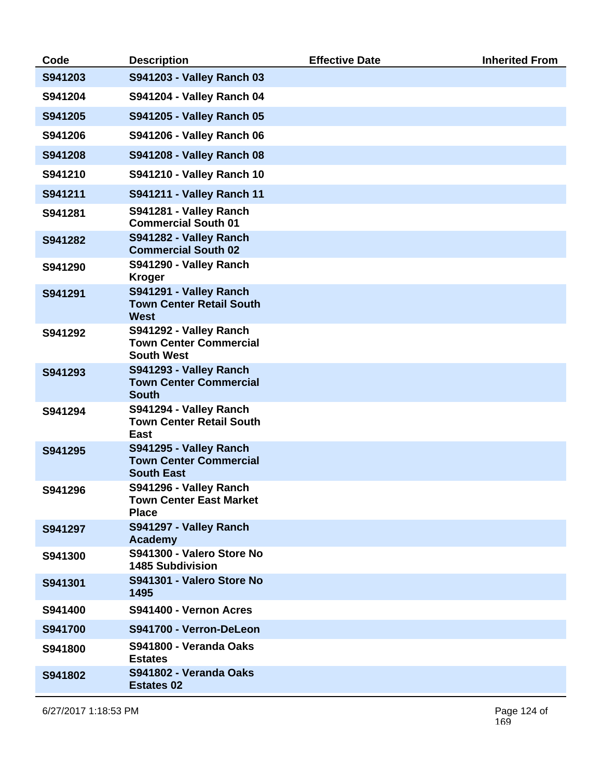| Code    | <b>Description</b>                                                           | <b>Effective Date</b> | <b>Inherited From</b> |
|---------|------------------------------------------------------------------------------|-----------------------|-----------------------|
| S941203 | S941203 - Valley Ranch 03                                                    |                       |                       |
| S941204 | <b>S941204 - Valley Ranch 04</b>                                             |                       |                       |
| S941205 | <b>S941205 - Valley Ranch 05</b>                                             |                       |                       |
| S941206 | <b>S941206 - Valley Ranch 06</b>                                             |                       |                       |
| S941208 | <b>S941208 - Valley Ranch 08</b>                                             |                       |                       |
| S941210 | S941210 - Valley Ranch 10                                                    |                       |                       |
| S941211 | <b>S941211 - Valley Ranch 11</b>                                             |                       |                       |
| S941281 | S941281 - Valley Ranch<br><b>Commercial South 01</b>                         |                       |                       |
| S941282 | S941282 - Valley Ranch<br><b>Commercial South 02</b>                         |                       |                       |
| S941290 | S941290 - Valley Ranch<br><b>Kroger</b>                                      |                       |                       |
| S941291 | S941291 - Valley Ranch<br><b>Town Center Retail South</b><br><b>West</b>     |                       |                       |
| S941292 | S941292 - Valley Ranch<br><b>Town Center Commercial</b><br><b>South West</b> |                       |                       |
| S941293 | S941293 - Valley Ranch<br><b>Town Center Commercial</b><br><b>South</b>      |                       |                       |
| S941294 | S941294 - Valley Ranch<br><b>Town Center Retail South</b><br>East            |                       |                       |
| S941295 | S941295 - Valley Ranch<br><b>Town Center Commercial</b><br><b>South East</b> |                       |                       |
| S941296 | S941296 - Valley Ranch<br><b>Town Center East Market</b><br><b>Place</b>     |                       |                       |
| S941297 | S941297 - Valley Ranch<br><b>Academy</b>                                     |                       |                       |
| S941300 | S941300 - Valero Store No<br><b>1485 Subdivision</b>                         |                       |                       |
| S941301 | S941301 - Valero Store No<br>1495                                            |                       |                       |
| S941400 | S941400 - Vernon Acres                                                       |                       |                       |
| S941700 | S941700 - Verron-DeLeon                                                      |                       |                       |
| S941800 | S941800 - Veranda Oaks<br><b>Estates</b>                                     |                       |                       |
| S941802 | S941802 - Veranda Oaks<br><b>Estates 02</b>                                  |                       |                       |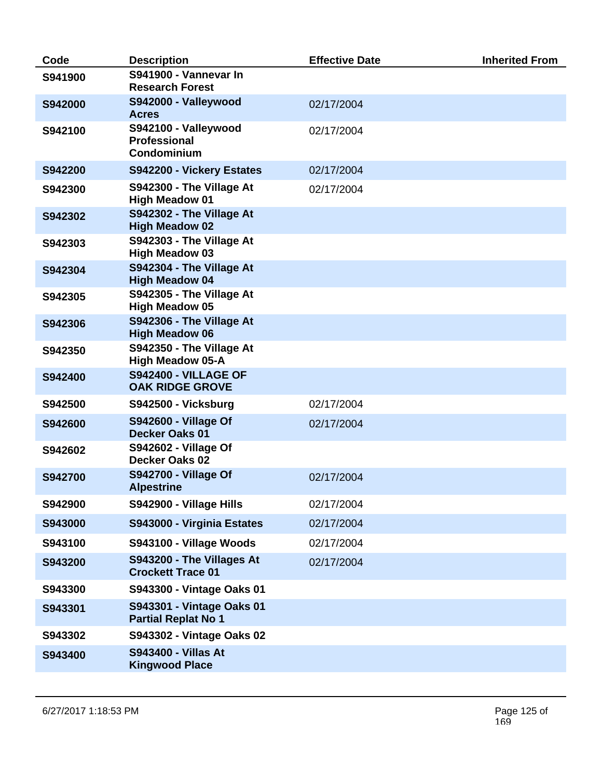| Code    | <b>Description</b>                                                | <b>Effective Date</b> | <b>Inherited From</b> |
|---------|-------------------------------------------------------------------|-----------------------|-----------------------|
| S941900 | S941900 - Vannevar In<br><b>Research Forest</b>                   |                       |                       |
| S942000 | S942000 - Valleywood<br><b>Acres</b>                              | 02/17/2004            |                       |
| S942100 | S942100 - Valleywood<br><b>Professional</b><br><b>Condominium</b> | 02/17/2004            |                       |
| S942200 | S942200 - Vickery Estates                                         | 02/17/2004            |                       |
| S942300 | S942300 - The Village At<br><b>High Meadow 01</b>                 | 02/17/2004            |                       |
| S942302 | S942302 - The Village At<br><b>High Meadow 02</b>                 |                       |                       |
| S942303 | S942303 - The Village At<br><b>High Meadow 03</b>                 |                       |                       |
| S942304 | S942304 - The Village At<br><b>High Meadow 04</b>                 |                       |                       |
| S942305 | S942305 - The Village At<br><b>High Meadow 05</b>                 |                       |                       |
| S942306 | S942306 - The Village At<br><b>High Meadow 06</b>                 |                       |                       |
| S942350 | S942350 - The Village At<br><b>High Meadow 05-A</b>               |                       |                       |
| S942400 | <b>S942400 - VILLAGE OF</b><br><b>OAK RIDGE GROVE</b>             |                       |                       |
| S942500 | S942500 - Vicksburg                                               | 02/17/2004            |                       |
| S942600 | <b>S942600 - Village Of</b><br><b>Decker Oaks 01</b>              | 02/17/2004            |                       |
| S942602 | <b>S942602 - Village Of</b><br><b>Decker Oaks 02</b>              |                       |                       |
| S942700 | S942700 - Village Of<br><b>Alpestrine</b>                         | 02/17/2004            |                       |
| S942900 | S942900 - Village Hills                                           | 02/17/2004            |                       |
| S943000 | S943000 - Virginia Estates                                        | 02/17/2004            |                       |
| S943100 | S943100 - Village Woods                                           | 02/17/2004            |                       |
| S943200 | S943200 - The Villages At<br><b>Crockett Trace 01</b>             | 02/17/2004            |                       |
| S943300 | S943300 - Vintage Oaks 01                                         |                       |                       |
| S943301 | S943301 - Vintage Oaks 01<br><b>Partial Replat No 1</b>           |                       |                       |
| S943302 | S943302 - Vintage Oaks 02                                         |                       |                       |
| S943400 | <b>S943400 - Villas At</b><br><b>Kingwood Place</b>               |                       |                       |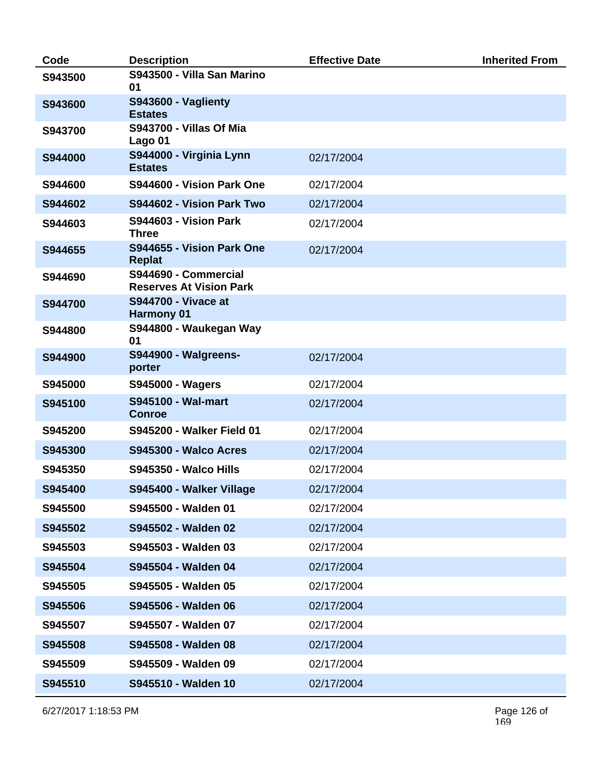| Code    | <b>Description</b>                                     | <b>Effective Date</b> | <b>Inherited From</b> |
|---------|--------------------------------------------------------|-----------------------|-----------------------|
| S943500 | S943500 - Villa San Marino<br>01                       |                       |                       |
| S943600 | <b>S943600 - Vaglienty</b><br><b>Estates</b>           |                       |                       |
| S943700 | <b>S943700 - Villas Of Mia</b><br>Lago 01              |                       |                       |
| S944000 | S944000 - Virginia Lynn<br><b>Estates</b>              | 02/17/2004            |                       |
| S944600 | S944600 - Vision Park One                              | 02/17/2004            |                       |
| S944602 | S944602 - Vision Park Two                              | 02/17/2004            |                       |
| S944603 | <b>S944603 - Vision Park</b><br><b>Three</b>           | 02/17/2004            |                       |
| S944655 | S944655 - Vision Park One<br><b>Replat</b>             | 02/17/2004            |                       |
| S944690 | S944690 - Commercial<br><b>Reserves At Vision Park</b> |                       |                       |
| S944700 | <b>S944700 - Vivace at</b><br><b>Harmony 01</b>        |                       |                       |
| S944800 | S944800 - Waukegan Way<br>01                           |                       |                       |
| S944900 | <b>S944900 - Walgreens-</b><br>porter                  | 02/17/2004            |                       |
| S945000 | <b>S945000 - Wagers</b>                                | 02/17/2004            |                       |
| S945100 | <b>S945100 - Wal-mart</b><br><b>Conroe</b>             | 02/17/2004            |                       |
| S945200 | <b>S945200 - Walker Field 01</b>                       | 02/17/2004            |                       |
| S945300 | <b>S945300 - Walco Acres</b>                           | 02/17/2004            |                       |
| S945350 | <b>S945350 - Walco Hills</b>                           | 02/17/2004            |                       |
| S945400 | S945400 - Walker Village                               | 02/17/2004            |                       |
| S945500 | S945500 - Walden 01                                    | 02/17/2004            |                       |
| S945502 | S945502 - Walden 02                                    | 02/17/2004            |                       |
| S945503 | S945503 - Walden 03                                    | 02/17/2004            |                       |
| S945504 | S945504 - Walden 04                                    | 02/17/2004            |                       |
| S945505 | S945505 - Walden 05                                    | 02/17/2004            |                       |
| S945506 | S945506 - Walden 06                                    | 02/17/2004            |                       |
| S945507 | S945507 - Walden 07                                    | 02/17/2004            |                       |
| S945508 | S945508 - Walden 08                                    | 02/17/2004            |                       |
| S945509 | S945509 - Walden 09                                    | 02/17/2004            |                       |
| S945510 | S945510 - Walden 10                                    | 02/17/2004            |                       |

6/27/2017 1:18:53 PM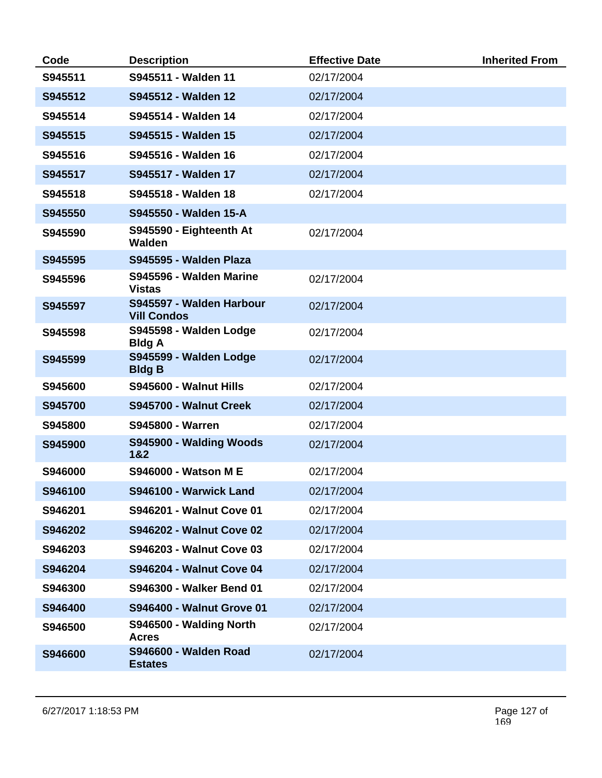| Code    | <b>Description</b>                             | <b>Effective Date</b> | <b>Inherited From</b> |
|---------|------------------------------------------------|-----------------------|-----------------------|
| S945511 | S945511 - Walden 11                            | 02/17/2004            |                       |
| S945512 | S945512 - Walden 12                            | 02/17/2004            |                       |
| S945514 | S945514 - Walden 14                            | 02/17/2004            |                       |
| S945515 | S945515 - Walden 15                            | 02/17/2004            |                       |
| S945516 | S945516 - Walden 16                            | 02/17/2004            |                       |
| S945517 | S945517 - Walden 17                            | 02/17/2004            |                       |
| S945518 | S945518 - Walden 18                            | 02/17/2004            |                       |
| S945550 | S945550 - Walden 15-A                          |                       |                       |
| S945590 | S945590 - Eighteenth At<br>Walden              | 02/17/2004            |                       |
| S945595 | S945595 - Walden Plaza                         |                       |                       |
| S945596 | S945596 - Walden Marine<br><b>Vistas</b>       | 02/17/2004            |                       |
| S945597 | S945597 - Walden Harbour<br><b>Vill Condos</b> | 02/17/2004            |                       |
| S945598 | S945598 - Walden Lodge<br><b>Bldg A</b>        | 02/17/2004            |                       |
| S945599 | S945599 - Walden Lodge<br><b>Bldg B</b>        | 02/17/2004            |                       |
| S945600 | S945600 - Walnut Hills                         | 02/17/2004            |                       |
| S945700 | S945700 - Walnut Creek                         | 02/17/2004            |                       |
| S945800 | S945800 - Warren                               | 02/17/2004            |                       |
| S945900 | S945900 - Walding Woods<br>1&2                 | 02/17/2004            |                       |
| S946000 | <b>S946000 - Watson M E</b>                    | 02/17/2004            |                       |
| S946100 | S946100 - Warwick Land                         | 02/17/2004            |                       |
| S946201 | <b>S946201 - Walnut Cove 01</b>                | 02/17/2004            |                       |
| S946202 | <b>S946202 - Walnut Cove 02</b>                | 02/17/2004            |                       |
| S946203 | <b>S946203 - Walnut Cove 03</b>                | 02/17/2004            |                       |
| S946204 | <b>S946204 - Walnut Cove 04</b>                | 02/17/2004            |                       |
| S946300 | S946300 - Walker Bend 01                       | 02/17/2004            |                       |
| S946400 | <b>S946400 - Walnut Grove 01</b>               | 02/17/2004            |                       |
| S946500 | S946500 - Walding North<br><b>Acres</b>        | 02/17/2004            |                       |
| S946600 | <b>S946600 - Walden Road</b><br><b>Estates</b> | 02/17/2004            |                       |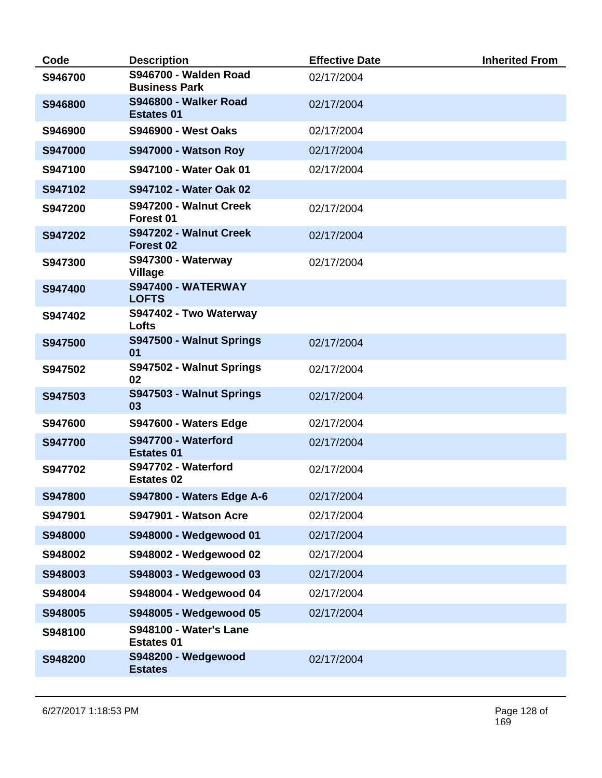| Code           | <b>Description</b>                                 | <b>Effective Date</b> | <b>Inherited From</b> |
|----------------|----------------------------------------------------|-----------------------|-----------------------|
| S946700        | S946700 - Walden Road<br><b>Business Park</b>      | 02/17/2004            |                       |
| S946800        | S946800 - Walker Road<br><b>Estates 01</b>         | 02/17/2004            |                       |
| S946900        | <b>S946900 - West Oaks</b>                         | 02/17/2004            |                       |
| <b>S947000</b> | <b>S947000 - Watson Roy</b>                        | 02/17/2004            |                       |
| S947100        | S947100 - Water Oak 01                             | 02/17/2004            |                       |
| S947102        | S947102 - Water Oak 02                             |                       |                       |
| S947200        | S947200 - Walnut Creek<br>Forest 01                | 02/17/2004            |                       |
| S947202        | S947202 - Walnut Creek<br>Forest <sub>02</sub>     | 02/17/2004            |                       |
| S947300        | <b>S947300 - Waterway</b><br><b>Village</b>        | 02/17/2004            |                       |
| S947400        | <b>S947400 - WATERWAY</b><br><b>LOFTS</b>          |                       |                       |
| S947402        | S947402 - Two Waterway<br>Lofts                    |                       |                       |
| S947500        | S947500 - Walnut Springs<br>01                     | 02/17/2004            |                       |
| S947502        | S947502 - Walnut Springs<br>02                     | 02/17/2004            |                       |
| S947503        | S947503 - Walnut Springs<br>03                     | 02/17/2004            |                       |
| S947600        | S947600 - Waters Edge                              | 02/17/2004            |                       |
| <b>S947700</b> | S947700 - Waterford<br><b>Estates 01</b>           | 02/17/2004            |                       |
| S947702        | S947702 - Waterford<br><b>Estates 02</b>           | 02/17/2004            |                       |
| S947800        | S947800 - Waters Edge A-6                          | 02/17/2004            |                       |
| S947901        | S947901 - Watson Acre                              | 02/17/2004            |                       |
| S948000        | S948000 - Wedgewood 01                             | 02/17/2004            |                       |
| S948002        | S948002 - Wedgewood 02                             | 02/17/2004            |                       |
| S948003        | S948003 - Wedgewood 03                             | 02/17/2004            |                       |
| S948004        | S948004 - Wedgewood 04                             | 02/17/2004            |                       |
| S948005        | S948005 - Wedgewood 05                             | 02/17/2004            |                       |
| S948100        | <b>S948100 - Water's Lane</b><br><b>Estates 01</b> |                       |                       |
| S948200        | S948200 - Wedgewood<br><b>Estates</b>              | 02/17/2004            |                       |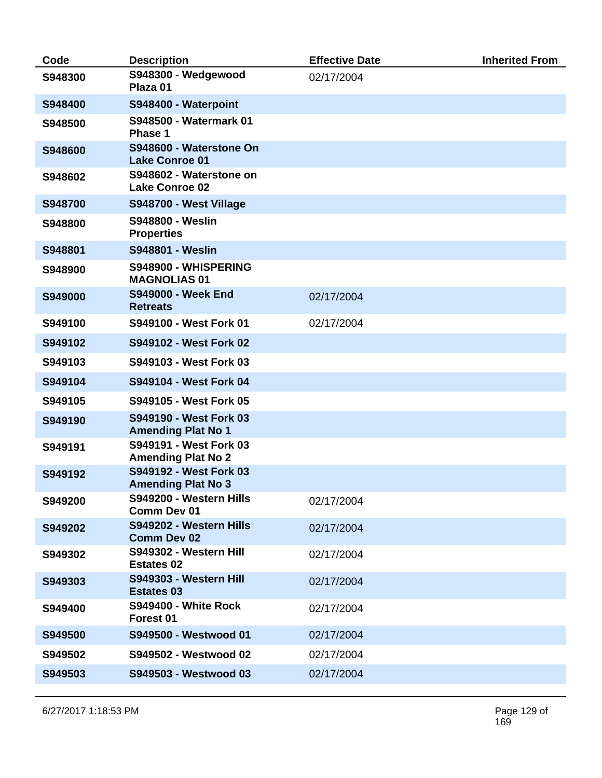| Code    | <b>Description</b>                                  | <b>Effective Date</b> | <b>Inherited From</b> |
|---------|-----------------------------------------------------|-----------------------|-----------------------|
| S948300 | S948300 - Wedgewood<br>Plaza 01                     | 02/17/2004            |                       |
| S948400 | S948400 - Waterpoint                                |                       |                       |
| S948500 | S948500 - Watermark 01<br>Phase 1                   |                       |                       |
| S948600 | S948600 - Waterstone On<br><b>Lake Conroe 01</b>    |                       |                       |
| S948602 | S948602 - Waterstone on<br><b>Lake Conroe 02</b>    |                       |                       |
| S948700 | S948700 - West Village                              |                       |                       |
| S948800 | <b>S948800 - Weslin</b><br><b>Properties</b>        |                       |                       |
| S948801 | S948801 - Weslin                                    |                       |                       |
| S948900 | S948900 - WHISPERING<br><b>MAGNOLIAS 01</b>         |                       |                       |
| S949000 | <b>S949000 - Week End</b><br><b>Retreats</b>        | 02/17/2004            |                       |
| S949100 | S949100 - West Fork 01                              | 02/17/2004            |                       |
| S949102 | S949102 - West Fork 02                              |                       |                       |
| S949103 | S949103 - West Fork 03                              |                       |                       |
| S949104 | S949104 - West Fork 04                              |                       |                       |
| S949105 | S949105 - West Fork 05                              |                       |                       |
| S949190 | S949190 - West Fork 03<br><b>Amending Plat No 1</b> |                       |                       |
| S949191 | S949191 - West Fork 03<br><b>Amending Plat No 2</b> |                       |                       |
| S949192 | S949192 - West Fork 03<br><b>Amending Plat No 3</b> |                       |                       |
| S949200 | S949200 - Western Hills<br>Comm Dev 01              | 02/17/2004            |                       |
| S949202 | S949202 - Western Hills<br><b>Comm Dev 02</b>       | 02/17/2004            |                       |
| S949302 | S949302 - Western Hill<br><b>Estates 02</b>         | 02/17/2004            |                       |
| S949303 | S949303 - Western Hill<br><b>Estates 03</b>         | 02/17/2004            |                       |
| S949400 | <b>S949400 - White Rock</b><br>Forest 01            | 02/17/2004            |                       |
| S949500 | S949500 - Westwood 01                               | 02/17/2004            |                       |
| S949502 | S949502 - Westwood 02                               | 02/17/2004            |                       |
| S949503 | S949503 - Westwood 03                               | 02/17/2004            |                       |
|         |                                                     |                       |                       |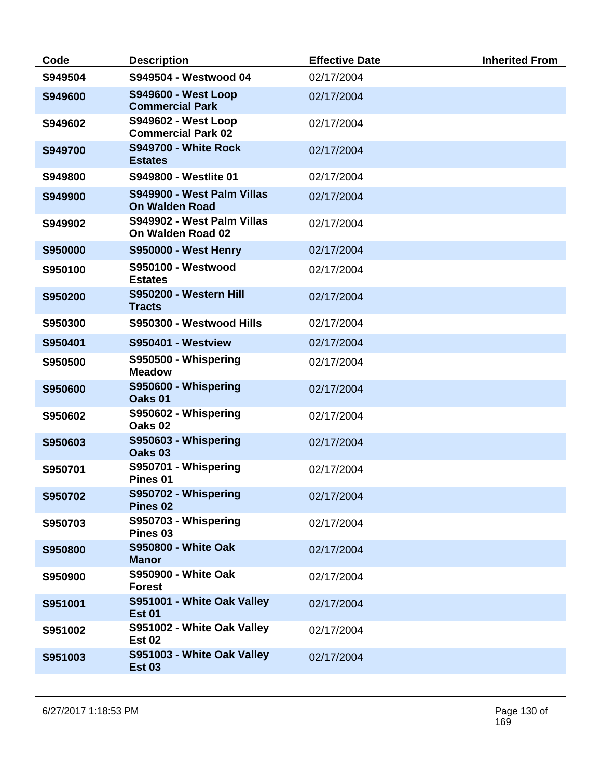| Code           | <b>Description</b>                                      | <b>Effective Date</b> | <b>Inherited From</b> |
|----------------|---------------------------------------------------------|-----------------------|-----------------------|
| S949504        | S949504 - Westwood 04                                   | 02/17/2004            |                       |
| S949600        | <b>S949600 - West Loop</b><br><b>Commercial Park</b>    | 02/17/2004            |                       |
| S949602        | <b>S949602 - West Loop</b><br><b>Commercial Park 02</b> | 02/17/2004            |                       |
| S949700        | <b>S949700 - White Rock</b><br><b>Estates</b>           | 02/17/2004            |                       |
| S949800        | S949800 - Westlite 01                                   | 02/17/2004            |                       |
| S949900        | S949900 - West Palm Villas<br><b>On Walden Road</b>     | 02/17/2004            |                       |
| S949902        | S949902 - West Palm Villas<br>On Walden Road 02         | 02/17/2004            |                       |
| <b>S950000</b> | <b>S950000 - West Henry</b>                             | 02/17/2004            |                       |
| S950100        | <b>S950100 - Westwood</b><br><b>Estates</b>             | 02/17/2004            |                       |
| S950200        | S950200 - Western Hill<br><b>Tracts</b>                 | 02/17/2004            |                       |
| S950300        | S950300 - Westwood Hills                                | 02/17/2004            |                       |
| S950401        | <b>S950401 - Westview</b>                               | 02/17/2004            |                       |
| S950500        | S950500 - Whispering<br><b>Meadow</b>                   | 02/17/2004            |                       |
| S950600        | S950600 - Whispering<br>Oaks 01                         | 02/17/2004            |                       |
| S950602        | S950602 - Whispering<br>Oaks <sub>02</sub>              | 02/17/2004            |                       |
| S950603        | S950603 - Whispering<br>Oaks <sub>03</sub>              | 02/17/2004            |                       |
| S950701        | S950701 - Whispering<br>Pines <sub>01</sub>             | 02/17/2004            |                       |
| S950702        | S950702 - Whispering<br>Pines <sub>02</sub>             | 02/17/2004            |                       |
| S950703        | S950703 - Whispering<br>Pines <sub>03</sub>             | 02/17/2004            |                       |
| S950800        | <b>S950800 - White Oak</b><br><b>Manor</b>              | 02/17/2004            |                       |
| S950900        | S950900 - White Oak<br><b>Forest</b>                    | 02/17/2004            |                       |
| S951001        | S951001 - White Oak Valley<br><b>Est 01</b>             | 02/17/2004            |                       |
| S951002        | S951002 - White Oak Valley<br><b>Est 02</b>             | 02/17/2004            |                       |
| S951003        | S951003 - White Oak Valley<br><b>Est 03</b>             | 02/17/2004            |                       |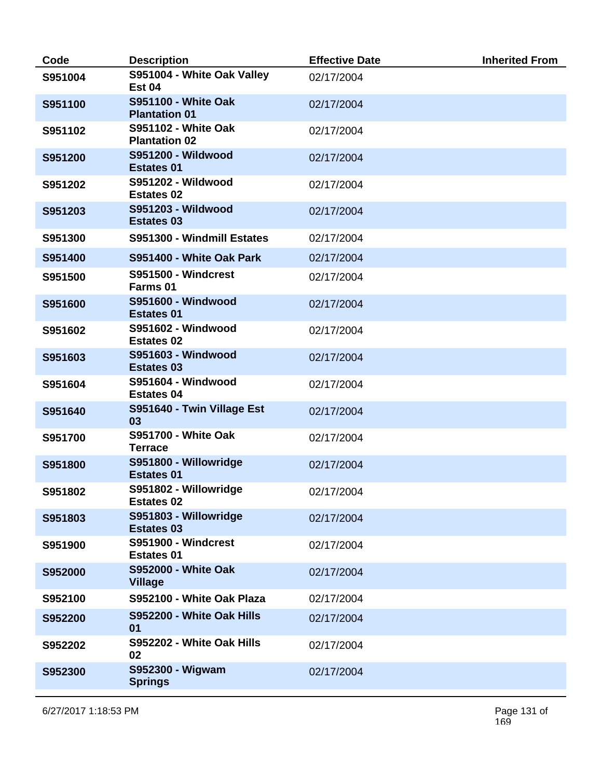| Code    | <b>Description</b>                                 | <b>Effective Date</b> | <b>Inherited From</b> |
|---------|----------------------------------------------------|-----------------------|-----------------------|
| S951004 | S951004 - White Oak Valley<br><b>Est 04</b>        | 02/17/2004            |                       |
| S951100 | <b>S951100 - White Oak</b><br><b>Plantation 01</b> | 02/17/2004            |                       |
| S951102 | <b>S951102 - White Oak</b><br><b>Plantation 02</b> | 02/17/2004            |                       |
| S951200 | S951200 - Wildwood<br><b>Estates 01</b>            | 02/17/2004            |                       |
| S951202 | <b>S951202 - Wildwood</b><br><b>Estates 02</b>     | 02/17/2004            |                       |
| S951203 | <b>S951203 - Wildwood</b><br><b>Estates 03</b>     | 02/17/2004            |                       |
| S951300 | S951300 - Windmill Estates                         | 02/17/2004            |                       |
| S951400 | S951400 - White Oak Park                           | 02/17/2004            |                       |
| S951500 | <b>S951500 - Windcrest</b><br>Farms 01             | 02/17/2004            |                       |
| S951600 | <b>S951600 - Windwood</b><br><b>Estates 01</b>     | 02/17/2004            |                       |
| S951602 | <b>S951602 - Windwood</b><br><b>Estates 02</b>     | 02/17/2004            |                       |
| S951603 | <b>S951603 - Windwood</b><br><b>Estates 03</b>     | 02/17/2004            |                       |
| S951604 | <b>S951604 - Windwood</b><br><b>Estates 04</b>     | 02/17/2004            |                       |
| S951640 | S951640 - Twin Village Est<br>03                   | 02/17/2004            |                       |
| S951700 | <b>S951700 - White Oak</b><br><b>Terrace</b>       | 02/17/2004            |                       |
| S951800 | S951800 - Willowridge<br><b>Estates 01</b>         | 02/17/2004            |                       |
| S951802 | S951802 - Willowridge<br><b>Estates 02</b>         | 02/17/2004            |                       |
| S951803 | S951803 - Willowridge<br><b>Estates 03</b>         | 02/17/2004            |                       |
| S951900 | <b>S951900 - Windcrest</b><br><b>Estates 01</b>    | 02/17/2004            |                       |
| S952000 | <b>S952000 - White Oak</b><br><b>Village</b>       | 02/17/2004            |                       |
| S952100 | S952100 - White Oak Plaza                          | 02/17/2004            |                       |
| S952200 | S952200 - White Oak Hills<br>01                    | 02/17/2004            |                       |
| S952202 | S952202 - White Oak Hills<br>02                    | 02/17/2004            |                       |
| S952300 | S952300 - Wigwam<br><b>Springs</b>                 | 02/17/2004            |                       |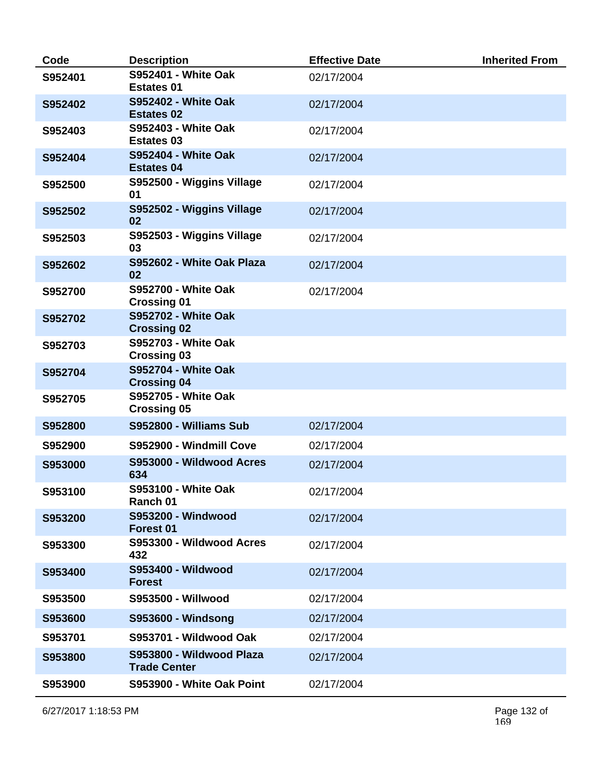| Code    | <b>Description</b>                               | <b>Effective Date</b> | <b>Inherited From</b> |
|---------|--------------------------------------------------|-----------------------|-----------------------|
| S952401 | <b>S952401 - White Oak</b><br><b>Estates 01</b>  | 02/17/2004            |                       |
| S952402 | <b>S952402 - White Oak</b><br><b>Estates 02</b>  | 02/17/2004            |                       |
| S952403 | <b>S952403 - White Oak</b><br><b>Estates 03</b>  | 02/17/2004            |                       |
| S952404 | <b>S952404 - White Oak</b><br><b>Estates 04</b>  | 02/17/2004            |                       |
| S952500 | S952500 - Wiggins Village<br>01                  | 02/17/2004            |                       |
| S952502 | S952502 - Wiggins Village<br>02                  | 02/17/2004            |                       |
| S952503 | S952503 - Wiggins Village<br>03                  | 02/17/2004            |                       |
| S952602 | S952602 - White Oak Plaza<br>02                  | 02/17/2004            |                       |
| S952700 | <b>S952700 - White Oak</b><br><b>Crossing 01</b> | 02/17/2004            |                       |
| S952702 | <b>S952702 - White Oak</b><br><b>Crossing 02</b> |                       |                       |
| S952703 | <b>S952703 - White Oak</b><br><b>Crossing 03</b> |                       |                       |
| S952704 | <b>S952704 - White Oak</b><br><b>Crossing 04</b> |                       |                       |
| S952705 | <b>S952705 - White Oak</b><br><b>Crossing 05</b> |                       |                       |
| S952800 | S952800 - Williams Sub                           | 02/17/2004            |                       |
| S952900 | S952900 - Windmill Cove                          | 02/17/2004            |                       |
| S953000 | S953000 - Wildwood Acres<br>634                  | 02/17/2004            |                       |
| S953100 | <b>S953100 - White Oak</b><br>Ranch 01           | 02/17/2004            |                       |
| S953200 | <b>S953200 - Windwood</b><br>Forest 01           | 02/17/2004            |                       |
| S953300 | S953300 - Wildwood Acres<br>432                  | 02/17/2004            |                       |
| S953400 | S953400 - Wildwood<br><b>Forest</b>              | 02/17/2004            |                       |
| S953500 | <b>S953500 - Willwood</b>                        | 02/17/2004            |                       |
| S953600 | <b>S953600 - Windsong</b>                        | 02/17/2004            |                       |
| S953701 | S953701 - Wildwood Oak                           | 02/17/2004            |                       |
| S953800 | S953800 - Wildwood Plaza<br><b>Trade Center</b>  | 02/17/2004            |                       |
| S953900 | S953900 - White Oak Point                        | 02/17/2004            |                       |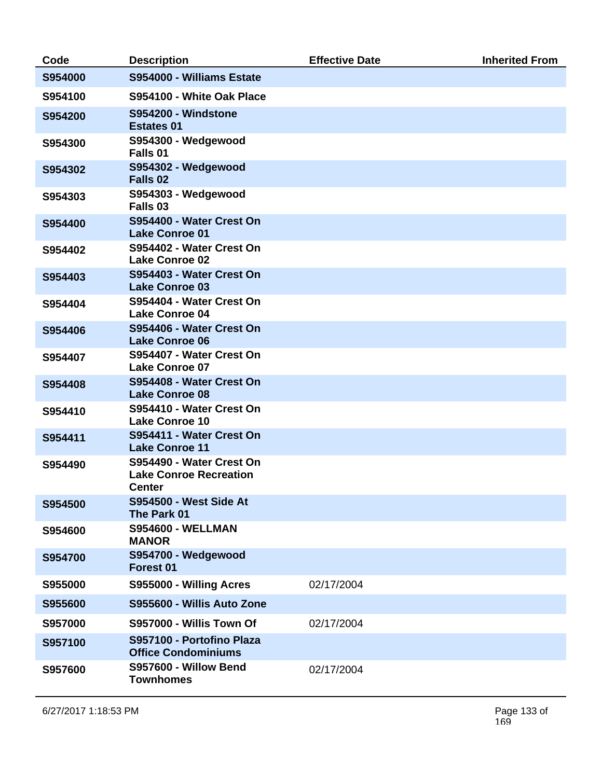| Code    | <b>Description</b>                                                         | <b>Effective Date</b> | <b>Inherited From</b> |
|---------|----------------------------------------------------------------------------|-----------------------|-----------------------|
| S954000 | S954000 - Williams Estate                                                  |                       |                       |
| S954100 | S954100 - White Oak Place                                                  |                       |                       |
| S954200 | <b>S954200 - Windstone</b><br><b>Estates 01</b>                            |                       |                       |
| S954300 | S954300 - Wedgewood<br>Falls <sub>01</sub>                                 |                       |                       |
| S954302 | S954302 - Wedgewood<br>Falls <sub>02</sub>                                 |                       |                       |
| S954303 | S954303 - Wedgewood<br>Falls 03                                            |                       |                       |
| S954400 | S954400 - Water Crest On<br><b>Lake Conroe 01</b>                          |                       |                       |
| S954402 | S954402 - Water Crest On<br><b>Lake Conroe 02</b>                          |                       |                       |
| S954403 | S954403 - Water Crest On<br><b>Lake Conroe 03</b>                          |                       |                       |
| S954404 | S954404 - Water Crest On<br><b>Lake Conroe 04</b>                          |                       |                       |
| S954406 | S954406 - Water Crest On<br><b>Lake Conroe 06</b>                          |                       |                       |
| S954407 | S954407 - Water Crest On<br><b>Lake Conroe 07</b>                          |                       |                       |
| S954408 | S954408 - Water Crest On<br><b>Lake Conroe 08</b>                          |                       |                       |
| S954410 | S954410 - Water Crest On<br><b>Lake Conroe 10</b>                          |                       |                       |
| S954411 | S954411 - Water Crest On<br><b>Lake Conroe 11</b>                          |                       |                       |
| S954490 | S954490 - Water Crest On<br><b>Lake Conroe Recreation</b><br><b>Center</b> |                       |                       |
| S954500 | <b>S954500 - West Side At</b><br>The Park 01                               |                       |                       |
| S954600 | <b>S954600 - WELLMAN</b><br><b>MANOR</b>                                   |                       |                       |
| S954700 | S954700 - Wedgewood<br>Forest 01                                           |                       |                       |
| S955000 | S955000 - Willing Acres                                                    | 02/17/2004            |                       |
| S955600 | S955600 - Willis Auto Zone                                                 |                       |                       |
| S957000 | S957000 - Willis Town Of                                                   | 02/17/2004            |                       |
| S957100 | S957100 - Portofino Plaza<br><b>Office Condominiums</b>                    |                       |                       |
| S957600 | <b>S957600 - Willow Bend</b><br><b>Townhomes</b>                           | 02/17/2004            |                       |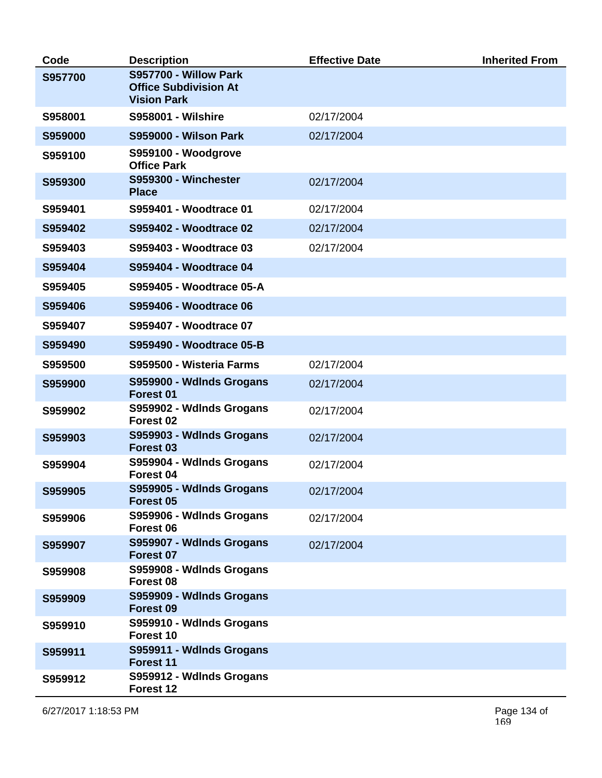| Code    | <b>Description</b>                                                          | <b>Effective Date</b> | <b>Inherited From</b> |
|---------|-----------------------------------------------------------------------------|-----------------------|-----------------------|
| S957700 | S957700 - Willow Park<br><b>Office Subdivision At</b><br><b>Vision Park</b> |                       |                       |
| S958001 | <b>S958001 - Wilshire</b>                                                   | 02/17/2004            |                       |
| S959000 | <b>S959000 - Wilson Park</b>                                                | 02/17/2004            |                       |
| S959100 | S959100 - Woodgrove<br><b>Office Park</b>                                   |                       |                       |
| S959300 | S959300 - Winchester<br><b>Place</b>                                        | 02/17/2004            |                       |
| S959401 | S959401 - Woodtrace 01                                                      | 02/17/2004            |                       |
| S959402 | S959402 - Woodtrace 02                                                      | 02/17/2004            |                       |
| S959403 | S959403 - Woodtrace 03                                                      | 02/17/2004            |                       |
| S959404 | S959404 - Woodtrace 04                                                      |                       |                       |
| S959405 | S959405 - Woodtrace 05-A                                                    |                       |                       |
| S959406 | <b>S959406 - Woodtrace 06</b>                                               |                       |                       |
| S959407 | S959407 - Woodtrace 07                                                      |                       |                       |
| S959490 | S959490 - Woodtrace 05-B                                                    |                       |                       |
| S959500 | S959500 - Wisteria Farms                                                    | 02/17/2004            |                       |
| S959900 | S959900 - Wdlnds Grogans<br>Forest 01                                       | 02/17/2004            |                       |
| S959902 | S959902 - Wdlnds Grogans<br>Forest 02                                       | 02/17/2004            |                       |
| S959903 | S959903 - Wdlnds Grogans<br>Forest <sub>03</sub>                            | 02/17/2004            |                       |
| S959904 | S959904 - Wdlnds Grogans<br>Forest 04                                       | 02/17/2004            |                       |
| S959905 | S959905 - Wdlnds Grogans<br>Forest 05                                       | 02/17/2004            |                       |
| S959906 | S959906 - Wdlnds Grogans<br>Forest 06                                       | 02/17/2004            |                       |
| S959907 | S959907 - Wdlnds Grogans<br>Forest 07                                       | 02/17/2004            |                       |
| S959908 | S959908 - Wdlnds Grogans<br>Forest 08                                       |                       |                       |
| S959909 | S959909 - Wdlnds Grogans<br>Forest <sub>09</sub>                            |                       |                       |
| S959910 | S959910 - Wdlnds Grogans<br>Forest 10                                       |                       |                       |
| S959911 | S959911 - Wdlnds Grogans<br>Forest 11                                       |                       |                       |
| S959912 | S959912 - Wdlnds Grogans<br>Forest 12                                       |                       |                       |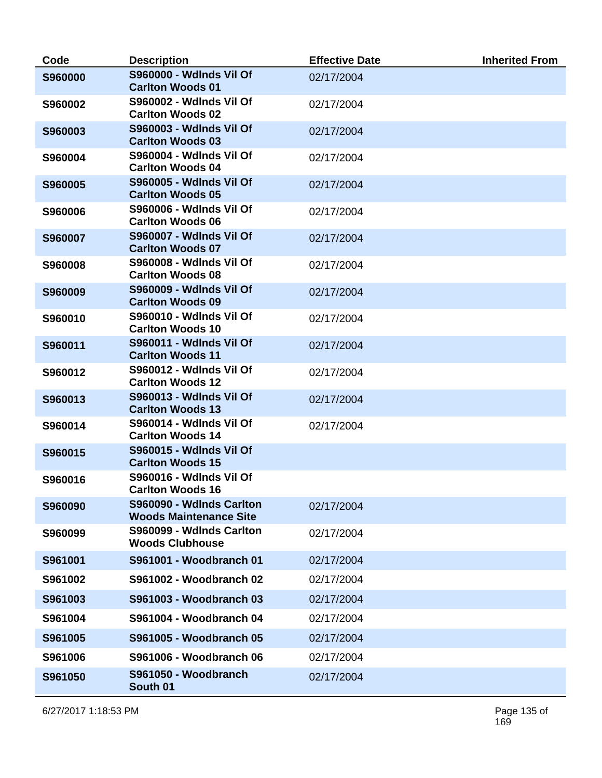| Code    | <b>Description</b>                                        | <b>Effective Date</b> | <b>Inherited From</b> |
|---------|-----------------------------------------------------------|-----------------------|-----------------------|
| S960000 | <b>S960000 - Wdlnds Vil Of</b><br><b>Carlton Woods 01</b> | 02/17/2004            |                       |
| S960002 | <b>S960002 - Wdlnds Vil Of</b><br><b>Carlton Woods 02</b> | 02/17/2004            |                       |
| S960003 | <b>S960003 - Wdlnds Vil Of</b><br><b>Carlton Woods 03</b> | 02/17/2004            |                       |
| S960004 | <b>S960004 - Wdlnds Vil Of</b><br><b>Carlton Woods 04</b> | 02/17/2004            |                       |
| S960005 | S960005 - Wdlnds Vil Of<br><b>Carlton Woods 05</b>        | 02/17/2004            |                       |
| S960006 | <b>S960006 - Wdlnds Vil Of</b><br><b>Carlton Woods 06</b> | 02/17/2004            |                       |
| S960007 | <b>S960007 - Wdlnds Vil Of</b><br><b>Carlton Woods 07</b> | 02/17/2004            |                       |
| S960008 | <b>S960008 - Wdlnds Vil Of</b><br><b>Carlton Woods 08</b> | 02/17/2004            |                       |
| S960009 | S960009 - Wdlnds Vil Of<br><b>Carlton Woods 09</b>        | 02/17/2004            |                       |
| S960010 | <b>S960010 - Wdlnds Vil Of</b><br><b>Carlton Woods 10</b> | 02/17/2004            |                       |
| S960011 | <b>S960011 - Wdlnds Vil Of</b><br><b>Carlton Woods 11</b> | 02/17/2004            |                       |
| S960012 | <b>S960012 - Wdlnds Vil Of</b><br><b>Carlton Woods 12</b> | 02/17/2004            |                       |
| S960013 | <b>S960013 - Wdlnds Vil Of</b><br><b>Carlton Woods 13</b> | 02/17/2004            |                       |
| S960014 | <b>S960014 - Wdlnds Vil Of</b><br><b>Carlton Woods 14</b> | 02/17/2004            |                       |
| S960015 | S960015 - Wdlnds Vil Of<br><b>Carlton Woods 15</b>        |                       |                       |
| S960016 | S960016 - Wdlnds Vil Of<br><b>Carlton Woods 16</b>        |                       |                       |
| S960090 | S960090 - WdInds Carlton<br><b>Woods Maintenance Site</b> | 02/17/2004            |                       |
| S960099 | S960099 - Wdlnds Carlton<br><b>Woods Clubhouse</b>        | 02/17/2004            |                       |
| S961001 | S961001 - Woodbranch 01                                   | 02/17/2004            |                       |
| S961002 | S961002 - Woodbranch 02                                   | 02/17/2004            |                       |
| S961003 | S961003 - Woodbranch 03                                   | 02/17/2004            |                       |
| S961004 | S961004 - Woodbranch 04                                   | 02/17/2004            |                       |
| S961005 | S961005 - Woodbranch 05                                   | 02/17/2004            |                       |
| S961006 | S961006 - Woodbranch 06                                   | 02/17/2004            |                       |
| S961050 | S961050 - Woodbranch<br>South 01                          | 02/17/2004            |                       |

6/27/2017 1:18:53 PM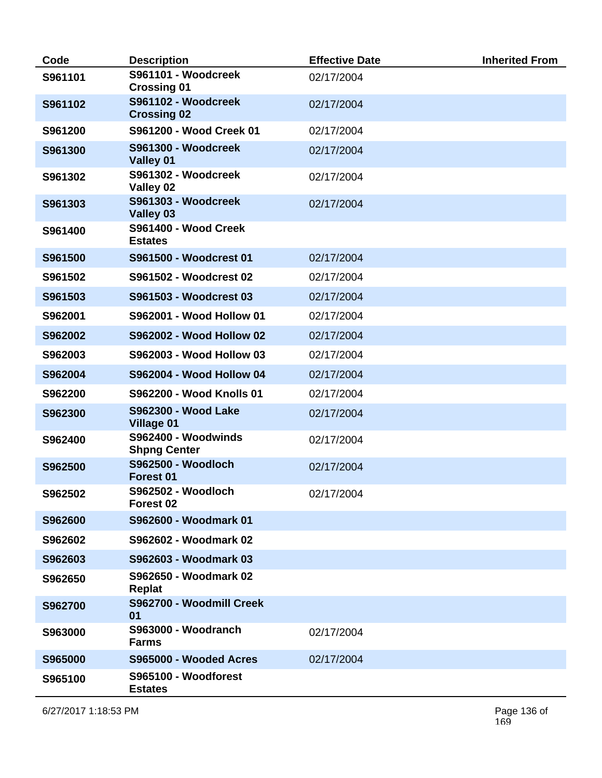| Code    | <b>Description</b>                              | <b>Effective Date</b> | <b>Inherited From</b> |
|---------|-------------------------------------------------|-----------------------|-----------------------|
| S961101 | S961101 - Woodcreek<br><b>Crossing 01</b>       | 02/17/2004            |                       |
| S961102 | S961102 - Woodcreek<br><b>Crossing 02</b>       | 02/17/2004            |                       |
| S961200 | S961200 - Wood Creek 01                         | 02/17/2004            |                       |
| S961300 | S961300 - Woodcreek<br>Valley 01                | 02/17/2004            |                       |
| S961302 | S961302 - Woodcreek<br>Valley 02                | 02/17/2004            |                       |
| S961303 | S961303 - Woodcreek<br>Valley 03                | 02/17/2004            |                       |
| S961400 | S961400 - Wood Creek<br><b>Estates</b>          |                       |                       |
| S961500 | S961500 - Woodcrest 01                          | 02/17/2004            |                       |
| S961502 | S961502 - Woodcrest 02                          | 02/17/2004            |                       |
| S961503 | S961503 - Woodcrest 03                          | 02/17/2004            |                       |
| S962001 | S962001 - Wood Hollow 01                        | 02/17/2004            |                       |
| S962002 | S962002 - Wood Hollow 02                        | 02/17/2004            |                       |
| S962003 | S962003 - Wood Hollow 03                        | 02/17/2004            |                       |
| S962004 | S962004 - Wood Hollow 04                        | 02/17/2004            |                       |
| S962200 | <b>S962200 - Wood Knolls 01</b>                 | 02/17/2004            |                       |
| S962300 | <b>S962300 - Wood Lake</b><br><b>Village 01</b> | 02/17/2004            |                       |
| S962400 | S962400 - Woodwinds<br><b>Shpng Center</b>      | 02/17/2004            |                       |
| S962500 | <b>S962500 - Woodloch</b><br>Forest 01          | 02/17/2004            |                       |
| S962502 | S962502 - Woodloch<br>Forest 02                 | 02/17/2004            |                       |
| S962600 | S962600 - Woodmark 01                           |                       |                       |
| S962602 | S962602 - Woodmark 02                           |                       |                       |
| S962603 | S962603 - Woodmark 03                           |                       |                       |
| S962650 | S962650 - Woodmark 02<br><b>Replat</b>          |                       |                       |
| S962700 | S962700 - Woodmill Creek<br>01                  |                       |                       |
| S963000 | S963000 - Woodranch<br><b>Farms</b>             | 02/17/2004            |                       |
| S965000 | S965000 - Wooded Acres                          | 02/17/2004            |                       |
| S965100 | S965100 - Woodforest<br><b>Estates</b>          |                       |                       |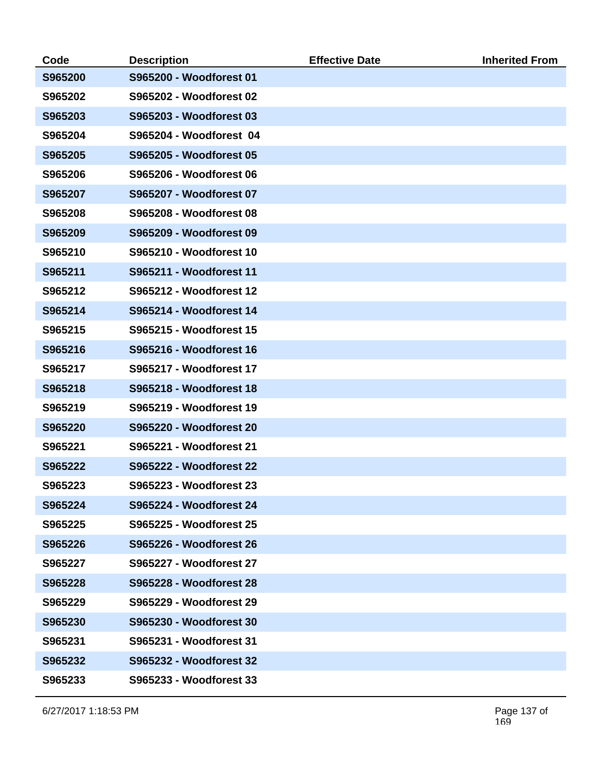| Code    | <b>Description</b>      | <b>Effective Date</b> | <b>Inherited From</b> |
|---------|-------------------------|-----------------------|-----------------------|
| S965200 | S965200 - Woodforest 01 |                       |                       |
| S965202 | S965202 - Woodforest 02 |                       |                       |
| S965203 | S965203 - Woodforest 03 |                       |                       |
| S965204 | S965204 - Woodforest 04 |                       |                       |
| S965205 | S965205 - Woodforest 05 |                       |                       |
| S965206 | S965206 - Woodforest 06 |                       |                       |
| S965207 | S965207 - Woodforest 07 |                       |                       |
| S965208 | S965208 - Woodforest 08 |                       |                       |
| S965209 | S965209 - Woodforest 09 |                       |                       |
| S965210 | S965210 - Woodforest 10 |                       |                       |
| S965211 | S965211 - Woodforest 11 |                       |                       |
| S965212 | S965212 - Woodforest 12 |                       |                       |
| S965214 | S965214 - Woodforest 14 |                       |                       |
| S965215 | S965215 - Woodforest 15 |                       |                       |
| S965216 | S965216 - Woodforest 16 |                       |                       |
| S965217 | S965217 - Woodforest 17 |                       |                       |
| S965218 | S965218 - Woodforest 18 |                       |                       |
| S965219 | S965219 - Woodforest 19 |                       |                       |
| S965220 | S965220 - Woodforest 20 |                       |                       |
| S965221 | S965221 - Woodforest 21 |                       |                       |
| S965222 | S965222 - Woodforest 22 |                       |                       |
| S965223 | S965223 - Woodforest 23 |                       |                       |
| S965224 | S965224 - Woodforest 24 |                       |                       |
| S965225 | S965225 - Woodforest 25 |                       |                       |
| S965226 | S965226 - Woodforest 26 |                       |                       |
| S965227 | S965227 - Woodforest 27 |                       |                       |
| S965228 | S965228 - Woodforest 28 |                       |                       |
| S965229 | S965229 - Woodforest 29 |                       |                       |
| S965230 | S965230 - Woodforest 30 |                       |                       |
| S965231 | S965231 - Woodforest 31 |                       |                       |
| S965232 | S965232 - Woodforest 32 |                       |                       |
| S965233 | S965233 - Woodforest 33 |                       |                       |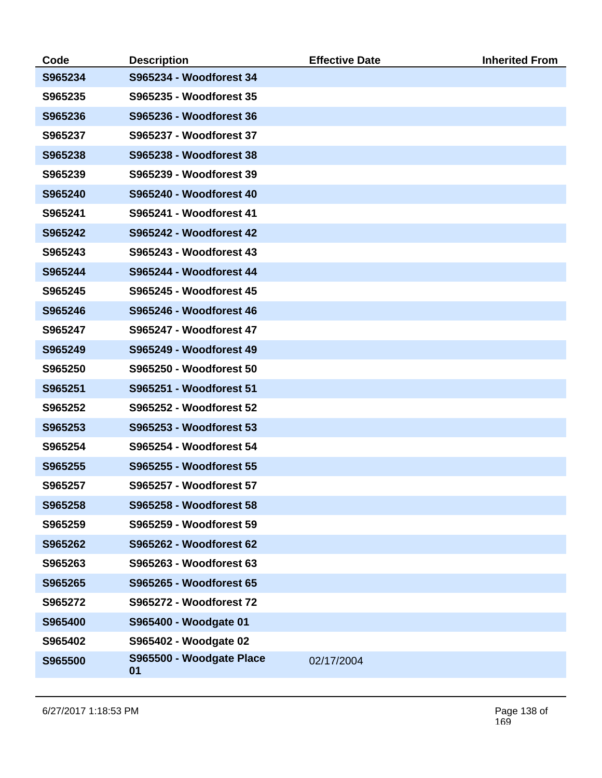| Code    | <b>Description</b>             | <b>Effective Date</b> | <b>Inherited From</b> |
|---------|--------------------------------|-----------------------|-----------------------|
| S965234 | S965234 - Woodforest 34        |                       |                       |
| S965235 | S965235 - Woodforest 35        |                       |                       |
| S965236 | S965236 - Woodforest 36        |                       |                       |
| S965237 | S965237 - Woodforest 37        |                       |                       |
| S965238 | S965238 - Woodforest 38        |                       |                       |
| S965239 | S965239 - Woodforest 39        |                       |                       |
| S965240 | S965240 - Woodforest 40        |                       |                       |
| S965241 | S965241 - Woodforest 41        |                       |                       |
| S965242 | S965242 - Woodforest 42        |                       |                       |
| S965243 | S965243 - Woodforest 43        |                       |                       |
| S965244 | S965244 - Woodforest 44        |                       |                       |
| S965245 | S965245 - Woodforest 45        |                       |                       |
| S965246 | S965246 - Woodforest 46        |                       |                       |
| S965247 | <b>S965247 - Woodforest 47</b> |                       |                       |
| S965249 | S965249 - Woodforest 49        |                       |                       |
| S965250 | S965250 - Woodforest 50        |                       |                       |
| S965251 | S965251 - Woodforest 51        |                       |                       |
| S965252 | S965252 - Woodforest 52        |                       |                       |
| S965253 | S965253 - Woodforest 53        |                       |                       |
| S965254 | S965254 - Woodforest 54        |                       |                       |
| S965255 | S965255 - Woodforest 55        |                       |                       |
| S965257 | S965257 - Woodforest 57        |                       |                       |
| S965258 | S965258 - Woodforest 58        |                       |                       |
| S965259 | S965259 - Woodforest 59        |                       |                       |
| S965262 | S965262 - Woodforest 62        |                       |                       |
| S965263 | S965263 - Woodforest 63        |                       |                       |
| S965265 | S965265 - Woodforest 65        |                       |                       |
| S965272 | S965272 - Woodforest 72        |                       |                       |
| S965400 | S965400 - Woodgate 01          |                       |                       |
| S965402 | S965402 - Woodgate 02          |                       |                       |
| S965500 | S965500 - Woodgate Place<br>01 | 02/17/2004            |                       |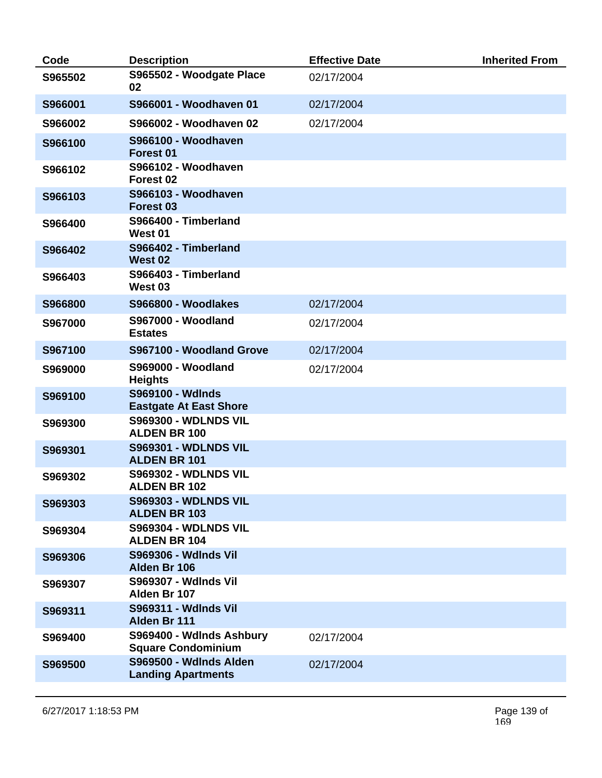| Code    | <b>Description</b>                                       | <b>Effective Date</b> | <b>Inherited From</b> |
|---------|----------------------------------------------------------|-----------------------|-----------------------|
| S965502 | S965502 - Woodgate Place<br>02                           | 02/17/2004            |                       |
| S966001 | S966001 - Woodhaven 01                                   | 02/17/2004            |                       |
| S966002 | S966002 - Woodhaven 02                                   | 02/17/2004            |                       |
| S966100 | S966100 - Woodhaven<br>Forest 01                         |                       |                       |
| S966102 | S966102 - Woodhaven<br>Forest <sub>02</sub>              |                       |                       |
| S966103 | S966103 - Woodhaven<br><b>Forest 03</b>                  |                       |                       |
| S966400 | S966400 - Timberland<br>West 01                          |                       |                       |
| S966402 | S966402 - Timberland<br>West 02                          |                       |                       |
| S966403 | S966403 - Timberland<br>West 03                          |                       |                       |
| S966800 | S966800 - Woodlakes                                      | 02/17/2004            |                       |
| S967000 | <b>S967000 - Woodland</b><br><b>Estates</b>              | 02/17/2004            |                       |
| S967100 | S967100 - Woodland Grove                                 | 02/17/2004            |                       |
| S969000 | <b>S969000 - Woodland</b><br><b>Heights</b>              | 02/17/2004            |                       |
| S969100 | <b>S969100 - Wdlnds</b><br><b>Eastgate At East Shore</b> |                       |                       |
| S969300 | <b>S969300 - WDLNDS VIL</b><br><b>ALDEN BR 100</b>       |                       |                       |
| S969301 | <b>S969301 - WDLNDS VIL</b><br><b>ALDEN BR 101</b>       |                       |                       |
| S969302 | <b>S969302 - WDLNDS VIL</b><br><b>ALDEN BR 102</b>       |                       |                       |
| S969303 | <b>S969303 - WDLNDS VIL</b><br><b>ALDEN BR 103</b>       |                       |                       |
| S969304 | <b>S969304 - WDLNDS VIL</b><br><b>ALDEN BR 104</b>       |                       |                       |
| S969306 | <b>S969306 - Wdlnds Vil</b><br>Alden Br 106              |                       |                       |
| S969307 | <b>S969307 - Wdlnds Vil</b><br>Alden Br 107              |                       |                       |
| S969311 | <b>S969311 - Wdlnds Vil</b><br>Alden Br 111              |                       |                       |
| S969400 | S969400 - Wdlnds Ashbury<br><b>Square Condominium</b>    | 02/17/2004            |                       |
| S969500 | S969500 - Wdlnds Alden<br><b>Landing Apartments</b>      | 02/17/2004            |                       |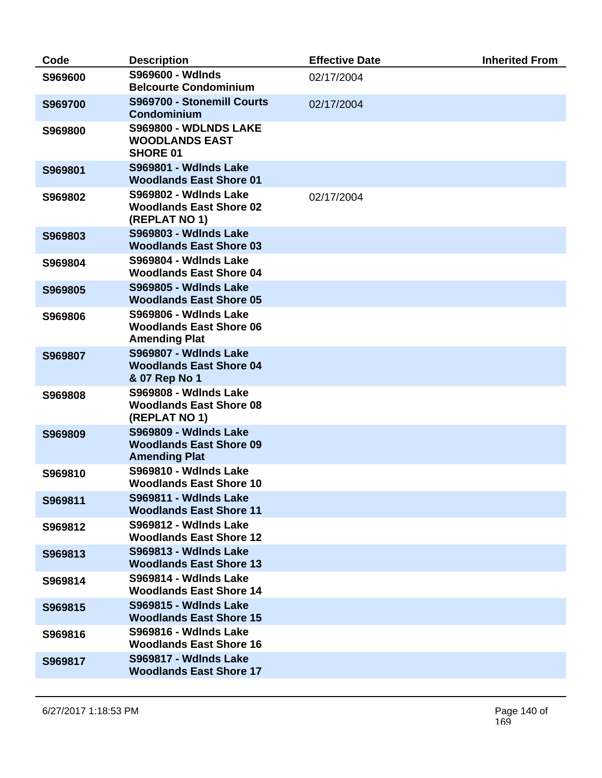| Code    | <b>Description</b>                                                                     | <b>Effective Date</b> | <b>Inherited From</b> |
|---------|----------------------------------------------------------------------------------------|-----------------------|-----------------------|
| S969600 | S969600 - Wdlnds<br><b>Belcourte Condominium</b>                                       | 02/17/2004            |                       |
| S969700 | S969700 - Stonemill Courts<br><b>Condominium</b>                                       | 02/17/2004            |                       |
| S969800 | <b>S969800 - WDLNDS LAKE</b><br><b>WOODLANDS EAST</b><br><b>SHORE 01</b>               |                       |                       |
| S969801 | <b>S969801 - Wdlnds Lake</b><br><b>Woodlands East Shore 01</b>                         |                       |                       |
| S969802 | <b>S969802 - Wdlnds Lake</b><br><b>Woodlands East Shore 02</b><br>(REPLAT NO 1)        | 02/17/2004            |                       |
| S969803 | <b>S969803 - Wdlnds Lake</b><br><b>Woodlands East Shore 03</b>                         |                       |                       |
| S969804 | <b>S969804 - Wdlnds Lake</b><br><b>Woodlands East Shore 04</b>                         |                       |                       |
| S969805 | <b>S969805 - Wdlnds Lake</b><br><b>Woodlands East Shore 05</b>                         |                       |                       |
| S969806 | <b>S969806 - Wdlnds Lake</b><br><b>Woodlands East Shore 06</b><br><b>Amending Plat</b> |                       |                       |
| S969807 | <b>S969807 - Wdlnds Lake</b><br><b>Woodlands East Shore 04</b><br>& 07 Rep No 1        |                       |                       |
| S969808 | <b>S969808 - Wdlnds Lake</b><br><b>Woodlands East Shore 08</b><br>(REPLAT NO 1)        |                       |                       |
| S969809 | <b>S969809 - Wdlnds Lake</b><br><b>Woodlands East Shore 09</b><br><b>Amending Plat</b> |                       |                       |
| S969810 | <b>S969810 - Wdlnds Lake</b><br><b>Woodlands East Shore 10</b>                         |                       |                       |
| S969811 | S969811 - WdInds Lake<br><b>Woodlands East Shore 11</b>                                |                       |                       |
| S969812 | S969812 - Wdlnds Lake<br><b>Woodlands East Shore 12</b>                                |                       |                       |
| S969813 | <b>S969813 - Wdlnds Lake</b><br><b>Woodlands East Shore 13</b>                         |                       |                       |
| S969814 | S969814 - Wdlnds Lake<br><b>Woodlands East Shore 14</b>                                |                       |                       |
| S969815 | <b>S969815 - Wdlnds Lake</b><br><b>Woodlands East Shore 15</b>                         |                       |                       |
| S969816 | <b>S969816 - Wdlnds Lake</b><br><b>Woodlands East Shore 16</b>                         |                       |                       |
| S969817 | S969817 - Wdlnds Lake<br><b>Woodlands East Shore 17</b>                                |                       |                       |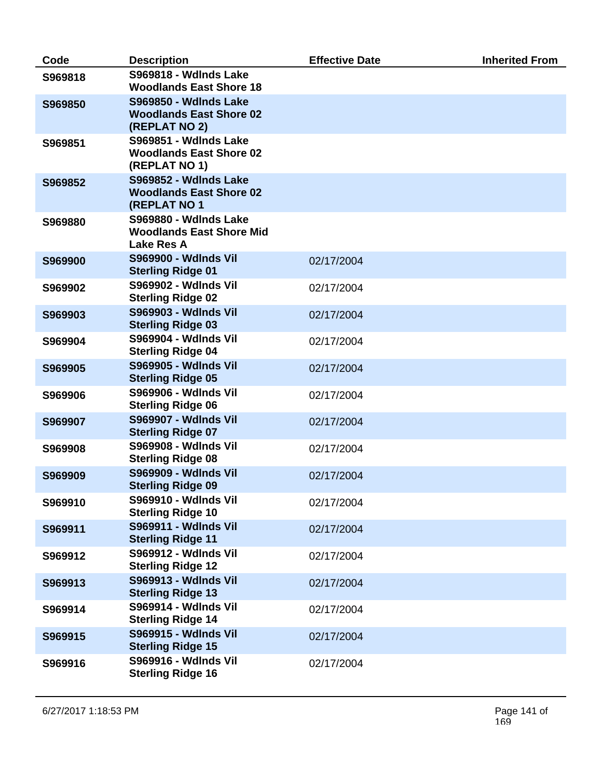| Code    | <b>Description</b>                                                                     | <b>Effective Date</b> | <b>Inherited From</b> |
|---------|----------------------------------------------------------------------------------------|-----------------------|-----------------------|
| S969818 | <b>S969818 - Wdlnds Lake</b><br><b>Woodlands East Shore 18</b>                         |                       |                       |
| S969850 | <b>S969850 - Wdlnds Lake</b><br><b>Woodlands East Shore 02</b><br>(REPLAT NO 2)        |                       |                       |
| S969851 | <b>S969851 - Wdlnds Lake</b><br><b>Woodlands East Shore 02</b><br>(REPLAT NO 1)        |                       |                       |
| S969852 | <b>S969852 - Wdlnds Lake</b><br><b>Woodlands East Shore 02</b><br><b>(REPLAT NO 1)</b> |                       |                       |
| S969880 | <b>S969880 - Wdlnds Lake</b><br><b>Woodlands East Shore Mid</b><br><b>Lake Res A</b>   |                       |                       |
| S969900 | <b>S969900 - Wdlnds Vil</b><br><b>Sterling Ridge 01</b>                                | 02/17/2004            |                       |
| S969902 | S969902 - Wdlnds Vil<br><b>Sterling Ridge 02</b>                                       | 02/17/2004            |                       |
| S969903 | S969903 - Wdlnds Vil<br><b>Sterling Ridge 03</b>                                       | 02/17/2004            |                       |
| S969904 | S969904 - Wdlnds Vil<br><b>Sterling Ridge 04</b>                                       | 02/17/2004            |                       |
| S969905 | <b>S969905 - Wdlnds Vil</b><br><b>Sterling Ridge 05</b>                                | 02/17/2004            |                       |
| S969906 | S969906 - Wdlnds Vil<br><b>Sterling Ridge 06</b>                                       | 02/17/2004            |                       |
| S969907 | <b>S969907 - Wdlnds Vil</b><br><b>Sterling Ridge 07</b>                                | 02/17/2004            |                       |
| S969908 | <b>S969908 - Wdlnds Vil</b><br><b>Sterling Ridge 08</b>                                | 02/17/2004            |                       |
| S969909 | <b>S969909 - Wdlnds Vil</b><br><b>Sterling Ridge 09</b>                                | 02/17/2004            |                       |
| S969910 | <b>S969910 - Wdlnds Vil</b><br><b>Sterling Ridge 10</b>                                | 02/17/2004            |                       |
| S969911 | S969911 - Wdlnds Vil<br><b>Sterling Ridge 11</b>                                       | 02/17/2004            |                       |
| S969912 | <b>S969912 - Wdlnds Vil</b><br><b>Sterling Ridge 12</b>                                | 02/17/2004            |                       |
| S969913 | S969913 - Wdlnds Vil<br><b>Sterling Ridge 13</b>                                       | 02/17/2004            |                       |
| S969914 | S969914 - Wdlnds Vil<br><b>Sterling Ridge 14</b>                                       | 02/17/2004            |                       |
| S969915 | S969915 - Wdlnds Vil<br><b>Sterling Ridge 15</b>                                       | 02/17/2004            |                       |
| S969916 | <b>S969916 - Wdlnds Vil</b><br><b>Sterling Ridge 16</b>                                | 02/17/2004            |                       |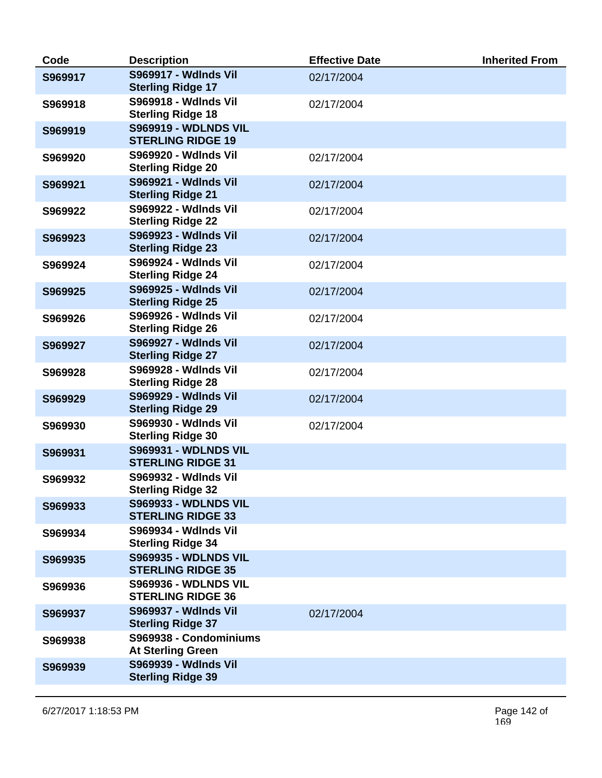| Code    | <b>Description</b>                                      | <b>Effective Date</b> | <b>Inherited From</b> |
|---------|---------------------------------------------------------|-----------------------|-----------------------|
| S969917 | <b>S969917 - Wdlnds Vil</b><br><b>Sterling Ridge 17</b> | 02/17/2004            |                       |
| S969918 | <b>S969918 - Wdlnds Vil</b><br><b>Sterling Ridge 18</b> | 02/17/2004            |                       |
| S969919 | <b>S969919 - WDLNDS VIL</b><br><b>STERLING RIDGE 19</b> |                       |                       |
| S969920 | S969920 - Wdlnds Vil<br><b>Sterling Ridge 20</b>        | 02/17/2004            |                       |
| S969921 | S969921 - Wdlnds Vil<br><b>Sterling Ridge 21</b>        | 02/17/2004            |                       |
| S969922 | <b>S969922 - Wdlnds Vil</b><br><b>Sterling Ridge 22</b> | 02/17/2004            |                       |
| S969923 | S969923 - Wdlnds Vil<br><b>Sterling Ridge 23</b>        | 02/17/2004            |                       |
| S969924 | <b>S969924 - Wdlnds Vil</b><br><b>Sterling Ridge 24</b> | 02/17/2004            |                       |
| S969925 | S969925 - Wdlnds Vil<br><b>Sterling Ridge 25</b>        | 02/17/2004            |                       |
| S969926 | <b>S969926 - Wdlnds Vil</b><br><b>Sterling Ridge 26</b> | 02/17/2004            |                       |
| S969927 | <b>S969927 - Wdlnds Vil</b><br><b>Sterling Ridge 27</b> | 02/17/2004            |                       |
| S969928 | <b>S969928 - Wdlnds Vil</b><br><b>Sterling Ridge 28</b> | 02/17/2004            |                       |
| S969929 | S969929 - Wdlnds Vil<br><b>Sterling Ridge 29</b>        | 02/17/2004            |                       |
| S969930 | <b>S969930 - Wdlnds Vil</b><br><b>Sterling Ridge 30</b> | 02/17/2004            |                       |
| S969931 | <b>S969931 - WDLNDS VIL</b><br><b>STERLING RIDGE 31</b> |                       |                       |
| S969932 | <b>S969932 - Wdlnds Vil</b><br><b>Sterling Ridge 32</b> |                       |                       |
| S969933 | <b>S969933 - WDLNDS VIL</b><br><b>STERLING RIDGE 33</b> |                       |                       |
| S969934 | <b>S969934 - Wdlnds Vil</b><br><b>Sterling Ridge 34</b> |                       |                       |
| S969935 | <b>S969935 - WDLNDS VIL</b><br><b>STERLING RIDGE 35</b> |                       |                       |
| S969936 | <b>S969936 - WDLNDS VIL</b><br><b>STERLING RIDGE 36</b> |                       |                       |
| S969937 | <b>S969937 - Wdlnds Vil</b><br><b>Sterling Ridge 37</b> | 02/17/2004            |                       |
| S969938 | S969938 - Condominiums<br><b>At Sterling Green</b>      |                       |                       |
| S969939 | S969939 - Wdlnds Vil<br><b>Sterling Ridge 39</b>        |                       |                       |
|         |                                                         |                       |                       |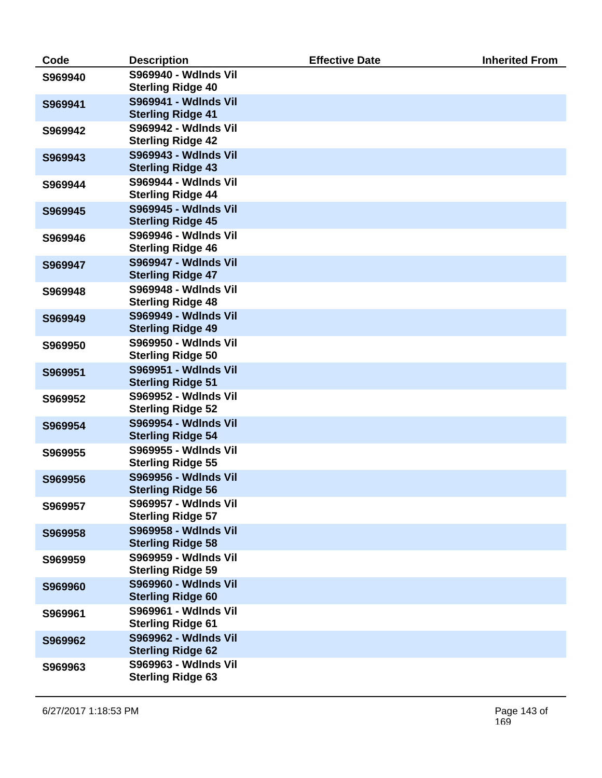| Code    | <b>Description</b>                                      | <b>Effective Date</b> | <b>Inherited From</b> |
|---------|---------------------------------------------------------|-----------------------|-----------------------|
| S969940 | <b>S969940 - Wdlnds Vil</b><br><b>Sterling Ridge 40</b> |                       |                       |
| S969941 | <b>S969941 - Wdlnds Vil</b><br><b>Sterling Ridge 41</b> |                       |                       |
| S969942 | <b>S969942 - Wdlnds Vil</b><br><b>Sterling Ridge 42</b> |                       |                       |
| S969943 | S969943 - Wdlnds Vil<br><b>Sterling Ridge 43</b>        |                       |                       |
| S969944 | S969944 - Wdlnds Vil<br><b>Sterling Ridge 44</b>        |                       |                       |
| S969945 | <b>S969945 - Wdlnds Vil</b><br><b>Sterling Ridge 45</b> |                       |                       |
| S969946 | <b>S969946 - Wdlnds Vil</b><br><b>Sterling Ridge 46</b> |                       |                       |
| S969947 | <b>S969947 - Wdlnds Vil</b><br><b>Sterling Ridge 47</b> |                       |                       |
| S969948 | S969948 - Wdlnds Vil<br><b>Sterling Ridge 48</b>        |                       |                       |
| S969949 | <b>S969949 - Wdlnds Vil</b><br><b>Sterling Ridge 49</b> |                       |                       |
| S969950 | <b>S969950 - Wdlnds Vil</b><br><b>Sterling Ridge 50</b> |                       |                       |
| S969951 | <b>S969951 - Wdlnds Vil</b><br><b>Sterling Ridge 51</b> |                       |                       |
| S969952 | <b>S969952 - Wdlnds Vil</b><br><b>Sterling Ridge 52</b> |                       |                       |
| S969954 | <b>S969954 - Wdlnds Vil</b><br><b>Sterling Ridge 54</b> |                       |                       |
| S969955 | <b>S969955 - Wdlnds Vil</b><br><b>Sterling Ridge 55</b> |                       |                       |
| S969956 | <b>S969956 - Wdlnds Vil</b><br><b>Sterling Ridge 56</b> |                       |                       |
| S969957 | <b>S969957 - Wdlnds Vil</b><br><b>Sterling Ridge 57</b> |                       |                       |
| S969958 | <b>S969958 - Wdlnds Vil</b><br><b>Sterling Ridge 58</b> |                       |                       |
| S969959 | <b>S969959 - Wdlnds Vil</b><br><b>Sterling Ridge 59</b> |                       |                       |
| S969960 | <b>S969960 - Wdlnds Vil</b><br><b>Sterling Ridge 60</b> |                       |                       |
| S969961 | S969961 - Wdlnds Vil<br><b>Sterling Ridge 61</b>        |                       |                       |
| S969962 | <b>S969962 - Wdlnds Vil</b><br><b>Sterling Ridge 62</b> |                       |                       |
| S969963 | S969963 - Wdlnds Vil<br><b>Sterling Ridge 63</b>        |                       |                       |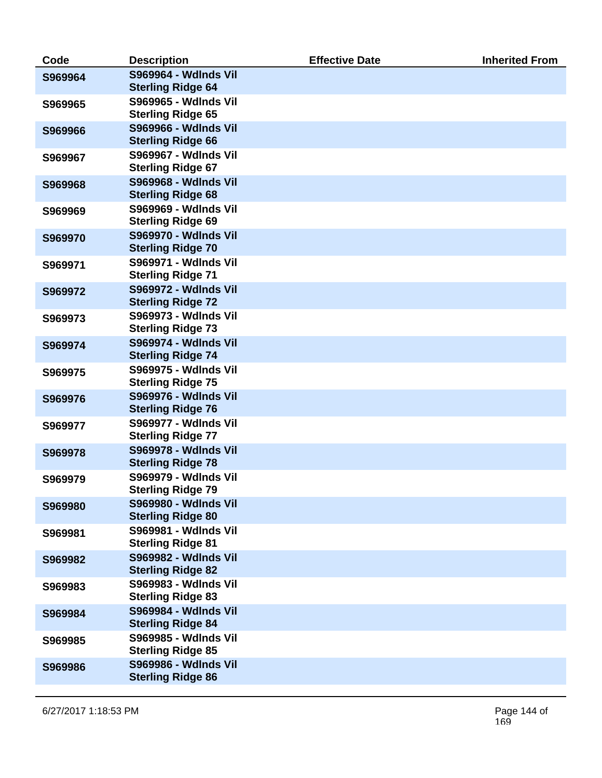| Code    | <b>Description</b>                                      | <b>Effective Date</b> | <b>Inherited From</b> |
|---------|---------------------------------------------------------|-----------------------|-----------------------|
| S969964 | <b>S969964 - Wdlnds Vil</b><br><b>Sterling Ridge 64</b> |                       |                       |
| S969965 | <b>S969965 - Wdlnds Vil</b><br><b>Sterling Ridge 65</b> |                       |                       |
| S969966 | <b>S969966 - Wdlnds Vil</b>                             |                       |                       |
|         | <b>Sterling Ridge 66</b><br><b>S969967 - Wdlnds Vil</b> |                       |                       |
| S969967 | <b>Sterling Ridge 67</b>                                |                       |                       |
| S969968 | <b>S969968 - Wdlnds Vil</b><br><b>Sterling Ridge 68</b> |                       |                       |
| S969969 | <b>S969969 - Wdlnds Vil</b><br><b>Sterling Ridge 69</b> |                       |                       |
| S969970 | <b>S969970 - Wdlnds Vil</b><br><b>Sterling Ridge 70</b> |                       |                       |
| S969971 | S969971 - Wdlnds Vil<br><b>Sterling Ridge 71</b>        |                       |                       |
| S969972 | <b>S969972 - Wdlnds Vil</b><br><b>Sterling Ridge 72</b> |                       |                       |
| S969973 | S969973 - Wdlnds Vil<br><b>Sterling Ridge 73</b>        |                       |                       |
| S969974 | <b>S969974 - Wdlnds Vil</b><br><b>Sterling Ridge 74</b> |                       |                       |
| S969975 | <b>S969975 - Wdlnds Vil</b><br><b>Sterling Ridge 75</b> |                       |                       |
| S969976 | S969976 - Wdlnds Vil                                    |                       |                       |
| S969977 | <b>Sterling Ridge 76</b><br><b>S969977 - Wdlnds Vil</b> |                       |                       |
| S969978 | <b>Sterling Ridge 77</b><br><b>S969978 - Wdlnds Vil</b> |                       |                       |
| S969979 | <b>Sterling Ridge 78</b><br>S969979 - Wdlnds Vil        |                       |                       |
|         | <b>Sterling Ridge 79</b>                                |                       |                       |
| S969980 | <b>S969980 - Wdlnds Vil</b><br><b>Sterling Ridge 80</b> |                       |                       |
| S969981 | <b>S969981 - Wdlnds Vil</b><br><b>Sterling Ridge 81</b> |                       |                       |
| S969982 | <b>S969982 - Wdlnds Vil</b><br><b>Sterling Ridge 82</b> |                       |                       |
| S969983 | S969983 - Wdlnds Vil<br><b>Sterling Ridge 83</b>        |                       |                       |
| S969984 | <b>S969984 - Wdlnds Vil</b><br><b>Sterling Ridge 84</b> |                       |                       |
| S969985 | <b>S969985 - Wdlnds Vil</b><br><b>Sterling Ridge 85</b> |                       |                       |
| S969986 | S969986 - Wdlnds Vil<br><b>Sterling Ridge 86</b>        |                       |                       |
|         |                                                         |                       |                       |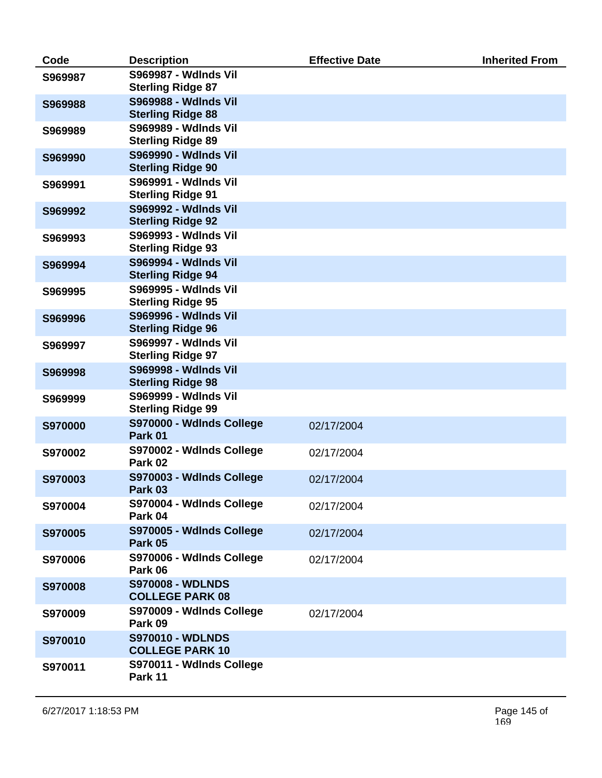| Code           | <b>Description</b>                                      | <b>Effective Date</b> | <b>Inherited From</b> |
|----------------|---------------------------------------------------------|-----------------------|-----------------------|
| S969987        | <b>S969987 - Wdlnds Vil</b><br><b>Sterling Ridge 87</b> |                       |                       |
| S969988        | <b>S969988 - Wdlnds Vil</b><br><b>Sterling Ridge 88</b> |                       |                       |
| S969989        | <b>S969989 - Wdlnds Vil</b><br><b>Sterling Ridge 89</b> |                       |                       |
| S969990        | S969990 - Wdlnds Vil<br><b>Sterling Ridge 90</b>        |                       |                       |
| S969991        | S969991 - Wdlnds Vil<br><b>Sterling Ridge 91</b>        |                       |                       |
| S969992        | <b>S969992 - Wdlnds Vil</b><br><b>Sterling Ridge 92</b> |                       |                       |
| S969993        | <b>S969993 - Wdlnds Vil</b><br><b>Sterling Ridge 93</b> |                       |                       |
| S969994        | <b>S969994 - Wdlnds Vil</b><br><b>Sterling Ridge 94</b> |                       |                       |
| S969995        | <b>S969995 - Wdlnds Vil</b><br><b>Sterling Ridge 95</b> |                       |                       |
| S969996        | S969996 - Wdlnds Vil<br><b>Sterling Ridge 96</b>        |                       |                       |
| S969997        | <b>S969997 - Wdlnds Vil</b><br><b>Sterling Ridge 97</b> |                       |                       |
| S969998        | <b>S969998 - Wdlnds Vil</b><br><b>Sterling Ridge 98</b> |                       |                       |
| S969999        | S969999 - Wdlnds Vil<br><b>Sterling Ridge 99</b>        |                       |                       |
| <b>S970000</b> | S970000 - Wdlnds College<br>Park 01                     | 02/17/2004            |                       |
| S970002        | S970002 - Wdlnds College<br>Park 02                     | 02/17/2004            |                       |
| S970003        | S970003 - Wdlnds College<br>Park 03                     | 02/17/2004            |                       |
| S970004        | S970004 - Wdlnds College<br>Park 04                     | 02/17/2004            |                       |
| S970005        | S970005 - Wdlnds College<br>Park 05                     | 02/17/2004            |                       |
| S970006        | S970006 - Wdlnds College<br>Park 06                     | 02/17/2004            |                       |
| <b>S970008</b> | <b>S970008 - WDLNDS</b><br><b>COLLEGE PARK 08</b>       |                       |                       |
| S970009        | S970009 - Wdlnds College<br>Park 09                     | 02/17/2004            |                       |
| S970010        | <b>S970010 - WDLNDS</b><br><b>COLLEGE PARK 10</b>       |                       |                       |
| S970011        | S970011 - WdInds College<br>Park 11                     |                       |                       |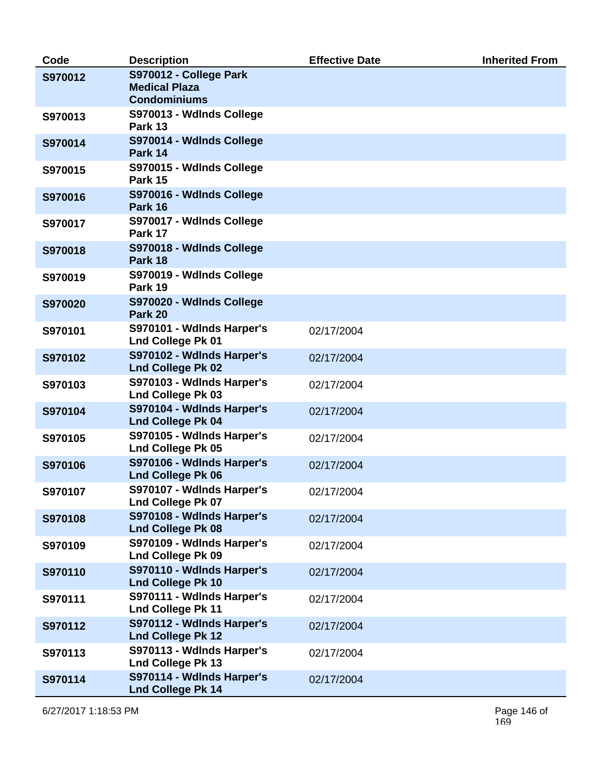| Code    | <b>Description</b>                                    | <b>Effective Date</b> | <b>Inherited From</b> |
|---------|-------------------------------------------------------|-----------------------|-----------------------|
| S970012 | S970012 - College Park                                |                       |                       |
|         | <b>Medical Plaza</b><br><b>Condominiums</b>           |                       |                       |
|         |                                                       |                       |                       |
| S970013 | S970013 - Wdlnds College<br>Park 13                   |                       |                       |
| S970014 | S970014 - Wdlnds College<br>Park 14                   |                       |                       |
| S970015 | S970015 - Wdlnds College<br>Park 15                   |                       |                       |
| S970016 | S970016 - Wdlnds College<br>Park 16                   |                       |                       |
| S970017 | S970017 - Wdlnds College<br>Park 17                   |                       |                       |
| S970018 | S970018 - Wdlnds College<br>Park 18                   |                       |                       |
| S970019 | S970019 - Wdlnds College<br>Park 19                   |                       |                       |
| S970020 | S970020 - Wdlnds College<br>Park 20                   |                       |                       |
| S970101 | S970101 - Wdlnds Harper's<br><b>Lnd College Pk 01</b> | 02/17/2004            |                       |
| S970102 | S970102 - Wdlnds Harper's<br><b>Lnd College Pk 02</b> | 02/17/2004            |                       |
| S970103 | S970103 - Wdlnds Harper's<br><b>Lnd College Pk 03</b> | 02/17/2004            |                       |
| S970104 | S970104 - WdInds Harper's<br><b>Lnd College Pk 04</b> | 02/17/2004            |                       |
| S970105 | S970105 - Wdlnds Harper's<br><b>Lnd College Pk 05</b> | 02/17/2004            |                       |
| S970106 | S970106 - WdInds Harper's<br><b>Lnd College Pk 06</b> | 02/17/2004            |                       |
| S970107 | S970107 - Wdlnds Harper's<br><b>Lnd College Pk 07</b> | 02/17/2004            |                       |
| S970108 | S970108 - WdInds Harper's<br><b>Lnd College Pk 08</b> | 02/17/2004            |                       |
| S970109 | S970109 - Wdlnds Harper's<br><b>Lnd College Pk 09</b> | 02/17/2004            |                       |
| S970110 | S970110 - Wdlnds Harper's<br><b>Lnd College Pk 10</b> | 02/17/2004            |                       |
| S970111 | S970111 - WdInds Harper's<br><b>Lnd College Pk 11</b> | 02/17/2004            |                       |
| S970112 | S970112 - Wdlnds Harper's<br><b>Lnd College Pk 12</b> | 02/17/2004            |                       |
| S970113 | S970113 - WdInds Harper's<br><b>Lnd College Pk 13</b> | 02/17/2004            |                       |
| S970114 | S970114 - Wdlnds Harper's<br><b>Lnd College Pk 14</b> | 02/17/2004            |                       |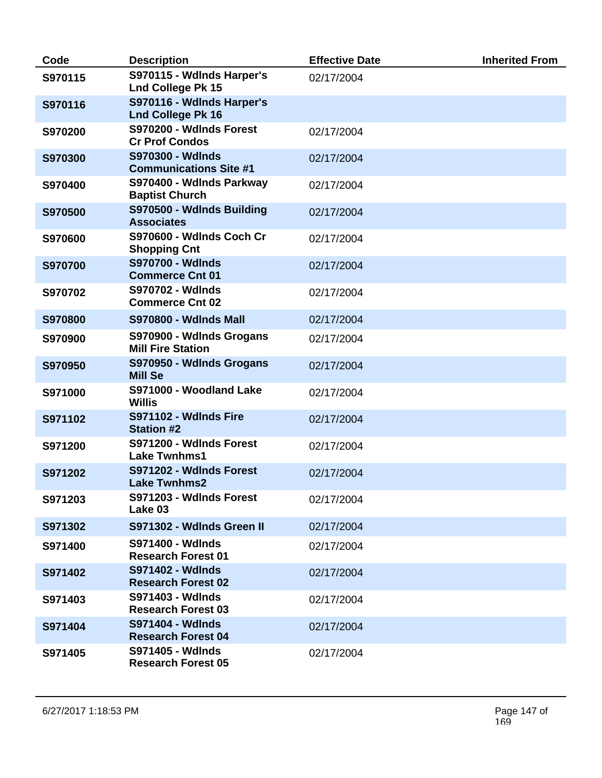| Code    | <b>Description</b>                                    | <b>Effective Date</b> | <b>Inherited From</b> |
|---------|-------------------------------------------------------|-----------------------|-----------------------|
| S970115 | S970115 - WdInds Harper's<br><b>Lnd College Pk 15</b> | 02/17/2004            |                       |
| S970116 | S970116 - Wdlnds Harper's<br><b>Lnd College Pk 16</b> |                       |                       |
| S970200 | S970200 - Wdlnds Forest<br><b>Cr Prof Condos</b>      | 02/17/2004            |                       |
| S970300 | S970300 - Wdlnds<br><b>Communications Site #1</b>     | 02/17/2004            |                       |
| S970400 | S970400 - Wdlnds Parkway<br><b>Baptist Church</b>     | 02/17/2004            |                       |
| S970500 | S970500 - Wdlnds Building<br><b>Associates</b>        | 02/17/2004            |                       |
| S970600 | S970600 - WdInds Coch Cr<br><b>Shopping Cnt</b>       | 02/17/2004            |                       |
| S970700 | <b>S970700 - Wdlnds</b><br><b>Commerce Cnt 01</b>     | 02/17/2004            |                       |
| S970702 | S970702 - Wdlnds<br><b>Commerce Cnt 02</b>            | 02/17/2004            |                       |
| S970800 | <b>S970800 - Wdlnds Mall</b>                          | 02/17/2004            |                       |
| S970900 | S970900 - Wdlnds Grogans<br><b>Mill Fire Station</b>  | 02/17/2004            |                       |
| S970950 | S970950 - Wdlnds Grogans<br><b>Mill Se</b>            | 02/17/2004            |                       |
| S971000 | S971000 - Woodland Lake<br><b>Willis</b>              | 02/17/2004            |                       |
| S971102 | S971102 - Wdlnds Fire<br><b>Station #2</b>            | 02/17/2004            |                       |
| S971200 | S971200 - Wdlnds Forest<br><b>Lake Twnhms1</b>        | 02/17/2004            |                       |
| S971202 | S971202 - WdInds Forest<br><b>Lake Twnhms2</b>        | 02/17/2004            |                       |
| S971203 | S971203 - WdInds Forest<br>Lake 03                    | 02/17/2004            |                       |
| S971302 | S971302 - Wdlnds Green II                             | 02/17/2004            |                       |
| S971400 | <b>S971400 - Wdlnds</b><br><b>Research Forest 01</b>  | 02/17/2004            |                       |
| S971402 | <b>S971402 - Wdlnds</b><br><b>Research Forest 02</b>  | 02/17/2004            |                       |
| S971403 | <b>S971403 - Wdlnds</b><br><b>Research Forest 03</b>  | 02/17/2004            |                       |
| S971404 | <b>S971404 - Wdlnds</b><br><b>Research Forest 04</b>  | 02/17/2004            |                       |
| S971405 | S971405 - Wdlnds<br><b>Research Forest 05</b>         | 02/17/2004            |                       |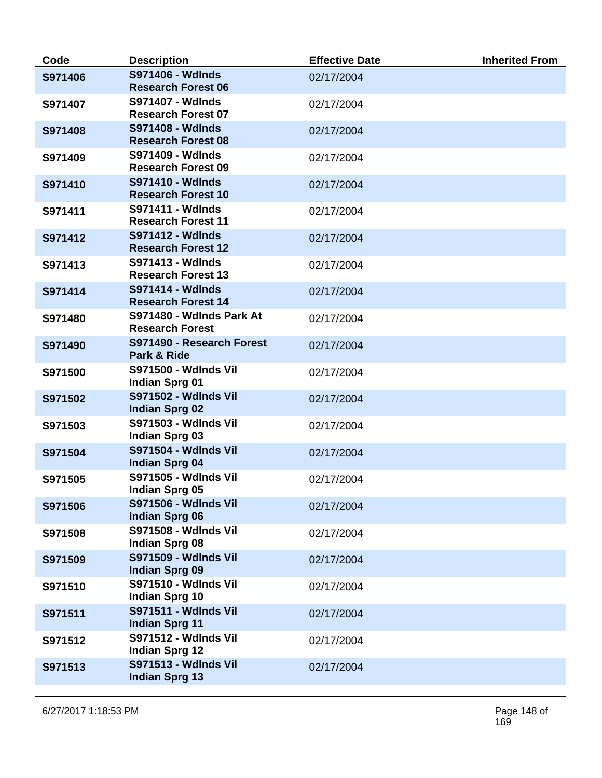| Code    | <b>Description</b>                                   | <b>Effective Date</b> | <b>Inherited From</b> |
|---------|------------------------------------------------------|-----------------------|-----------------------|
| S971406 | <b>S971406 - Wdlnds</b><br><b>Research Forest 06</b> | 02/17/2004            |                       |
| S971407 | <b>S971407 - Wdlnds</b><br><b>Research Forest 07</b> | 02/17/2004            |                       |
| S971408 | S971408 - Wdlnds<br><b>Research Forest 08</b>        | 02/17/2004            |                       |
| S971409 | <b>S971409 - Wdlnds</b><br><b>Research Forest 09</b> | 02/17/2004            |                       |
| S971410 | <b>S971410 - Wdlnds</b><br><b>Research Forest 10</b> | 02/17/2004            |                       |
| S971411 | <b>S971411 - Wdlnds</b><br><b>Research Forest 11</b> | 02/17/2004            |                       |
| S971412 | <b>S971412 - Wdlnds</b><br><b>Research Forest 12</b> | 02/17/2004            |                       |
| S971413 | <b>S971413 - Wdlnds</b><br><b>Research Forest 13</b> | 02/17/2004            |                       |
| S971414 | <b>S971414 - Wdlnds</b><br><b>Research Forest 14</b> | 02/17/2004            |                       |
| S971480 | S971480 - Wdlnds Park At<br><b>Research Forest</b>   | 02/17/2004            |                       |
| S971490 | S971490 - Research Forest<br>Park & Ride             | 02/17/2004            |                       |
| S971500 | <b>S971500 - Wdlnds Vil</b><br>Indian Sprg 01        | 02/17/2004            |                       |
| S971502 | <b>S971502 - Wdlnds Vil</b><br><b>Indian Sprg 02</b> | 02/17/2004            |                       |
| S971503 | <b>S971503 - Wdlnds Vil</b><br><b>Indian Sprg 03</b> | 02/17/2004            |                       |
| S971504 | S971504 - Wdlnds Vil<br><b>Indian Sprg 04</b>        | 02/17/2004            |                       |
| S971505 | <b>S971505 - Wdlnds Vil</b><br>Indian Sprg 05        | 02/17/2004            |                       |
| S971506 | <b>S971506 - Wdlnds Vil</b><br><b>Indian Sprg 06</b> | 02/17/2004            |                       |
| S971508 | <b>S971508 - Wdlnds Vil</b><br><b>Indian Sprg 08</b> | 02/17/2004            |                       |
| S971509 | <b>S971509 - Wdlnds Vil</b><br><b>Indian Sprg 09</b> | 02/17/2004            |                       |
| S971510 | <b>S971510 - Wdlnds Vil</b><br><b>Indian Sprg 10</b> | 02/17/2004            |                       |
| S971511 | <b>S971511 - Wdlnds Vil</b><br><b>Indian Sprg 11</b> | 02/17/2004            |                       |
| S971512 | <b>S971512 - Wdlnds Vil</b><br><b>Indian Sprg 12</b> | 02/17/2004            |                       |
| S971513 | <b>S971513 - Wdlnds Vil</b><br><b>Indian Sprg 13</b> | 02/17/2004            |                       |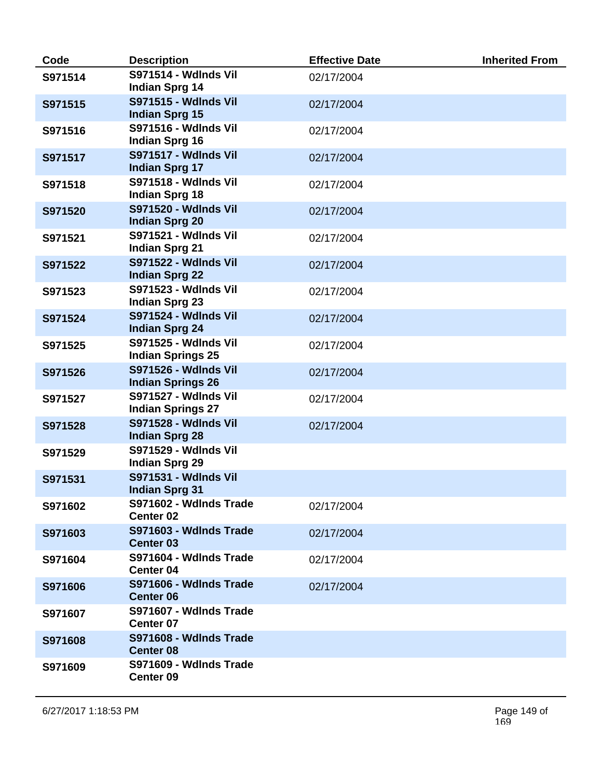| Code    | <b>Description</b>                                      | <b>Effective Date</b> | <b>Inherited From</b> |
|---------|---------------------------------------------------------|-----------------------|-----------------------|
| S971514 | <b>S971514 - Wdlnds Vil</b><br><b>Indian Sprg 14</b>    | 02/17/2004            |                       |
| S971515 | <b>S971515 - Wdlnds Vil</b><br><b>Indian Sprg 15</b>    | 02/17/2004            |                       |
| S971516 | S971516 - Wdlnds Vil<br><b>Indian Sprg 16</b>           | 02/17/2004            |                       |
| S971517 | <b>S971517 - Wdlnds Vil</b><br><b>Indian Sprg 17</b>    | 02/17/2004            |                       |
| S971518 | <b>S971518 - Wdlnds Vil</b><br><b>Indian Sprg 18</b>    | 02/17/2004            |                       |
| S971520 | <b>S971520 - Wdlnds Vil</b><br><b>Indian Sprg 20</b>    | 02/17/2004            |                       |
| S971521 | <b>S971521 - Wdlnds Vil</b><br><b>Indian Sprg 21</b>    | 02/17/2004            |                       |
| S971522 | <b>S971522 - Wdlnds Vil</b><br><b>Indian Sprg 22</b>    | 02/17/2004            |                       |
| S971523 | S971523 - Wdlnds Vil<br><b>Indian Sprg 23</b>           | 02/17/2004            |                       |
| S971524 | <b>S971524 - Wdlnds Vil</b><br><b>Indian Sprg 24</b>    | 02/17/2004            |                       |
| S971525 | <b>S971525 - Wdlnds Vil</b><br><b>Indian Springs 25</b> | 02/17/2004            |                       |
| S971526 | <b>S971526 - Wdlnds Vil</b><br><b>Indian Springs 26</b> | 02/17/2004            |                       |
| S971527 | S971527 - Wdlnds Vil<br><b>Indian Springs 27</b>        | 02/17/2004            |                       |
| S971528 | <b>S971528 - Wdlnds Vil</b><br><b>Indian Sprg 28</b>    | 02/17/2004            |                       |
| S971529 | <b>S971529 - Wdlnds Vil</b><br><b>Indian Sprg 29</b>    |                       |                       |
| S971531 | <b>S971531 - Wdlnds Vil</b><br><b>Indian Sprg 31</b>    |                       |                       |
| S971602 | S971602 - Wdlnds Trade<br>Center 02                     | 02/17/2004            |                       |
| S971603 | S971603 - Wdlnds Trade<br><b>Center 03</b>              | 02/17/2004            |                       |
| S971604 | S971604 - Wdlnds Trade<br><b>Center 04</b>              | 02/17/2004            |                       |
| S971606 | S971606 - Wdlnds Trade<br><b>Center 06</b>              | 02/17/2004            |                       |
| S971607 | S971607 - Wdlnds Trade<br><b>Center 07</b>              |                       |                       |
| S971608 | S971608 - Wdlnds Trade<br><b>Center 08</b>              |                       |                       |
| S971609 | S971609 - Wdlnds Trade<br>Center 09                     |                       |                       |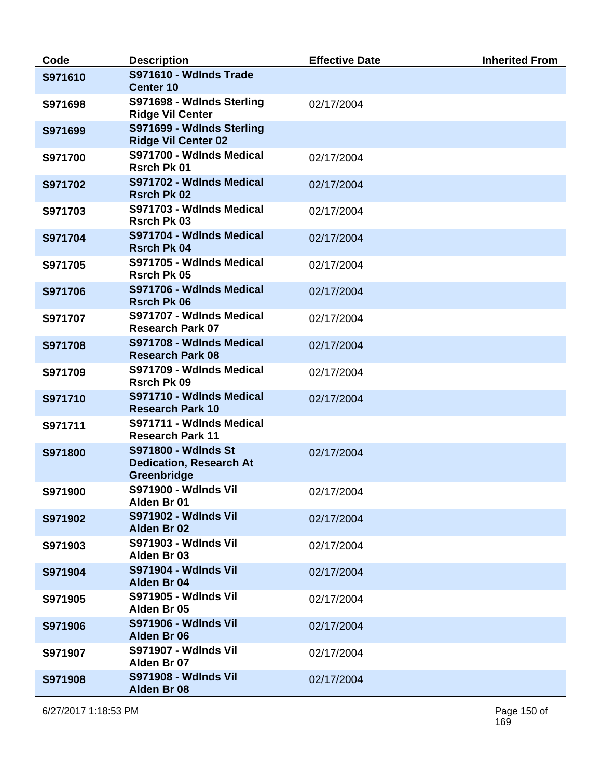| Code    | <b>Description</b>                                                          | <b>Effective Date</b> | <b>Inherited From</b> |
|---------|-----------------------------------------------------------------------------|-----------------------|-----------------------|
| S971610 | S971610 - Wdlnds Trade<br><b>Center 10</b>                                  |                       |                       |
| S971698 | S971698 - Wdlnds Sterling<br><b>Ridge Vil Center</b>                        | 02/17/2004            |                       |
| S971699 | S971699 - Wdlnds Sterling<br><b>Ridge Vil Center 02</b>                     |                       |                       |
| S971700 | S971700 - Wdlnds Medical<br><b>Rsrch Pk 01</b>                              | 02/17/2004            |                       |
| S971702 | S971702 - Wdlnds Medical<br><b>Rsrch Pk 02</b>                              | 02/17/2004            |                       |
| S971703 | S971703 - Wdlnds Medical<br><b>Rsrch Pk 03</b>                              | 02/17/2004            |                       |
| S971704 | S971704 - Wdlnds Medical<br><b>Rsrch Pk 04</b>                              | 02/17/2004            |                       |
| S971705 | S971705 - Wdlnds Medical<br><b>Rsrch Pk 05</b>                              | 02/17/2004            |                       |
| S971706 | S971706 - Wdlnds Medical<br><b>Rsrch Pk 06</b>                              | 02/17/2004            |                       |
| S971707 | S971707 - Wdlnds Medical<br><b>Research Park 07</b>                         | 02/17/2004            |                       |
| S971708 | S971708 - Wdlnds Medical<br><b>Research Park 08</b>                         | 02/17/2004            |                       |
| S971709 | S971709 - Wdlnds Medical<br><b>Rsrch Pk 09</b>                              | 02/17/2004            |                       |
| S971710 | S971710 - Wdlnds Medical<br><b>Research Park 10</b>                         | 02/17/2004            |                       |
| S971711 | S971711 - Wdlnds Medical<br><b>Research Park 11</b>                         |                       |                       |
| S971800 | <b>S971800 - Wdlnds St</b><br><b>Dedication, Research At</b><br>Greenbridge | 02/17/2004            |                       |
| S971900 | <b>S971900 - Wdlnds Vil</b><br>Alden Br 01                                  | 02/17/2004            |                       |
| S971902 | <b>S971902 - Wdlnds Vil</b><br>Alden Br 02                                  | 02/17/2004            |                       |
| S971903 | <b>S971903 - Wdlnds Vil</b><br>Alden Br 03                                  | 02/17/2004            |                       |
| S971904 | <b>S971904 - Wdlnds Vil</b><br>Alden Br 04                                  | 02/17/2004            |                       |
| S971905 | <b>S971905 - Wdlnds Vil</b><br>Alden Br 05                                  | 02/17/2004            |                       |
| S971906 | <b>S971906 - Wdlnds Vil</b><br>Alden Br 06                                  | 02/17/2004            |                       |
| S971907 | <b>S971907 - Wdlnds Vil</b><br>Alden Br 07                                  | 02/17/2004            |                       |
| S971908 | <b>S971908 - Wdlnds Vil</b><br>Alden Br 08                                  | 02/17/2004            |                       |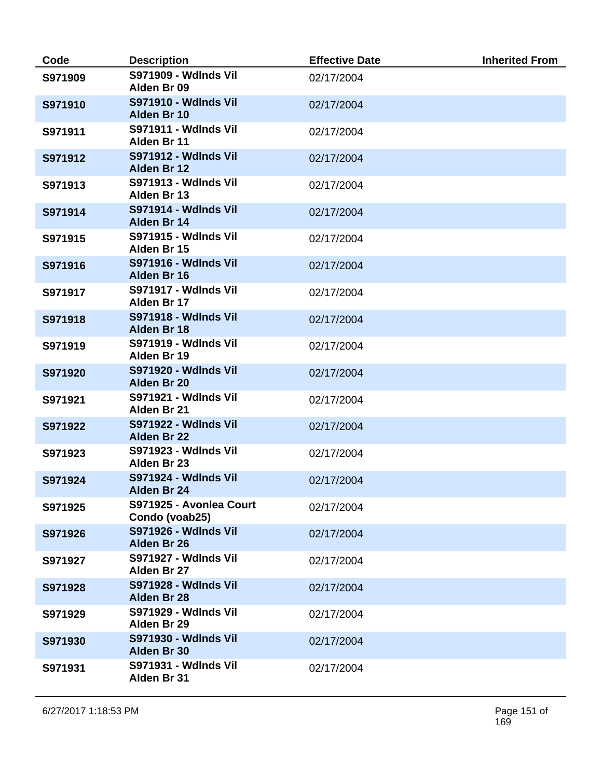| Code    | <b>Description</b>                         | <b>Effective Date</b> | <b>Inherited From</b> |
|---------|--------------------------------------------|-----------------------|-----------------------|
| S971909 | <b>S971909 - Wdlnds Vil</b><br>Alden Br 09 | 02/17/2004            |                       |
| S971910 | <b>S971910 - Wdlnds Vil</b><br>Alden Br 10 | 02/17/2004            |                       |
| S971911 | <b>S971911 - Wdlnds Vil</b><br>Alden Br 11 | 02/17/2004            |                       |
| S971912 | <b>S971912 - Wdlnds Vil</b><br>Alden Br 12 | 02/17/2004            |                       |
| S971913 | <b>S971913 - Wdlnds Vil</b><br>Alden Br 13 | 02/17/2004            |                       |
| S971914 | <b>S971914 - Wdlnds Vil</b><br>Alden Br 14 | 02/17/2004            |                       |
| S971915 | <b>S971915 - Wdlnds Vil</b><br>Alden Br 15 | 02/17/2004            |                       |
| S971916 | <b>S971916 - Wdlnds Vil</b><br>Alden Br 16 | 02/17/2004            |                       |
| S971917 | <b>S971917 - Wdlnds Vil</b><br>Alden Br 17 | 02/17/2004            |                       |
| S971918 | <b>S971918 - Wdlnds Vil</b><br>Alden Br 18 | 02/17/2004            |                       |
| S971919 | <b>S971919 - Wdlnds Vil</b><br>Alden Br 19 | 02/17/2004            |                       |
| S971920 | <b>S971920 - Wdlnds Vil</b><br>Alden Br 20 | 02/17/2004            |                       |
| S971921 | S971921 - Wdlnds Vil<br>Alden Br 21        | 02/17/2004            |                       |
| S971922 | <b>S971922 - Wdlnds Vil</b><br>Alden Br 22 | 02/17/2004            |                       |
| S971923 | S971923 - Wdlnds Vil<br>Alden Br 23        | 02/17/2004            |                       |
| S971924 | <b>S971924 - Wdlnds Vil</b><br>Alden Br 24 | 02/17/2004            |                       |
| S971925 | S971925 - Avonlea Court<br>Condo (voab25)  | 02/17/2004            |                       |
| S971926 | <b>S971926 - Wdlnds Vil</b><br>Alden Br 26 | 02/17/2004            |                       |
| S971927 | <b>S971927 - Wdlnds Vil</b><br>Alden Br 27 | 02/17/2004            |                       |
| S971928 | S971928 - Wdlnds Vil<br>Alden Br 28        | 02/17/2004            |                       |
| S971929 | <b>S971929 - Wdlnds Vil</b><br>Alden Br 29 | 02/17/2004            |                       |
| S971930 | <b>S971930 - Wdlnds Vil</b><br>Alden Br 30 | 02/17/2004            |                       |
| S971931 | <b>S971931 - Wdlnds Vil</b><br>Alden Br 31 | 02/17/2004            |                       |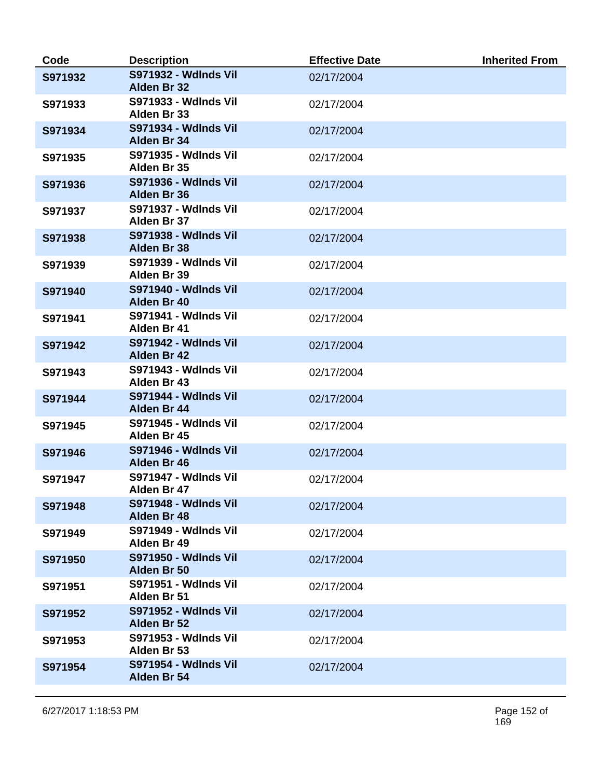| Code    | <b>Description</b>                         | <b>Effective Date</b> | <b>Inherited From</b> |
|---------|--------------------------------------------|-----------------------|-----------------------|
| S971932 | <b>S971932 - Wdlnds Vil</b><br>Alden Br 32 | 02/17/2004            |                       |
| S971933 | <b>S971933 - Wdlnds Vil</b><br>Alden Br 33 | 02/17/2004            |                       |
| S971934 | <b>S971934 - Wdlnds Vil</b><br>Alden Br 34 | 02/17/2004            |                       |
| S971935 | <b>S971935 - Wdlnds Vil</b><br>Alden Br 35 | 02/17/2004            |                       |
| S971936 | <b>S971936 - Wdlnds Vil</b><br>Alden Br 36 | 02/17/2004            |                       |
| S971937 | <b>S971937 - Wdlnds Vil</b><br>Alden Br 37 | 02/17/2004            |                       |
| S971938 | <b>S971938 - Wdlnds Vil</b><br>Alden Br 38 | 02/17/2004            |                       |
| S971939 | <b>S971939 - Wdlnds Vil</b><br>Alden Br 39 | 02/17/2004            |                       |
| S971940 | <b>S971940 - Wdlnds Vil</b><br>Alden Br 40 | 02/17/2004            |                       |
| S971941 | <b>S971941 - Wdlnds Vil</b><br>Alden Br 41 | 02/17/2004            |                       |
| S971942 | <b>S971942 - Wdlnds Vil</b><br>Alden Br 42 | 02/17/2004            |                       |
| S971943 | <b>S971943 - Wdlnds Vil</b><br>Alden Br 43 | 02/17/2004            |                       |
| S971944 | <b>S971944 - Wdlnds Vil</b><br>Alden Br 44 | 02/17/2004            |                       |
| S971945 | <b>S971945 - Wdlnds Vil</b><br>Alden Br 45 | 02/17/2004            |                       |
| S971946 | <b>S971946 - Wdlnds Vil</b><br>Alden Br 46 | 02/17/2004            |                       |
| S971947 | <b>S971947 - Wdlnds Vil</b><br>Alden Br 47 | 02/17/2004            |                       |
| S971948 | <b>S971948 - Wdlnds Vil</b><br>Alden Br 48 | 02/17/2004            |                       |
| S971949 | <b>S971949 - Wdlnds Vil</b><br>Alden Br 49 | 02/17/2004            |                       |
| S971950 | <b>S971950 - Wdlnds Vil</b><br>Alden Br 50 | 02/17/2004            |                       |
| S971951 | <b>S971951 - Wdlnds Vil</b><br>Alden Br 51 | 02/17/2004            |                       |
| S971952 | <b>S971952 - Wdlnds Vil</b><br>Alden Br 52 | 02/17/2004            |                       |
| S971953 | <b>S971953 - Wdlnds Vil</b><br>Alden Br 53 | 02/17/2004            |                       |
| S971954 | <b>S971954 - Wdlnds Vil</b><br>Alden Br 54 | 02/17/2004            |                       |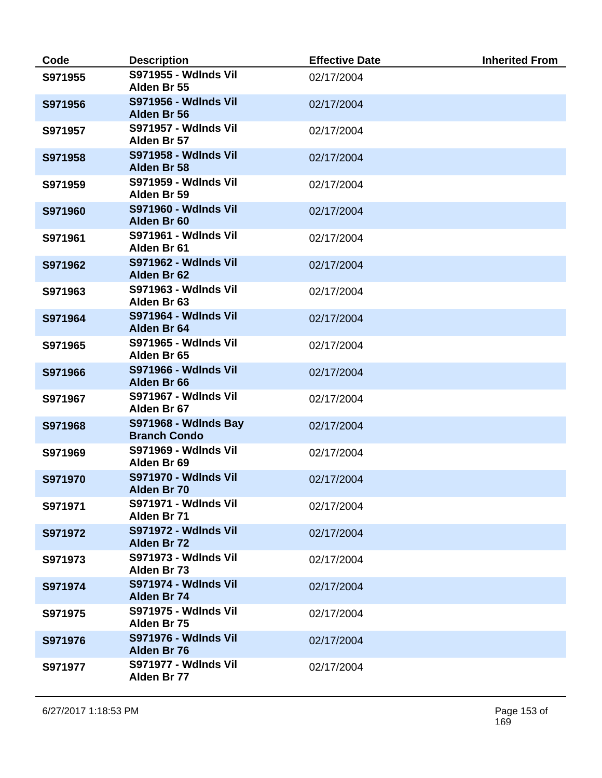| Code    | <b>Description</b>                                 | <b>Effective Date</b> | <b>Inherited From</b> |
|---------|----------------------------------------------------|-----------------------|-----------------------|
| S971955 | <b>S971955 - Wdlnds Vil</b><br>Alden Br 55         | 02/17/2004            |                       |
| S971956 | <b>S971956 - Wdlnds Vil</b><br>Alden Br 56         | 02/17/2004            |                       |
| S971957 | <b>S971957 - Wdlnds Vil</b><br>Alden Br 57         | 02/17/2004            |                       |
| S971958 | <b>S971958 - Wdlnds Vil</b><br>Alden Br 58         | 02/17/2004            |                       |
| S971959 | <b>S971959 - Wdlnds Vil</b><br>Alden Br 59         | 02/17/2004            |                       |
| S971960 | <b>S971960 - Wdlnds Vil</b><br>Alden Br 60         | 02/17/2004            |                       |
| S971961 | <b>S971961 - Wdlnds Vil</b><br>Alden Br 61         | 02/17/2004            |                       |
| S971962 | <b>S971962 - Wdlnds Vil</b><br>Alden Br 62         | 02/17/2004            |                       |
| S971963 | <b>S971963 - Wdlnds Vil</b><br>Alden Br 63         | 02/17/2004            |                       |
| S971964 | <b>S971964 - Wdlnds Vil</b><br>Alden Br 64         | 02/17/2004            |                       |
| S971965 | <b>S971965 - Wdlnds Vil</b><br>Alden Br 65         | 02/17/2004            |                       |
| S971966 | <b>S971966 - Wdlnds Vil</b><br>Alden Br 66         | 02/17/2004            |                       |
| S971967 | <b>S971967 - Wdlnds Vil</b><br>Alden Br 67         | 02/17/2004            |                       |
| S971968 | <b>S971968 - Wdlnds Bay</b><br><b>Branch Condo</b> | 02/17/2004            |                       |
| S971969 | <b>S971969 - Wdlnds Vil</b><br>Alden Br 69         | 02/17/2004            |                       |
| S971970 | <b>S971970 - Wdlnds Vil</b><br>Alden Br 70         | 02/17/2004            |                       |
| S971971 | <b>S971971 - Wdlnds Vil</b><br>Alden Br 71         | 02/17/2004            |                       |
| S971972 | <b>S971972 - Wdlnds Vil</b><br>Alden Br 72         | 02/17/2004            |                       |
| S971973 | <b>S971973 - Wdlnds Vil</b><br>Alden Br 73         | 02/17/2004            |                       |
| S971974 | <b>S971974 - Wdlnds Vil</b><br>Alden Br 74         | 02/17/2004            |                       |
| S971975 | <b>S971975 - Wdlnds Vil</b><br>Alden Br 75         | 02/17/2004            |                       |
| S971976 | <b>S971976 - Wdlnds Vil</b><br>Alden Br 76         | 02/17/2004            |                       |
| S971977 | <b>S971977 - Wdlnds Vil</b><br>Alden Br 77         | 02/17/2004            |                       |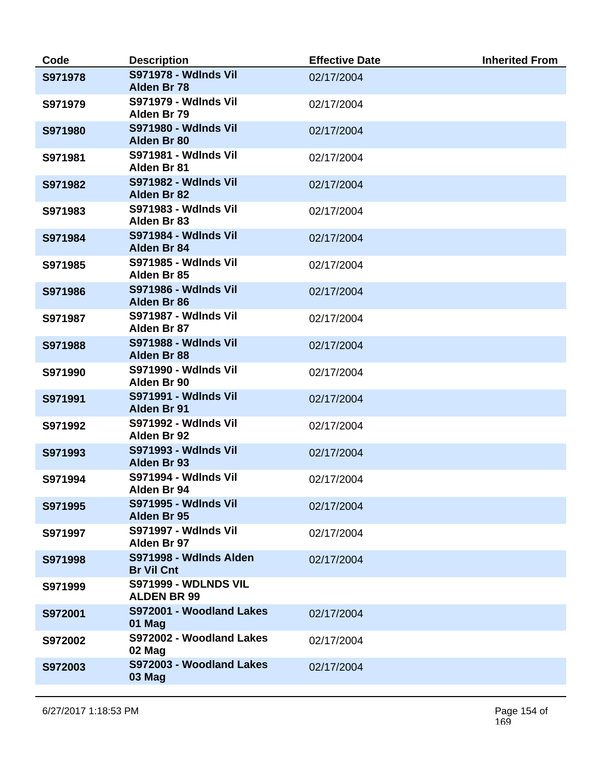| Code    | <b>Description</b>                                | <b>Effective Date</b> | <b>Inherited From</b> |
|---------|---------------------------------------------------|-----------------------|-----------------------|
| S971978 | <b>S971978 - Wdlnds Vil</b><br>Alden Br 78        | 02/17/2004            |                       |
| S971979 | <b>S971979 - Wdlnds Vil</b><br>Alden Br 79        | 02/17/2004            |                       |
| S971980 | <b>S971980 - Wdlnds Vil</b><br>Alden Br 80        | 02/17/2004            |                       |
| S971981 | S971981 - Wdlnds Vil<br>Alden Br 81               | 02/17/2004            |                       |
| S971982 | <b>S971982 - Wdlnds Vil</b><br>Alden Br 82        | 02/17/2004            |                       |
| S971983 | <b>S971983 - Wdlnds Vil</b><br>Alden Br 83        | 02/17/2004            |                       |
| S971984 | <b>S971984 - Wdlnds Vil</b><br>Alden Br 84        | 02/17/2004            |                       |
| S971985 | <b>S971985 - Wdlnds Vil</b><br>Alden Br 85        | 02/17/2004            |                       |
| S971986 | <b>S971986 - Wdlnds Vil</b><br>Alden Br 86        | 02/17/2004            |                       |
| S971987 | <b>S971987 - Wdlnds Vil</b><br>Alden Br 87        | 02/17/2004            |                       |
| S971988 | <b>S971988 - Wdlnds Vil</b><br>Alden Br 88        | 02/17/2004            |                       |
| S971990 | <b>S971990 - Wdlnds Vil</b><br>Alden Br 90        | 02/17/2004            |                       |
| S971991 | <b>S971991 - Wdlnds Vil</b><br>Alden Br 91        | 02/17/2004            |                       |
| S971992 | <b>S971992 - Wdlnds Vil</b><br>Alden Br 92        | 02/17/2004            |                       |
| S971993 | <b>S971993 - Wdlnds Vil</b><br>Alden Br 93        | 02/17/2004            |                       |
| S971994 | <b>S971994 - Wdlnds Vil</b><br>Alden Br 94        | 02/17/2004            |                       |
| S971995 | <b>S971995 - Wdlnds Vil</b><br>Alden Br 95        | 02/17/2004            |                       |
| S971997 | <b>S971997 - Wdlnds Vil</b><br>Alden Br 97        | 02/17/2004            |                       |
| S971998 | S971998 - Wdlnds Alden<br><b>Br Vil Cnt</b>       | 02/17/2004            |                       |
| S971999 | <b>S971999 - WDLNDS VIL</b><br><b>ALDEN BR 99</b> |                       |                       |
| S972001 | S972001 - Woodland Lakes<br>01 Mag                | 02/17/2004            |                       |
| S972002 | S972002 - Woodland Lakes<br>02 Mag                | 02/17/2004            |                       |
| S972003 | S972003 - Woodland Lakes<br>03 Mag                | 02/17/2004            |                       |
|         |                                                   |                       |                       |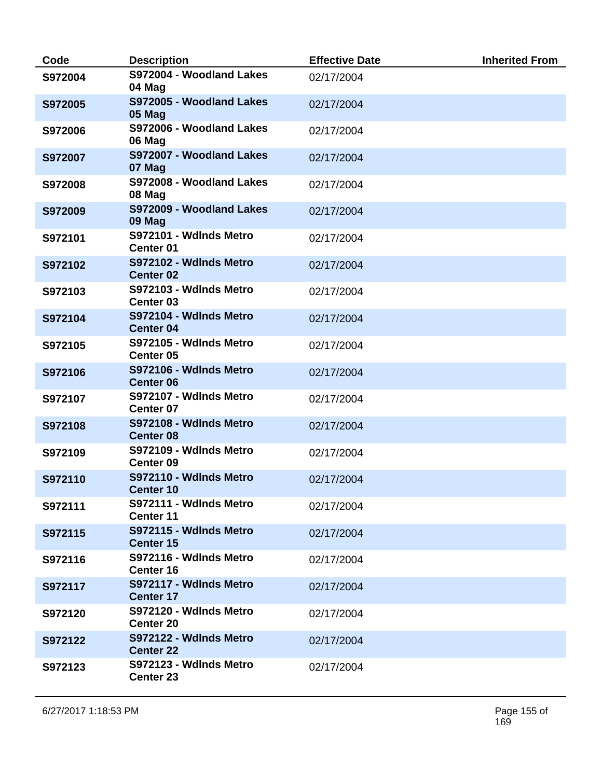| Code    | <b>Description</b>                             | <b>Effective Date</b> | <b>Inherited From</b> |
|---------|------------------------------------------------|-----------------------|-----------------------|
| S972004 | S972004 - Woodland Lakes<br>04 Mag             | 02/17/2004            |                       |
| S972005 | S972005 - Woodland Lakes<br>05 Mag             | 02/17/2004            |                       |
| S972006 | S972006 - Woodland Lakes<br>06 Mag             | 02/17/2004            |                       |
| S972007 | S972007 - Woodland Lakes<br>07 Mag             | 02/17/2004            |                       |
| S972008 | S972008 - Woodland Lakes<br>08 Mag             | 02/17/2004            |                       |
| S972009 | S972009 - Woodland Lakes<br>09 Mag             | 02/17/2004            |                       |
| S972101 | S972101 - Wdlnds Metro<br>Center <sub>01</sub> | 02/17/2004            |                       |
| S972102 | S972102 - Wdlnds Metro<br><b>Center 02</b>     | 02/17/2004            |                       |
| S972103 | S972103 - Wdlnds Metro<br>Center <sub>03</sub> | 02/17/2004            |                       |
| S972104 | S972104 - Wdlnds Metro<br><b>Center 04</b>     | 02/17/2004            |                       |
| S972105 | S972105 - Wdlnds Metro<br>Center <sub>05</sub> | 02/17/2004            |                       |
| S972106 | S972106 - Wdlnds Metro<br><b>Center 06</b>     | 02/17/2004            |                       |
| S972107 | S972107 - Wdlnds Metro<br>Center 07            | 02/17/2004            |                       |
| S972108 | S972108 - Wdlnds Metro<br><b>Center 08</b>     | 02/17/2004            |                       |
| S972109 | S972109 - Wdlnds Metro<br>Center <sub>09</sub> | 02/17/2004            |                       |
| S972110 | S972110 - Wdlnds Metro<br><b>Center 10</b>     | 02/17/2004            |                       |
| S972111 | S972111 - Wdlnds Metro<br><b>Center 11</b>     | 02/17/2004            |                       |
| S972115 | S972115 - Wdlnds Metro<br><b>Center 15</b>     | 02/17/2004            |                       |
| S972116 | S972116 - Wdlnds Metro<br>Center 16            | 02/17/2004            |                       |
| S972117 | S972117 - Wdlnds Metro<br><b>Center 17</b>     | 02/17/2004            |                       |
| S972120 | S972120 - Wdlnds Metro<br><b>Center 20</b>     | 02/17/2004            |                       |
| S972122 | S972122 - Wdlnds Metro<br><b>Center 22</b>     | 02/17/2004            |                       |
| S972123 | S972123 - Wdlnds Metro<br>Center 23            | 02/17/2004            |                       |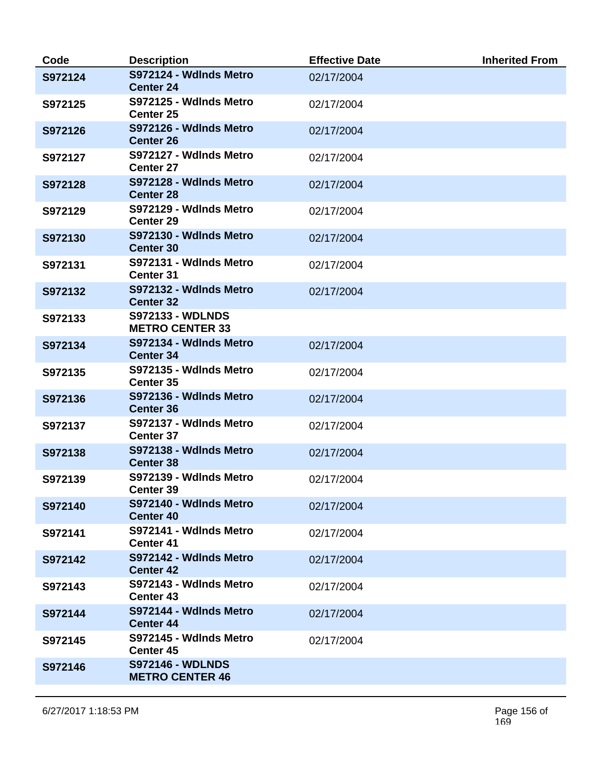| Code    | <b>Description</b>                                | <b>Effective Date</b> | <b>Inherited From</b> |
|---------|---------------------------------------------------|-----------------------|-----------------------|
| S972124 | S972124 - Wdlnds Metro<br><b>Center 24</b>        | 02/17/2004            |                       |
| S972125 | S972125 - Wdlnds Metro<br>Center 25               | 02/17/2004            |                       |
| S972126 | S972126 - Wdlnds Metro<br><b>Center 26</b>        | 02/17/2004            |                       |
| S972127 | S972127 - Wdlnds Metro<br><b>Center 27</b>        | 02/17/2004            |                       |
| S972128 | S972128 - Wdlnds Metro<br><b>Center 28</b>        | 02/17/2004            |                       |
| S972129 | S972129 - Wdlnds Metro<br><b>Center 29</b>        | 02/17/2004            |                       |
| S972130 | S972130 - Wdlnds Metro<br><b>Center 30</b>        | 02/17/2004            |                       |
| S972131 | S972131 - Wdlnds Metro<br><b>Center 31</b>        | 02/17/2004            |                       |
| S972132 | S972132 - Wdlnds Metro<br><b>Center 32</b>        | 02/17/2004            |                       |
| S972133 | <b>S972133 - WDLNDS</b><br><b>METRO CENTER 33</b> |                       |                       |
| S972134 | S972134 - Wdlnds Metro<br><b>Center 34</b>        | 02/17/2004            |                       |
| S972135 | S972135 - Wdlnds Metro<br><b>Center 35</b>        | 02/17/2004            |                       |
| S972136 | S972136 - Wdlnds Metro<br><b>Center 36</b>        | 02/17/2004            |                       |
| S972137 | S972137 - Wdlnds Metro<br>Center 37               | 02/17/2004            |                       |
| S972138 | S972138 - Wdlnds Metro<br><b>Center 38</b>        | 02/17/2004            |                       |
| S972139 | S972139 - Wdlnds Metro<br><b>Center 39</b>        | 02/17/2004            |                       |
| S972140 | S972140 - Wdlnds Metro<br><b>Center 40</b>        | 02/17/2004            |                       |
| S972141 | S972141 - Wdlnds Metro<br><b>Center 41</b>        | 02/17/2004            |                       |
| S972142 | S972142 - Wdlnds Metro<br><b>Center 42</b>        | 02/17/2004            |                       |
| S972143 | S972143 - Wdlnds Metro<br><b>Center 43</b>        | 02/17/2004            |                       |
| S972144 | S972144 - Wdlnds Metro<br><b>Center 44</b>        | 02/17/2004            |                       |
| S972145 | S972145 - Wdlnds Metro<br>Center 45               | 02/17/2004            |                       |
| S972146 | <b>S972146 - WDLNDS</b><br><b>METRO CENTER 46</b> |                       |                       |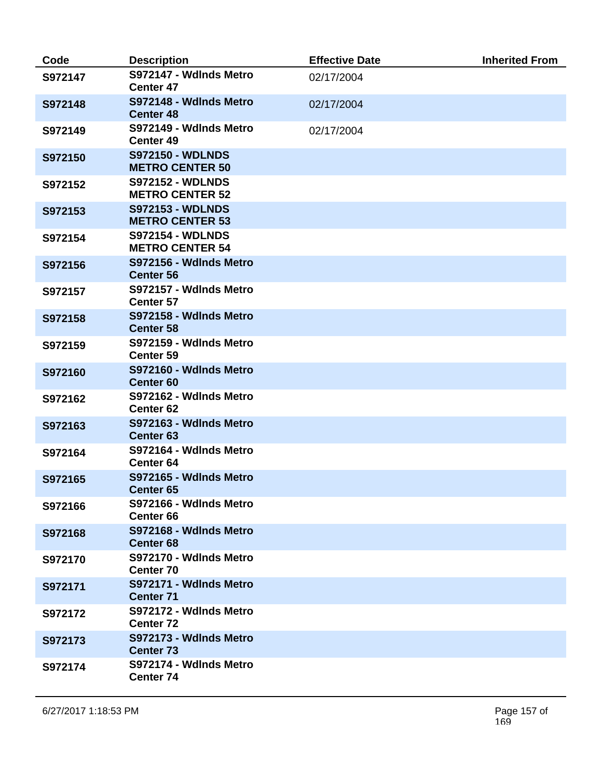| Code    | <b>Description</b>                                | <b>Effective Date</b> | <b>Inherited From</b> |
|---------|---------------------------------------------------|-----------------------|-----------------------|
| S972147 | S972147 - Wdlnds Metro<br><b>Center 47</b>        | 02/17/2004            |                       |
| S972148 | S972148 - Wdlnds Metro<br><b>Center 48</b>        | 02/17/2004            |                       |
| S972149 | S972149 - Wdlnds Metro<br>Center 49               | 02/17/2004            |                       |
| S972150 | <b>S972150 - WDLNDS</b><br><b>METRO CENTER 50</b> |                       |                       |
| S972152 | <b>S972152 - WDLNDS</b><br><b>METRO CENTER 52</b> |                       |                       |
| S972153 | <b>S972153 - WDLNDS</b><br><b>METRO CENTER 53</b> |                       |                       |
| S972154 | <b>S972154 - WDLNDS</b><br><b>METRO CENTER 54</b> |                       |                       |
| S972156 | S972156 - Wdlnds Metro<br><b>Center 56</b>        |                       |                       |
| S972157 | S972157 - Wdlnds Metro<br><b>Center 57</b>        |                       |                       |
| S972158 | S972158 - Wdlnds Metro<br><b>Center 58</b>        |                       |                       |
| S972159 | S972159 - Wdlnds Metro<br><b>Center 59</b>        |                       |                       |
| S972160 | S972160 - Wdlnds Metro<br><b>Center 60</b>        |                       |                       |
| S972162 | S972162 - Wdlnds Metro<br>Center <sub>62</sub>    |                       |                       |
| S972163 | S972163 - Wdlnds Metro<br><b>Center 63</b>        |                       |                       |
| S972164 | S972164 - Wdlnds Metro<br><b>Center 64</b>        |                       |                       |
| S972165 | S972165 - Wdlnds Metro<br><b>Center 65</b>        |                       |                       |
| S972166 | S972166 - Wdlnds Metro<br>Center 66               |                       |                       |
| S972168 | S972168 - Wdlnds Metro<br><b>Center 68</b>        |                       |                       |
| S972170 | S972170 - Wdlnds Metro<br><b>Center 70</b>        |                       |                       |
| S972171 | S972171 - Wdlnds Metro<br><b>Center 71</b>        |                       |                       |
| S972172 | S972172 - Wdlnds Metro<br><b>Center 72</b>        |                       |                       |
| S972173 | S972173 - Wdlnds Metro<br><b>Center 73</b>        |                       |                       |
| S972174 | S972174 - Wdlnds Metro<br>Center 74               |                       |                       |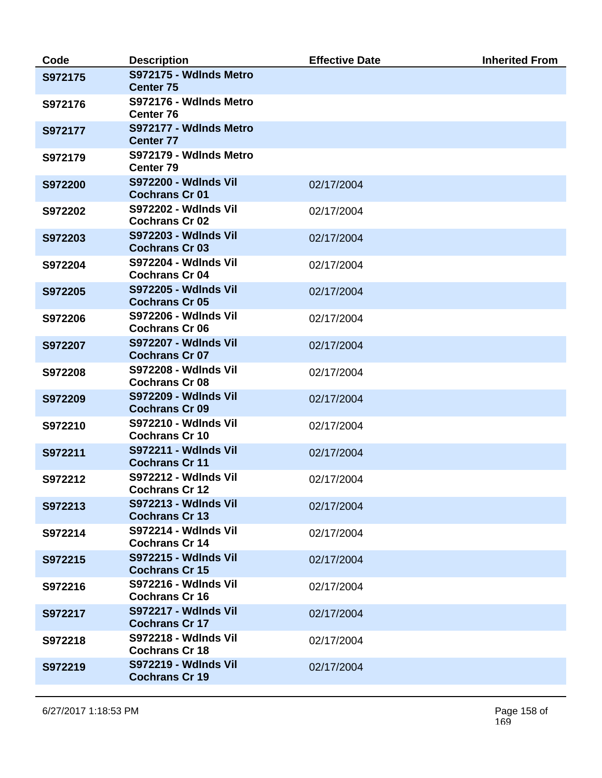| Code    | <b>Description</b>                                   | <b>Effective Date</b> | <b>Inherited From</b> |
|---------|------------------------------------------------------|-----------------------|-----------------------|
| S972175 | S972175 - Wdlnds Metro<br><b>Center 75</b>           |                       |                       |
| S972176 | S972176 - Wdlnds Metro<br><b>Center 76</b>           |                       |                       |
| S972177 | S972177 - Wdlnds Metro<br><b>Center 77</b>           |                       |                       |
| S972179 | S972179 - Wdlnds Metro<br><b>Center 79</b>           |                       |                       |
| S972200 | <b>S972200 - Wdlnds Vil</b><br><b>Cochrans Cr 01</b> | 02/17/2004            |                       |
| S972202 | <b>S972202 - Wdlnds Vil</b><br><b>Cochrans Cr 02</b> | 02/17/2004            |                       |
| S972203 | <b>S972203 - Wdlnds Vil</b><br><b>Cochrans Cr 03</b> | 02/17/2004            |                       |
| S972204 | <b>S972204 - Wdlnds Vil</b><br><b>Cochrans Cr 04</b> | 02/17/2004            |                       |
| S972205 | <b>S972205 - Wdlnds Vil</b><br><b>Cochrans Cr 05</b> | 02/17/2004            |                       |
| S972206 | <b>S972206 - Wdlnds Vil</b><br><b>Cochrans Cr 06</b> | 02/17/2004            |                       |
| S972207 | <b>S972207 - Wdlnds Vil</b><br><b>Cochrans Cr 07</b> | 02/17/2004            |                       |
| S972208 | <b>S972208 - Wdlnds Vil</b><br><b>Cochrans Cr 08</b> | 02/17/2004            |                       |
| S972209 | <b>S972209 - Wdlnds Vil</b><br><b>Cochrans Cr 09</b> | 02/17/2004            |                       |
| S972210 | <b>S972210 - Wdlnds Vil</b><br><b>Cochrans Cr 10</b> | 02/17/2004            |                       |
| S972211 | <b>S972211 - Wdlnds Vil</b><br><b>Cochrans Cr 11</b> | 02/17/2004            |                       |
| S972212 | <b>S972212 - Wdlnds Vil</b><br><b>Cochrans Cr 12</b> | 02/17/2004            |                       |
| S972213 | <b>S972213 - Wdlnds Vil</b><br><b>Cochrans Cr 13</b> | 02/17/2004            |                       |
| S972214 | <b>S972214 - Wdlnds Vil</b><br><b>Cochrans Cr 14</b> | 02/17/2004            |                       |
| S972215 | <b>S972215 - Wdlnds Vil</b><br><b>Cochrans Cr 15</b> | 02/17/2004            |                       |
| S972216 | <b>S972216 - Wdlnds Vil</b><br><b>Cochrans Cr 16</b> | 02/17/2004            |                       |
| S972217 | <b>S972217 - Wdlnds Vil</b><br><b>Cochrans Cr 17</b> | 02/17/2004            |                       |
| S972218 | <b>S972218 - Wdlnds Vil</b><br><b>Cochrans Cr 18</b> | 02/17/2004            |                       |
| S972219 | <b>S972219 - Wdlnds Vil</b><br><b>Cochrans Cr 19</b> | 02/17/2004            |                       |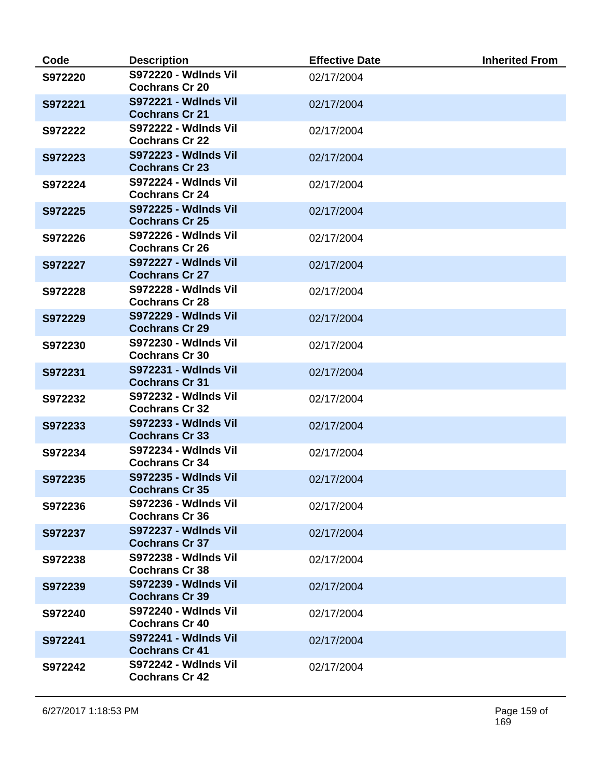| Code    | <b>Description</b>                                   | <b>Effective Date</b> | <b>Inherited From</b> |
|---------|------------------------------------------------------|-----------------------|-----------------------|
| S972220 | <b>S972220 - Wdlnds Vil</b><br><b>Cochrans Cr 20</b> | 02/17/2004            |                       |
| S972221 | <b>S972221 - Wdlnds Vil</b><br><b>Cochrans Cr 21</b> | 02/17/2004            |                       |
| S972222 | <b>S972222 - Wdlnds Vil</b><br><b>Cochrans Cr 22</b> | 02/17/2004            |                       |
| S972223 | <b>S972223 - Wdlnds Vil</b><br><b>Cochrans Cr 23</b> | 02/17/2004            |                       |
| S972224 | <b>S972224 - Wdlnds Vil</b><br><b>Cochrans Cr 24</b> | 02/17/2004            |                       |
| S972225 | <b>S972225 - Wdlnds Vil</b><br><b>Cochrans Cr 25</b> | 02/17/2004            |                       |
| S972226 | <b>S972226 - Wdlnds Vil</b><br><b>Cochrans Cr 26</b> | 02/17/2004            |                       |
| S972227 | <b>S972227 - Wdlnds Vil</b><br><b>Cochrans Cr 27</b> | 02/17/2004            |                       |
| S972228 | <b>S972228 - Wdlnds Vil</b><br><b>Cochrans Cr 28</b> | 02/17/2004            |                       |
| S972229 | <b>S972229 - Wdlnds Vil</b><br><b>Cochrans Cr 29</b> | 02/17/2004            |                       |
| S972230 | <b>S972230 - Wdlnds Vil</b><br><b>Cochrans Cr 30</b> | 02/17/2004            |                       |
| S972231 | <b>S972231 - Wdlnds Vil</b><br><b>Cochrans Cr 31</b> | 02/17/2004            |                       |
| S972232 | <b>S972232 - Wdlnds Vil</b><br><b>Cochrans Cr 32</b> | 02/17/2004            |                       |
| S972233 | <b>S972233 - Wdlnds Vil</b><br><b>Cochrans Cr 33</b> | 02/17/2004            |                       |
| S972234 | <b>S972234 - Wdlnds Vil</b><br><b>Cochrans Cr 34</b> | 02/17/2004            |                       |
| S972235 | <b>S972235 - Wdlnds Vil</b><br><b>Cochrans Cr 35</b> | 02/17/2004            |                       |
| S972236 | <b>S972236 - Wdlnds Vil</b><br><b>Cochrans Cr 36</b> | 02/17/2004            |                       |
| S972237 | <b>S972237 - Wdlnds Vil</b><br><b>Cochrans Cr 37</b> | 02/17/2004            |                       |
| S972238 | <b>S972238 - Wdlnds Vil</b><br><b>Cochrans Cr 38</b> | 02/17/2004            |                       |
| S972239 | <b>S972239 - Wdlnds Vil</b><br><b>Cochrans Cr 39</b> | 02/17/2004            |                       |
| S972240 | <b>S972240 - Wdlnds Vil</b><br><b>Cochrans Cr 40</b> | 02/17/2004            |                       |
| S972241 | <b>S972241 - Wdlnds Vil</b><br><b>Cochrans Cr 41</b> | 02/17/2004            |                       |
| S972242 | <b>S972242 - Wdlnds Vil</b><br><b>Cochrans Cr 42</b> | 02/17/2004            |                       |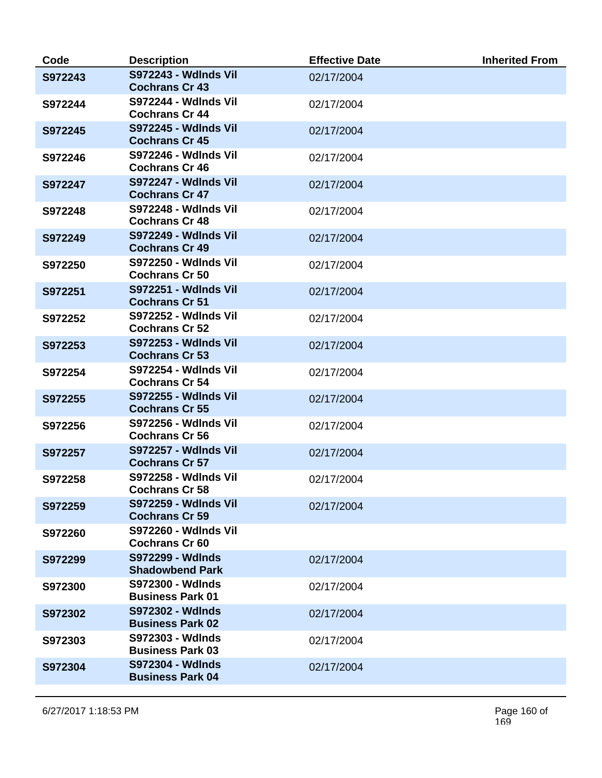| Code    | <b>Description</b>                                   | <b>Effective Date</b> | <b>Inherited From</b> |
|---------|------------------------------------------------------|-----------------------|-----------------------|
| S972243 | <b>S972243 - Wdlnds Vil</b><br><b>Cochrans Cr 43</b> | 02/17/2004            |                       |
| S972244 | <b>S972244 - Wdlnds Vil</b><br><b>Cochrans Cr 44</b> | 02/17/2004            |                       |
| S972245 | <b>S972245 - Wdlnds Vil</b><br><b>Cochrans Cr 45</b> | 02/17/2004            |                       |
| S972246 | <b>S972246 - Wdlnds Vil</b><br><b>Cochrans Cr 46</b> | 02/17/2004            |                       |
| S972247 | <b>S972247 - Wdlnds Vil</b><br><b>Cochrans Cr 47</b> | 02/17/2004            |                       |
| S972248 | <b>S972248 - Wdlnds Vil</b><br><b>Cochrans Cr 48</b> | 02/17/2004            |                       |
| S972249 | <b>S972249 - Wdlnds Vil</b><br><b>Cochrans Cr 49</b> | 02/17/2004            |                       |
| S972250 | <b>S972250 - Wdlnds Vil</b><br><b>Cochrans Cr 50</b> | 02/17/2004            |                       |
| S972251 | <b>S972251 - Wdlnds Vil</b><br><b>Cochrans Cr 51</b> | 02/17/2004            |                       |
| S972252 | <b>S972252 - Wdlnds Vil</b><br><b>Cochrans Cr 52</b> | 02/17/2004            |                       |
| S972253 | <b>S972253 - Wdlnds Vil</b><br><b>Cochrans Cr 53</b> | 02/17/2004            |                       |
| S972254 | <b>S972254 - Wdlnds Vil</b><br><b>Cochrans Cr 54</b> | 02/17/2004            |                       |
| S972255 | <b>S972255 - Wdlnds Vil</b><br><b>Cochrans Cr 55</b> | 02/17/2004            |                       |
| S972256 | <b>S972256 - Wdlnds Vil</b><br><b>Cochrans Cr 56</b> | 02/17/2004            |                       |
| S972257 | <b>S972257 - Wdlnds Vil</b><br><b>Cochrans Cr 57</b> | 02/17/2004            |                       |
| S972258 | <b>S972258 - Wdlnds Vil</b><br><b>Cochrans Cr 58</b> | 02/17/2004            |                       |
| S972259 | <b>S972259 - Wdlnds Vil</b><br><b>Cochrans Cr 59</b> | 02/17/2004            |                       |
| S972260 | <b>S972260 - Wdlnds Vil</b><br><b>Cochrans Cr 60</b> |                       |                       |
| S972299 | S972299 - Wdlnds<br><b>Shadowbend Park</b>           | 02/17/2004            |                       |
| S972300 | S972300 - Wdlnds<br><b>Business Park 01</b>          | 02/17/2004            |                       |
| S972302 | <b>S972302 - Wdlnds</b><br><b>Business Park 02</b>   | 02/17/2004            |                       |
| S972303 | S972303 - Wdlnds<br><b>Business Park 03</b>          | 02/17/2004            |                       |
| S972304 | <b>S972304 - Wdlnds</b><br><b>Business Park 04</b>   | 02/17/2004            |                       |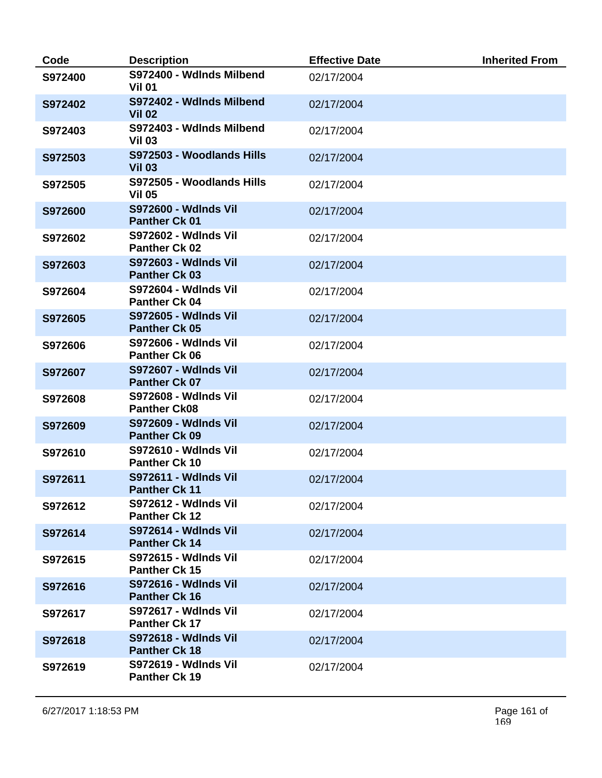| Code    | <b>Description</b>                                  | <b>Effective Date</b> | <b>Inherited From</b> |
|---------|-----------------------------------------------------|-----------------------|-----------------------|
| S972400 | S972400 - Wdlnds Milbend<br><b>Vil 01</b>           | 02/17/2004            |                       |
| S972402 | S972402 - Wdlnds Milbend<br><b>Vil 02</b>           | 02/17/2004            |                       |
| S972403 | S972403 - Wdlnds Milbend<br><b>Vil 03</b>           | 02/17/2004            |                       |
| S972503 | S972503 - Woodlands Hills<br><b>Vil 03</b>          | 02/17/2004            |                       |
| S972505 | S972505 - Woodlands Hills<br><b>Vil 05</b>          | 02/17/2004            |                       |
| S972600 | <b>S972600 - Wdlnds Vil</b><br><b>Panther Ck 01</b> | 02/17/2004            |                       |
| S972602 | <b>S972602 - Wdlnds Vil</b><br>Panther Ck 02        | 02/17/2004            |                       |
| S972603 | <b>S972603 - Wdlnds Vil</b><br><b>Panther Ck 03</b> | 02/17/2004            |                       |
| S972604 | <b>S972604 - Wdlnds Vil</b><br><b>Panther Ck 04</b> | 02/17/2004            |                       |
| S972605 | <b>S972605 - Wdlnds Vil</b><br><b>Panther Ck 05</b> | 02/17/2004            |                       |
| S972606 | <b>S972606 - Wdlnds Vil</b><br><b>Panther Ck 06</b> | 02/17/2004            |                       |
| S972607 | <b>S972607 - Wdlnds Vil</b><br><b>Panther Ck 07</b> | 02/17/2004            |                       |
| S972608 | <b>S972608 - Wdlnds Vil</b><br><b>Panther Ck08</b>  | 02/17/2004            |                       |
| S972609 | <b>S972609 - Wdlnds Vil</b><br><b>Panther Ck 09</b> | 02/17/2004            |                       |
| S972610 | <b>S972610 - Wdlnds Vil</b><br><b>Panther Ck 10</b> | 02/17/2004            |                       |
| S972611 | <b>S972611 - Wdlnds Vil</b><br><b>Panther Ck 11</b> | 02/17/2004            |                       |
| S972612 | <b>S972612 - Wdlnds Vil</b><br><b>Panther Ck 12</b> | 02/17/2004            |                       |
| S972614 | <b>S972614 - Wdlnds Vil</b><br><b>Panther Ck 14</b> | 02/17/2004            |                       |
| S972615 | <b>S972615 - Wdlnds Vil</b><br><b>Panther Ck 15</b> | 02/17/2004            |                       |
| S972616 | <b>S972616 - Wdlnds Vil</b><br><b>Panther Ck 16</b> | 02/17/2004            |                       |
| S972617 | <b>S972617 - Wdlnds Vil</b><br><b>Panther Ck 17</b> | 02/17/2004            |                       |
| S972618 | <b>S972618 - Wdlnds Vil</b><br><b>Panther Ck 18</b> | 02/17/2004            |                       |
| S972619 | <b>S972619 - Wdlnds Vil</b><br><b>Panther Ck 19</b> | 02/17/2004            |                       |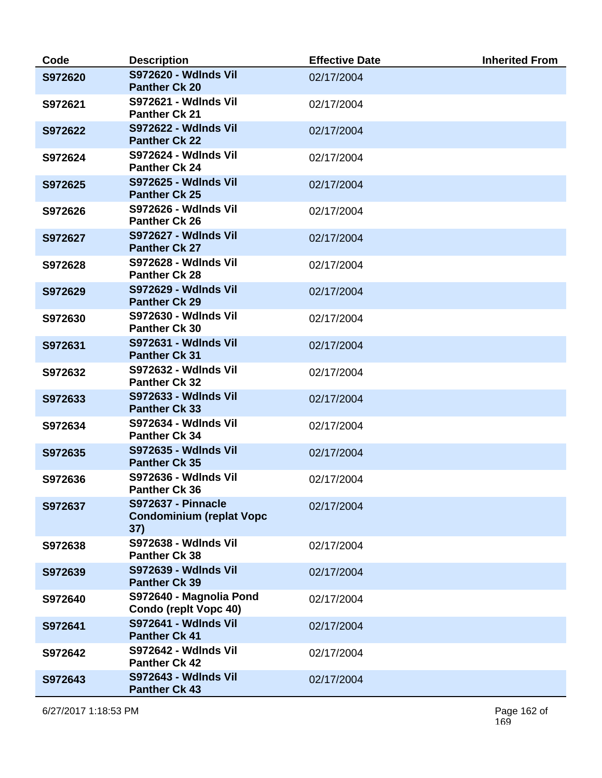| Code    | <b>Description</b>                                                  | <b>Effective Date</b> | <b>Inherited From</b> |
|---------|---------------------------------------------------------------------|-----------------------|-----------------------|
| S972620 | <b>S972620 - Wdlnds Vil</b><br><b>Panther Ck 20</b>                 | 02/17/2004            |                       |
| S972621 | <b>S972621 - Wdlnds Vil</b><br><b>Panther Ck 21</b>                 | 02/17/2004            |                       |
| S972622 | <b>S972622 - Wdlnds Vil</b><br><b>Panther Ck 22</b>                 | 02/17/2004            |                       |
| S972624 | <b>S972624 - Wdlnds Vil</b><br><b>Panther Ck 24</b>                 | 02/17/2004            |                       |
| S972625 | <b>S972625 - Wdlnds Vil</b><br><b>Panther Ck 25</b>                 | 02/17/2004            |                       |
| S972626 | <b>S972626 - Wdlnds Vil</b><br><b>Panther Ck 26</b>                 | 02/17/2004            |                       |
| S972627 | <b>S972627 - Wdlnds Vil</b><br><b>Panther Ck 27</b>                 | 02/17/2004            |                       |
| S972628 | <b>S972628 - Wdlnds Vil</b><br><b>Panther Ck 28</b>                 | 02/17/2004            |                       |
| S972629 | <b>S972629 - Wdlnds Vil</b><br><b>Panther Ck 29</b>                 | 02/17/2004            |                       |
| S972630 | <b>S972630 - Wdlnds Vil</b><br><b>Panther Ck 30</b>                 | 02/17/2004            |                       |
| S972631 | <b>S972631 - Wdlnds Vil</b><br><b>Panther Ck 31</b>                 | 02/17/2004            |                       |
| S972632 | <b>S972632 - Wdlnds Vil</b><br><b>Panther Ck 32</b>                 | 02/17/2004            |                       |
| S972633 | <b>S972633 - Wdlnds Vil</b><br><b>Panther Ck 33</b>                 | 02/17/2004            |                       |
| S972634 | <b>S972634 - Wdlnds Vil</b><br><b>Panther Ck 34</b>                 | 02/17/2004            |                       |
| S972635 | <b>S972635 - Wdlnds Vil</b><br><b>Panther Ck 35</b>                 | 02/17/2004            |                       |
| S972636 | <b>S972636 - Wdlnds Vil</b><br><b>Panther Ck 36</b>                 | 02/17/2004            |                       |
| S972637 | <b>S972637 - Pinnacle</b><br><b>Condominium (replat Vopc</b><br>37) | 02/17/2004            |                       |
| S972638 | <b>S972638 - Wdlnds Vil</b><br><b>Panther Ck 38</b>                 | 02/17/2004            |                       |
| S972639 | S972639 - Wdlnds Vil<br><b>Panther Ck 39</b>                        | 02/17/2004            |                       |
| S972640 | S972640 - Magnolia Pond<br><b>Condo (replt Vopc 40)</b>             | 02/17/2004            |                       |
| S972641 | <b>S972641 - Wdlnds Vil</b><br><b>Panther Ck 41</b>                 | 02/17/2004            |                       |
| S972642 | <b>S972642 - Wdlnds Vil</b><br><b>Panther Ck 42</b>                 | 02/17/2004            |                       |
| S972643 | <b>S972643 - Wdlnds Vil</b><br><b>Panther Ck 43</b>                 | 02/17/2004            |                       |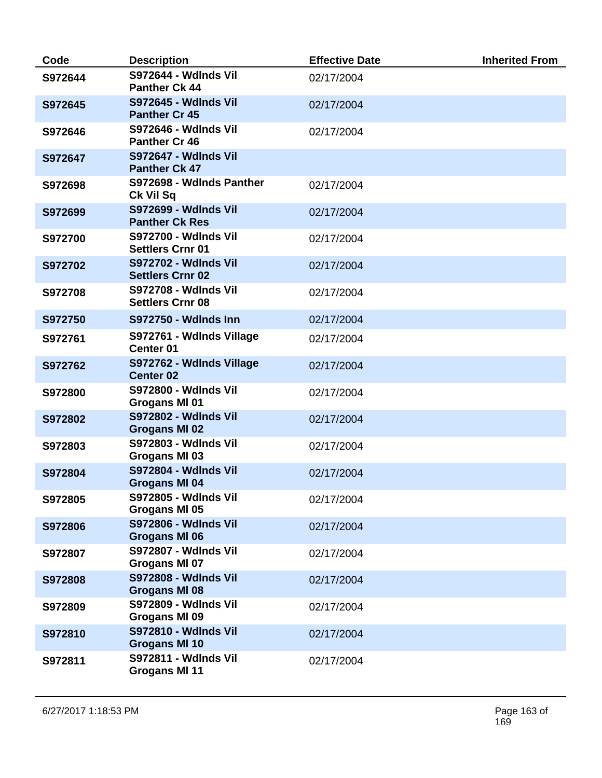| Code    | <b>Description</b>                                     | <b>Effective Date</b> | <b>Inherited From</b> |
|---------|--------------------------------------------------------|-----------------------|-----------------------|
| S972644 | <b>S972644 - Wdlnds Vil</b><br><b>Panther Ck 44</b>    | 02/17/2004            |                       |
| S972645 | <b>S972645 - Wdlnds Vil</b><br><b>Panther Cr 45</b>    | 02/17/2004            |                       |
| S972646 | <b>S972646 - Wdlnds Vil</b><br><b>Panther Cr 46</b>    | 02/17/2004            |                       |
| S972647 | <b>S972647 - Wdlnds Vil</b><br><b>Panther Ck 47</b>    |                       |                       |
| S972698 | S972698 - Wdlnds Panther<br>Ck Vil Sq                  | 02/17/2004            |                       |
| S972699 | <b>S972699 - Wdlnds Vil</b><br><b>Panther Ck Res</b>   | 02/17/2004            |                       |
| S972700 | <b>S972700 - Wdlnds Vil</b><br><b>Settlers Crnr 01</b> | 02/17/2004            |                       |
| S972702 | <b>S972702 - Wdlnds Vil</b><br><b>Settlers Crnr 02</b> | 02/17/2004            |                       |
| S972708 | <b>S972708 - Wdlnds Vil</b><br><b>Settlers Crnr 08</b> | 02/17/2004            |                       |
| S972750 | <b>S972750 - Wdlnds Inn</b>                            | 02/17/2004            |                       |
| S972761 | S972761 - Wdlnds Village<br><b>Center 01</b>           | 02/17/2004            |                       |
| S972762 | S972762 - Wdlnds Village<br><b>Center 02</b>           | 02/17/2004            |                       |
| S972800 | <b>S972800 - Wdlnds Vil</b><br>Grogans MI 01           | 02/17/2004            |                       |
| S972802 | <b>S972802 - Wdlnds Vil</b><br><b>Grogans MI 02</b>    | 02/17/2004            |                       |
| S972803 | <b>S972803 - Wdlnds Vil</b><br>Grogans MI 03           | 02/17/2004            |                       |
| S972804 | <b>S972804 - Wdlnds Vil</b><br><b>Grogans MI 04</b>    | 02/17/2004            |                       |
| S972805 | S972805 - Wdlnds Vil<br>Grogans MI 05                  | 02/17/2004            |                       |
| S972806 | <b>S972806 - Wdlnds Vil</b><br>Grogans MI 06           | 02/17/2004            |                       |
| S972807 | <b>S972807 - Wdlnds Vil</b><br>Grogans MI 07           | 02/17/2004            |                       |
| S972808 | <b>S972808 - Wdlnds Vil</b><br>Grogans MI 08           | 02/17/2004            |                       |
| S972809 | S972809 - Wdlnds Vil<br>Grogans MI 09                  | 02/17/2004            |                       |
| S972810 | <b>S972810 - Wdlnds Vil</b><br><b>Grogans MI 10</b>    | 02/17/2004            |                       |
| S972811 | <b>S972811 - Wdlnds Vil</b><br><b>Grogans MI 11</b>    | 02/17/2004            |                       |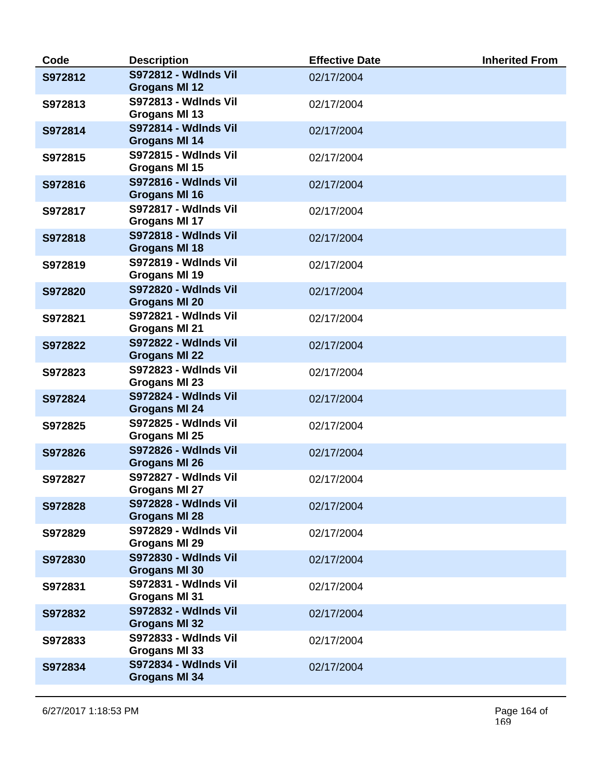| Code    | <b>Description</b>                                  | <b>Effective Date</b> | <b>Inherited From</b> |
|---------|-----------------------------------------------------|-----------------------|-----------------------|
| S972812 | <b>S972812 - Wdlnds Vil</b><br><b>Grogans MI 12</b> | 02/17/2004            |                       |
| S972813 | <b>S972813 - Wdlnds Vil</b><br>Grogans MI 13        | 02/17/2004            |                       |
| S972814 | <b>S972814 - Wdlnds Vil</b><br>Grogans MI 14        | 02/17/2004            |                       |
| S972815 | <b>S972815 - Wdlnds Vil</b><br><b>Grogans MI 15</b> | 02/17/2004            |                       |
| S972816 | <b>S972816 - Wdlnds Vil</b><br>Grogans MI 16        | 02/17/2004            |                       |
| S972817 | <b>S972817 - Wdlnds Vil</b><br>Grogans MI 17        | 02/17/2004            |                       |
| S972818 | <b>S972818 - Wdlnds Vil</b><br>Grogans MI 18        | 02/17/2004            |                       |
| S972819 | <b>S972819 - Wdlnds Vil</b><br>Grogans MI 19        | 02/17/2004            |                       |
| S972820 | <b>S972820 - Wdlnds Vil</b><br><b>Grogans MI 20</b> | 02/17/2004            |                       |
| S972821 | <b>S972821 - Wdlnds Vil</b><br>Grogans MI 21        | 02/17/2004            |                       |
| S972822 | <b>S972822 - Wdlnds Vil</b><br><b>Grogans MI 22</b> | 02/17/2004            |                       |
| S972823 | <b>S972823 - Wdlnds Vil</b><br><b>Grogans MI 23</b> | 02/17/2004            |                       |
| S972824 | <b>S972824 - Wdlnds Vil</b><br>Grogans MI 24        | 02/17/2004            |                       |
| S972825 | <b>S972825 - Wdlnds Vil</b><br>Grogans MI 25        | 02/17/2004            |                       |
| S972826 | <b>S972826 - Wdlnds Vil</b><br><b>Grogans MI 26</b> | 02/17/2004            |                       |
| S972827 | <b>S972827 - Wdlnds Vil</b><br>Grogans MI 27        | 02/17/2004            |                       |
| S972828 | <b>S972828 - Wdlnds Vil</b><br><b>Grogans MI 28</b> | 02/17/2004            |                       |
| S972829 | <b>S972829 - Wdlnds Vil</b><br>Grogans MI 29        | 02/17/2004            |                       |
| S972830 | S972830 - Wdlnds Vil<br><b>Grogans MI 30</b>        | 02/17/2004            |                       |
| S972831 | S972831 - Wdlnds Vil<br><b>Grogans MI 31</b>        | 02/17/2004            |                       |
| S972832 | <b>S972832 - Wdlnds Vil</b><br><b>Grogans MI 32</b> | 02/17/2004            |                       |
| S972833 | S972833 - Wdlnds Vil<br>Grogans MI 33               | 02/17/2004            |                       |
| S972834 | S972834 - Wdlnds Vil<br><b>Grogans MI 34</b>        | 02/17/2004            |                       |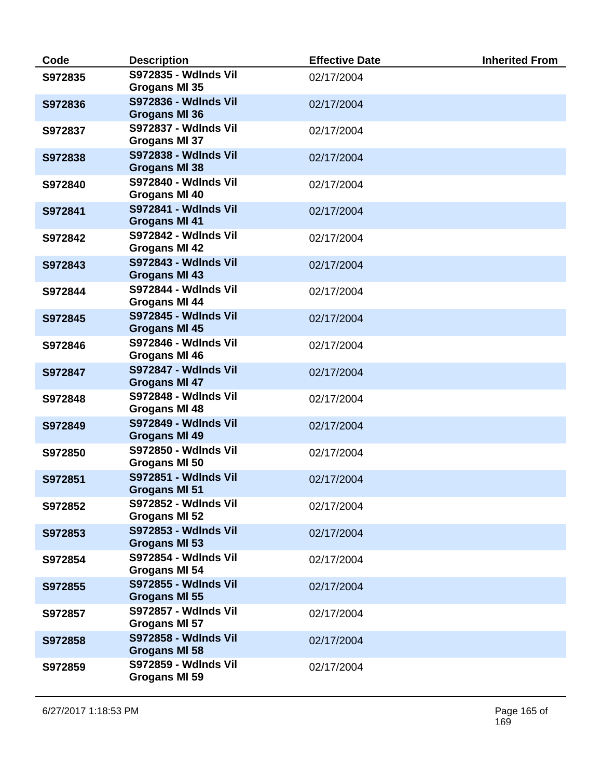| Code    | <b>Description</b>                                  | <b>Effective Date</b> | <b>Inherited From</b> |
|---------|-----------------------------------------------------|-----------------------|-----------------------|
| S972835 | <b>S972835 - Wdlnds Vil</b><br>Grogans MI 35        | 02/17/2004            |                       |
| S972836 | <b>S972836 - Wdlnds Vil</b><br><b>Grogans MI 36</b> | 02/17/2004            |                       |
| S972837 | <b>S972837 - Wdlnds Vil</b><br>Grogans MI 37        | 02/17/2004            |                       |
| S972838 | S972838 - Wdlnds Vil<br><b>Grogans MI 38</b>        | 02/17/2004            |                       |
| S972840 | <b>S972840 - Wdlnds Vil</b><br>Grogans MI 40        | 02/17/2004            |                       |
| S972841 | <b>S972841 - Wdlnds Vil</b><br><b>Grogans MI 41</b> | 02/17/2004            |                       |
| S972842 | <b>S972842 - Wdlnds Vil</b><br>Grogans MI 42        | 02/17/2004            |                       |
| S972843 | <b>S972843 - Wdlnds Vil</b><br><b>Grogans MI 43</b> | 02/17/2004            |                       |
| S972844 | <b>S972844 - Wdlnds Vil</b><br>Grogans MI 44        | 02/17/2004            |                       |
| S972845 | <b>S972845 - Wdlnds Vil</b><br>Grogans MI 45        | 02/17/2004            |                       |
| S972846 | <b>S972846 - Wdlnds Vil</b><br>Grogans MI 46        | 02/17/2004            |                       |
| S972847 | <b>S972847 - Wdlnds Vil</b><br>Grogans MI 47        | 02/17/2004            |                       |
| S972848 | <b>S972848 - Wdlnds Vil</b><br>Grogans MI 48        | 02/17/2004            |                       |
| S972849 | <b>S972849 - Wdlnds Vil</b><br><b>Grogans MI 49</b> | 02/17/2004            |                       |
| S972850 | <b>S972850 - Wdlnds Vil</b><br>Grogans MI 50        | 02/17/2004            |                       |
| S972851 | <b>S972851 - Wdlnds Vil</b><br>Grogans MI 51        | 02/17/2004            |                       |
| S972852 | <b>S972852 - Wdlnds Vil</b><br>Grogans MI 52        | 02/17/2004            |                       |
| S972853 | <b>S972853 - Wdlnds Vil</b><br><b>Grogans MI 53</b> | 02/17/2004            |                       |
| S972854 | S972854 - Wdlnds Vil<br>Grogans MI 54               | 02/17/2004            |                       |
| S972855 | S972855 - Wdlnds Vil<br>Grogans MI 55               | 02/17/2004            |                       |
| S972857 | <b>S972857 - Wdlnds Vil</b><br>Grogans MI 57        | 02/17/2004            |                       |
| S972858 | <b>S972858 - Wdlnds Vil</b><br>Grogans MI 58        | 02/17/2004            |                       |
| S972859 | <b>S972859 - Wdlnds Vil</b><br>Grogans MI 59        | 02/17/2004            |                       |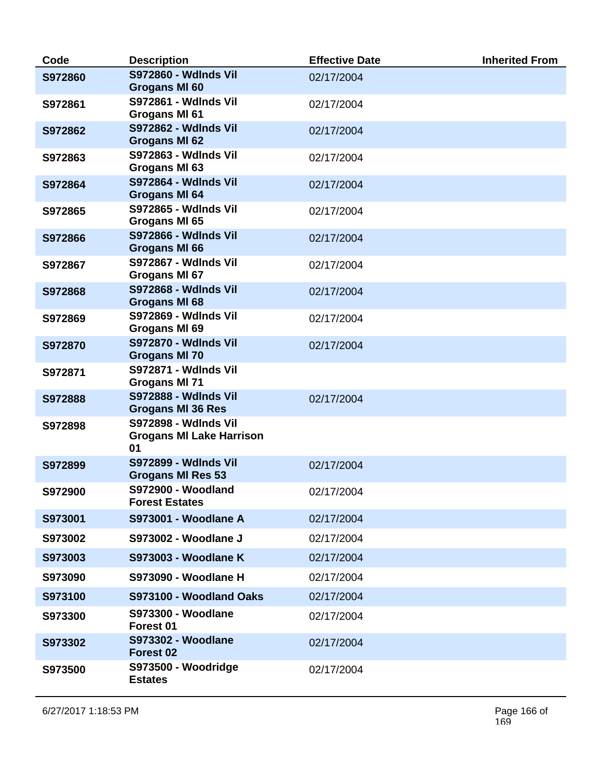| Code    | <b>Description</b>                                                   | <b>Effective Date</b> | <b>Inherited From</b> |
|---------|----------------------------------------------------------------------|-----------------------|-----------------------|
| S972860 | <b>S972860 - Wdlnds Vil</b><br><b>Grogans MI 60</b>                  | 02/17/2004            |                       |
| S972861 | <b>S972861 - Wdlnds Vil</b><br>Grogans MI 61                         | 02/17/2004            |                       |
| S972862 | <b>S972862 - Wdlnds Vil</b><br>Grogans MI 62                         | 02/17/2004            |                       |
| S972863 | S972863 - Wdlnds Vil<br>Grogans MI 63                                | 02/17/2004            |                       |
| S972864 | <b>S972864 - Wdlnds Vil</b><br>Grogans MI 64                         | 02/17/2004            |                       |
| S972865 | <b>S972865 - Wdlnds Vil</b><br>Grogans MI 65                         | 02/17/2004            |                       |
| S972866 | <b>S972866 - Wdlnds Vil</b><br>Grogans MI 66                         | 02/17/2004            |                       |
| S972867 | <b>S972867 - Wdlnds Vil</b><br>Grogans MI 67                         | 02/17/2004            |                       |
| S972868 | <b>S972868 - Wdlnds Vil</b><br>Grogans MI 68                         | 02/17/2004            |                       |
| S972869 | <b>S972869 - Wdlnds Vil</b><br>Grogans MI 69                         | 02/17/2004            |                       |
| S972870 | <b>S972870 - Wdlnds Vil</b><br><b>Grogans MI 70</b>                  | 02/17/2004            |                       |
| S972871 | <b>S972871 - Wdlnds Vil</b><br>Grogans MI 71                         |                       |                       |
| S972888 | <b>S972888 - Wdlnds Vil</b><br><b>Grogans MI 36 Res</b>              | 02/17/2004            |                       |
| S972898 | <b>S972898 - Wdlnds Vil</b><br><b>Grogans MI Lake Harrison</b><br>01 |                       |                       |
| S972899 | <b>S972899 - Wdlnds Vil</b><br><b>Grogans MI Res 53</b>              | 02/17/2004            |                       |
| S972900 | <b>S972900 - Woodland</b><br><b>Forest Estates</b>                   | 02/17/2004            |                       |
| S973001 | <b>S973001 - Woodlane A</b>                                          | 02/17/2004            |                       |
| S973002 | <b>S973002 - Woodlane J</b>                                          | 02/17/2004            |                       |
| S973003 | <b>S973003 - Woodlane K</b>                                          | 02/17/2004            |                       |
| S973090 | S973090 - Woodlane H                                                 | 02/17/2004            |                       |
| S973100 | S973100 - Woodland Oaks                                              | 02/17/2004            |                       |
| S973300 | <b>S973300 - Woodlane</b><br>Forest 01                               | 02/17/2004            |                       |
| S973302 | <b>S973302 - Woodlane</b><br>Forest 02                               | 02/17/2004            |                       |
| S973500 | S973500 - Woodridge<br><b>Estates</b>                                | 02/17/2004            |                       |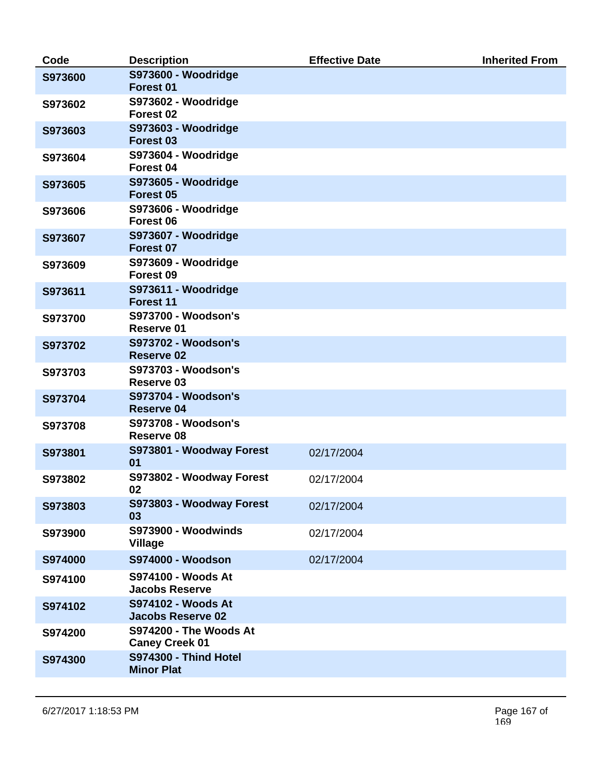| Code    | <b>Description</b>                              | <b>Effective Date</b> | <b>Inherited From</b> |
|---------|-------------------------------------------------|-----------------------|-----------------------|
| S973600 | S973600 - Woodridge<br>Forest <sub>01</sub>     |                       |                       |
| S973602 | S973602 - Woodridge<br>Forest <sub>02</sub>     |                       |                       |
| S973603 | S973603 - Woodridge<br>Forest <sub>03</sub>     |                       |                       |
| S973604 | S973604 - Woodridge<br>Forest 04                |                       |                       |
| S973605 | S973605 - Woodridge<br>Forest <sub>05</sub>     |                       |                       |
| S973606 | S973606 - Woodridge<br>Forest 06                |                       |                       |
| S973607 | S973607 - Woodridge<br>Forest 07                |                       |                       |
| S973609 | S973609 - Woodridge<br>Forest 09                |                       |                       |
| S973611 | S973611 - Woodridge<br>Forest 11                |                       |                       |
| S973700 | <b>S973700 - Woodson's</b><br>Reserve 01        |                       |                       |
| S973702 | <b>S973702 - Woodson's</b><br><b>Reserve 02</b> |                       |                       |
| S973703 | <b>S973703 - Woodson's</b><br>Reserve 03        |                       |                       |
| S973704 | <b>S973704 - Woodson's</b><br><b>Reserve 04</b> |                       |                       |
| S973708 | <b>S973708 - Woodson's</b><br>Reserve 08        |                       |                       |
| S973801 | S973801 - Woodway Forest<br>01                  | 02/17/2004            |                       |
| S973802 | S973802 - Woodway Forest<br>02                  | 02/17/2004            |                       |
| S973803 | S973803 - Woodway Forest<br>03                  | 02/17/2004            |                       |
| S973900 | <b>S973900 - Woodwinds</b><br><b>Village</b>    | 02/17/2004            |                       |
| S974000 | S974000 - Woodson                               | 02/17/2004            |                       |
| S974100 | S974100 - Woods At<br><b>Jacobs Reserve</b>     |                       |                       |
| S974102 | S974102 - Woods At<br><b>Jacobs Reserve 02</b>  |                       |                       |
| S974200 | S974200 - The Woods At<br><b>Caney Creek 01</b> |                       |                       |
| S974300 | S974300 - Thind Hotel<br><b>Minor Plat</b>      |                       |                       |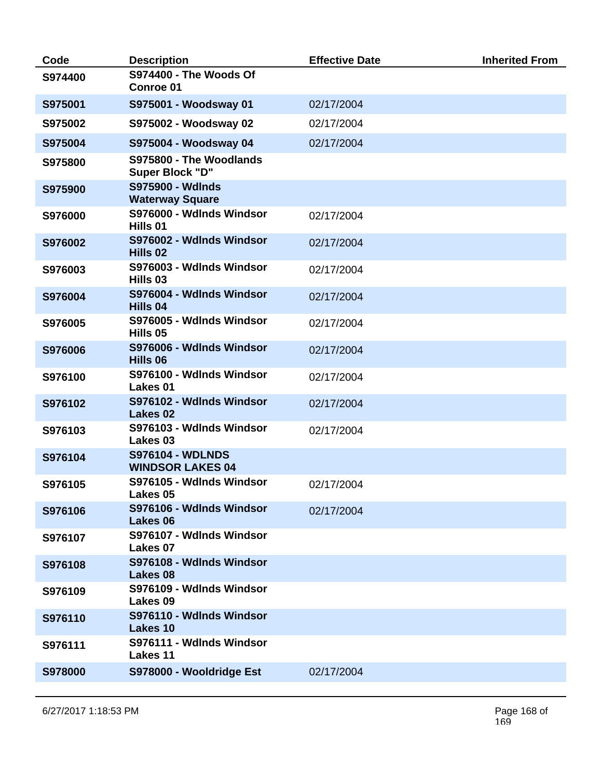| Code    | <b>Description</b>                                 | <b>Effective Date</b> | <b>Inherited From</b> |
|---------|----------------------------------------------------|-----------------------|-----------------------|
| S974400 | S974400 - The Woods Of<br>Conroe 01                |                       |                       |
| S975001 | S975001 - Woodsway 01                              | 02/17/2004            |                       |
| S975002 | S975002 - Woodsway 02                              | 02/17/2004            |                       |
| S975004 | S975004 - Woodsway 04                              | 02/17/2004            |                       |
| S975800 | S975800 - The Woodlands<br>Super Block "D"         |                       |                       |
| S975900 | S975900 - Wdlnds<br><b>Waterway Square</b>         |                       |                       |
| S976000 | S976000 - Wdlnds Windsor<br>Hills 01               | 02/17/2004            |                       |
| S976002 | S976002 - Wdlnds Windsor<br>Hills 02               | 02/17/2004            |                       |
| S976003 | S976003 - Wdlnds Windsor<br>Hills 03               | 02/17/2004            |                       |
| S976004 | S976004 - Wdlnds Windsor<br>Hills 04               | 02/17/2004            |                       |
| S976005 | S976005 - Wdlnds Windsor<br>Hills 05               | 02/17/2004            |                       |
| S976006 | S976006 - Wdlnds Windsor<br>Hills 06               | 02/17/2004            |                       |
| S976100 | S976100 - Wdlnds Windsor<br>Lakes <sub>01</sub>    | 02/17/2004            |                       |
| S976102 | S976102 - Wdlnds Windsor<br><b>Lakes 02</b>        | 02/17/2004            |                       |
| S976103 | S976103 - Wdlnds Windsor<br>Lakes <sub>03</sub>    | 02/17/2004            |                       |
| S976104 | <b>S976104 - WDLNDS</b><br><b>WINDSOR LAKES 04</b> |                       |                       |
| S976105 | S976105 - Wdlnds Windsor<br>Lakes 05               | 02/17/2004            |                       |
| S976106 | S976106 - Wdlnds Windsor<br>Lakes 06               | 02/17/2004            |                       |
| S976107 | S976107 - Wdlnds Windsor<br>Lakes 07               |                       |                       |
| S976108 | S976108 - Wdlnds Windsor<br>Lakes 08               |                       |                       |
| S976109 | S976109 - Wdlnds Windsor<br>Lakes 09               |                       |                       |
| S976110 | S976110 - Wdlnds Windsor<br>Lakes 10               |                       |                       |
| S976111 | S976111 - Wdlnds Windsor<br><b>Lakes 11</b>        |                       |                       |
| S978000 | S978000 - Wooldridge Est                           | 02/17/2004            |                       |